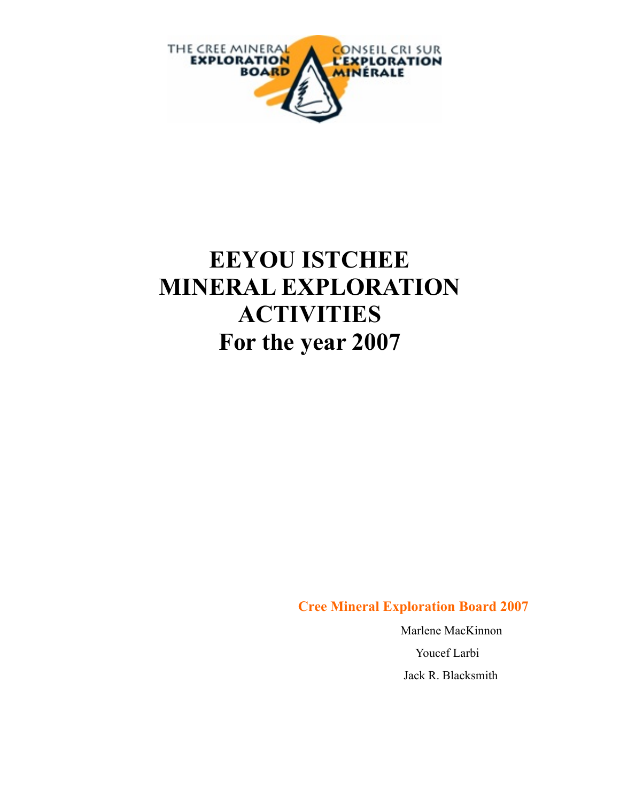

# **EEYOU ISTCHEE MINERAL EXPLORATION ACTIVITIES For the year 2007**

**Cree Mineral Exploration Board 2007**

 Marlene MacKinnon Youcef Larbi Jack R. Blacksmith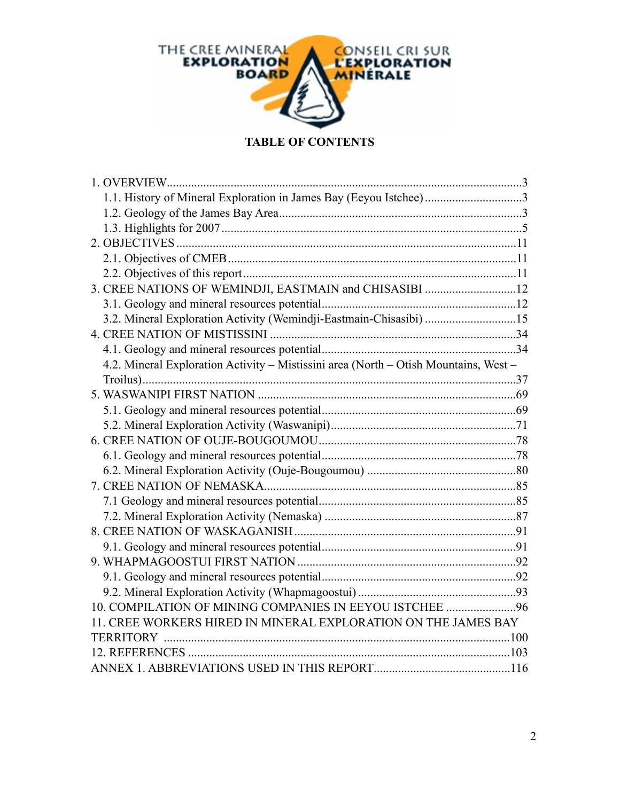

#### **TABLE OF CONTENTS**

| 1.1. History of Mineral Exploration in James Bay (Eeyou Istchee)3                    |  |
|--------------------------------------------------------------------------------------|--|
|                                                                                      |  |
|                                                                                      |  |
|                                                                                      |  |
|                                                                                      |  |
|                                                                                      |  |
| 3. CREE NATIONS OF WEMINDJI, EASTMAIN and CHISASIBI 12                               |  |
|                                                                                      |  |
| 3.2. Mineral Exploration Activity (Wemindji-Eastmain-Chisasibi) 15                   |  |
|                                                                                      |  |
|                                                                                      |  |
| 4.2. Mineral Exploration Activity - Mistissini area (North - Otish Mountains, West - |  |
|                                                                                      |  |
|                                                                                      |  |
|                                                                                      |  |
|                                                                                      |  |
|                                                                                      |  |
|                                                                                      |  |
|                                                                                      |  |
|                                                                                      |  |
|                                                                                      |  |
|                                                                                      |  |
|                                                                                      |  |
|                                                                                      |  |
|                                                                                      |  |
|                                                                                      |  |
|                                                                                      |  |
| 10. COMPILATION OF MINING COMPANIES IN EEYOU ISTCHEE 96                              |  |
| 11. CREE WORKERS HIRED IN MINERAL EXPLORATION ON THE JAMES BAY                       |  |
|                                                                                      |  |
|                                                                                      |  |
|                                                                                      |  |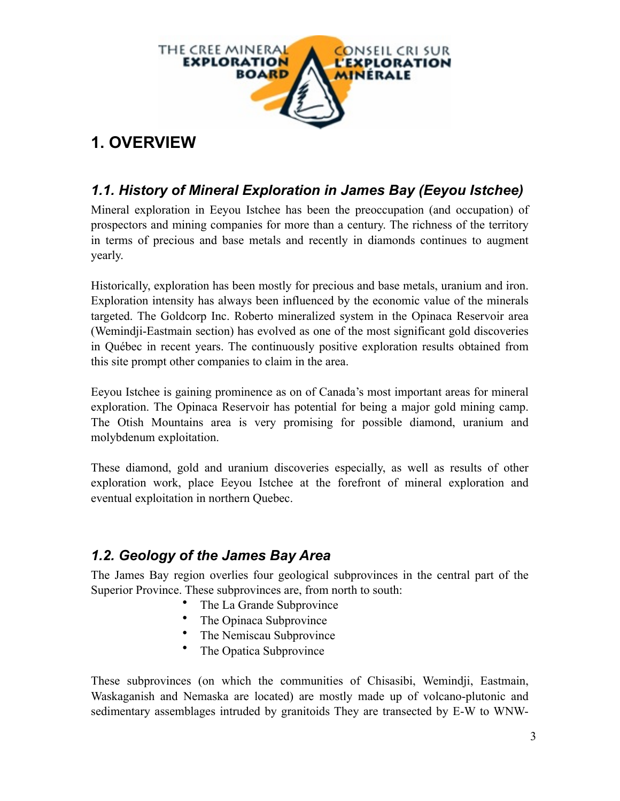

# **1. OVERVIEW**

### *1.1. History of Mineral Exploration in James Bay (Eeyou Istchee)*

Mineral exploration in Eeyou Istchee has been the preoccupation (and occupation) of prospectors and mining companies for more than a century. The richness of the territory in terms of precious and base metals and recently in diamonds continues to augment yearly.

Historically, exploration has been mostly for precious and base metals, uranium and iron. Exploration intensity has always been influenced by the economic value of the minerals targeted. The Goldcorp Inc. Roberto mineralized system in the Opinaca Reservoir area (Wemindji-Eastmain section) has evolved as one of the most significant gold discoveries in Québec in recent years. The continuously positive exploration results obtained from this site prompt other companies to claim in the area.

Eeyou Istchee is gaining prominence as on of Canada's most important areas for mineral exploration. The Opinaca Reservoir has potential for being a major gold mining camp. The Otish Mountains area is very promising for possible diamond, uranium and molybdenum exploitation.

These diamond, gold and uranium discoveries especially, as well as results of other exploration work, place Eeyou Istchee at the forefront of mineral exploration and eventual exploitation in northern Quebec.

### *1.2. Geology of the James Bay Area*

The James Bay region overlies four geological subprovinces in the central part of the Superior Province. These subprovinces are, from north to south:

- The La Grande Subprovince
- The Opinaca Subprovince
- The Nemiscau Subprovince
- The Opatica Subprovince

These subprovinces (on which the communities of Chisasibi, Wemindji, Eastmain, Waskaganish and Nemaska are located) are mostly made up of volcano-plutonic and sedimentary assemblages intruded by granitoids They are transected by E-W to WNW-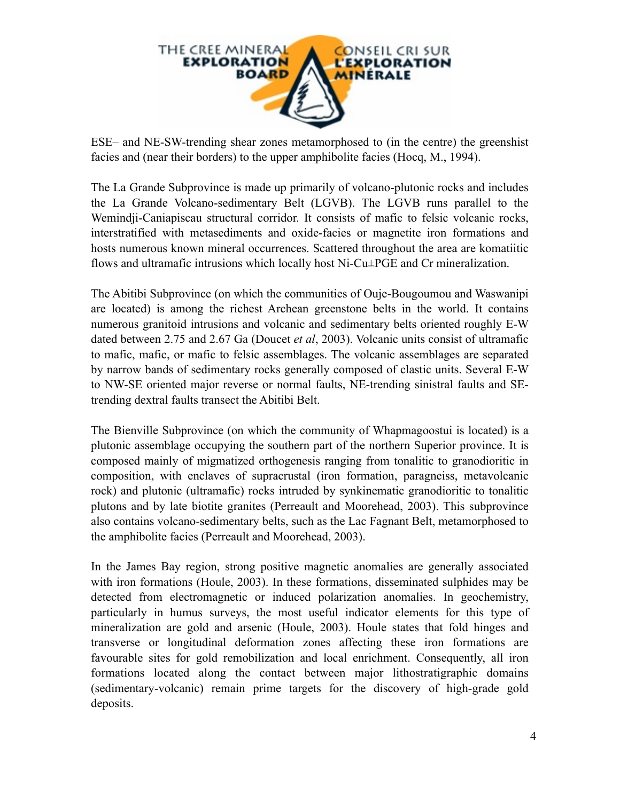

ESE– and NE-SW-trending shear zones metamorphosed to (in the centre) the greenshist facies and (near their borders) to the upper amphibolite facies (Hocq, M., 1994).

The La Grande Subprovince is made up primarily of volcano-plutonic rocks and includes the La Grande Volcano-sedimentary Belt (LGVB). The LGVB runs parallel to the Wemindji-Caniapiscau structural corridor. It consists of mafic to felsic volcanic rocks, interstratified with metasediments and oxide-facies or magnetite iron formations and hosts numerous known mineral occurrences. Scattered throughout the area are komatiitic flows and ultramafic intrusions which locally host Ni-Cu±PGE and Cr mineralization.

The Abitibi Subprovince (on which the communities of Ouje-Bougoumou and Waswanipi are located) is among the richest Archean greenstone belts in the world. It contains numerous granitoid intrusions and volcanic and sedimentary belts oriented roughly E-W dated between 2.75 and 2.67 Ga (Doucet *et al*, 2003). Volcanic units consist of ultramafic to mafic, mafic, or mafic to felsic assemblages. The volcanic assemblages are separated by narrow bands of sedimentary rocks generally composed of clastic units. Several E-W to NW-SE oriented major reverse or normal faults, NE-trending sinistral faults and SEtrending dextral faults transect the Abitibi Belt.

The Bienville Subprovince (on which the community of Whapmagoostui is located) is a plutonic assemblage occupying the southern part of the northern Superior province. It is composed mainly of migmatized orthogenesis ranging from tonalitic to granodioritic in composition, with enclaves of supracrustal (iron formation, paragneiss, metavolcanic rock) and plutonic (ultramafic) rocks intruded by synkinematic granodioritic to tonalitic plutons and by late biotite granites (Perreault and Moorehead, 2003). This subprovince also contains volcano-sedimentary belts, such as the Lac Fagnant Belt, metamorphosed to the amphibolite facies (Perreault and Moorehead, 2003).

In the James Bay region, strong positive magnetic anomalies are generally associated with iron formations (Houle, 2003). In these formations, disseminated sulphides may be detected from electromagnetic or induced polarization anomalies. In geochemistry, particularly in humus surveys, the most useful indicator elements for this type of mineralization are gold and arsenic (Houle, 2003). Houle states that fold hinges and transverse or longitudinal deformation zones affecting these iron formations are favourable sites for gold remobilization and local enrichment. Consequently, all iron formations located along the contact between major lithostratigraphic domains (sedimentary-volcanic) remain prime targets for the discovery of high-grade gold deposits.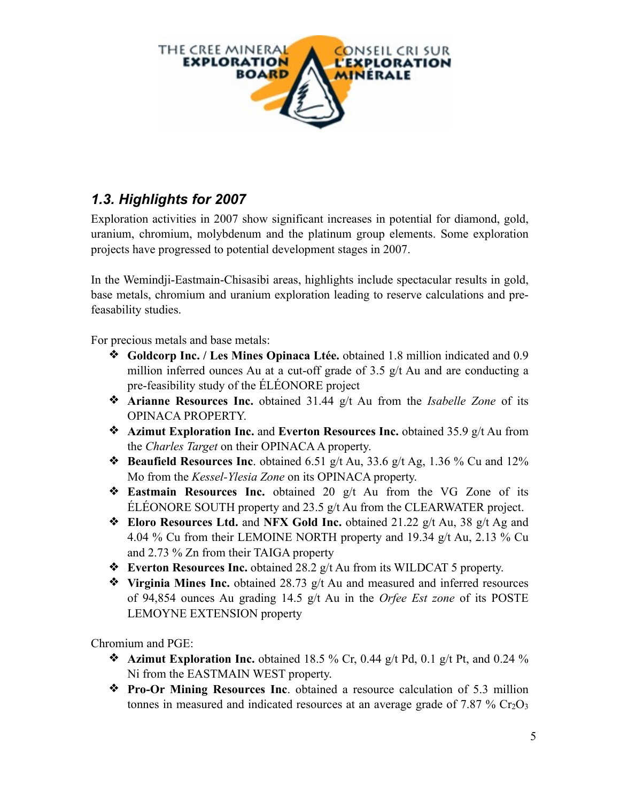

### *1.3. Highlights for 2007*

Exploration activities in 2007 show significant increases in potential for diamond, gold, uranium, chromium, molybdenum and the platinum group elements. Some exploration projects have progressed to potential development stages in 2007.

In the Wemindji-Eastmain-Chisasibi areas, highlights include spectacular results in gold, base metals, chromium and uranium exploration leading to reserve calculations and prefeasability studies.

For precious metals and base metals:

- ❖ **Goldcorp Inc. / Les Mines Opinaca Ltée.** obtained 1.8 million indicated and 0.9 million inferred ounces Au at a cut-off grade of 3.5 g/t Au and are conducting a pre-feasibility study of the ÉLÉONORE project
- ❖ **Arianne Resources Inc.** obtained 31.44 g/t Au from the *Isabelle Zone* of its OPINACA PROPERTY.
- ❖ **Azimut Exploration Inc.** and **Everton Resources Inc.** obtained 35.9 g/t Au from the *Charles Target* on their OPINACA A property.
- ❖ **Beaufield Resources Inc**. obtained 6.51 g/t Au, 33.6 g/t Ag, 1.36 % Cu and 12% Mo from the *Kessel-Ylesia Zone* on its OPINACA property.
- ❖ **Eastmain Resources Inc.** obtained 20 g/t Au from the VG Zone of its ÉLÉONORE SOUTH property and 23.5 g/t Au from the CLEARWATER project.
- ❖ **Eloro Resources Ltd.** and **NFX Gold Inc.** obtained 21.22 g/t Au, 38 g/t Ag and 4.04 % Cu from their LEMOINE NORTH property and 19.34 g/t Au, 2.13 % Cu and 2.73 % Zn from their TAIGA property
- ❖ **Everton Resources Inc.** obtained 28.2 g/t Au from its WILDCAT 5 property.
- ❖ **Virginia Mines Inc.** obtained 28.73 g/t Au and measured and inferred resources of 94,854 ounces Au grading 14.5 g/t Au in the *Orfee Est zone* of its POSTE LEMOYNE EXTENSION property

Chromium and PGE:

- $\triangleleft$  **Azimut Exploration Inc.** obtained 18.5 % Cr, 0.44 g/t Pd, 0.1 g/t Pt, and 0.24 % Ni from the EASTMAIN WEST property.
- ❖ **Pro-Or Mining Resources Inc**. obtained a resource calculation of 5.3 million tonnes in measured and indicated resources at an average grade of 7.87 %  $Cr_2O_3$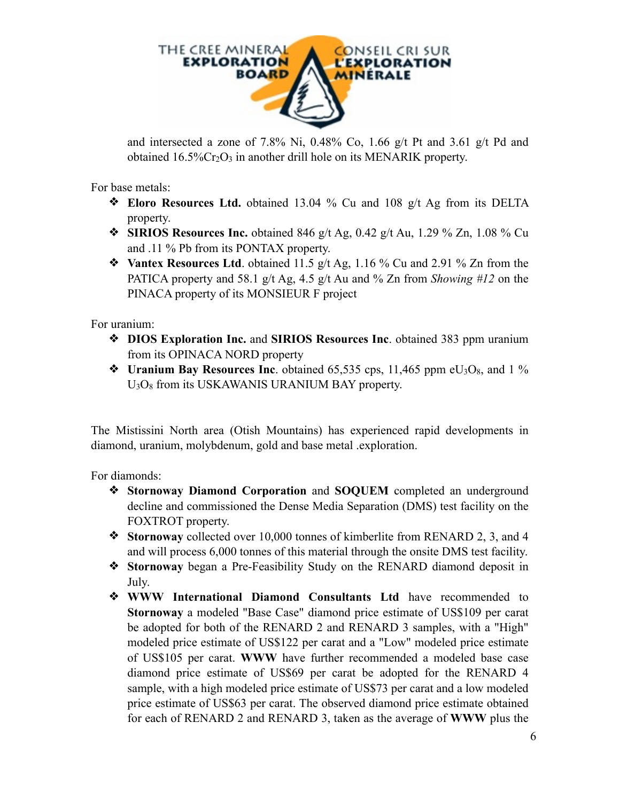

and intersected a zone of 7.8% Ni, 0.48% Co, 1.66 g/t Pt and 3.61 g/t Pd and obtained  $16.5\%$ Cr<sub>2</sub>O<sub>3</sub> in another drill hole on its MENARIK property.

For base metals:

- ❖ **Eloro Resources Ltd.** obtained 13.04 % Cu and 108 g/t Ag from its DELTA property.
- ❖ **SIRIOS Resources Inc.** obtained 846 g/t Ag, 0.42 g/t Au, 1.29 % Zn, 1.08 % Cu and .11 % Pb from its PONTAX property.
- ❖ **Vantex Resources Ltd**. obtained 11.5 g/t Ag, 1.16 % Cu and 2.91 % Zn from the PATICA property and 58.1 g/t Ag, 4.5 g/t Au and % Zn from *Showing #12* on the PINACA property of its MONSIEUR F project

For uranium:

- ❖ **DIOS Exploration Inc.** and **SIRIOS Resources Inc**. obtained 383 ppm uranium from its OPINACA NORD property
- ❖ **Uranium Bay Resources Inc**. obtained 65,535 cps, 11,465 ppm eU3O8, and 1 % U3O8 from its USKAWANIS URANIUM BAY property.

The Mistissini North area (Otish Mountains) has experienced rapid developments in diamond, uranium, molybdenum, gold and base metal .exploration.

For diamonds:

- ❖ **Stornoway Diamond Corporation** and **SOQUEM** completed an underground decline and commissioned the Dense Media Separation (DMS) test facility on the FOXTROT property.
- ❖ **Stornoway** collected over 10,000 tonnes of kimberlite from RENARD 2, 3, and 4 and will process 6,000 tonnes of this material through the onsite DMS test facility.
- ❖ **Stornoway** began a Pre-Feasibility Study on the RENARD diamond deposit in July.
- ❖ **WWW International Diamond Consultants Ltd** have recommended to **Stornoway** a modeled "Base Case" diamond price estimate of US\$109 per carat be adopted for both of the RENARD 2 and RENARD 3 samples, with a "High" modeled price estimate of US\$122 per carat and a "Low" modeled price estimate of US\$105 per carat. **WWW** have further recommended a modeled base case diamond price estimate of US\$69 per carat be adopted for the RENARD 4 sample, with a high modeled price estimate of US\$73 per carat and a low modeled price estimate of US\$63 per carat. The observed diamond price estimate obtained for each of RENARD 2 and RENARD 3, taken as the average of **WWW** plus the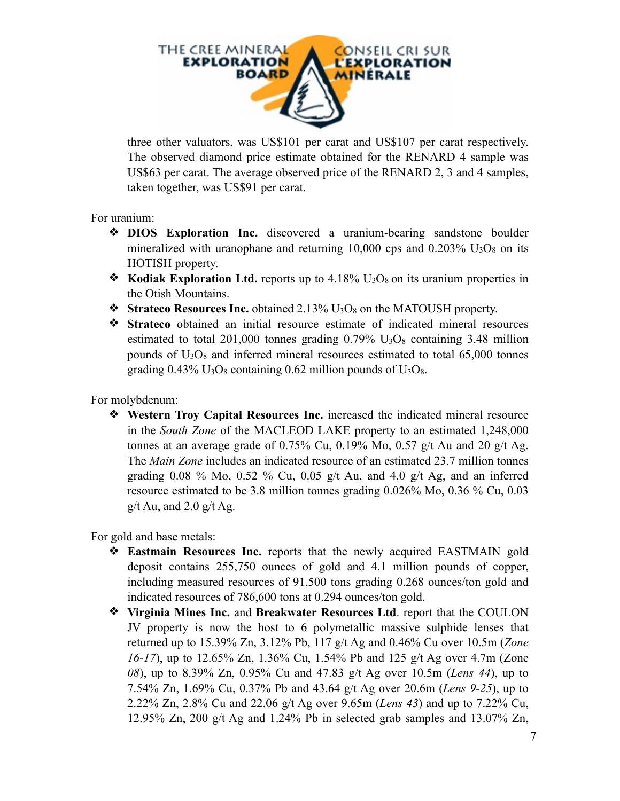

three other valuators, was US\$101 per carat and US\$107 per carat respectively. The observed diamond price estimate obtained for the RENARD 4 sample was US\$63 per carat. The average observed price of the RENARD 2, 3 and 4 samples, taken together, was US\$91 per carat.

For uranium:

- ❖ **DIOS Exploration Inc.** discovered a uranium-bearing sandstone boulder mineralized with uranophane and returning 10,000 cps and 0.203%  $U_3O_8$  on its HOTISH property.
- $\bullet$  **Kodiak Exploration Ltd.** reports up to 4.18% U<sub>3</sub>O<sub>8</sub> on its uranium properties in the Otish Mountains.
- ❖ **Strateco Resources Inc.** obtained 2.13% U3O8 on the MATOUSH property.
- ❖ **Strateco** obtained an initial resource estimate of indicated mineral resources estimated to total  $201,000$  tonnes grading  $0.79\%$  U<sub>3</sub>O<sub>8</sub> containing 3.48 million pounds of  $U_3O_8$  and inferred mineral resources estimated to total 65,000 tonnes grading  $0.43\%$  U<sub>3</sub>O<sub>8</sub> containing 0.62 million pounds of U<sub>3</sub>O<sub>8</sub>.

For molybdenum:

❖ **Western Troy Capital Resources Inc.** increased the indicated mineral resource in the *South Zone* of the MACLEOD LAKE property to an estimated 1,248,000 tonnes at an average grade of  $0.75\%$  Cu,  $0.19\%$  Mo,  $0.57$  g/t Au and 20 g/t Ag. The *Main Zone* includes an indicated resource of an estimated 23.7 million tonnes grading 0.08 % Mo, 0.52 % Cu, 0.05 g/t Au, and 4.0 g/t Ag, and an inferred resource estimated to be 3.8 million tonnes grading 0.026% Mo, 0.36 % Cu, 0.03  $g/t$  Au, and 2.0  $g/t$  Ag.

For gold and base metals:

- ❖ **Eastmain Resources Inc.** reports that the newly acquired EASTMAIN gold deposit contains 255,750 ounces of gold and 4.1 million pounds of copper, including measured resources of 91,500 tons grading 0.268 ounces/ton gold and indicated resources of 786,600 tons at 0.294 ounces/ton gold.
- ❖ **Virginia Mines Inc.** and **Breakwater Resources Ltd**. report that the COULON JV property is now the host to 6 polymetallic massive sulphide lenses that returned up to 15.39% Zn, 3.12% Pb, 117 g/t Ag and 0.46% Cu over 10.5m (*Zone 16-17*), up to 12.65% Zn, 1.36% Cu, 1.54% Pb and 125 g/t Ag over 4.7m (Zone *08*), up to 8.39% Zn, 0.95% Cu and 47.83 g/t Ag over 10.5m (*Lens 44*), up to 7.54% Zn, 1.69% Cu, 0.37% Pb and 43.64 g/t Ag over 20.6m (*Lens 9-25*), up to 2.22% Zn, 2.8% Cu and 22.06 g/t Ag over 9.65m (*Lens 43*) and up to 7.22% Cu, 12.95% Zn, 200 g/t Ag and 1.24% Pb in selected grab samples and 13.07% Zn,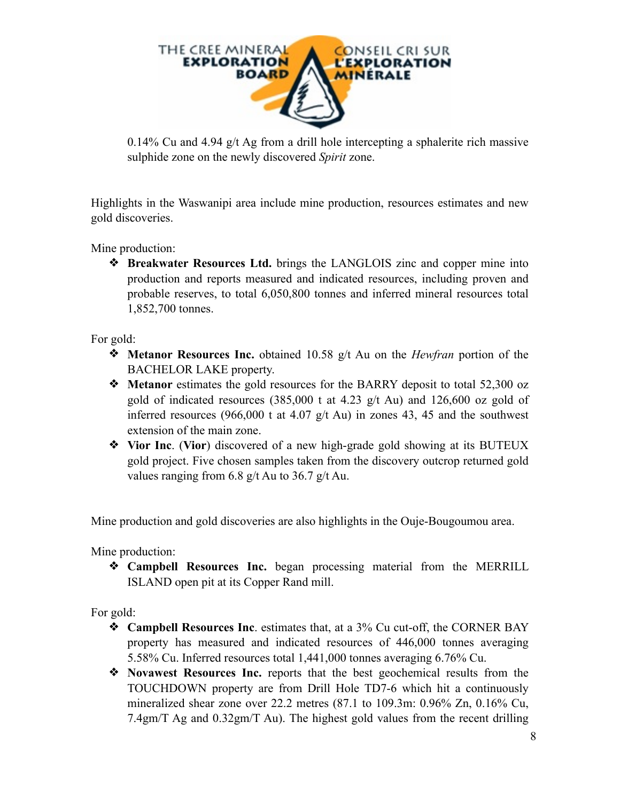

0.14% Cu and 4.94 g/t Ag from a drill hole intercepting a sphalerite rich massive sulphide zone on the newly discovered *Spirit* zone.

Highlights in the Waswanipi area include mine production, resources estimates and new gold discoveries.

Mine production:

❖ **Breakwater Resources Ltd.** brings the LANGLOIS zinc and copper mine into production and reports measured and indicated resources, including proven and probable reserves, to total 6,050,800 tonnes and inferred mineral resources total 1,852,700 tonnes.

For gold:

- ❖ **Metanor Resources Inc.** obtained 10.58 g/t Au on the *Hewfran* portion of the BACHELOR LAKE property.
- ❖ **Metanor** estimates the gold resources for the BARRY deposit to total 52,300 oz gold of indicated resources (385,000 t at 4.23 g/t Au) and 126,600 oz gold of inferred resources (966,000 t at 4.07  $g/t$  Au) in zones 43, 45 and the southwest extension of the main zone.
- ❖ **Vior Inc**. (**Vior**) discovered of a new high-grade gold showing at its BUTEUX gold project. Five chosen samples taken from the discovery outcrop returned gold values ranging from 6.8 g/t Au to 36.7 g/t Au.

Mine production and gold discoveries are also highlights in the Ouje-Bougoumou area.

Mine production:

❖ **Campbell Resources Inc.** began processing material from the MERRILL ISLAND open pit at its Copper Rand mill.

For gold:

- ❖ **Campbell Resources Inc**. estimates that, at a 3% Cu cut-off, the CORNER BAY property has measured and indicated resources of 446,000 tonnes averaging 5.58% Cu. Inferred resources total 1,441,000 tonnes averaging 6.76% Cu.
- ❖ **Novawest Resources Inc.** reports that the best geochemical results from the TOUCHDOWN property are from Drill Hole TD7-6 which hit a continuously mineralized shear zone over 22.2 metres (87.1 to 109.3m: 0.96% Zn, 0.16% Cu, 7.4gm/T Ag and 0.32gm/T Au). The highest gold values from the recent drilling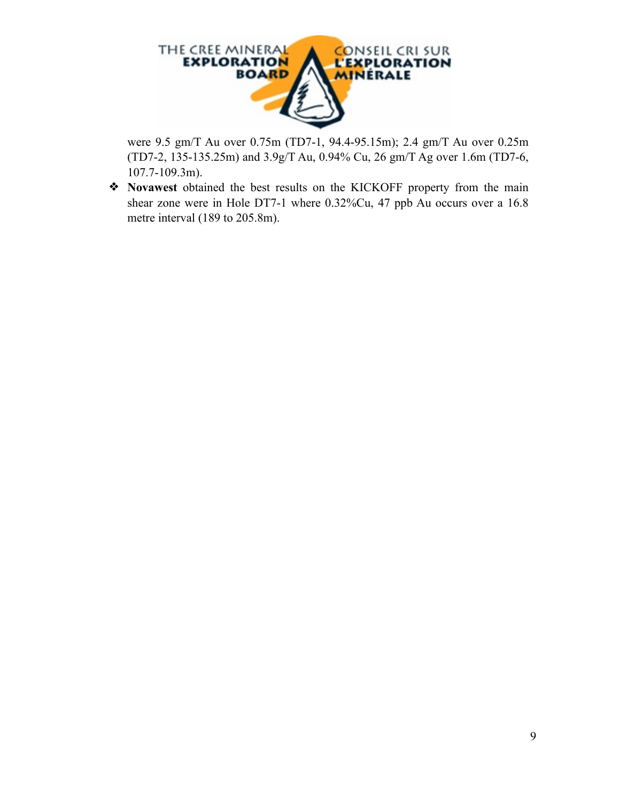

were 9.5 gm/T Au over 0.75m (TD7-1, 94.4-95.15m); 2.4 gm/T Au over 0.25m (TD7-2, 135-135.25m) and 3.9g/T Au, 0.94% Cu, 26 gm/T Ag over 1.6m (TD7-6, 107.7-109.3m).

❖ **Novawest** obtained the best results on the KICKOFF property from the main shear zone were in Hole DT7-1 where 0.32%Cu, 47 ppb Au occurs over a 16.8 metre interval (189 to 205.8m).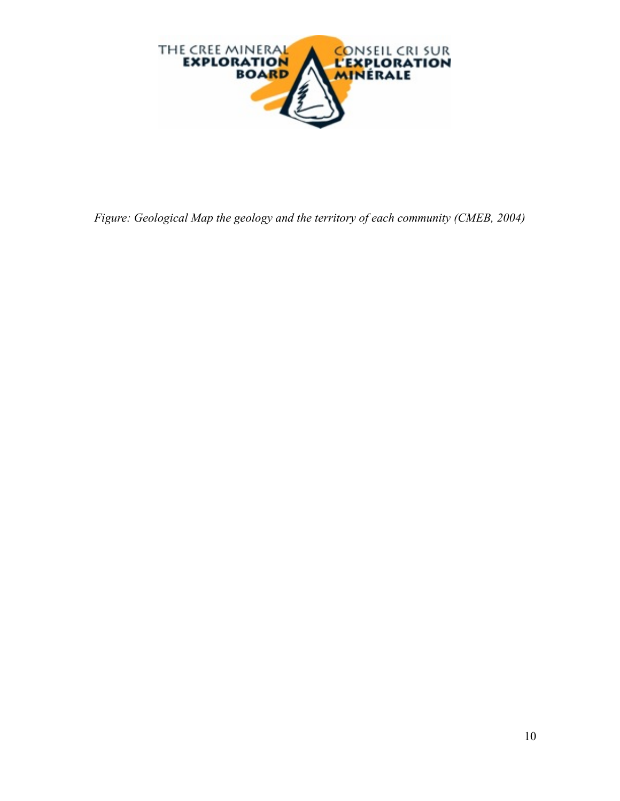

*Figure: Geological Map the geology and the territory of each community (CMEB, 2004)*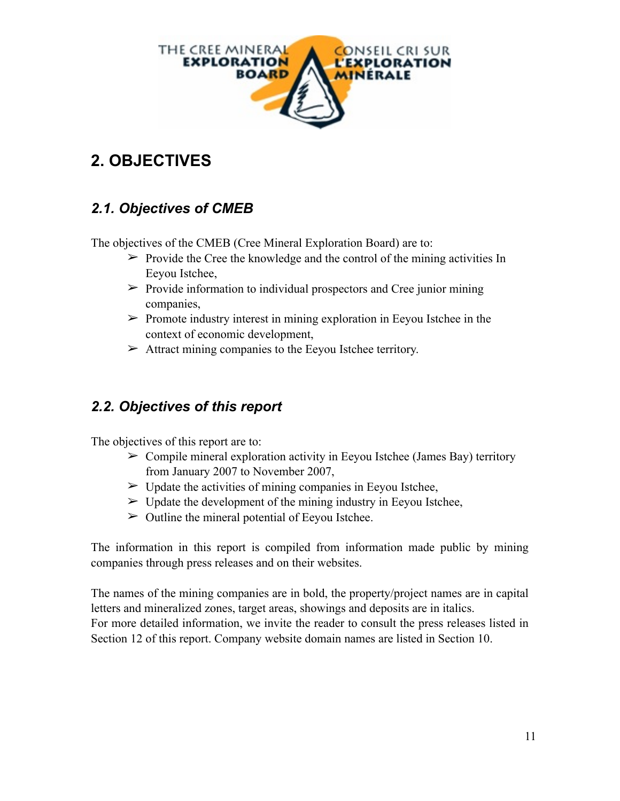

# **2. OBJECTIVES**

### *2.1. Objectives of CMEB*

The objectives of the CMEB (Cree Mineral Exploration Board) are to:

- $\triangleright$  Provide the Cree the knowledge and the control of the mining activities In Eeyou Istchee,
- $\triangleright$  Provide information to individual prospectors and Cree junior mining companies,
- $\triangleright$  Promote industry interest in mining exploration in Eeyou Istchee in the context of economic development,
- $\triangleright$  Attract mining companies to the Eeyou Istchee territory.

### *2.2. Objectives of this report*

The objectives of this report are to:

- $\triangleright$  Compile mineral exploration activity in Eeyou Istchee (James Bay) territory from January 2007 to November 2007,
- $\triangleright$  Update the activities of mining companies in Eeyou Istchee,
- $\triangleright$  Update the development of the mining industry in Eeyou Istchee,
- $\triangleright$  Outline the mineral potential of Eeyou Istchee.

The information in this report is compiled from information made public by mining companies through press releases and on their websites.

The names of the mining companies are in bold, the property/project names are in capital letters and mineralized zones, target areas, showings and deposits are in italics. For more detailed information, we invite the reader to consult the press releases listed in Section 12 of this report. Company website domain names are listed in Section 10.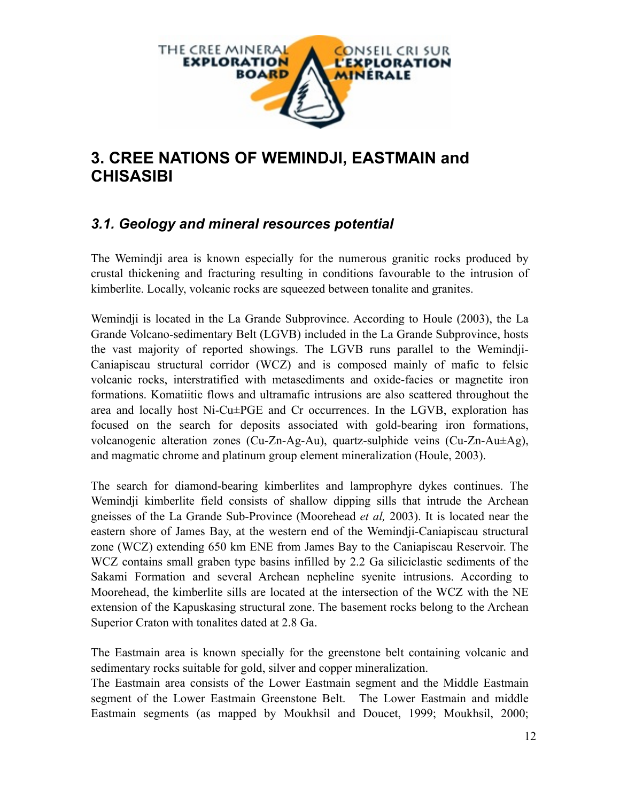

### **3. CREE NATIONS OF WEMINDJI, EASTMAIN and CHISASIBI**

### *3.1. Geology and mineral resources potential*

The Wemindji area is known especially for the numerous granitic rocks produced by crustal thickening and fracturing resulting in conditions favourable to the intrusion of kimberlite. Locally, volcanic rocks are squeezed between tonalite and granites.

Wemindji is located in the La Grande Subprovince. According to Houle (2003), the La Grande Volcano-sedimentary Belt (LGVB) included in the La Grande Subprovince, hosts the vast majority of reported showings. The LGVB runs parallel to the Wemindji-Caniapiscau structural corridor (WCZ) and is composed mainly of mafic to felsic volcanic rocks, interstratified with metasediments and oxide-facies or magnetite iron formations. Komatiitic flows and ultramafic intrusions are also scattered throughout the area and locally host Ni-Cu±PGE and Cr occurrences. In the LGVB, exploration has focused on the search for deposits associated with gold-bearing iron formations, volcanogenic alteration zones (Cu-Zn-Ag-Au), quartz-sulphide veins (Cu-Zn-Au±Ag), and magmatic chrome and platinum group element mineralization (Houle, 2003).

The search for diamond-bearing kimberlites and lamprophyre dykes continues. The Wemindji kimberlite field consists of shallow dipping sills that intrude the Archean gneisses of the La Grande Sub-Province (Moorehead *et al,* 2003). It is located near the eastern shore of James Bay, at the western end of the Wemindji-Caniapiscau structural zone (WCZ) extending 650 km ENE from James Bay to the Caniapiscau Reservoir. The WCZ contains small graben type basins infilled by 2.2 Ga siliciclastic sediments of the Sakami Formation and several Archean nepheline syenite intrusions. According to Moorehead, the kimberlite sills are located at the intersection of the WCZ with the NE extension of the Kapuskasing structural zone. The basement rocks belong to the Archean Superior Craton with tonalites dated at 2.8 Ga.

The Eastmain area is known specially for the greenstone belt containing volcanic and sedimentary rocks suitable for gold, silver and copper mineralization.

The Eastmain area consists of the Lower Eastmain segment and the Middle Eastmain segment of the Lower Eastmain Greenstone Belt. The Lower Eastmain and middle Eastmain segments (as mapped by Moukhsil and Doucet, 1999; Moukhsil, 2000;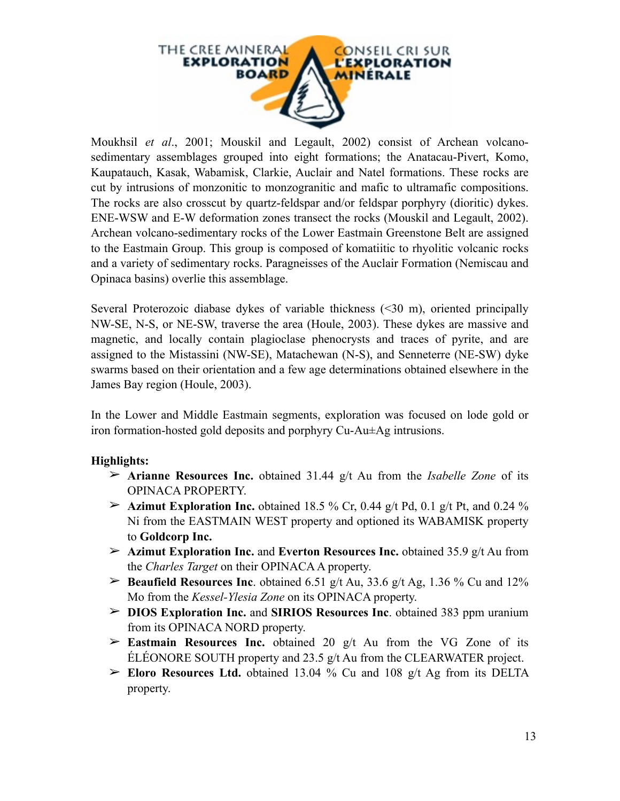

Moukhsil *et al*., 2001; Mouskil and Legault, 2002) consist of Archean volcanosedimentary assemblages grouped into eight formations; the Anatacau-Pivert, Komo, Kaupatauch, Kasak, Wabamisk, Clarkie, Auclair and Natel formations. These rocks are cut by intrusions of monzonitic to monzogranitic and mafic to ultramafic compositions. The rocks are also crosscut by quartz-feldspar and/or feldspar porphyry (dioritic) dykes. ENE-WSW and E-W deformation zones transect the rocks (Mouskil and Legault, 2002). Archean volcano-sedimentary rocks of the Lower Eastmain Greenstone Belt are assigned to the Eastmain Group. This group is composed of komatiitic to rhyolitic volcanic rocks and a variety of sedimentary rocks. Paragneisses of the Auclair Formation (Nemiscau and Opinaca basins) overlie this assemblage.

Several Proterozoic diabase dykes of variable thickness (<30 m), oriented principally NW-SE, N-S, or NE-SW, traverse the area (Houle, 2003). These dykes are massive and magnetic, and locally contain plagioclase phenocrysts and traces of pyrite, and are assigned to the Mistassini (NW-SE), Matachewan (N-S), and Senneterre (NE-SW) dyke swarms based on their orientation and a few age determinations obtained elsewhere in the James Bay region (Houle, 2003).

In the Lower and Middle Eastmain segments, exploration was focused on lode gold or iron formation-hosted gold deposits and porphyry Cu-Au±Ag intrusions.

#### **Highlights:**

- ➢ **Arianne Resources Inc.** obtained 31.44 g/t Au from the *Isabelle Zone* of its OPINACA PROPERTY.
- $\geq$  **Azimut Exploration Inc.** obtained 18.5 % Cr, 0.44 g/t Pd, 0.1 g/t Pt, and 0.24 % Ni from the EASTMAIN WEST property and optioned its WABAMISK property to **Goldcorp Inc.**
- ➢ **Azimut Exploration Inc.** and **Everton Resources Inc.** obtained 35.9 g/t Au from the *Charles Target* on their OPINACA A property.
- ➢ **Beaufield Resources Inc**. obtained 6.51 g/t Au, 33.6 g/t Ag, 1.36 % Cu and 12% Mo from the *Kessel-Ylesia Zone* on its OPINACA property.
- ➢ **DIOS Exploration Inc.** and **SIRIOS Resources Inc**. obtained 383 ppm uranium from its OPINACA NORD property.
- $\geq$  **Eastmain Resources Inc.** obtained 20 g/t Au from the VG Zone of its ÉLÉONORE SOUTH property and 23.5 g/t Au from the CLEARWATER project.
- ➢ **Eloro Resources Ltd.** obtained 13.04 % Cu and 108 g/t Ag from its DELTA property.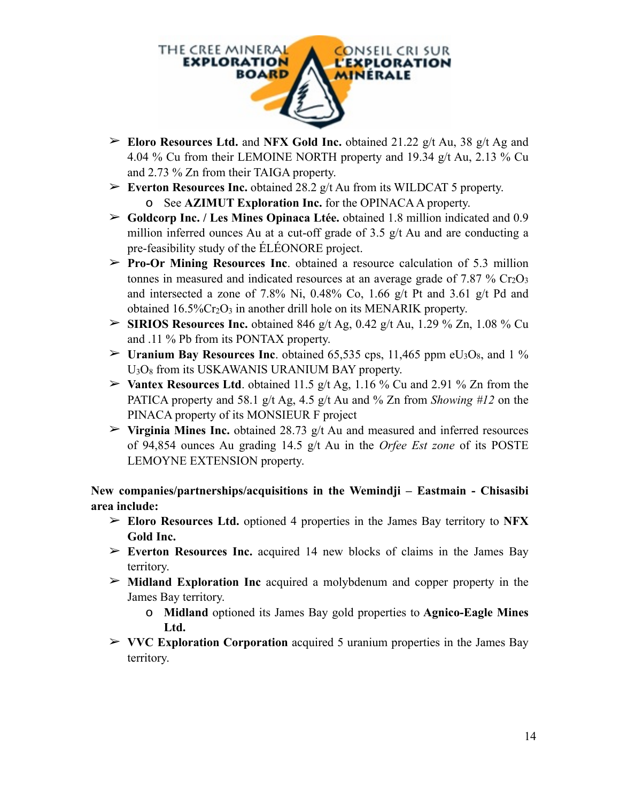

- ➢ **Eloro Resources Ltd.** and **NFX Gold Inc.** obtained 21.22 g/t Au, 38 g/t Ag and 4.04 % Cu from their LEMOINE NORTH property and 19.34 g/t Au, 2.13 % Cu and 2.73 % Zn from their TAIGA property.
- ➢ **Everton Resources Inc.** obtained 28.2 g/t Au from its WILDCAT 5 property. o See **AZIMUT Exploration Inc.** for the OPINACA A property.
- ➢ **Goldcorp Inc. / Les Mines Opinaca Ltée.** obtained 1.8 million indicated and 0.9 million inferred ounces Au at a cut-off grade of 3.5 g/t Au and are conducting a pre-feasibility study of the ÉLÉONORE project.
- ➢ **Pro-Or Mining Resources Inc**. obtained a resource calculation of 5.3 million tonnes in measured and indicated resources at an average grade of  $7.87\%$  Cr<sub>2</sub>O<sub>3</sub> and intersected a zone of 7.8% Ni, 0.48% Co, 1.66 g/t Pt and 3.61 g/t Pd and obtained  $16.5\%$ Cr<sub>2</sub>O<sub>3</sub> in another drill hole on its MENARIK property.
- $\triangleright$  **SIRIOS Resources Inc.** obtained 846 g/t Ag, 0.42 g/t Au, 1.29 % Zn, 1.08 % Cu and .11 % Pb from its PONTAX property.
- $\triangleright$  **Uranium Bay Resources Inc.** obtained 65,535 cps, 11,465 ppm eU<sub>3</sub>O<sub>8</sub>, and 1 % U3O8 from its USKAWANIS URANIUM BAY property.
- $\triangleright$  **Vantex Resources Ltd**. obtained 11.5 g/t Ag, 1.16 % Cu and 2.91 % Zn from the PATICA property and 58.1 g/t Ag, 4.5 g/t Au and % Zn from *Showing #12* on the PINACA property of its MONSIEUR F project
- $\triangleright$  **Virginia Mines Inc.** obtained 28.73 g/t Au and measured and inferred resources of 94,854 ounces Au grading 14.5 g/t Au in the *Orfee Est zone* of its POSTE LEMOYNE EXTENSION property.

**New companies/partnerships/acquisitions in the Wemindji – Eastmain - Chisasibi area include:**

- ➢ **Eloro Resources Ltd.** optioned 4 properties in the James Bay territory to **NFX Gold Inc.**
- ➢ **Everton Resources Inc.** acquired 14 new blocks of claims in the James Bay territory.
- ➢ **Midland Exploration Inc** acquired a molybdenum and copper property in the James Bay territory.
	- o **Midland** optioned its James Bay gold properties to **Agnico-Eagle Mines Ltd.**
- ➢ **VVC Exploration Corporation** acquired 5 uranium properties in the James Bay territory.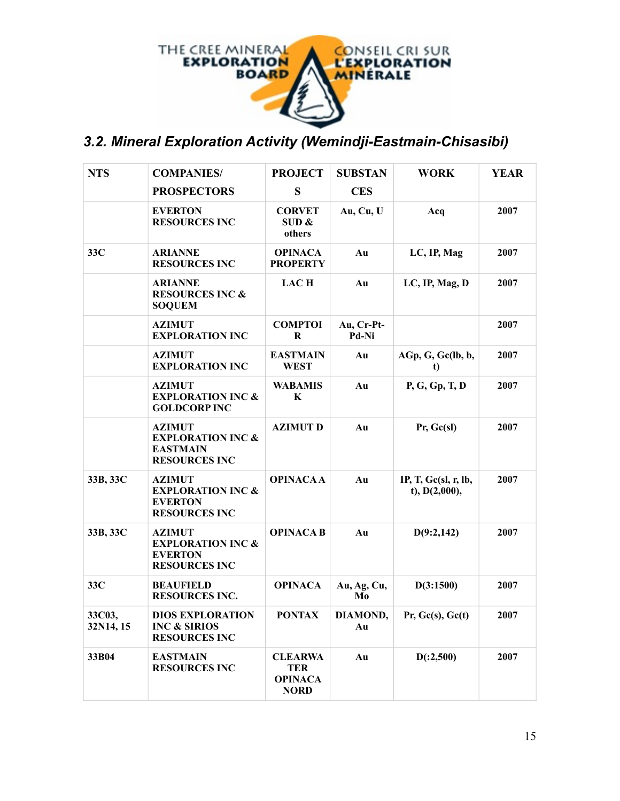

# *3.2. Mineral Exploration Activity (Wemindji-Eastmain-Chisasibi)*

| <b>NTS</b>          | <b>COMPANIES/</b>                                                                        | <b>PROJECT</b>                                                | <b>SUBSTAN</b>      | <b>WORK</b>                             | <b>YEAR</b> |
|---------------------|------------------------------------------------------------------------------------------|---------------------------------------------------------------|---------------------|-----------------------------------------|-------------|
|                     | <b>PROSPECTORS</b>                                                                       | S                                                             | <b>CES</b>          |                                         |             |
|                     | <b>EVERTON</b><br><b>RESOURCES INC</b>                                                   | <b>CORVET</b><br>SUB &<br>others                              | Au, Cu, U           | Acq                                     | 2007        |
| 33C                 | <b>ARIANNE</b><br><b>RESOURCES INC</b>                                                   | <b>OPINACA</b><br><b>PROPERTY</b>                             | Au                  | LC, IP, Mag                             | 2007        |
|                     | <b>ARIANNE</b><br><b>RESOURCES INC &amp;</b><br><b>SOQUEM</b>                            | <b>LACH</b>                                                   | Au                  | LC, IP, Mag, D                          | 2007        |
|                     | <b>AZIMUT</b><br><b>EXPLORATION INC</b>                                                  | <b>COMPTOI</b><br>$\bf R$                                     | Au, Cr-Pt-<br>Pd-Ni |                                         | 2007        |
|                     | <b>AZIMUT</b><br><b>EXPLORATION INC</b>                                                  | <b>EASTMAIN</b><br><b>WEST</b>                                | Au                  | AGp, G, Gc(lb, b,<br>t)                 | 2007        |
|                     | <b>AZIMUT</b><br><b>EXPLORATION INC &amp;</b><br><b>GOLDCORP INC</b>                     | <b>WABAMIS</b><br>K                                           | Au                  | P, G, Gp, T, D                          | 2007        |
|                     | <b>AZIMUT</b><br><b>EXPLORATION INC &amp;</b><br><b>EASTMAIN</b><br><b>RESOURCES INC</b> | <b>AZIMUTD</b>                                                | Au                  | Pr, Gc(s)                               | 2007        |
| 33B, 33C            | <b>AZIMUT</b><br><b>EXPLORATION INC &amp;</b><br><b>EVERTON</b><br><b>RESOURCES INC</b>  | <b>OPINACAA</b>                                               | Au                  | IP, T, $Gc(sl, r, lb,$<br>t), D(2,000), | 2007        |
| 33B, 33C            | <b>AZIMUT</b><br><b>EXPLORATION INC &amp;</b><br><b>EVERTON</b><br><b>RESOURCES INC</b>  | <b>OPINACA B</b>                                              | Au                  | D(9:2,142)                              | 2007        |
| 33C                 | <b>BEAUFIELD</b><br><b>RESOURCES INC.</b>                                                | <b>OPINACA</b>                                                | Au, Ag, Cu,<br>Mo   | D(3:1500)                               | 2007        |
| 33C03,<br>32N14, 15 | <b>DIOS EXPLORATION</b><br><b>INC &amp; SIRIOS</b><br><b>RESOURCES INC</b>               | <b>PONTAX</b>                                                 | DIAMOND,<br>Au      | Pr, Gc(s), Gc(t)                        | 2007        |
| 33B04               | <b>EASTMAIN</b><br><b>RESOURCES INC</b>                                                  | <b>CLEARWA</b><br><b>TER</b><br><b>OPINACA</b><br><b>NORD</b> | Au                  | D(.2,500)                               | 2007        |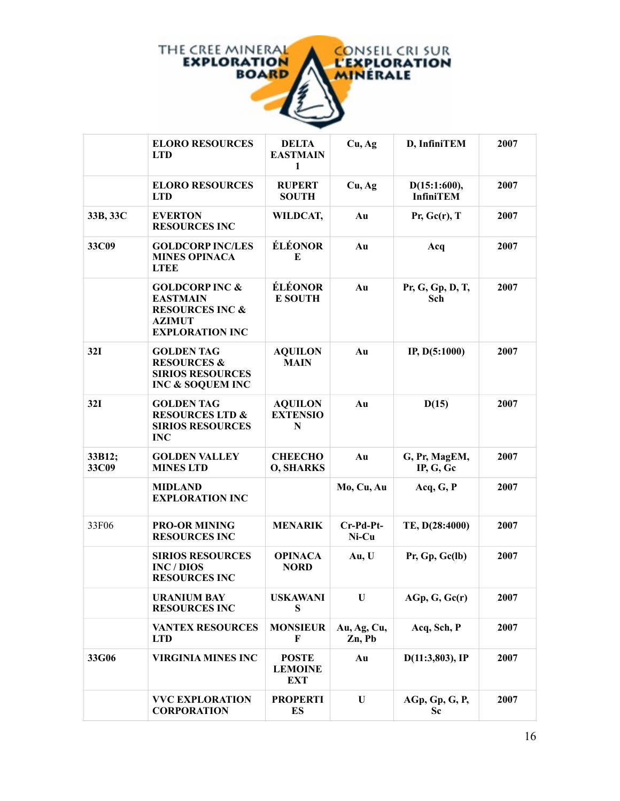

|                 | <b>ELORO RESOURCES</b><br><b>LTD</b>                                                                                  | <b>DELTA</b><br><b>EASTMAIN</b><br>1         | Cu, Ag                | D, InfiniTEM                     | 2007 |
|-----------------|-----------------------------------------------------------------------------------------------------------------------|----------------------------------------------|-----------------------|----------------------------------|------|
|                 | <b>ELORO RESOURCES</b><br><b>LTD</b>                                                                                  | <b>RUPERT</b><br><b>SOUTH</b>                | Cu, Ag                | D(15:1:600),<br><b>InfiniTEM</b> | 2007 |
| 33B, 33C        | <b>EVERTON</b><br><b>RESOURCES INC</b>                                                                                | WILDCAT,                                     | Au                    | $Pr,$ Gc(r), T                   | 2007 |
| 33C09           | <b>GOLDCORP INC/LES</b><br><b>MINES OPINACA</b><br><b>LTEE</b>                                                        | ÉLÉONOR<br>E                                 | Au                    | Acq                              | 2007 |
|                 | <b>GOLDCORP INC &amp;</b><br><b>EASTMAIN</b><br><b>RESOURCES INC &amp;</b><br><b>AZIMUT</b><br><b>EXPLORATION INC</b> | ÉLÉONOR<br><b>E SOUTH</b>                    | Au                    | Pr, G, Gp, D, T,<br>Sch          | 2007 |
| 32I             | <b>GOLDEN TAG</b><br><b>RESOURCES &amp;</b><br><b>SIRIOS RESOURCES</b><br>INC & SOQUEM INC                            | <b>AQUILON</b><br><b>MAIN</b>                | Au                    | IP, D(5:1000)                    | 2007 |
| 32I             | <b>GOLDEN TAG</b><br><b>RESOURCES LTD &amp;</b><br><b>SIRIOS RESOURCES</b><br><b>INC</b>                              | <b>AQUILON</b><br><b>EXTENSIO</b><br>N       | Au                    | D(15)                            | 2007 |
| 33B12;<br>33C09 | <b>GOLDEN VALLEY</b><br><b>MINES LTD</b>                                                                              | <b>CHEECHO</b><br><b>O, SHARKS</b>           | Au                    | G, Pr, MagEM,<br>IP, G, Gc       | 2007 |
|                 | <b>MIDLAND</b><br><b>EXPLORATION INC</b>                                                                              |                                              | Mo, Cu, Au            | Acq, G, P                        | 2007 |
| 33F06           | <b>PRO-OR MINING</b><br><b>RESOURCES INC</b>                                                                          | <b>MENARIK</b>                               | Cr-Pd-Pt-<br>Ni-Cu    | TE, D(28:4000)                   | 2007 |
|                 | <b>SIRIOS RESOURCES</b><br>INC / DIOS<br><b>RESOURCES INC</b>                                                         | <b>OPINACA</b><br><b>NORD</b>                | Au, U                 | Pr, Gp, Gc(lb)                   | 2007 |
|                 | <b>URANIUM BAY</b><br><b>RESOURCES INC</b>                                                                            | <b>USKAWANI</b><br>S                         | U                     | $AGp$ , $G$ , $Gc(r)$            | 2007 |
|                 | <b>VANTEX RESOURCES</b><br><b>LTD</b>                                                                                 | <b>MONSIEUR</b><br>F                         | Au, Ag, Cu,<br>Zn, Pb | Acq, Sch, P                      | 2007 |
| 33G06           | <b>VIRGINIA MINES INC</b>                                                                                             | <b>POSTE</b><br><b>LEMOINE</b><br><b>EXT</b> | Au                    | $D(11:3,803)$ , IP               | 2007 |
|                 | <b>VVC EXPLORATION</b><br><b>CORPORATION</b>                                                                          | <b>PROPERTI</b><br>ES                        | $\mathbf U$           | AGp, Gp, G, P,<br>Sc             | 2007 |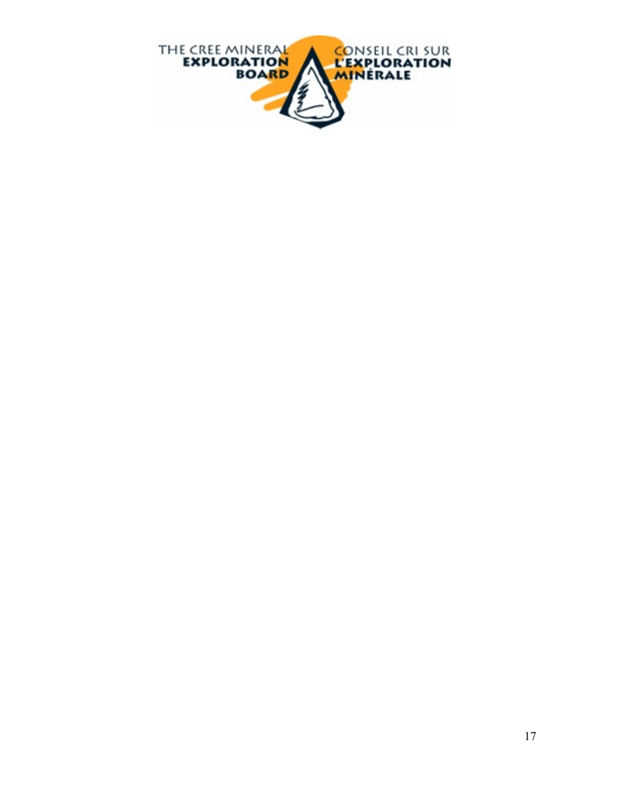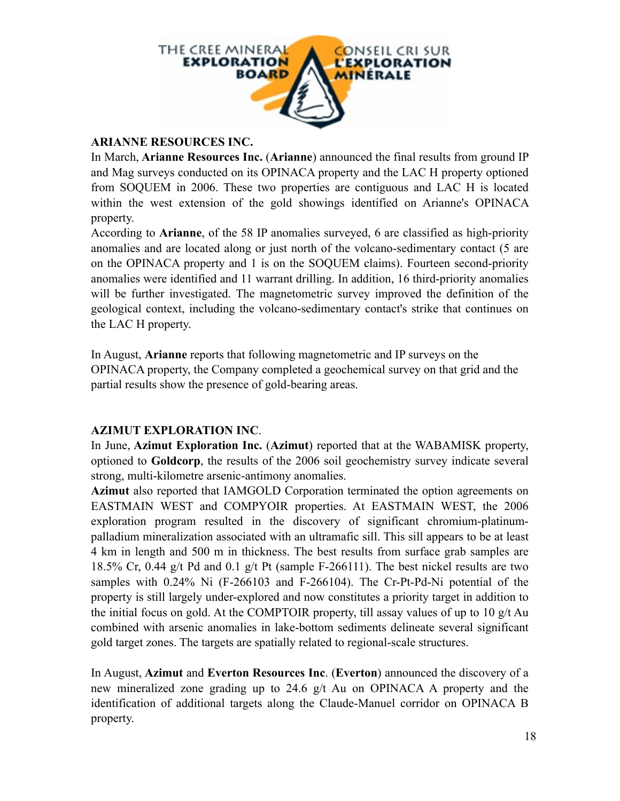

#### **ARIANNE RESOURCES INC.**

In March, **Arianne Resources Inc.** (**Arianne**) announced the final results from ground IP and Mag surveys conducted on its OPINACA property and the LAC H property optioned from SOQUEM in 2006. These two properties are contiguous and LAC H is located within the west extension of the gold showings identified on Arianne's OPINACA property.

According to **Arianne**, of the 58 IP anomalies surveyed, 6 are classified as high-priority anomalies and are located along or just north of the volcano-sedimentary contact (5 are on the OPINACA property and 1 is on the SOQUEM claims). Fourteen second-priority anomalies were identified and 11 warrant drilling. In addition, 16 third-priority anomalies will be further investigated. The magnetometric survey improved the definition of the geological context, including the volcano-sedimentary contact's strike that continues on the LAC H property.

In August, **Arianne** reports that following magnetometric and IP surveys on the OPINACA property, the Company completed a geochemical survey on that grid and the partial results show the presence of gold-bearing areas.

#### **AZIMUT EXPLORATION INC**.

In June, **Azimut Exploration Inc.** (**Azimut**) reported that at the WABAMISK property, optioned to **Goldcorp**, the results of the 2006 soil geochemistry survey indicate several strong, multi-kilometre arsenic-antimony anomalies.

**Azimut** also reported that IAMGOLD Corporation terminated the option agreements on EASTMAIN WEST and COMPYOIR properties. At EASTMAIN WEST, the 2006 exploration program resulted in the discovery of significant chromium-platinumpalladium mineralization associated with an ultramafic sill. This sill appears to be at least 4 km in length and 500 m in thickness. The best results from surface grab samples are 18.5% Cr, 0.44 g/t Pd and 0.1 g/t Pt (sample F-266111). The best nickel results are two samples with 0.24% Ni (F-266103 and F-266104). The Cr-Pt-Pd-Ni potential of the property is still largely under-explored and now constitutes a priority target in addition to the initial focus on gold. At the COMPTOIR property, till assay values of up to 10 g/t Au combined with arsenic anomalies in lake-bottom sediments delineate several significant gold target zones. The targets are spatially related to regional-scale structures.

In August, **Azimut** and **Everton Resources Inc**. (**Everton**) announced the discovery of a new mineralized zone grading up to 24.6 g/t Au on OPINACA A property and the identification of additional targets along the Claude-Manuel corridor on OPINACA B property.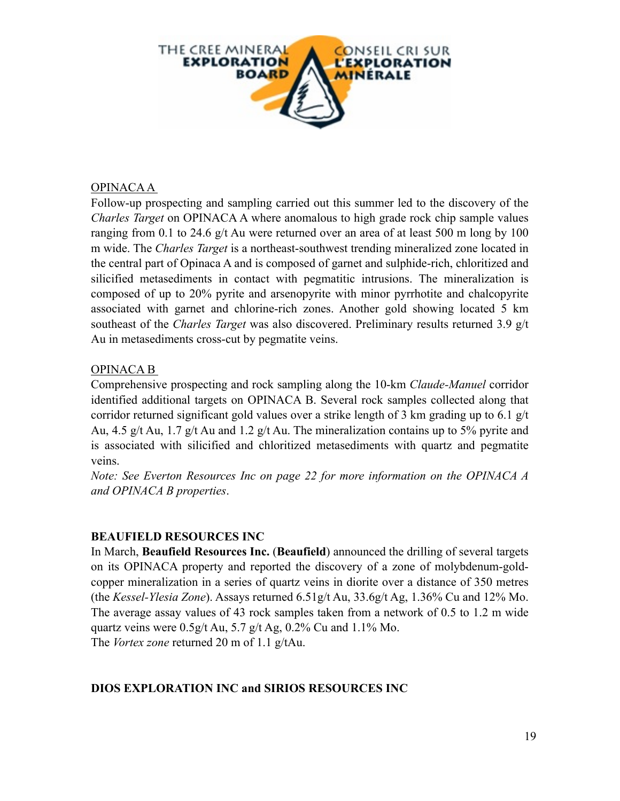

#### OPINACA A

Follow-up prospecting and sampling carried out this summer led to the discovery of the *Charles Target* on OPINACA A where anomalous to high grade rock chip sample values ranging from 0.1 to 24.6 g/t Au were returned over an area of at least 500 m long by 100 m wide. The *Charles Target* is a northeast-southwest trending mineralized zone located in the central part of Opinaca A and is composed of garnet and sulphide-rich, chloritized and silicified metasediments in contact with pegmatitic intrusions. The mineralization is composed of up to 20% pyrite and arsenopyrite with minor pyrrhotite and chalcopyrite associated with garnet and chlorine-rich zones. Another gold showing located 5 km southeast of the *Charles Target* was also discovered. Preliminary results returned 3.9 g/t Au in metasediments cross-cut by pegmatite veins.

#### OPINACA B

Comprehensive prospecting and rock sampling along the 10-km *Claude-Manuel* corridor identified additional targets on OPINACA B. Several rock samples collected along that corridor returned significant gold values over a strike length of 3 km grading up to 6.1 g/t Au, 4.5 g/t Au, 1.7 g/t Au and 1.2 g/t Au. The mineralization contains up to 5% pyrite and is associated with silicified and chloritized metasediments with quartz and pegmatite veins.

*Note: See Everton Resources Inc on page 22 for more information on the OPINACA A and OPINACA B properties*.

#### **BEAUFIELD RESOURCES INC**

In March, **Beaufield Resources Inc.** (**Beaufield**) announced the drilling of several targets on its OPINACA property and reported the discovery of a zone of molybdenum-goldcopper mineralization in a series of quartz veins in diorite over a distance of 350 metres (the *Kessel-Ylesia Zone*). Assays returned 6.51g/t Au, 33.6g/t Ag, 1.36% Cu and 12% Mo. The average assay values of 43 rock samples taken from a network of 0.5 to 1.2 m wide quartz veins were  $0.5g/t$  Au, 5.7 g/t Ag, 0.2% Cu and 1.1% Mo. The *Vortex zone* returned 20 m of 1.1 g/tAu.

#### **DIOS EXPLORATION INC and SIRIOS RESOURCES INC**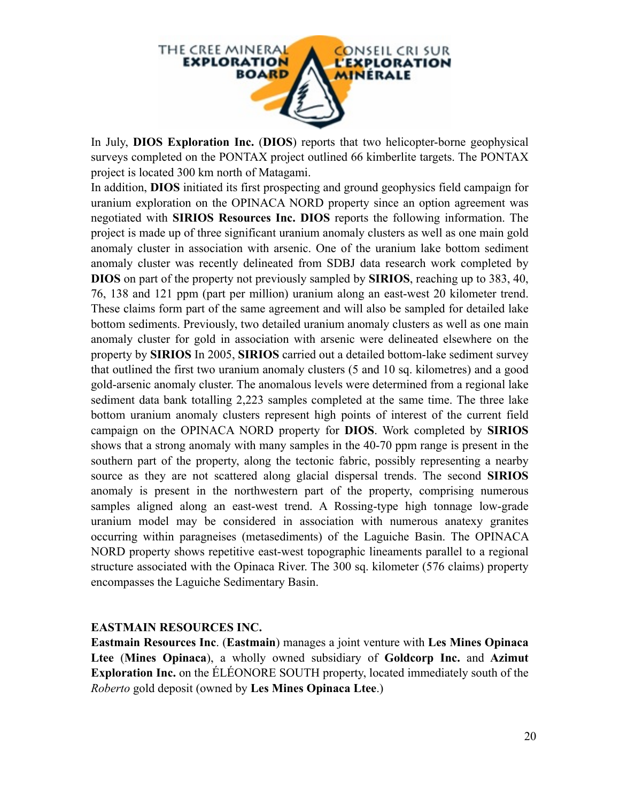

In July, **DIOS Exploration Inc.** (**DIOS**) reports that two helicopter-borne geophysical surveys completed on the PONTAX project outlined 66 kimberlite targets. The PONTAX project is located 300 km north of Matagami.

In addition, **DIOS** initiated its first prospecting and ground geophysics field campaign for uranium exploration on the OPINACA NORD property since an option agreement was negotiated with **SIRIOS Resources Inc. DIOS** reports the following information. The project is made up of three significant uranium anomaly clusters as well as one main gold anomaly cluster in association with arsenic. One of the uranium lake bottom sediment anomaly cluster was recently delineated from SDBJ data research work completed by **DIOS** on part of the property not previously sampled by **SIRIOS**, reaching up to 383, 40, 76, 138 and 121 ppm (part per million) uranium along an east-west 20 kilometer trend. These claims form part of the same agreement and will also be sampled for detailed lake bottom sediments. Previously, two detailed uranium anomaly clusters as well as one main anomaly cluster for gold in association with arsenic were delineated elsewhere on the property by **SIRIOS** In 2005, **SIRIOS** carried out a detailed bottom-lake sediment survey that outlined the first two uranium anomaly clusters (5 and 10 sq. kilometres) and a good gold-arsenic anomaly cluster. The anomalous levels were determined from a regional lake sediment data bank totalling 2,223 samples completed at the same time. The three lake bottom uranium anomaly clusters represent high points of interest of the current field campaign on the OPINACA NORD property for **DIOS**. Work completed by **SIRIOS** shows that a strong anomaly with many samples in the 40-70 ppm range is present in the southern part of the property, along the tectonic fabric, possibly representing a nearby source as they are not scattered along glacial dispersal trends. The second **SIRIOS** anomaly is present in the northwestern part of the property, comprising numerous samples aligned along an east-west trend. A Rossing-type high tonnage low-grade uranium model may be considered in association with numerous anatexy granites occurring within paragneises (metasediments) of the Laguiche Basin. The OPINACA NORD property shows repetitive east-west topographic lineaments parallel to a regional structure associated with the Opinaca River. The 300 sq. kilometer (576 claims) property encompasses the Laguiche Sedimentary Basin.

#### **EASTMAIN RESOURCES INC.**

**Eastmain Resources Inc**. (**Eastmain**) manages a joint venture with **Les Mines Opinaca Ltee** (**Mines Opinaca**), a wholly owned subsidiary of **Goldcorp Inc.** and **Azimut Exploration Inc.** on the ÉLÉONORE SOUTH property, located immediately south of the *Roberto* gold deposit (owned by **Les Mines Opinaca Ltee**.)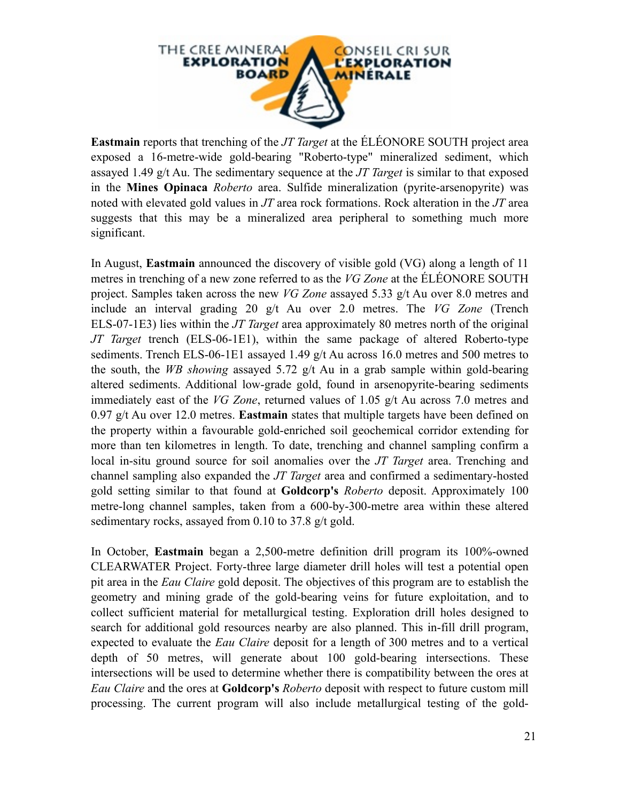

**Eastmain** reports that trenching of the *JT Target* at the ÉLÉONORE SOUTH project area exposed a 16-metre-wide gold-bearing "Roberto-type" mineralized sediment, which assayed 1.49 g/t Au. The sedimentary sequence at the *JT Target* is similar to that exposed in the **Mines Opinaca** *Roberto* area. Sulfide mineralization (pyrite-arsenopyrite) was noted with elevated gold values in *JT* area rock formations. Rock alteration in the *JT* area suggests that this may be a mineralized area peripheral to something much more significant.

In August, **Eastmain** announced the discovery of visible gold (VG) along a length of 11 metres in trenching of a new zone referred to as the *VG Zone* at the ÉLÉONORE SOUTH project. Samples taken across the new *VG Zone* assayed 5.33 g/t Au over 8.0 metres and include an interval grading 20 g/t Au over 2.0 metres. The *VG Zone* (Trench ELS-07-1E3) lies within the *JT Target* area approximately 80 metres north of the original *JT Target* trench (ELS-06-1E1), within the same package of altered Roberto-type sediments. Trench ELS-06-1E1 assayed 1.49 g/t Au across 16.0 metres and 500 metres to the south, the *WB showing* assayed 5.72 g/t Au in a grab sample within gold-bearing altered sediments. Additional low-grade gold, found in arsenopyrite-bearing sediments immediately east of the *VG Zone*, returned values of 1.05 g/t Au across 7.0 metres and 0.97 g/t Au over 12.0 metres. **Eastmain** states that multiple targets have been defined on the property within a favourable gold-enriched soil geochemical corridor extending for more than ten kilometres in length. To date, trenching and channel sampling confirm a local in-situ ground source for soil anomalies over the *JT Target* area. Trenching and channel sampling also expanded the *JT Target* area and confirmed a sedimentary-hosted gold setting similar to that found at **Goldcorp's** *Roberto* deposit. Approximately 100 metre-long channel samples, taken from a 600-by-300-metre area within these altered sedimentary rocks, assayed from 0.10 to 37.8 g/t gold.

In October, **Eastmain** began a 2,500-metre definition drill program its 100%-owned CLEARWATER Project. Forty-three large diameter drill holes will test a potential open pit area in the *Eau Claire* gold deposit. The objectives of this program are to establish the geometry and mining grade of the gold-bearing veins for future exploitation, and to collect sufficient material for metallurgical testing. Exploration drill holes designed to search for additional gold resources nearby are also planned. This in-fill drill program, expected to evaluate the *Eau Claire* deposit for a length of 300 metres and to a vertical depth of 50 metres, will generate about 100 gold-bearing intersections. These intersections will be used to determine whether there is compatibility between the ores at *Eau Claire* and the ores at **Goldcorp's** *Roberto* deposit with respect to future custom mill processing. The current program will also include metallurgical testing of the gold-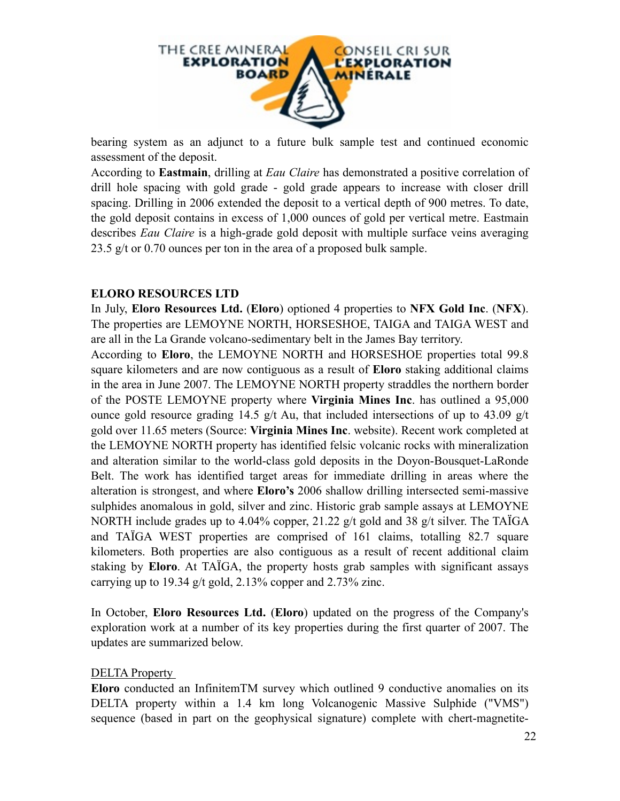

bearing system as an adjunct to a future bulk sample test and continued economic assessment of the deposit.

According to **Eastmain**, drilling at *Eau Claire* has demonstrated a positive correlation of drill hole spacing with gold grade - gold grade appears to increase with closer drill spacing. Drilling in 2006 extended the deposit to a vertical depth of 900 metres. To date, the gold deposit contains in excess of 1,000 ounces of gold per vertical metre. Eastmain describes *Eau Claire* is a high-grade gold deposit with multiple surface veins averaging 23.5 g/t or 0.70 ounces per ton in the area of a proposed bulk sample.

#### **ELORO RESOURCES LTD**

In July, **Eloro Resources Ltd.** (**Eloro**) optioned 4 properties to **NFX Gold Inc**. (**NFX**). The properties are LEMOYNE NORTH, HORSESHOE, TAIGA and TAIGA WEST and are all in the La Grande volcano-sedimentary belt in the James Bay territory.

According to **Eloro**, the LEMOYNE NORTH and HORSESHOE properties total 99.8 square kilometers and are now contiguous as a result of **Eloro** staking additional claims in the area in June 2007. The LEMOYNE NORTH property straddles the northern border of the POSTE LEMOYNE property where **Virginia Mines Inc**. has outlined a 95,000 ounce gold resource grading 14.5 g/t Au, that included intersections of up to 43.09 g/t gold over 11.65 meters (Source: **Virginia Mines Inc**. website). Recent work completed at the LEMOYNE NORTH property has identified felsic volcanic rocks with mineralization and alteration similar to the world-class gold deposits in the Doyon-Bousquet-LaRonde Belt. The work has identified target areas for immediate drilling in areas where the alteration is strongest, and where **Eloro's** 2006 shallow drilling intersected semi-massive sulphides anomalous in gold, silver and zinc. Historic grab sample assays at LEMOYNE NORTH include grades up to 4.04% copper, 21.22 g/t gold and 38 g/t silver. The TAÏGA and TAÏGA WEST properties are comprised of 161 claims, totalling 82.7 square kilometers. Both properties are also contiguous as a result of recent additional claim staking by **Eloro**. At TAÏGA, the property hosts grab samples with significant assays carrying up to 19.34 g/t gold, 2.13% copper and 2.73% zinc.

In October, **Eloro Resources Ltd.** (**Eloro**) updated on the progress of the Company's exploration work at a number of its key properties during the first quarter of 2007. The updates are summarized below.

#### DELTA Property

**Eloro** conducted an InfinitemTM survey which outlined 9 conductive anomalies on its DELTA property within a 1.4 km long Volcanogenic Massive Sulphide ("VMS") sequence (based in part on the geophysical signature) complete with chert-magnetite-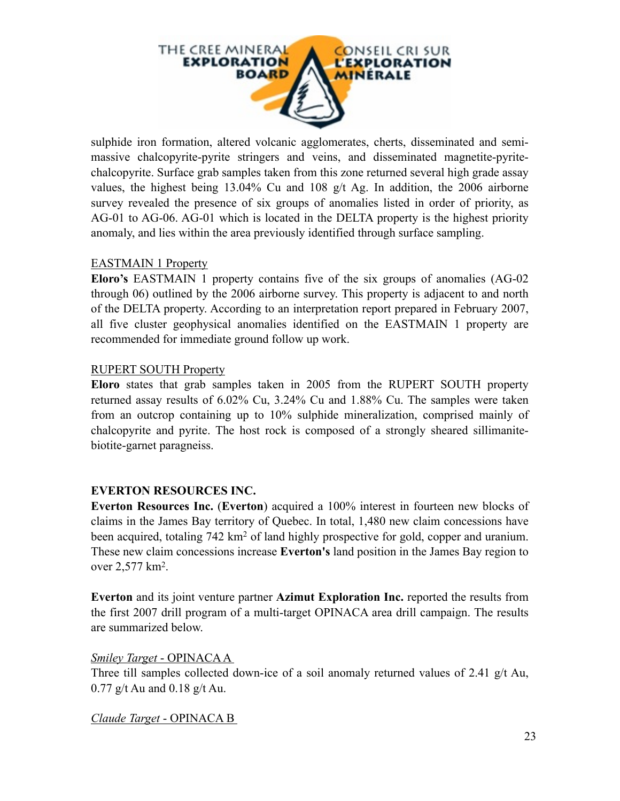

sulphide iron formation, altered volcanic agglomerates, cherts, disseminated and semimassive chalcopyrite-pyrite stringers and veins, and disseminated magnetite-pyritechalcopyrite. Surface grab samples taken from this zone returned several high grade assay values, the highest being 13.04% Cu and 108 g/t Ag. In addition, the 2006 airborne survey revealed the presence of six groups of anomalies listed in order of priority, as AG-01 to AG-06. AG-01 which is located in the DELTA property is the highest priority anomaly, and lies within the area previously identified through surface sampling.

#### EASTMAIN 1 Property

**Eloro's** EASTMAIN 1 property contains five of the six groups of anomalies (AG-02 through 06) outlined by the 2006 airborne survey. This property is adjacent to and north of the DELTA property. According to an interpretation report prepared in February 2007, all five cluster geophysical anomalies identified on the EASTMAIN 1 property are recommended for immediate ground follow up work.

#### RUPERT SOUTH Property

**Eloro** states that grab samples taken in 2005 from the RUPERT SOUTH property returned assay results of 6.02% Cu, 3.24% Cu and 1.88% Cu. The samples were taken from an outcrop containing up to 10% sulphide mineralization, comprised mainly of chalcopyrite and pyrite. The host rock is composed of a strongly sheared sillimanitebiotite-garnet paragneiss.

#### **EVERTON RESOURCES INC.**

**Everton Resources Inc.** (**Everton**) acquired a 100% interest in fourteen new blocks of claims in the James Bay territory of Quebec. In total, 1,480 new claim concessions have been acquired, totaling 742 km<sup>2</sup> of land highly prospective for gold, copper and uranium. These new claim concessions increase **Everton's** land position in the James Bay region to over 2,577 km2.

**Everton** and its joint venture partner **Azimut Exploration Inc.** reported the results from the first 2007 drill program of a multi-target OPINACA area drill campaign. The results are summarized below.

#### *Smiley Target* - OPINACA A

Three till samples collected down-ice of a soil anomaly returned values of 2.41 g/t Au, 0.77 g/t Au and 0.18 g/t Au.

#### *Claude Target* - OPINACA B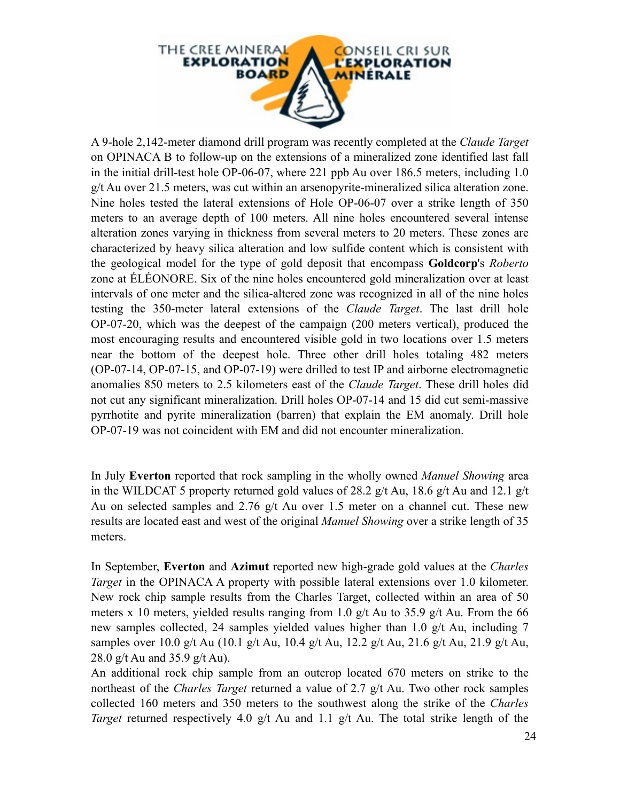

A 9-hole 2,142-meter diamond drill program was recently completed at the *Claude Target* on OPINACA B to follow-up on the extensions of a mineralized zone identified last fall in the initial drill-test hole OP-06-07, where 221 ppb Au over 186.5 meters, including 1.0 g/t Au over 21.5 meters, was cut within an arsenopyrite-mineralized silica alteration zone. Nine holes tested the lateral extensions of Hole OP-06-07 over a strike length of 350 meters to an average depth of 100 meters. All nine holes encountered several intense alteration zones varying in thickness from several meters to 20 meters. These zones are characterized by heavy silica alteration and low sulfide content which is consistent with the geological model for the type of gold deposit that encompass **Goldcorp**'s *Roberto*  zone at ÉLÉONORE. Six of the nine holes encountered gold mineralization over at least intervals of one meter and the silica-altered zone was recognized in all of the nine holes testing the 350-meter lateral extensions of the *Claude Target*. The last drill hole OP-07-20, which was the deepest of the campaign (200 meters vertical), produced the most encouraging results and encountered visible gold in two locations over 1.5 meters near the bottom of the deepest hole. Three other drill holes totaling 482 meters (OP-07-14, OP-07-15, and OP-07-19) were drilled to test IP and airborne electromagnetic anomalies 850 meters to 2.5 kilometers east of the *Claude Target*. These drill holes did not cut any significant mineralization. Drill holes OP-07-14 and 15 did cut semi-massive pyrrhotite and pyrite mineralization (barren) that explain the EM anomaly. Drill hole OP-07-19 was not coincident with EM and did not encounter mineralization.

In July **Everton** reported that rock sampling in the wholly owned *Manuel Showing* area in the WILDCAT 5 property returned gold values of 28.2 g/t Au, 18.6 g/t Au and 12.1 g/t Au on selected samples and 2.76 g/t Au over 1.5 meter on a channel cut. These new results are located east and west of the original *Manuel Showing* over a strike length of 35 meters.

In September, **Everton** and **Azimut** reported new high-grade gold values at the *Charles Target* in the OPINACA A property with possible lateral extensions over 1.0 kilometer. New rock chip sample results from the Charles Target, collected within an area of 50 meters x 10 meters, yielded results ranging from 1.0  $g/t$  Au to 35.9  $g/t$  Au. From the 66 new samples collected, 24 samples yielded values higher than 1.0 g/t Au, including 7 samples over 10.0 g/t Au (10.1 g/t Au, 10.4 g/t Au, 12.2 g/t Au, 21.6 g/t Au, 21.9 g/t Au, 28.0 g/t Au and 35.9 g/t Au).

An additional rock chip sample from an outcrop located 670 meters on strike to the northeast of the *Charles Target* returned a value of 2.7 g/t Au. Two other rock samples collected 160 meters and 350 meters to the southwest along the strike of the *Charles Target* returned respectively 4.0 g/t Au and 1.1 g/t Au. The total strike length of the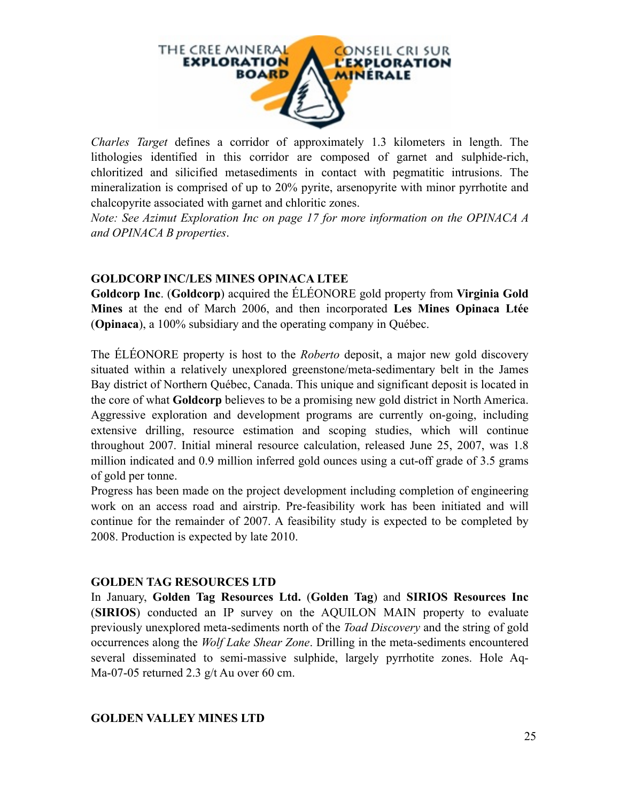

*Charles Target* defines a corridor of approximately 1.3 kilometers in length. The lithologies identified in this corridor are composed of garnet and sulphide-rich, chloritized and silicified metasediments in contact with pegmatitic intrusions. The mineralization is comprised of up to 20% pyrite, arsenopyrite with minor pyrrhotite and chalcopyrite associated with garnet and chloritic zones.

*Note: See Azimut Exploration Inc on page 17 for more information on the OPINACA A and OPINACA B properties*.

#### **GOLDCORP INC/LES MINES OPINACA LTEE**

**Goldcorp Inc**. (**Goldcorp**) acquired the ÉLÉONORE gold property from **Virginia Gold Mines** at the end of March 2006, and then incorporated **Les Mines Opinaca Ltée** (**Opinaca**), a 100% subsidiary and the operating company in Québec.

The ÉLÉONORE property is host to the *Roberto* deposit, a major new gold discovery situated within a relatively unexplored greenstone/meta-sedimentary belt in the James Bay district of Northern Québec, Canada. This unique and significant deposit is located in the core of what **Goldcorp** believes to be a promising new gold district in North America. Aggressive exploration and development programs are currently on-going, including extensive drilling, resource estimation and scoping studies, which will continue throughout 2007. Initial mineral resource calculation, released June 25, 2007, was 1.8 million indicated and 0.9 million inferred gold ounces using a cut-off grade of 3.5 grams of gold per tonne.

Progress has been made on the project development including completion of engineering work on an access road and airstrip. Pre-feasibility work has been initiated and will continue for the remainder of 2007. A feasibility study is expected to be completed by 2008. Production is expected by late 2010.

#### **GOLDEN TAG RESOURCES LTD**

In January, **Golden Tag Resources Ltd.** (**Golden Tag**) and **SIRIOS Resources Inc** (**SIRIOS**) conducted an IP survey on the AQUILON MAIN property to evaluate previously unexplored meta-sediments north of the *Toad Discovery* and the string of gold occurrences along the *Wolf Lake Shear Zone*. Drilling in the meta-sediments encountered several disseminated to semi-massive sulphide, largely pyrrhotite zones. Hole Aq-Ma-07-05 returned 2.3 g/t Au over 60 cm.

#### **GOLDEN VALLEY MINES LTD**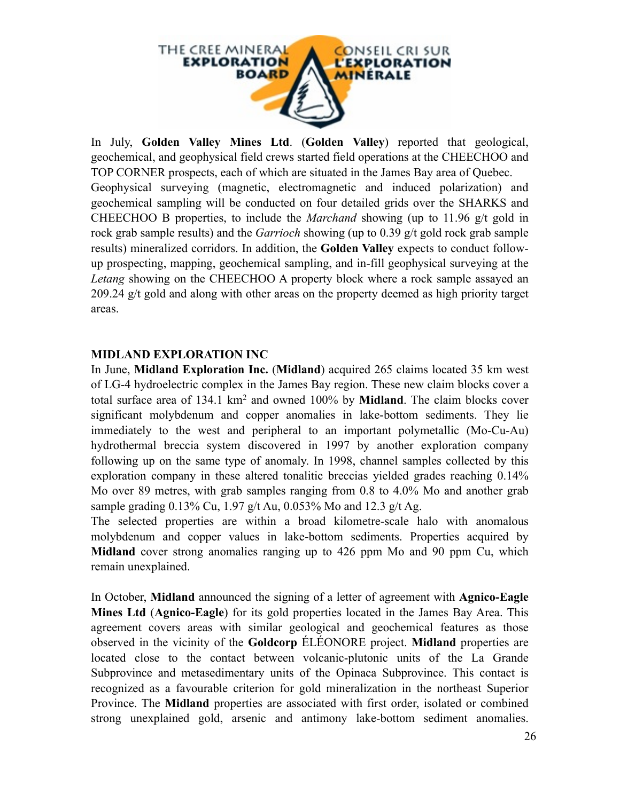

In July, **Golden Valley Mines Ltd**. (**Golden Valley**) reported that geological, geochemical, and geophysical field crews started field operations at the CHEECHOO and TOP CORNER prospects, each of which are situated in the James Bay area of Quebec. Geophysical surveying (magnetic, electromagnetic and induced polarization) and geochemical sampling will be conducted on four detailed grids over the SHARKS and CHEECHOO B properties, to include the *Marchand* showing (up to 11.96 g/t gold in rock grab sample results) and the *Garrioch* showing (up to 0.39 g/t gold rock grab sample results) mineralized corridors. In addition, the **Golden Valley** expects to conduct followup prospecting, mapping, geochemical sampling, and in-fill geophysical surveying at the *Letang* showing on the CHEECHOO A property block where a rock sample assayed an 209.24 g/t gold and along with other areas on the property deemed as high priority target areas.

#### **MIDLAND EXPLORATION INC**

In June, **Midland Exploration Inc.** (**Midland**) acquired 265 claims located 35 km west of LG-4 hydroelectric complex in the James Bay region. These new claim blocks cover a total surface area of 134.1 km2 and owned 100% by **Midland**. The claim blocks cover significant molybdenum and copper anomalies in lake-bottom sediments. They lie immediately to the west and peripheral to an important polymetallic (Mo-Cu-Au) hydrothermal breccia system discovered in 1997 by another exploration company following up on the same type of anomaly. In 1998, channel samples collected by this exploration company in these altered tonalitic breccias yielded grades reaching 0.14% Mo over 89 metres, with grab samples ranging from 0.8 to 4.0% Mo and another grab sample grading 0.13% Cu, 1.97 g/t Au, 0.053% Mo and 12.3 g/t Ag.

The selected properties are within a broad kilometre-scale halo with anomalous molybdenum and copper values in lake-bottom sediments. Properties acquired by **Midland** cover strong anomalies ranging up to 426 ppm Mo and 90 ppm Cu, which remain unexplained.

In October, **Midland** announced the signing of a letter of agreement with **Agnico-Eagle Mines Ltd** (**Agnico-Eagle**) for its gold properties located in the James Bay Area. This agreement covers areas with similar geological and geochemical features as those observed in the vicinity of the **Goldcorp** ÉLÉONORE project. **Midland** properties are located close to the contact between volcanic-plutonic units of the La Grande Subprovince and metasedimentary units of the Opinaca Subprovince. This contact is recognized as a favourable criterion for gold mineralization in the northeast Superior Province. The **Midland** properties are associated with first order, isolated or combined strong unexplained gold, arsenic and antimony lake-bottom sediment anomalies.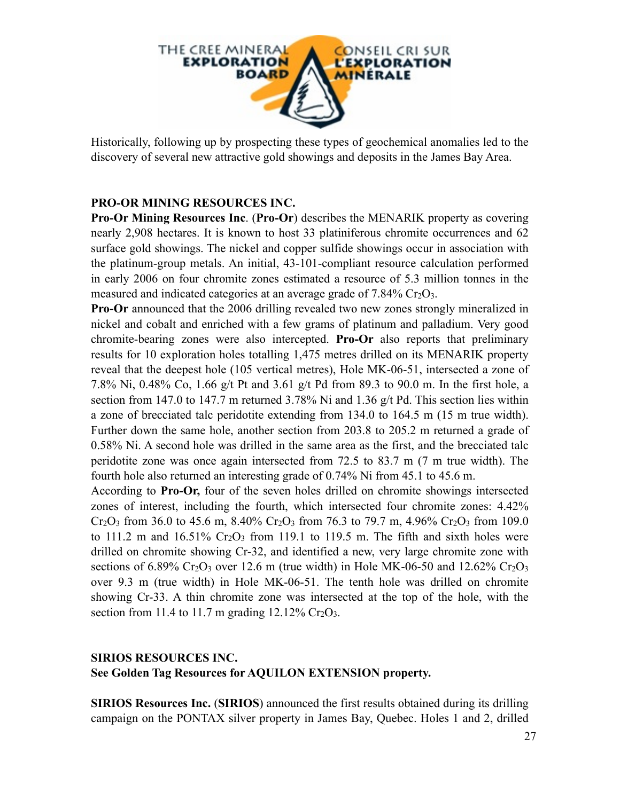

Historically, following up by prospecting these types of geochemical anomalies led to the discovery of several new attractive gold showings and deposits in the James Bay Area.

#### **PRO-OR MINING RESOURCES INC.**

**Pro-Or Mining Resources Inc**. (**Pro-Or**) describes the MENARIK property as covering nearly 2,908 hectares. It is known to host 33 platiniferous chromite occurrences and 62 surface gold showings. The nickel and copper sulfide showings occur in association with the platinum-group metals. An initial, 43-101-compliant resource calculation performed in early 2006 on four chromite zones estimated a resource of 5.3 million tonnes in the measured and indicated categories at an average grade of  $7.84\%$  Cr<sub>2</sub>O<sub>3</sub>.

**Pro-Or** announced that the 2006 drilling revealed two new zones strongly mineralized in nickel and cobalt and enriched with a few grams of platinum and palladium. Very good chromite-bearing zones were also intercepted. **Pro-Or** also reports that preliminary results for 10 exploration holes totalling 1,475 metres drilled on its MENARIK property reveal that the deepest hole (105 vertical metres), Hole MK-06-51, intersected a zone of 7.8% Ni, 0.48% Co, 1.66 g/t Pt and 3.61 g/t Pd from 89.3 to 90.0 m. In the first hole, a section from 147.0 to 147.7 m returned 3.78% Ni and 1.36 g/t Pd. This section lies within a zone of brecciated talc peridotite extending from 134.0 to 164.5 m (15 m true width). Further down the same hole, another section from 203.8 to 205.2 m returned a grade of 0.58% Ni. A second hole was drilled in the same area as the first, and the brecciated talc peridotite zone was once again intersected from 72.5 to 83.7 m (7 m true width). The fourth hole also returned an interesting grade of 0.74% Ni from 45.1 to 45.6 m.

According to **Pro-Or,** four of the seven holes drilled on chromite showings intersected zones of interest, including the fourth, which intersected four chromite zones: 4.42%  $Cr_2O_3$  from 36.0 to 45.6 m, 8.40%  $Cr_2O_3$  from 76.3 to 79.7 m, 4.96%  $Cr_2O_3$  from 109.0 to  $111.2$  m and  $16.51\%$  Cr<sub>2</sub>O<sub>3</sub> from 119.1 to 119.5 m. The fifth and sixth holes were drilled on chromite showing Cr-32, and identified a new, very large chromite zone with sections of  $6.89\%$  Cr<sub>2</sub>O<sub>3</sub> over 12.6 m (true width) in Hole MK-06-50 and 12.62% Cr<sub>2</sub>O<sub>3</sub> over 9.3 m (true width) in Hole MK-06-51. The tenth hole was drilled on chromite showing Cr-33. A thin chromite zone was intersected at the top of the hole, with the section from 11.4 to 11.7 m grading  $12.12\%$  Cr<sub>2</sub>O<sub>3</sub>.

#### **SIRIOS RESOURCES INC. See Golden Tag Resources for AQUILON EXTENSION property.**

**SIRIOS Resources Inc.** (**SIRIOS**) announced the first results obtained during its drilling campaign on the PONTAX silver property in James Bay, Quebec. Holes 1 and 2, drilled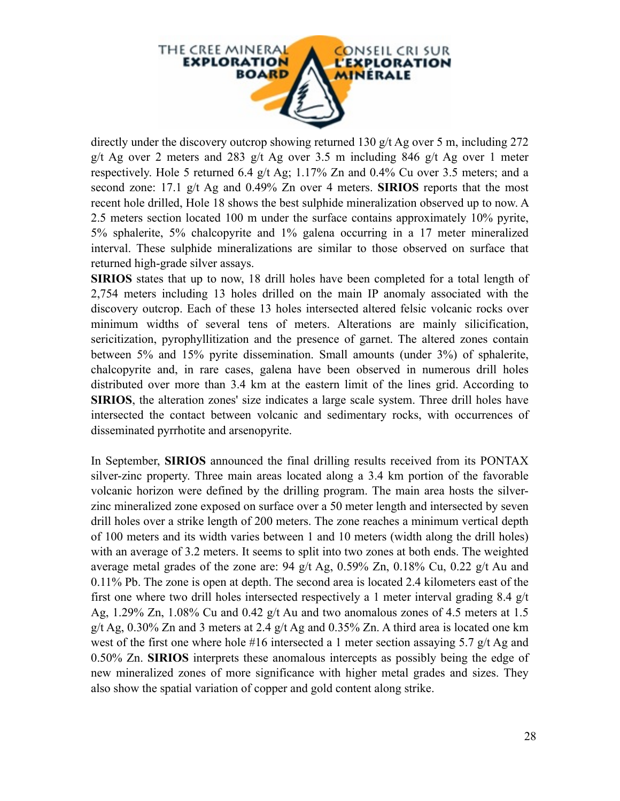

directly under the discovery outcrop showing returned 130 g/t Ag over 5 m, including 272 g/t Ag over 2 meters and 283 g/t Ag over 3.5 m including 846 g/t Ag over 1 meter respectively. Hole 5 returned 6.4 g/t Ag; 1.17% Zn and 0.4% Cu over 3.5 meters; and a second zone: 17.1 g/t Ag and 0.49% Zn over 4 meters. **SIRIOS** reports that the most recent hole drilled, Hole 18 shows the best sulphide mineralization observed up to now. A 2.5 meters section located 100 m under the surface contains approximately 10% pyrite, 5% sphalerite, 5% chalcopyrite and 1% galena occurring in a 17 meter mineralized interval. These sulphide mineralizations are similar to those observed on surface that returned high-grade silver assays.

**SIRIOS** states that up to now, 18 drill holes have been completed for a total length of 2,754 meters including 13 holes drilled on the main IP anomaly associated with the discovery outcrop. Each of these 13 holes intersected altered felsic volcanic rocks over minimum widths of several tens of meters. Alterations are mainly silicification, sericitization, pyrophyllitization and the presence of garnet. The altered zones contain between 5% and 15% pyrite dissemination. Small amounts (under 3%) of sphalerite, chalcopyrite and, in rare cases, galena have been observed in numerous drill holes distributed over more than 3.4 km at the eastern limit of the lines grid. According to **SIRIOS**, the alteration zones' size indicates a large scale system. Three drill holes have intersected the contact between volcanic and sedimentary rocks, with occurrences of disseminated pyrrhotite and arsenopyrite.

In September, **SIRIOS** announced the final drilling results received from its PONTAX silver-zinc property. Three main areas located along a 3.4 km portion of the favorable volcanic horizon were defined by the drilling program. The main area hosts the silverzinc mineralized zone exposed on surface over a 50 meter length and intersected by seven drill holes over a strike length of 200 meters. The zone reaches a minimum vertical depth of 100 meters and its width varies between 1 and 10 meters (width along the drill holes) with an average of 3.2 meters. It seems to split into two zones at both ends. The weighted average metal grades of the zone are: 94 g/t Ag, 0.59% Zn, 0.18% Cu, 0.22 g/t Au and 0.11% Pb. The zone is open at depth. The second area is located 2.4 kilometers east of the first one where two drill holes intersected respectively a 1 meter interval grading 8.4 g/t Ag, 1.29% Zn, 1.08% Cu and 0.42 g/t Au and two anomalous zones of 4.5 meters at 1.5 g/t Ag,  $0.30\%$  Zn and 3 meters at 2.4 g/t Ag and  $0.35\%$  Zn. A third area is located one km west of the first one where hole #16 intersected a 1 meter section assaying 5.7 g/t Ag and 0.50% Zn. **SIRIOS** interprets these anomalous intercepts as possibly being the edge of new mineralized zones of more significance with higher metal grades and sizes. They also show the spatial variation of copper and gold content along strike.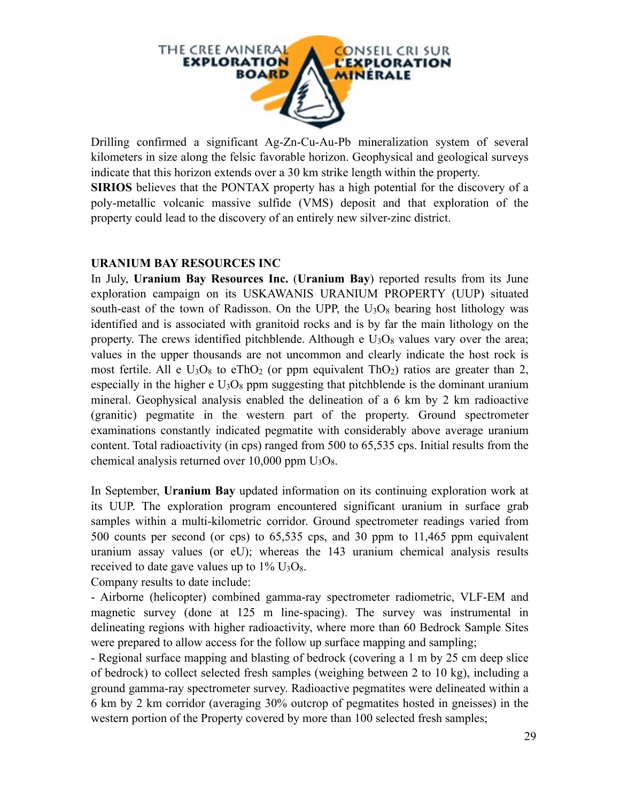

Drilling confirmed a significant Ag-Zn-Cu-Au-Pb mineralization system of several kilometers in size along the felsic favorable horizon. Geophysical and geological surveys indicate that this horizon extends over a 30 km strike length within the property.

**SIRIOS** believes that the PONTAX property has a high potential for the discovery of a poly-metallic volcanic massive sulfide (VMS) deposit and that exploration of the property could lead to the discovery of an entirely new silver-zinc district.

#### **URANIUM BAY RESOURCES INC**

In July, **Uranium Bay Resources Inc.** (**Uranium Bay**) reported results from its June exploration campaign on its USKAWANIS URANIUM PROPERTY (UUP) situated south-east of the town of Radisson. On the UPP, the  $U_3O_8$  bearing host lithology was identified and is associated with granitoid rocks and is by far the main lithology on the property. The crews identified pitchblende. Although e  $U_3O_8$  values vary over the area; values in the upper thousands are not uncommon and clearly indicate the host rock is most fertile. All e  $U_3O_8$  to eTh $O_2$  (or ppm equivalent Th $O_2$ ) ratios are greater than 2, especially in the higher e  $U_3O_8$  ppm suggesting that pitchblende is the dominant uranium mineral. Geophysical analysis enabled the delineation of a 6 km by 2 km radioactive (granitic) pegmatite in the western part of the property. Ground spectrometer examinations constantly indicated pegmatite with considerably above average uranium content. Total radioactivity (in cps) ranged from 500 to 65,535 cps. Initial results from the chemical analysis returned over  $10,000$  ppm  $U_3O_8$ .

In September, **Uranium Bay** updated information on its continuing exploration work at its UUP. The exploration program encountered significant uranium in surface grab samples within a multi-kilometric corridor. Ground spectrometer readings varied from 500 counts per second (or cps) to 65,535 cps, and 30 ppm to 11,465 ppm equivalent uranium assay values (or eU); whereas the 143 uranium chemical analysis results received to date gave values up to  $1\%$  U<sub>3</sub>O<sub>8</sub>.

Company results to date include:

- Airborne (helicopter) combined gamma-ray spectrometer radiometric, VLF-EM and magnetic survey (done at 125 m line-spacing). The survey was instrumental in delineating regions with higher radioactivity, where more than 60 Bedrock Sample Sites were prepared to allow access for the follow up surface mapping and sampling;

- Regional surface mapping and blasting of bedrock (covering a 1 m by 25 cm deep slice of bedrock) to collect selected fresh samples (weighing between 2 to 10 kg), including a ground gamma-ray spectrometer survey. Radioactive pegmatites were delineated within a 6 km by 2 km corridor (averaging 30% outcrop of pegmatites hosted in gneisses) in the western portion of the Property covered by more than 100 selected fresh samples;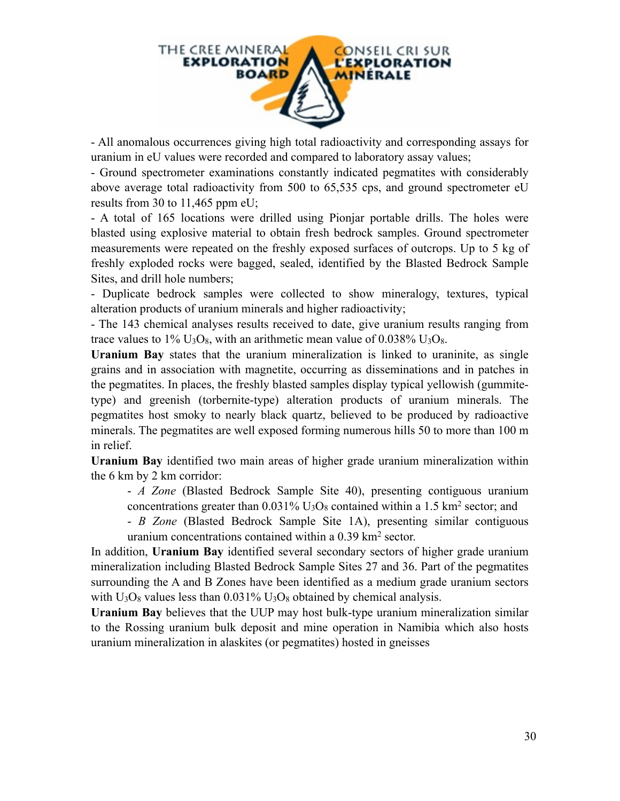

- All anomalous occurrences giving high total radioactivity and corresponding assays for uranium in eU values were recorded and compared to laboratory assay values;

- Ground spectrometer examinations constantly indicated pegmatites with considerably above average total radioactivity from 500 to 65,535 cps, and ground spectrometer eU results from 30 to 11,465 ppm eU;

- A total of 165 locations were drilled using Pionjar portable drills. The holes were blasted using explosive material to obtain fresh bedrock samples. Ground spectrometer measurements were repeated on the freshly exposed surfaces of outcrops. Up to 5 kg of freshly exploded rocks were bagged, sealed, identified by the Blasted Bedrock Sample Sites, and drill hole numbers;

- Duplicate bedrock samples were collected to show mineralogy, textures, typical alteration products of uranium minerals and higher radioactivity;

- The 143 chemical analyses results received to date, give uranium results ranging from trace values to  $1\%$  U<sub>3</sub>O<sub>8</sub>, with an arithmetic mean value of 0.038% U<sub>3</sub>O<sub>8</sub>.

**Uranium Bay** states that the uranium mineralization is linked to uraninite, as single grains and in association with magnetite, occurring as disseminations and in patches in the pegmatites. In places, the freshly blasted samples display typical yellowish (gummitetype) and greenish (torbernite-type) alteration products of uranium minerals. The pegmatites host smoky to nearly black quartz, believed to be produced by radioactive minerals. The pegmatites are well exposed forming numerous hills 50 to more than 100 m in relief.

**Uranium Bay** identified two main areas of higher grade uranium mineralization within the 6 km by 2 km corridor:

- *A Zone* (Blasted Bedrock Sample Site 40), presenting contiguous uranium concentrations greater than  $0.031\%$  U<sub>3</sub>O<sub>8</sub> contained within a 1.5 km<sup>2</sup> sector; and

- *B Zone* (Blasted Bedrock Sample Site 1A), presenting similar contiguous uranium concentrations contained within a 0.39 km2 sector.

In addition, **Uranium Bay** identified several secondary sectors of higher grade uranium mineralization including Blasted Bedrock Sample Sites 27 and 36. Part of the pegmatites surrounding the A and B Zones have been identified as a medium grade uranium sectors with  $U_3O_8$  values less than 0.031%  $U_3O_8$  obtained by chemical analysis.

**Uranium Bay** believes that the UUP may host bulk-type uranium mineralization similar to the Rossing uranium bulk deposit and mine operation in Namibia which also hosts uranium mineralization in alaskites (or pegmatites) hosted in gneisses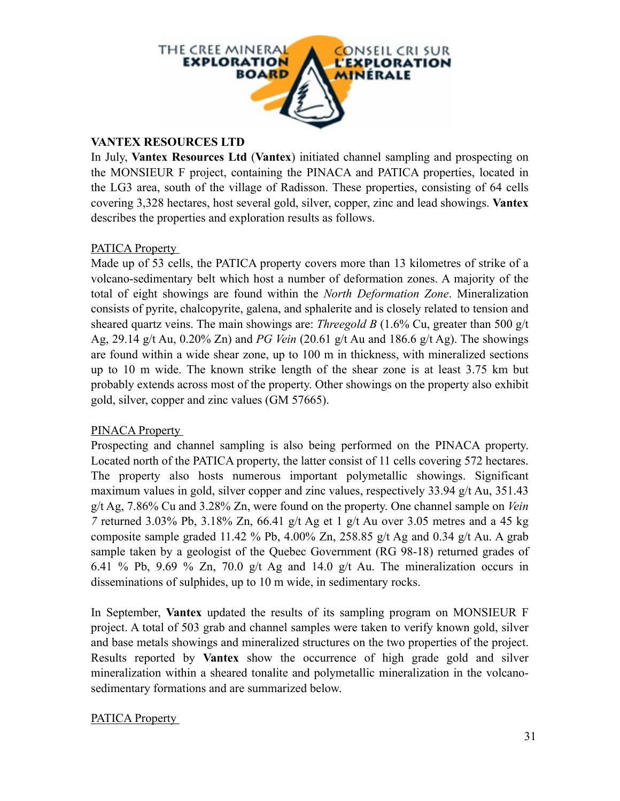

#### **VANTEX RESOURCES LTD**

In July, **Vantex Resources Ltd** (**Vantex**) initiated channel sampling and prospecting on the MONSIEUR F project, containing the PINACA and PATICA properties, located in the LG3 area, south of the village of Radisson. These properties, consisting of 64 cells covering 3,328 hectares, host several gold, silver, copper, zinc and lead showings. **Vantex** describes the properties and exploration results as follows.

#### PATICA Property

Made up of 53 cells, the PATICA property covers more than 13 kilometres of strike of a volcano-sedimentary belt which host a number of deformation zones. A majority of the total of eight showings are found within the *North Deformation Zone*. Mineralization consists of pyrite, chalcopyrite, galena, and sphalerite and is closely related to tension and sheared quartz veins. The main showings are: *Threegold B* (1.6% Cu, greater than 500 g/t Ag, 29.14 g/t Au, 0.20% Zn) and *PG Vein* (20.61 g/t Au and 186.6 g/t Ag). The showings are found within a wide shear zone, up to 100 m in thickness, with mineralized sections up to 10 m wide. The known strike length of the shear zone is at least 3.75 km but probably extends across most of the property. Other showings on the property also exhibit gold, silver, copper and zinc values (GM 57665).

#### PINACA Property

Prospecting and channel sampling is also being performed on the PINACA property. Located north of the PATICA property, the latter consist of 11 cells covering 572 hectares. The property also hosts numerous important polymetallic showings. Significant maximum values in gold, silver copper and zinc values, respectively 33.94 g/t Au, 351.43 g/t Ag, 7.86% Cu and 3.28% Zn, were found on the property. One channel sample on *Vein 7* returned 3.03% Pb, 3.18% Zn, 66.41 g/t Ag et 1 g/t Au over 3.05 metres and a 45 kg composite sample graded 11.42 % Pb, 4.00% Zn, 258.85 g/t Ag and 0.34 g/t Au. A grab sample taken by a geologist of the Quebec Government (RG 98-18) returned grades of 6.41 % Pb, 9.69 % Zn, 70.0 g/t Ag and 14.0 g/t Au. The mineralization occurs in disseminations of sulphides, up to 10 m wide, in sedimentary rocks.

In September, **Vantex** updated the results of its sampling program on MONSIEUR F project. A total of 503 grab and channel samples were taken to verify known gold, silver and base metals showings and mineralized structures on the two properties of the project. Results reported by **Vantex** show the occurrence of high grade gold and silver mineralization within a sheared tonalite and polymetallic mineralization in the volcanosedimentary formations and are summarized below.

#### PATICA Property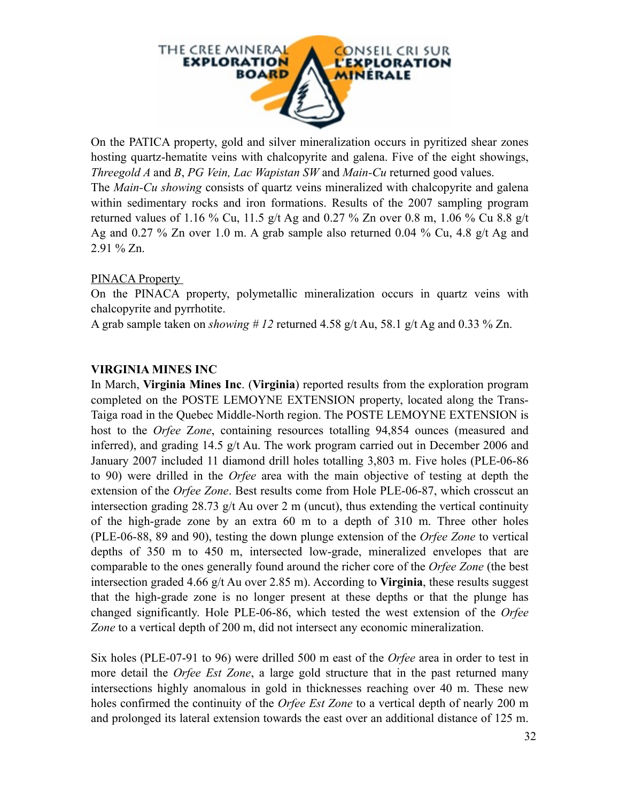

On the PATICA property, gold and silver mineralization occurs in pyritized shear zones hosting quartz-hematite veins with chalcopyrite and galena. Five of the eight showings, *Threegold A* and *B*, *PG Vein, Lac Wapistan SW* and *Main-Cu* returned good values. The *Main-Cu showing* consists of quartz veins mineralized with chalcopyrite and galena within sedimentary rocks and iron formations. Results of the 2007 sampling program returned values of 1.16 % Cu, 11.5 g/t Ag and 0.27 % Zn over 0.8 m, 1.06 % Cu 8.8 g/t Ag and 0.27 % Zn over 1.0 m. A grab sample also returned 0.04 % Cu, 4.8 g/t Ag and 2.91 % Zn.

#### PINACA Property

On the PINACA property, polymetallic mineralization occurs in quartz veins with chalcopyrite and pyrrhotite.

A grab sample taken on *showing # 12* returned 4.58 g/t Au, 58.1 g/t Ag and 0.33 % Zn.

#### **VIRGINIA MINES INC**

In March, **Virginia Mines Inc**. (**Virginia**) reported results from the exploration program completed on the POSTE LEMOYNE EXTENSION property, located along the Trans-Taiga road in the Quebec Middle-North region. The POSTE LEMOYNE EXTENSION is host to the *Orfee* Z*one*, containing resources totalling 94,854 ounces (measured and inferred), and grading 14.5 g/t Au. The work program carried out in December 2006 and January 2007 included 11 diamond drill holes totalling 3,803 m. Five holes (PLE-06-86 to 90) were drilled in the *Orfee* area with the main objective of testing at depth the extension of the *Orfee Zone*. Best results come from Hole PLE-06-87, which crosscut an intersection grading 28.73 g/t Au over 2 m (uncut), thus extending the vertical continuity of the high-grade zone by an extra 60 m to a depth of 310 m. Three other holes (PLE-06-88, 89 and 90), testing the down plunge extension of the *Orfee Zone* to vertical depths of 350 m to 450 m, intersected low-grade, mineralized envelopes that are comparable to the ones generally found around the richer core of the *Orfee Zone* (the best intersection graded 4.66 g/t Au over 2.85 m). According to **Virginia**, these results suggest that the high-grade zone is no longer present at these depths or that the plunge has changed significantly. Hole PLE-06-86, which tested the west extension of the *Orfee Zone* to a vertical depth of 200 m, did not intersect any economic mineralization.

Six holes (PLE-07-91 to 96) were drilled 500 m east of the *Orfee* area in order to test in more detail the *Orfee Est Zone*, a large gold structure that in the past returned many intersections highly anomalous in gold in thicknesses reaching over 40 m. These new holes confirmed the continuity of the *Orfee Est Zone* to a vertical depth of nearly 200 m and prolonged its lateral extension towards the east over an additional distance of 125 m.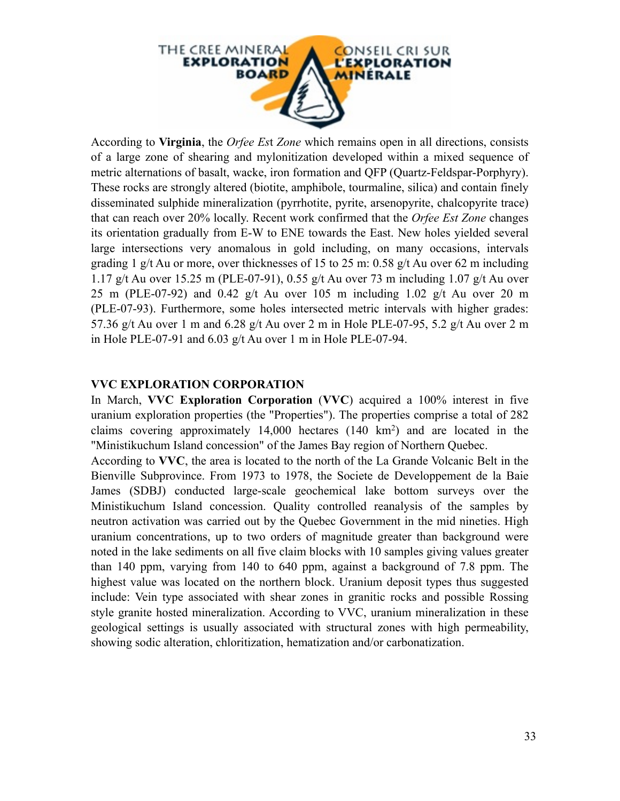

According to **Virginia**, the *Orfee Es*t *Zone* which remains open in all directions, consists of a large zone of shearing and mylonitization developed within a mixed sequence of metric alternations of basalt, wacke, iron formation and QFP (Quartz-Feldspar-Porphyry). These rocks are strongly altered (biotite, amphibole, tourmaline, silica) and contain finely disseminated sulphide mineralization (pyrrhotite, pyrite, arsenopyrite, chalcopyrite trace) that can reach over 20% locally. Recent work confirmed that the *Orfee Est Zone* changes its orientation gradually from E-W to ENE towards the East. New holes yielded several large intersections very anomalous in gold including, on many occasions, intervals grading 1 g/t Au or more, over thicknesses of 15 to 25 m: 0.58 g/t Au over 62 m including 1.17 g/t Au over 15.25 m (PLE-07-91), 0.55 g/t Au over 73 m including 1.07 g/t Au over 25 m (PLE-07-92) and 0.42 g/t Au over 105 m including 1.02 g/t Au over 20 m (PLE-07-93). Furthermore, some holes intersected metric intervals with higher grades: 57.36 g/t Au over 1 m and 6.28 g/t Au over 2 m in Hole PLE-07-95, 5.2 g/t Au over 2 m in Hole PLE-07-91 and  $6.03$  g/t Au over 1 m in Hole PLE-07-94.

#### **VVC EXPLORATION CORPORATION**

In March, **VVC Exploration Corporation** (**VVC**) acquired a 100% interest in five uranium exploration properties (the "Properties"). The properties comprise a total of 282 claims covering approximately 14,000 hectares (140 km2) and are located in the "Ministikuchum Island concession" of the James Bay region of Northern Quebec.

According to **VVC**, the area is located to the north of the La Grande Volcanic Belt in the Bienville Subprovince. From 1973 to 1978, the Societe de Developpement de la Baie James (SDBJ) conducted large-scale geochemical lake bottom surveys over the Ministikuchum Island concession. Quality controlled reanalysis of the samples by neutron activation was carried out by the Quebec Government in the mid nineties. High uranium concentrations, up to two orders of magnitude greater than background were noted in the lake sediments on all five claim blocks with 10 samples giving values greater than 140 ppm, varying from 140 to 640 ppm, against a background of 7.8 ppm. The highest value was located on the northern block. Uranium deposit types thus suggested include: Vein type associated with shear zones in granitic rocks and possible Rossing style granite hosted mineralization. According to VVC, uranium mineralization in these geological settings is usually associated with structural zones with high permeability, showing sodic alteration, chloritization, hematization and/or carbonatization.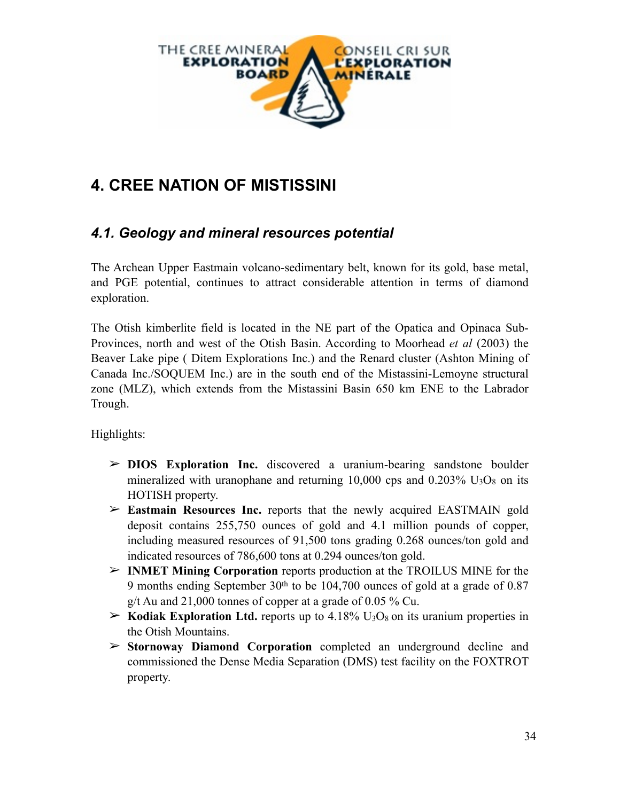

# **4. CREE NATION OF MISTISSINI**

### *4.1. Geology and mineral resources potential*

The Archean Upper Eastmain volcano-sedimentary belt, known for its gold, base metal, and PGE potential, continues to attract considerable attention in terms of diamond exploration.

The Otish kimberlite field is located in the NE part of the Opatica and Opinaca Sub-Provinces, north and west of the Otish Basin. According to Moorhead *et al* (2003) the Beaver Lake pipe ( Ditem Explorations Inc.) and the Renard cluster (Ashton Mining of Canada Inc./SOQUEM Inc.) are in the south end of the Mistassini-Lemoyne structural zone (MLZ), which extends from the Mistassini Basin 650 km ENE to the Labrador Trough.

Highlights:

- ➢ **DIOS Exploration Inc.** discovered a uranium-bearing sandstone boulder mineralized with uranophane and returning  $10,000$  cps and  $0.203\%$  U<sub>3</sub>O<sub>8</sub> on its HOTISH property.
- ➢ **Eastmain Resources Inc.** reports that the newly acquired EASTMAIN gold deposit contains 255,750 ounces of gold and 4.1 million pounds of copper, including measured resources of 91,500 tons grading 0.268 ounces/ton gold and indicated resources of 786,600 tons at 0.294 ounces/ton gold.
- ➢ **INMET Mining Corporation** reports production at the TROILUS MINE for the 9 months ending September 30th to be 104,700 ounces of gold at a grade of 0.87 g/t Au and  $21,000$  tonnes of copper at a grade of 0.05 % Cu.
- $\geq$  **Kodiak Exploration Ltd.** reports up to 4.18% U<sub>3</sub>O<sub>8</sub> on its uranium properties in the Otish Mountains.
- ➢ **Stornoway Diamond Corporation** completed an underground decline and commissioned the Dense Media Separation (DMS) test facility on the FOXTROT property.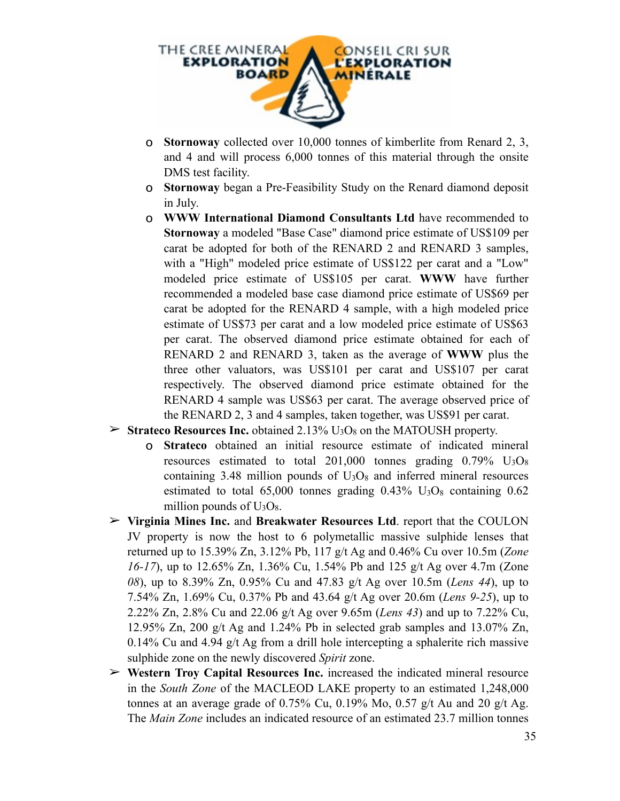

- o **Stornoway** collected over 10,000 tonnes of kimberlite from Renard 2, 3, and 4 and will process 6,000 tonnes of this material through the onsite DMS test facility.
- o **Stornoway** began a Pre-Feasibility Study on the Renard diamond deposit in July.
- o **WWW International Diamond Consultants Ltd** have recommended to **Stornoway** a modeled "Base Case" diamond price estimate of US\$109 per carat be adopted for both of the RENARD 2 and RENARD 3 samples, with a "High" modeled price estimate of US\$122 per carat and a "Low" modeled price estimate of US\$105 per carat. **WWW** have further recommended a modeled base case diamond price estimate of US\$69 per carat be adopted for the RENARD 4 sample, with a high modeled price estimate of US\$73 per carat and a low modeled price estimate of US\$63 per carat. The observed diamond price estimate obtained for each of RENARD 2 and RENARD 3, taken as the average of **WWW** plus the three other valuators, was US\$101 per carat and US\$107 per carat respectively. The observed diamond price estimate obtained for the RENARD 4 sample was US\$63 per carat. The average observed price of the RENARD 2, 3 and 4 samples, taken together, was US\$91 per carat.
- $\geq$  **Strateco Resources Inc.** obtained 2.13% U<sub>3</sub>O<sub>8</sub> on the MATOUSH property.
	- o **Strateco** obtained an initial resource estimate of indicated mineral resources estimated to total  $201,000$  tonnes grading  $0.79\%$  U<sub>3</sub>O<sub>8</sub> containing  $3.48$  million pounds of  $U_3O_8$  and inferred mineral resources estimated to total  $65,000$  tonnes grading  $0.43\%$  U<sub>3</sub>O<sub>8</sub> containing  $0.62$ million pounds of  $U_3O_8$ .
- ➢ **Virginia Mines Inc.** and **Breakwater Resources Ltd**. report that the COULON JV property is now the host to 6 polymetallic massive sulphide lenses that returned up to 15.39% Zn, 3.12% Pb, 117 g/t Ag and 0.46% Cu over 10.5m (*Zone 16-17*), up to 12.65% Zn, 1.36% Cu, 1.54% Pb and 125 g/t Ag over 4.7m (Zone *08*), up to 8.39% Zn, 0.95% Cu and 47.83 g/t Ag over 10.5m (*Lens 44*), up to 7.54% Zn, 1.69% Cu, 0.37% Pb and 43.64 g/t Ag over 20.6m (*Lens 9-25*), up to 2.22% Zn, 2.8% Cu and 22.06 g/t Ag over 9.65m (*Lens 43*) and up to 7.22% Cu, 12.95% Zn, 200 g/t Ag and 1.24% Pb in selected grab samples and 13.07% Zn, 0.14% Cu and 4.94  $g/t$  Ag from a drill hole intercepting a sphalerite rich massive sulphide zone on the newly discovered *Spirit* zone.
- ➢ **Western Troy Capital Resources Inc.** increased the indicated mineral resource in the *South Zone* of the MACLEOD LAKE property to an estimated 1,248,000 tonnes at an average grade of 0.75% Cu, 0.19% Mo, 0.57 g/t Au and 20 g/t Ag. The *Main Zone* includes an indicated resource of an estimated 23.7 million tonnes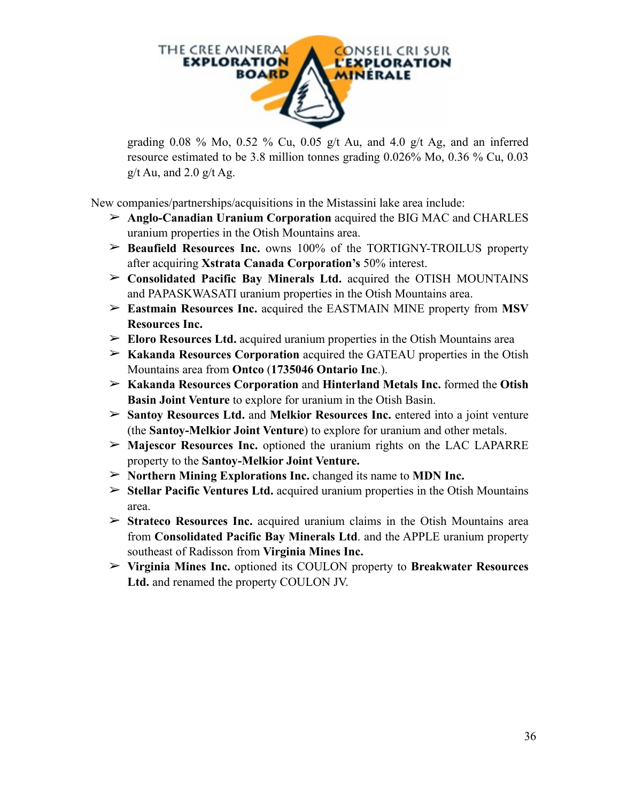

grading  $0.08\%$  Mo,  $0.52\%$  Cu,  $0.05$  g/t Au, and  $4.0$  g/t Ag, and an inferred resource estimated to be 3.8 million tonnes grading 0.026% Mo, 0.36 % Cu, 0.03  $g/t$  Au, and 2.0  $g/t$  Ag.

New companies/partnerships/acquisitions in the Mistassini lake area include:

- ➢ **Anglo-Canadian Uranium Corporation** acquired the BIG MAC and CHARLES uranium properties in the Otish Mountains area.
- ➢ **Beaufield Resources Inc.** owns 100% of the TORTIGNY-TROILUS property after acquiring **Xstrata Canada Corporation's** 50% interest.
- ➢ **Consolidated Pacific Bay Minerals Ltd.** acquired the OTISH MOUNTAINS and PAPASKWASATI uranium properties in the Otish Mountains area.
- ➢ **Eastmain Resources Inc.** acquired the EASTMAIN MINE property from **MSV Resources Inc.**
- ➢ **Eloro Resources Ltd.** acquired uranium properties in the Otish Mountains area
- ➢ **Kakanda Resources Corporation** acquired the GATEAU properties in the Otish Mountains area from **Ontco** (**1735046 Ontario Inc**.).
- ➢ **Kakanda Resources Corporation** and **Hinterland Metals Inc.** formed the **Otish Basin Joint Venture** to explore for uranium in the Otish Basin.
- ➢ **Santoy Resources Ltd.** and **Melkior Resources Inc.** entered into a joint venture (the **Santoy-Melkior Joint Venture**) to explore for uranium and other metals.
- ➢ **Majescor Resources Inc.** optioned the uranium rights on the LAC LAPARRE property to the **Santoy-Melkior Joint Venture.**
- ➢ **Northern Mining Explorations Inc.** changed its name to **MDN Inc.**
- ➢ **Stellar Pacific Ventures Ltd.** acquired uranium properties in the Otish Mountains area.
- ➢ **Strateco Resources Inc.** acquired uranium claims in the Otish Mountains area from **Consolidated Pacific Bay Minerals Ltd**. and the APPLE uranium property southeast of Radisson from **Virginia Mines Inc.**
- ➢ **Virginia Mines Inc.** optioned its COULON property to **Breakwater Resources Ltd.** and renamed the property COULON JV.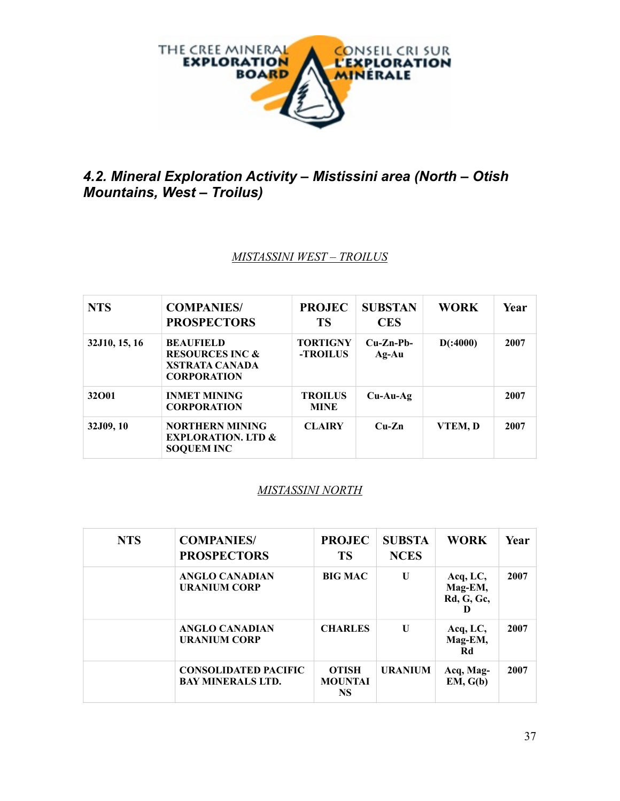

# *4.2. Mineral Exploration Activity – Mistissini area (North – Otish Mountains, West – Troilus)*

#### *MISTASSINI WEST – TROILUS*

| <b>NTS</b>    | <b>COMPANIES/</b><br><b>PROSPECTORS</b>                                                       | <b>PROJEC</b><br><b>TS</b>    | <b>SUBSTAN</b><br><b>CES</b> | <b>WORK</b> | Year |
|---------------|-----------------------------------------------------------------------------------------------|-------------------------------|------------------------------|-------------|------|
| 32J10, 15, 16 | <b>BEAUFIELD</b><br><b>RESOURCES INC &amp;</b><br><b>XSTRATA CANADA</b><br><b>CORPORATION</b> | <b>TORTIGNY</b><br>-TROILUS   | $Cu-Zn-Pb-$<br>$Ag-Au$       | D(.4000)    | 2007 |
| 32001         | <b>INMET MINING</b><br><b>CORPORATION</b>                                                     | <b>TROILUS</b><br><b>MINE</b> | $Cu-Au-Ag$                   |             | 2007 |
| 32J09, 10     | <b>NORTHERN MINING</b><br><b>EXPLORATION. LTD &amp;</b><br><b>SOQUEM INC</b>                  | <b>CLAIRY</b>                 | $Cu-Zn$                      | VTEM, D     | 2007 |

#### *MISTASSINI NORTH*

| <b>NTS</b> | <b>COMPANIES/</b><br><b>PROSPECTORS</b>                 | <b>PROJEC</b><br>TS                         | <b>SUBSTA</b><br><b>NCES</b> | <b>WORK</b>                              | Year |
|------------|---------------------------------------------------------|---------------------------------------------|------------------------------|------------------------------------------|------|
|            | <b>ANGLO CANADIAN</b><br><b>URANIUM CORP</b>            | <b>BIG MAC</b>                              | U                            | Acq, LC,<br>Mag-EM,<br><b>Rd, G, Gc,</b> | 2007 |
|            | <b>ANGLO CANADIAN</b><br><b>URANIUM CORP</b>            | <b>CHARLES</b>                              | $\mathbf{U}$                 | Acq, LC,<br>Mag-EM,<br>Rd                | 2007 |
|            | <b>CONSOLIDATED PACIFIC</b><br><b>BAY MINERALS LTD.</b> | <b>OTISH</b><br><b>MOUNTAI</b><br><b>NS</b> | <b>URANIUM</b>               | Acq, Mag-<br>EM, G(b)                    | 2007 |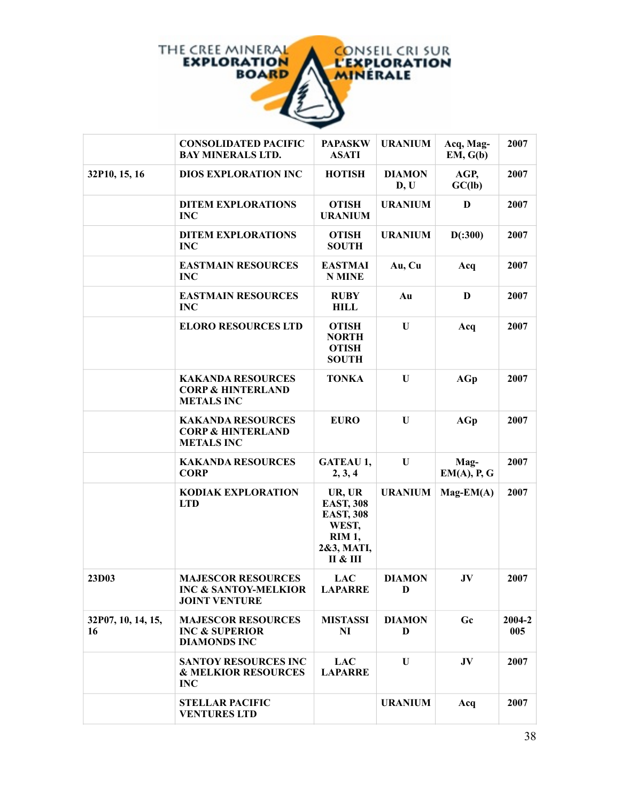

|                          | <b>CONSOLIDATED PACIFIC</b><br><b>BAY MINERALS LTD.</b>                              | <b>PAPASKW</b><br><b>ASATI</b>                                                                  | <b>URANIUM</b>        | Acq, Mag-<br>EM, G(b) | 2007          |
|--------------------------|--------------------------------------------------------------------------------------|-------------------------------------------------------------------------------------------------|-----------------------|-----------------------|---------------|
| 32P10, 15, 16            | <b>DIOS EXPLORATION INC</b>                                                          | <b>HOTISH</b>                                                                                   | <b>DIAMON</b><br>D, U | AGP,<br>GC(lb)        | 2007          |
|                          | <b>DITEM EXPLORATIONS</b><br><b>INC</b>                                              | <b>OTISH</b><br><b>URANIUM</b>                                                                  | <b>URANIUM</b>        | D                     | 2007          |
|                          | <b>DITEM EXPLORATIONS</b><br><b>INC</b>                                              | <b>OTISH</b><br><b>SOUTH</b>                                                                    | <b>URANIUM</b>        | D(.300)               | 2007          |
|                          | <b>EASTMAIN RESOURCES</b><br><b>INC</b>                                              | <b>EASTMAI</b><br><b>N MINE</b>                                                                 | Au, Cu                | Acq                   | 2007          |
|                          | <b>EASTMAIN RESOURCES</b><br><b>INC</b>                                              | <b>RUBY</b><br><b>HILL</b>                                                                      | Au                    | D                     | 2007          |
|                          | <b>ELORO RESOURCES LTD</b>                                                           | <b>OTISH</b><br><b>NORTH</b><br><b>OTISH</b><br><b>SOUTH</b>                                    | U                     | Acq                   | 2007          |
|                          | <b>KAKANDA RESOURCES</b><br><b>CORP &amp; HINTERLAND</b><br><b>METALS INC</b>        | <b>TONKA</b>                                                                                    | U                     | AGp                   | 2007          |
|                          | <b>KAKANDA RESOURCES</b><br><b>CORP &amp; HINTERLAND</b><br><b>METALS INC</b>        | <b>EURO</b>                                                                                     | U                     | AGp                   | 2007          |
|                          | <b>KAKANDA RESOURCES</b><br><b>CORP</b>                                              | <b>GATEAU 1,</b><br>2, 3, 4                                                                     | $\mathbf{U}$          | Mag-<br>EM(A), P, G   | 2007          |
|                          | <b>KODIAK EXPLORATION</b><br><b>LTD</b>                                              | UR, UR<br><b>EAST, 308</b><br><b>EAST, 308</b><br>WEST,<br><b>RIM 1,</b><br>2&3, MATI,<br>П & Ш | <b>URANIUM</b>        | $Mag-EM(A)$           | 2007          |
| 23D03                    | <b>MAJESCOR RESOURCES</b><br><b>INC &amp; SANTOY-MELKIOR</b><br><b>JOINT VENTURE</b> | <b>LAC</b><br><b>LAPARRE</b>                                                                    | <b>DIAMON</b><br>D    | JV                    | 2007          |
| 32P07, 10, 14, 15,<br>16 | <b>MAJESCOR RESOURCES</b><br><b>INC &amp; SUPERIOR</b><br><b>DIAMONDS INC</b>        | <b>MISTASSI</b><br>N <sub>I</sub>                                                               | <b>DIAMON</b><br>D    | Gc                    | 2004-2<br>005 |
|                          | <b>SANTOY RESOURCES INC</b><br><b>&amp; MELKIOR RESOURCES</b><br><b>INC</b>          | <b>LAC</b><br><b>LAPARRE</b>                                                                    | $\mathbf{U}$          | JV                    | 2007          |
|                          | <b>STELLAR PACIFIC</b><br><b>VENTURES LTD</b>                                        |                                                                                                 | <b>URANIUM</b>        | Acq                   | 2007          |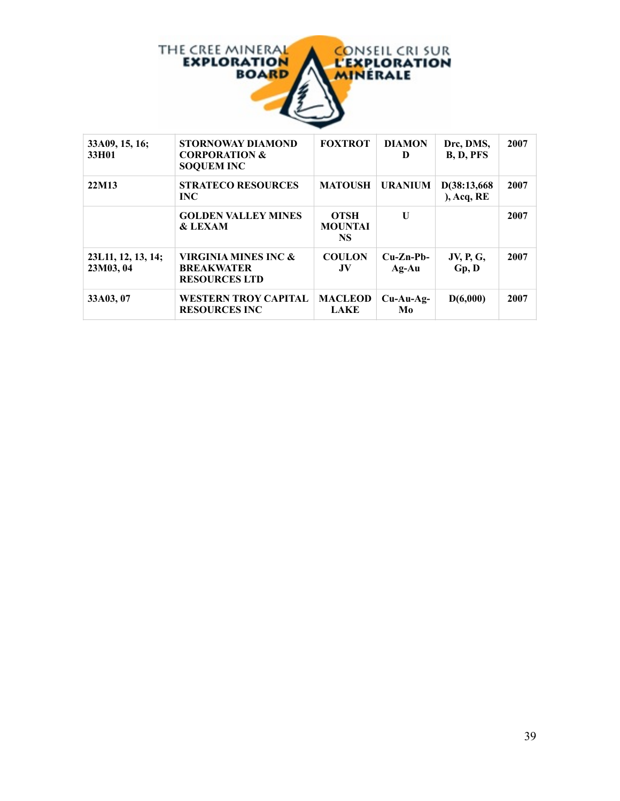

| 33A09, 15, 16;<br>33H01         | <b>STORNOWAY DIAMOND</b><br><b>CORPORATION &amp;</b><br><b>SOQUEM INC</b> | <b>FOXTROT</b>                             | <b>DIAMON</b><br>Ð     | Drc, DMS,<br>B, D, PFS    | 2007 |
|---------------------------------|---------------------------------------------------------------------------|--------------------------------------------|------------------------|---------------------------|------|
| 22M13                           | <b>STRATECO RESOURCES</b><br><b>INC</b>                                   | <b>MATOUSH</b>                             | <b>URANIUM</b>         | D(38:13,668<br>Acq, RE    | 2007 |
|                                 | <b>GOLDEN VALLEY MINES</b><br><b>&amp; LEXAM</b>                          | <b>OTSH</b><br><b>MOUNTAI</b><br><b>NS</b> | $\mathbf{U}$           |                           | 2007 |
| 23L11, 12, 13, 14;<br>23M03, 04 | VIRGINIA MINES INC &<br><b>BREAKWATER</b><br><b>RESOURCES LTD</b>         | <b>COULON</b><br>.JV                       | $Cu-Zn-Pb-$<br>$Ag-Au$ | <b>JV, P, G,</b><br>Gp, D | 2007 |
| 33A03, 07                       | <b>WESTERN TROY CAPITAL</b><br><b>RESOURCES INC</b>                       | <b>MACLEOD</b><br>LAKE                     | $Cu-Au-Ag-$<br>Mo      | D(6,000)                  | 2007 |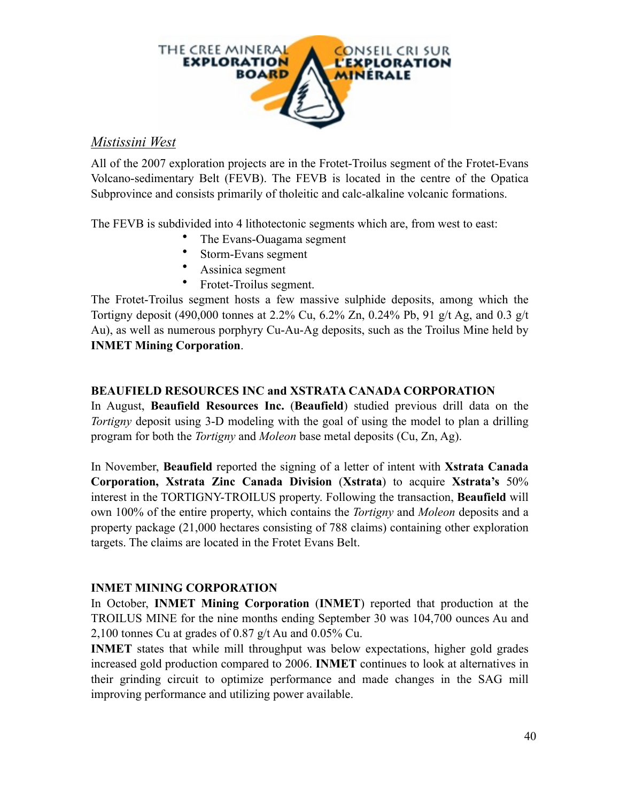

## *Mistissini West*

All of the 2007 exploration projects are in the Frotet-Troilus segment of the Frotet-Evans Volcano-sedimentary Belt (FEVB). The FEVB is located in the centre of the Opatica Subprovince and consists primarily of tholeitic and calc-alkaline volcanic formations.

The FEVB is subdivided into 4 lithotectonic segments which are, from west to east:

- The Evans-Ouagama segment
- Storm-Evans segment
- Assinica segment
- Frotet-Troilus segment.

The Frotet-Troilus segment hosts a few massive sulphide deposits, among which the Tortigny deposit (490,000 tonnes at 2.2% Cu, 6.2% Zn, 0.24% Pb, 91 g/t Ag, and 0.3 g/t Au), as well as numerous porphyry Cu-Au-Ag deposits, such as the Troilus Mine held by **INMET Mining Corporation**.

#### **BEAUFIELD RESOURCES INC and XSTRATA CANADA CORPORATION**

In August, **Beaufield Resources Inc.** (**Beaufield**) studied previous drill data on the *Tortigny* deposit using 3-D modeling with the goal of using the model to plan a drilling program for both the *Tortigny* and *Moleon* base metal deposits (Cu, Zn, Ag).

In November, **Beaufield** reported the signing of a letter of intent with **Xstrata Canada Corporation, Xstrata Zinc Canada Division** (**Xstrata**) to acquire **Xstrata's** 50% interest in the TORTIGNY-TROILUS property. Following the transaction, **Beaufield** will own 100% of the entire property, which contains the *Tortigny* and *Moleon* deposits and a property package (21,000 hectares consisting of 788 claims) containing other exploration targets. The claims are located in the Frotet Evans Belt.

#### **INMET MINING CORPORATION**

In October, **INMET Mining Corporation** (**INMET**) reported that production at the TROILUS MINE for the nine months ending September 30 was 104,700 ounces Au and 2,100 tonnes Cu at grades of 0.87 g/t Au and 0.05% Cu.

**INMET** states that while mill throughput was below expectations, higher gold grades increased gold production compared to 2006. **INMET** continues to look at alternatives in their grinding circuit to optimize performance and made changes in the SAG mill improving performance and utilizing power available.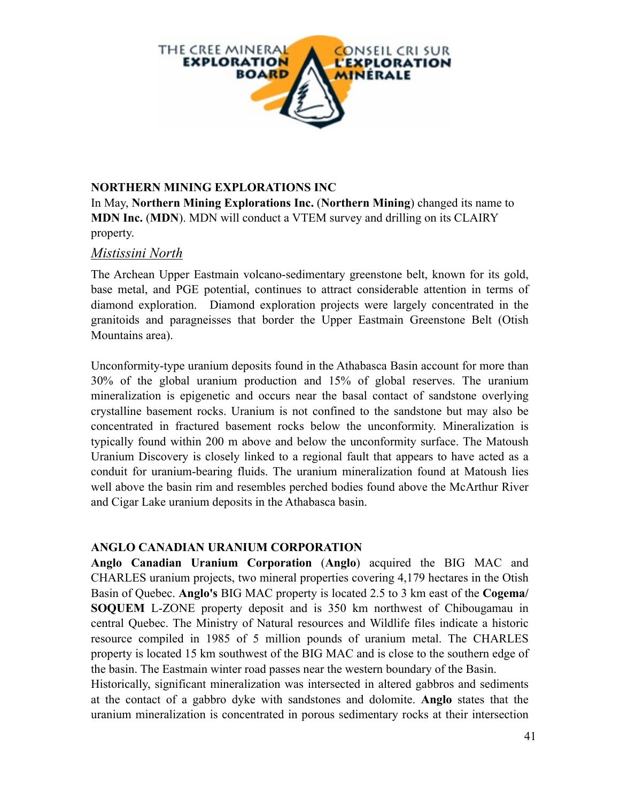

#### **NORTHERN MINING EXPLORATIONS INC**

In May, **Northern Mining Explorations Inc.** (**Northern Mining**) changed its name to **MDN Inc.** (**MDN**). MDN will conduct a VTEM survey and drilling on its CLAIRY property.

#### *Mistissini North*

The Archean Upper Eastmain volcano-sedimentary greenstone belt, known for its gold, base metal, and PGE potential, continues to attract considerable attention in terms of diamond exploration. Diamond exploration projects were largely concentrated in the granitoids and paragneisses that border the Upper Eastmain Greenstone Belt (Otish Mountains area).

Unconformity-type uranium deposits found in the Athabasca Basin account for more than 30% of the global uranium production and 15% of global reserves. The uranium mineralization is epigenetic and occurs near the basal contact of sandstone overlying crystalline basement rocks. Uranium is not confined to the sandstone but may also be concentrated in fractured basement rocks below the unconformity. Mineralization is typically found within 200 m above and below the unconformity surface. The Matoush Uranium Discovery is closely linked to a regional fault that appears to have acted as a conduit for uranium-bearing fluids. The uranium mineralization found at Matoush lies well above the basin rim and resembles perched bodies found above the McArthur River and Cigar Lake uranium deposits in the Athabasca basin.

#### **ANGLO CANADIAN URANIUM CORPORATION**

**Anglo Canadian Uranium Corporation** (**Anglo**) acquired the BIG MAC and CHARLES uranium projects, two mineral properties covering 4,179 hectares in the Otish Basin of Quebec. **Anglo's** BIG MAC property is located 2.5 to 3 km east of the **Cogema/ SOQUEM** L-ZONE property deposit and is 350 km northwest of Chibougamau in central Quebec. The Ministry of Natural resources and Wildlife files indicate a historic resource compiled in 1985 of 5 million pounds of uranium metal. The CHARLES property is located 15 km southwest of the BIG MAC and is close to the southern edge of the basin. The Eastmain winter road passes near the western boundary of the Basin.

Historically, significant mineralization was intersected in altered gabbros and sediments at the contact of a gabbro dyke with sandstones and dolomite. **Anglo** states that the uranium mineralization is concentrated in porous sedimentary rocks at their intersection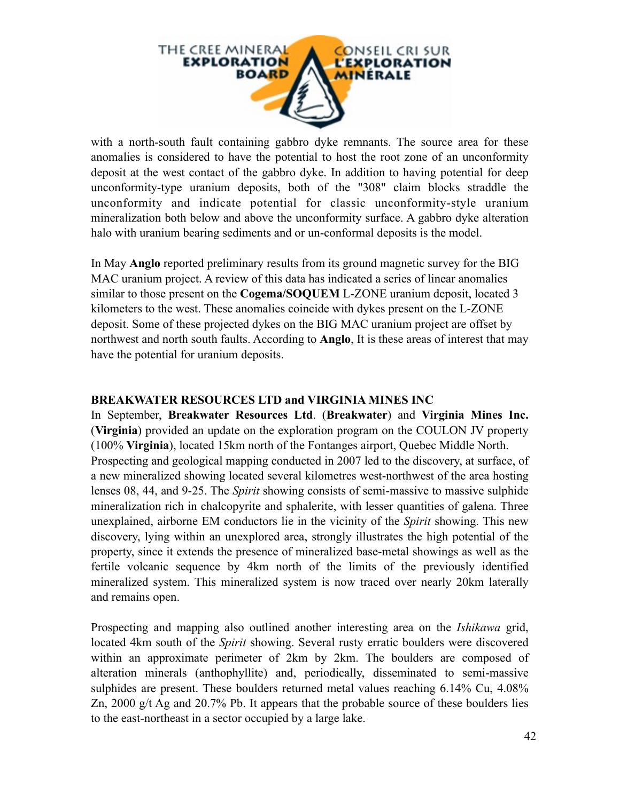

with a north-south fault containing gabbro dyke remnants. The source area for these anomalies is considered to have the potential to host the root zone of an unconformity deposit at the west contact of the gabbro dyke. In addition to having potential for deep unconformity-type uranium deposits, both of the "308" claim blocks straddle the unconformity and indicate potential for classic unconformity-style uranium mineralization both below and above the unconformity surface. A gabbro dyke alteration halo with uranium bearing sediments and or un-conformal deposits is the model.

In May **Anglo** reported preliminary results from its ground magnetic survey for the BIG MAC uranium project. A review of this data has indicated a series of linear anomalies similar to those present on the **Cogema/SOQUEM** L-ZONE uranium deposit, located 3 kilometers to the west. These anomalies coincide with dykes present on the L-ZONE deposit. Some of these projected dykes on the BIG MAC uranium project are offset by northwest and north south faults. According to **Anglo**, It is these areas of interest that may have the potential for uranium deposits.

#### **BREAKWATER RESOURCES LTD and VIRGINIA MINES INC**

In September, **Breakwater Resources Ltd**. (**Breakwater**) and **Virginia Mines Inc.** (**Virginia**) provided an update on the exploration program on the COULON JV property (100% **Virginia**), located 15km north of the Fontanges airport, Quebec Middle North. Prospecting and geological mapping conducted in 2007 led to the discovery, at surface, of a new mineralized showing located several kilometres west-northwest of the area hosting lenses 08, 44, and 9-25. The *Spirit* showing consists of semi-massive to massive sulphide mineralization rich in chalcopyrite and sphalerite, with lesser quantities of galena. Three unexplained, airborne EM conductors lie in the vicinity of the *Spirit* showing. This new discovery, lying within an unexplored area, strongly illustrates the high potential of the property, since it extends the presence of mineralized base-metal showings as well as the fertile volcanic sequence by 4km north of the limits of the previously identified mineralized system. This mineralized system is now traced over nearly 20km laterally and remains open.

Prospecting and mapping also outlined another interesting area on the *Ishikawa* grid, located 4km south of the *Spirit* showing. Several rusty erratic boulders were discovered within an approximate perimeter of 2km by 2km. The boulders are composed of alteration minerals (anthophyllite) and, periodically, disseminated to semi-massive sulphides are present. These boulders returned metal values reaching 6.14% Cu, 4.08% Zn, 2000 g/t Ag and 20.7% Pb. It appears that the probable source of these boulders lies to the east-northeast in a sector occupied by a large lake.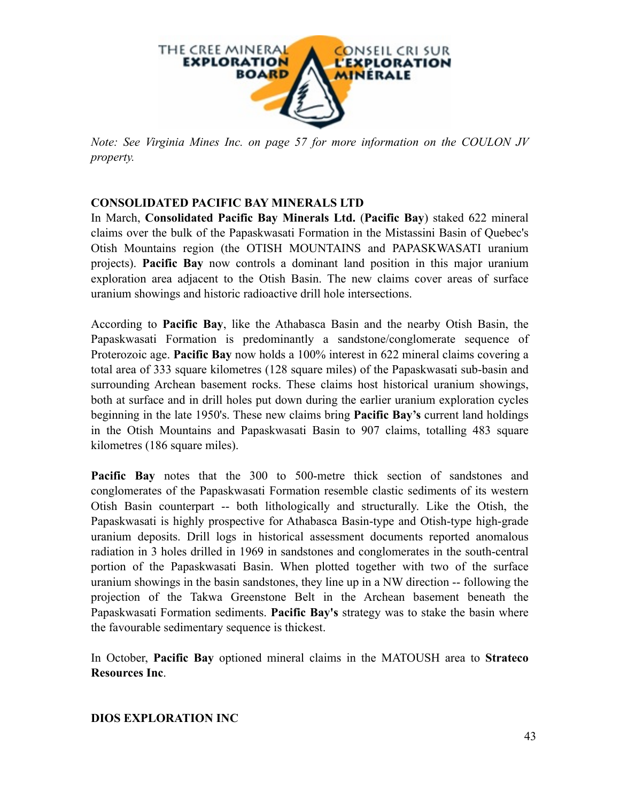

*Note: See Virginia Mines Inc. on page 57 for more information on the COULON JV property.*

## **CONSOLIDATED PACIFIC BAY MINERALS LTD**

In March, **Consolidated Pacific Bay Minerals Ltd.** (**Pacific Bay**) staked 622 mineral claims over the bulk of the Papaskwasati Formation in the Mistassini Basin of Quebec's Otish Mountains region (the OTISH MOUNTAINS and PAPASKWASATI uranium projects). **Pacific Bay** now controls a dominant land position in this major uranium exploration area adjacent to the Otish Basin. The new claims cover areas of surface uranium showings and historic radioactive drill hole intersections.

According to **Pacific Bay**, like the Athabasca Basin and the nearby Otish Basin, the Papaskwasati Formation is predominantly a sandstone/conglomerate sequence of Proterozoic age. **Pacific Bay** now holds a 100% interest in 622 mineral claims covering a total area of 333 square kilometres (128 square miles) of the Papaskwasati sub-basin and surrounding Archean basement rocks. These claims host historical uranium showings, both at surface and in drill holes put down during the earlier uranium exploration cycles beginning in the late 1950's. These new claims bring **Pacific Bay's** current land holdings in the Otish Mountains and Papaskwasati Basin to 907 claims, totalling 483 square kilometres (186 square miles).

**Pacific Bay** notes that the 300 to 500-metre thick section of sandstones and conglomerates of the Papaskwasati Formation resemble clastic sediments of its western Otish Basin counterpart -- both lithologically and structurally. Like the Otish, the Papaskwasati is highly prospective for Athabasca Basin-type and Otish-type high-grade uranium deposits. Drill logs in historical assessment documents reported anomalous radiation in 3 holes drilled in 1969 in sandstones and conglomerates in the south-central portion of the Papaskwasati Basin. When plotted together with two of the surface uranium showings in the basin sandstones, they line up in a NW direction -- following the projection of the Takwa Greenstone Belt in the Archean basement beneath the Papaskwasati Formation sediments. **Pacific Bay's** strategy was to stake the basin where the favourable sedimentary sequence is thickest.

In October, **Pacific Bay** optioned mineral claims in the MATOUSH area to **Strateco Resources Inc**.

#### **DIOS EXPLORATION INC**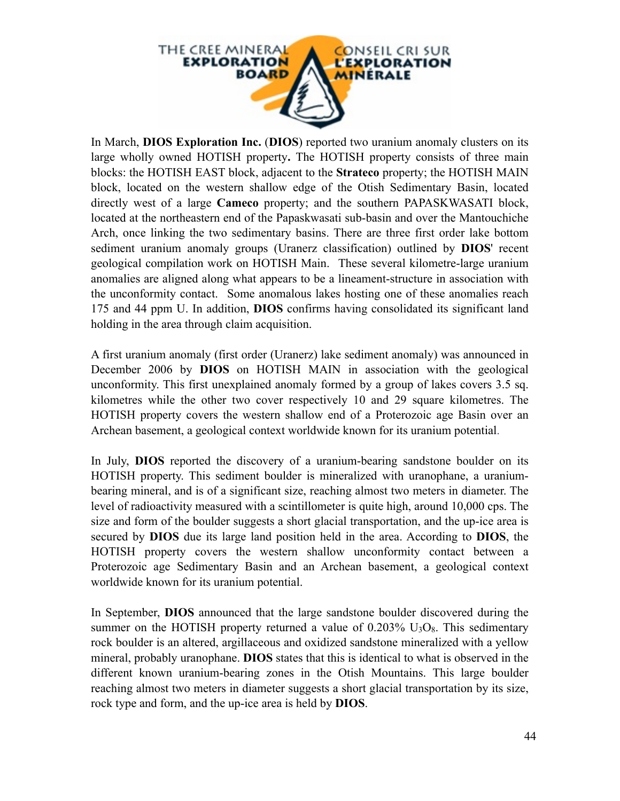

In March, **DIOS Exploration Inc.** (**DIOS**) reported two uranium anomaly clusters on its large wholly owned HOTISH property**.** The HOTISH property consists of three main blocks: the HOTISH EAST block, adjacent to the **Strateco** property; the HOTISH MAIN block, located on the western shallow edge of the Otish Sedimentary Basin, located directly west of a large **Cameco** property; and the southern PAPASKWASATI block, located at the northeastern end of the Papaskwasati sub-basin and over the Mantouchiche Arch, once linking the two sedimentary basins. There are three first order lake bottom sediment uranium anomaly groups (Uranerz classification) outlined by **DIOS**' recent geological compilation work on HOTISH Main. These several kilometre-large uranium anomalies are aligned along what appears to be a lineament-structure in association with the unconformity contact. Some anomalous lakes hosting one of these anomalies reach 175 and 44 ppm U. In addition, **DIOS** confirms having consolidated its significant land holding in the area through claim acquisition.

A first uranium anomaly (first order (Uranerz) lake sediment anomaly) was announced in December 2006 by **DIOS** on HOTISH MAIN in association with the geological unconformity. This first unexplained anomaly formed by a group of lakes covers 3.5 sq. kilometres while the other two cover respectively 10 and 29 square kilometres. The HOTISH property covers the western shallow end of a Proterozoic age Basin over an Archean basement, a geological context worldwide known for its uranium potential.

In July, **DIOS** reported the discovery of a uranium-bearing sandstone boulder on its HOTISH property. This sediment boulder is mineralized with uranophane, a uraniumbearing mineral, and is of a significant size, reaching almost two meters in diameter. The level of radioactivity measured with a scintillometer is quite high, around 10,000 cps. The size and form of the boulder suggests a short glacial transportation, and the up-ice area is secured by **DIOS** due its large land position held in the area. According to **DIOS**, the HOTISH property covers the western shallow unconformity contact between a Proterozoic age Sedimentary Basin and an Archean basement, a geological context worldwide known for its uranium potential.

In September, **DIOS** announced that the large sandstone boulder discovered during the summer on the HOTISH property returned a value of  $0.203\%$  U<sub>3</sub>O<sub>8</sub>. This sedimentary rock boulder is an altered, argillaceous and oxidized sandstone mineralized with a yellow mineral, probably uranophane. **DIOS** states that this is identical to what is observed in the different known uranium-bearing zones in the Otish Mountains. This large boulder reaching almost two meters in diameter suggests a short glacial transportation by its size, rock type and form, and the up-ice area is held by **DIOS**.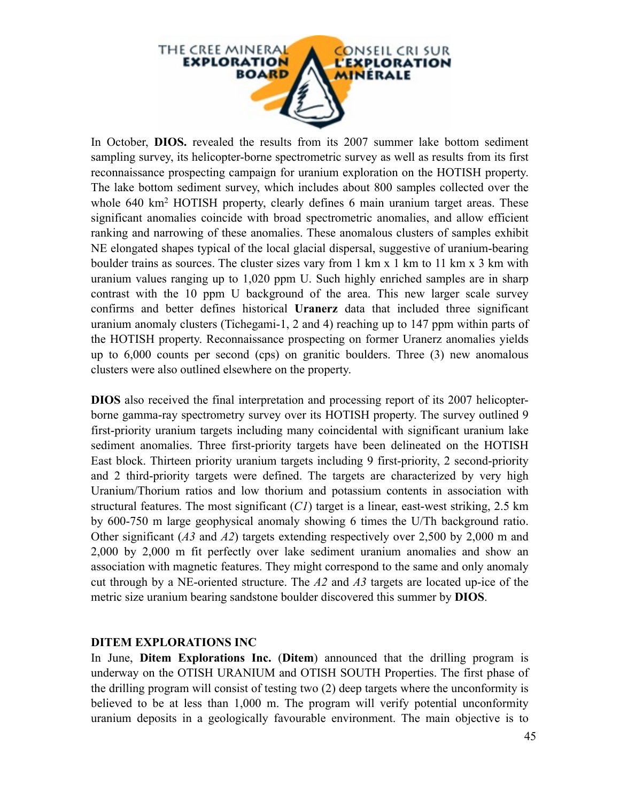

In October, **DIOS.** revealed the results from its 2007 summer lake bottom sediment sampling survey, its helicopter-borne spectrometric survey as well as results from its first reconnaissance prospecting campaign for uranium exploration on the HOTISH property. The lake bottom sediment survey, which includes about 800 samples collected over the whole 640 km<sup>2</sup> HOTISH property, clearly defines 6 main uranium target areas. These significant anomalies coincide with broad spectrometric anomalies, and allow efficient ranking and narrowing of these anomalies. These anomalous clusters of samples exhibit NE elongated shapes typical of the local glacial dispersal, suggestive of uranium-bearing boulder trains as sources. The cluster sizes vary from 1 km x 1 km to 11 km x 3 km with uranium values ranging up to 1,020 ppm U. Such highly enriched samples are in sharp contrast with the 10 ppm U background of the area. This new larger scale survey confirms and better defines historical **Uranerz** data that included three significant uranium anomaly clusters (Tichegami-1, 2 and 4) reaching up to 147 ppm within parts of the HOTISH property. Reconnaissance prospecting on former Uranerz anomalies yields up to 6,000 counts per second (cps) on granitic boulders. Three (3) new anomalous clusters were also outlined elsewhere on the property.

**DIOS** also received the final interpretation and processing report of its 2007 helicopterborne gamma-ray spectrometry survey over its HOTISH property. The survey outlined 9 first-priority uranium targets including many coincidental with significant uranium lake sediment anomalies. Three first-priority targets have been delineated on the HOTISH East block. Thirteen priority uranium targets including 9 first-priority, 2 second-priority and 2 third-priority targets were defined. The targets are characterized by very high Uranium/Thorium ratios and low thorium and potassium contents in association with structural features. The most significant (*C1*) target is a linear, east-west striking, 2.5 km by 600-750 m large geophysical anomaly showing 6 times the U/Th background ratio. Other significant (*A3* and *A2*) targets extending respectively over 2,500 by 2,000 m and 2,000 by 2,000 m fit perfectly over lake sediment uranium anomalies and show an association with magnetic features. They might correspond to the same and only anomaly cut through by a NE-oriented structure. The *A2* and *A3* targets are located up-ice of the metric size uranium bearing sandstone boulder discovered this summer by **DIOS**.

#### **DITEM EXPLORATIONS INC**

In June, **Ditem Explorations Inc.** (**Ditem**) announced that the drilling program is underway on the OTISH URANIUM and OTISH SOUTH Properties. The first phase of the drilling program will consist of testing two (2) deep targets where the unconformity is believed to be at less than 1,000 m. The program will verify potential unconformity uranium deposits in a geologically favourable environment. The main objective is to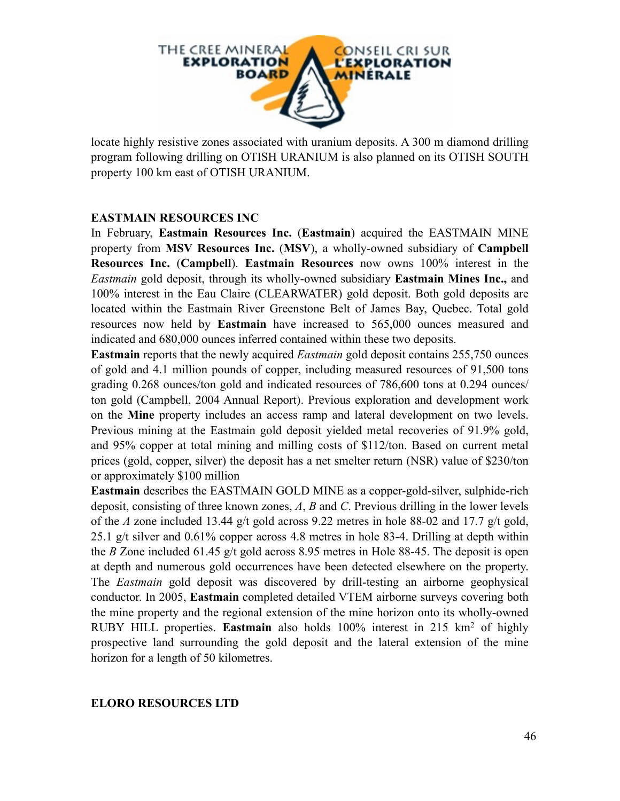

locate highly resistive zones associated with uranium deposits. A 300 m diamond drilling program following drilling on OTISH URANIUM is also planned on its OTISH SOUTH property 100 km east of OTISH URANIUM.

#### **EASTMAIN RESOURCES INC**

In February, **Eastmain Resources Inc.** (**Eastmain**) acquired the EASTMAIN MINE property from **MSV Resources Inc.** (**MSV**), a wholly-owned subsidiary of **Campbell Resources Inc.** (**Campbell**). **Eastmain Resources** now owns 100% interest in the *Eastmain* gold deposit, through its wholly-owned subsidiary **Eastmain Mines Inc.,** and 100% interest in the Eau Claire (CLEARWATER) gold deposit. Both gold deposits are located within the Eastmain River Greenstone Belt of James Bay, Quebec. Total gold resources now held by **Eastmain** have increased to 565,000 ounces measured and indicated and 680,000 ounces inferred contained within these two deposits.

**Eastmain** reports that the newly acquired *Eastmain* gold deposit contains 255,750 ounces of gold and 4.1 million pounds of copper, including measured resources of 91,500 tons grading 0.268 ounces/ton gold and indicated resources of 786,600 tons at 0.294 ounces/ ton gold (Campbell, 2004 Annual Report). Previous exploration and development work on the **Mine** property includes an access ramp and lateral development on two levels. Previous mining at the Eastmain gold deposit yielded metal recoveries of 91.9% gold, and 95% copper at total mining and milling costs of \$112/ton. Based on current metal prices (gold, copper, silver) the deposit has a net smelter return (NSR) value of \$230/ton or approximately \$100 million

**Eastmain** describes the EASTMAIN GOLD MINE as a copper-gold-silver, sulphide-rich deposit, consisting of three known zones, *A*, *B* and *C*. Previous drilling in the lower levels of the *A* zone included 13.44 g/t gold across 9.22 metres in hole 88-02 and 17.7 g/t gold, 25.1 g/t silver and 0.61% copper across 4.8 metres in hole 83-4. Drilling at depth within the *B* Zone included 61.45 g/t gold across 8.95 metres in Hole 88-45. The deposit is open at depth and numerous gold occurrences have been detected elsewhere on the property. The *Eastmain* gold deposit was discovered by drill-testing an airborne geophysical conductor. In 2005, **Eastmain** completed detailed VTEM airborne surveys covering both the mine property and the regional extension of the mine horizon onto its wholly-owned RUBY HILL properties. **Eastmain** also holds 100% interest in 215 km2 of highly prospective land surrounding the gold deposit and the lateral extension of the mine horizon for a length of 50 kilometres.

#### **ELORO RESOURCES LTD**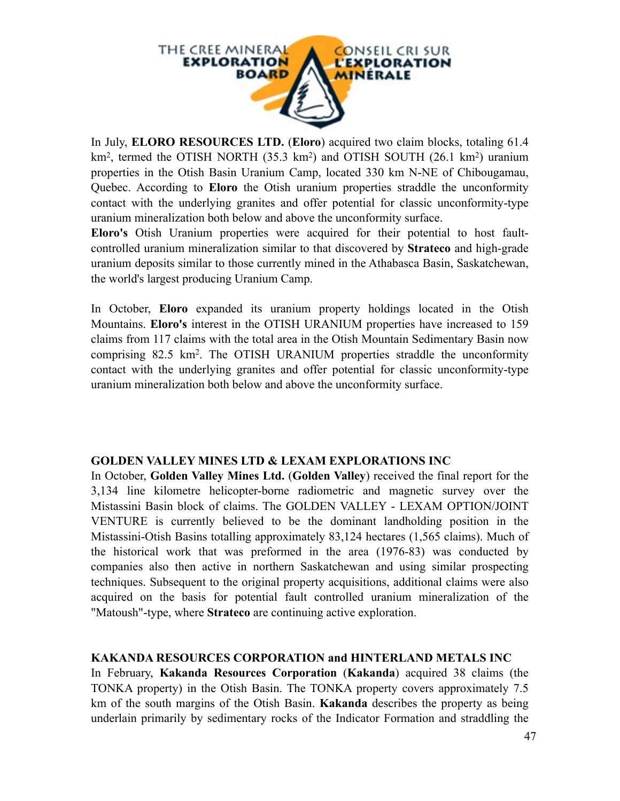

In July, **ELORO RESOURCES LTD.** (**Eloro**) acquired two claim blocks, totaling 61.4 km<sup>2</sup>, termed the OTISH NORTH (35.3 km<sup>2</sup>) and OTISH SOUTH (26.1 km<sup>2</sup>) uranium properties in the Otish Basin Uranium Camp, located 330 km N-NE of Chibougamau, Quebec. According to **Eloro** the Otish uranium properties straddle the unconformity contact with the underlying granites and offer potential for classic unconformity-type uranium mineralization both below and above the unconformity surface.

**Eloro's** Otish Uranium properties were acquired for their potential to host faultcontrolled uranium mineralization similar to that discovered by **Strateco** and high-grade uranium deposits similar to those currently mined in the Athabasca Basin, Saskatchewan, the world's largest producing Uranium Camp.

In October, **Eloro** expanded its uranium property holdings located in the Otish Mountains. **Eloro's** interest in the OTISH URANIUM properties have increased to 159 claims from 117 claims with the total area in the Otish Mountain Sedimentary Basin now comprising 82.5 km2. The OTISH URANIUM properties straddle the unconformity contact with the underlying granites and offer potential for classic unconformity-type uranium mineralization both below and above the unconformity surface.

#### **GOLDEN VALLEY MINES LTD & LEXAM EXPLORATIONS INC**

In October, **Golden Valley Mines Ltd.** (**Golden Valley**) received the final report for the 3,134 line kilometre helicopter-borne radiometric and magnetic survey over the Mistassini Basin block of claims. The GOLDEN VALLEY - LEXAM OPTION/JOINT VENTURE is currently believed to be the dominant landholding position in the Mistassini-Otish Basins totalling approximately 83,124 hectares (1,565 claims). Much of the historical work that was preformed in the area (1976-83) was conducted by companies also then active in northern Saskatchewan and using similar prospecting techniques. Subsequent to the original property acquisitions, additional claims were also acquired on the basis for potential fault controlled uranium mineralization of the "Matoush"-type, where **Strateco** are continuing active exploration.

#### **KAKANDA RESOURCES CORPORATION and HINTERLAND METALS INC**

In February, **Kakanda Resources Corporation** (**Kakanda**) acquired 38 claims (the TONKA property) in the Otish Basin. The TONKA property covers approximately 7.5 km of the south margins of the Otish Basin. **Kakanda** describes the property as being underlain primarily by sedimentary rocks of the Indicator Formation and straddling the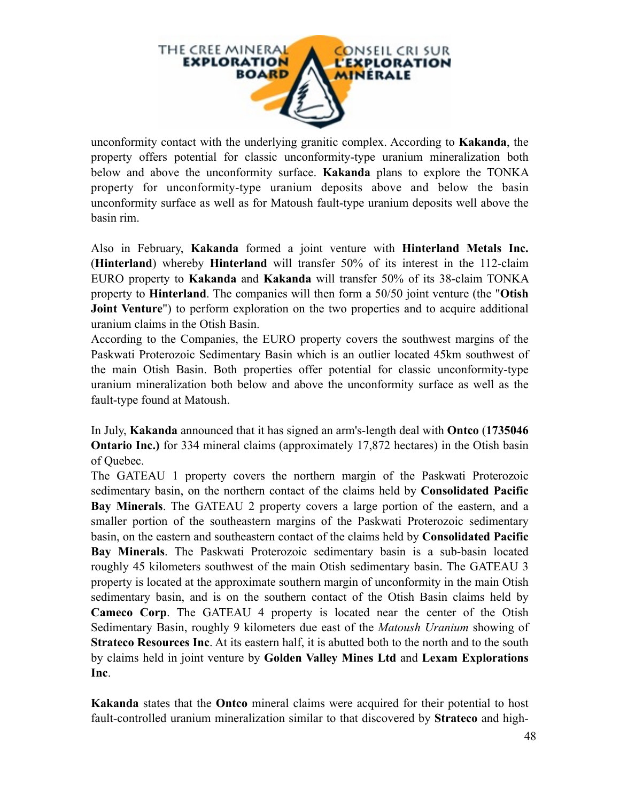

unconformity contact with the underlying granitic complex. According to **Kakanda**, the property offers potential for classic unconformity-type uranium mineralization both below and above the unconformity surface. **Kakanda** plans to explore the TONKA property for unconformity-type uranium deposits above and below the basin unconformity surface as well as for Matoush fault-type uranium deposits well above the basin rim.

Also in February, **Kakanda** formed a joint venture with **Hinterland Metals Inc.** (**Hinterland**) whereby **Hinterland** will transfer 50% of its interest in the 112-claim EURO property to **Kakanda** and **Kakanda** will transfer 50% of its 38-claim TONKA property to **Hinterland**. The companies will then form a 50/50 joint venture (the "**Otish Joint Venture**") to perform exploration on the two properties and to acquire additional uranium claims in the Otish Basin.

According to the Companies, the EURO property covers the southwest margins of the Paskwati Proterozoic Sedimentary Basin which is an outlier located 45km southwest of the main Otish Basin. Both properties offer potential for classic unconformity-type uranium mineralization both below and above the unconformity surface as well as the fault-type found at Matoush.

In July, **Kakanda** announced that it has signed an arm's-length deal with **Ontco** (**1735046 Ontario Inc.**) for 334 mineral claims (approximately 17,872 hectares) in the Otish basin of Quebec.

The GATEAU 1 property covers the northern margin of the Paskwati Proterozoic sedimentary basin, on the northern contact of the claims held by **Consolidated Pacific Bay Minerals**. The GATEAU 2 property covers a large portion of the eastern, and a smaller portion of the southeastern margins of the Paskwati Proterozoic sedimentary basin, on the eastern and southeastern contact of the claims held by **Consolidated Pacific Bay Minerals**. The Paskwati Proterozoic sedimentary basin is a sub-basin located roughly 45 kilometers southwest of the main Otish sedimentary basin. The GATEAU 3 property is located at the approximate southern margin of unconformity in the main Otish sedimentary basin, and is on the southern contact of the Otish Basin claims held by **Cameco Corp**. The GATEAU 4 property is located near the center of the Otish Sedimentary Basin, roughly 9 kilometers due east of the *Matoush Uranium* showing of **Strateco Resources Inc.** At its eastern half, it is abutted both to the north and to the south by claims held in joint venture by **Golden Valley Mines Ltd** and **Lexam Explorations Inc**.

**Kakanda** states that the **Ontco** mineral claims were acquired for their potential to host fault-controlled uranium mineralization similar to that discovered by **Strateco** and high-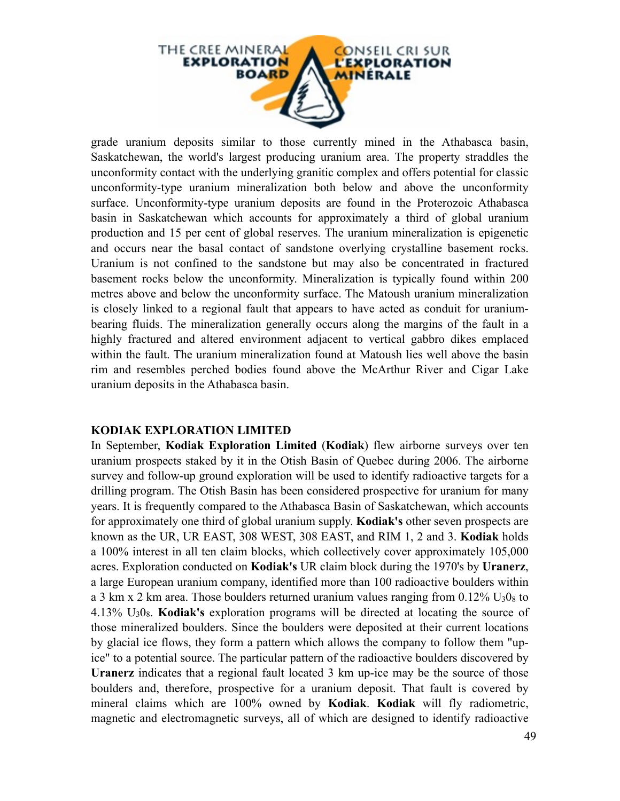

grade uranium deposits similar to those currently mined in the Athabasca basin, Saskatchewan, the world's largest producing uranium area. The property straddles the unconformity contact with the underlying granitic complex and offers potential for classic unconformity-type uranium mineralization both below and above the unconformity surface. Unconformity-type uranium deposits are found in the Proterozoic Athabasca basin in Saskatchewan which accounts for approximately a third of global uranium production and 15 per cent of global reserves. The uranium mineralization is epigenetic and occurs near the basal contact of sandstone overlying crystalline basement rocks. Uranium is not confined to the sandstone but may also be concentrated in fractured basement rocks below the unconformity. Mineralization is typically found within 200 metres above and below the unconformity surface. The Matoush uranium mineralization is closely linked to a regional fault that appears to have acted as conduit for uraniumbearing fluids. The mineralization generally occurs along the margins of the fault in a highly fractured and altered environment adjacent to vertical gabbro dikes emplaced within the fault. The uranium mineralization found at Matoush lies well above the basin rim and resembles perched bodies found above the McArthur River and Cigar Lake uranium deposits in the Athabasca basin.

#### **KODIAK EXPLORATION LIMITED**

In September, **Kodiak Exploration Limited** (**Kodiak**) flew airborne surveys over ten uranium prospects staked by it in the Otish Basin of Quebec during 2006. The airborne survey and follow-up ground exploration will be used to identify radioactive targets for a drilling program. The Otish Basin has been considered prospective for uranium for many years. It is frequently compared to the Athabasca Basin of Saskatchewan, which accounts for approximately one third of global uranium supply. **Kodiak's** other seven prospects are known as the UR, UR EAST, 308 WEST, 308 EAST, and RIM 1, 2 and 3. **Kodiak** holds a 100% interest in all ten claim blocks, which collectively cover approximately 105,000 acres. Exploration conducted on **Kodiak's** UR claim block during the 1970's by **Uranerz**, a large European uranium company, identified more than 100 radioactive boulders within a 3 km x 2 km area. Those boulders returned uranium values ranging from  $0.12\%$  U<sub>3</sub>0<sub>8</sub> to 4.13% U308. **Kodiak's** exploration programs will be directed at locating the source of those mineralized boulders. Since the boulders were deposited at their current locations by glacial ice flows, they form a pattern which allows the company to follow them "upice" to a potential source. The particular pattern of the radioactive boulders discovered by **Uranerz** indicates that a regional fault located 3 km up-ice may be the source of those boulders and, therefore, prospective for a uranium deposit. That fault is covered by mineral claims which are 100% owned by **Kodiak**. **Kodiak** will fly radiometric, magnetic and electromagnetic surveys, all of which are designed to identify radioactive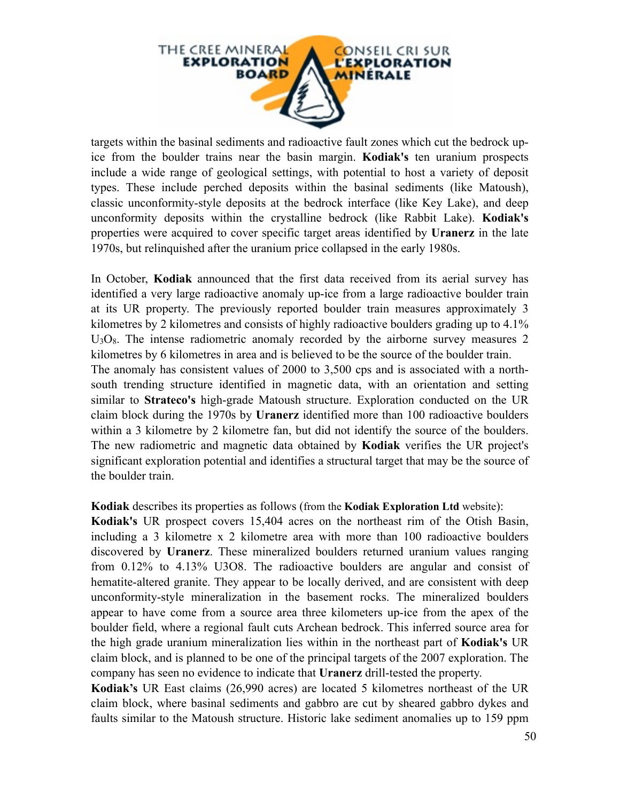

targets within the basinal sediments and radioactive fault zones which cut the bedrock upice from the boulder trains near the basin margin. **Kodiak's** ten uranium prospects include a wide range of geological settings, with potential to host a variety of deposit types. These include perched deposits within the basinal sediments (like Matoush), classic unconformity-style deposits at the bedrock interface (like Key Lake), and deep unconformity deposits within the crystalline bedrock (like Rabbit Lake). **Kodiak's** properties were acquired to cover specific target areas identified by **Uranerz** in the late 1970s, but relinquished after the uranium price collapsed in the early 1980s.

In October, **Kodiak** announced that the first data received from its aerial survey has identified a very large radioactive anomaly up-ice from a large radioactive boulder train at its UR property. The previously reported boulder train measures approximately 3 kilometres by 2 kilometres and consists of highly radioactive boulders grading up to 4.1%  $U<sub>3</sub>O<sub>8</sub>$ . The intense radiometric anomaly recorded by the airborne survey measures 2 kilometres by 6 kilometres in area and is believed to be the source of the boulder train. The anomaly has consistent values of 2000 to 3,500 cps and is associated with a northsouth trending structure identified in magnetic data, with an orientation and setting similar to **Strateco's** high-grade Matoush structure. Exploration conducted on the UR claim block during the 1970s by **Uranerz** identified more than 100 radioactive boulders within a 3 kilometre by 2 kilometre fan, but did not identify the source of the boulders. The new radiometric and magnetic data obtained by **Kodiak** verifies the UR project's significant exploration potential and identifies a structural target that may be the source of the boulder train.

**Kodiak** describes its properties as follows (from the **Kodiak Exploration Ltd** website):

**Kodiak's** UR prospect covers 15,404 acres on the northeast rim of the Otish Basin, including a 3 kilometre x 2 kilometre area with more than 100 radioactive boulders discovered by **Uranerz**. These mineralized boulders returned uranium values ranging from 0.12% to 4.13% U3O8. The radioactive boulders are angular and consist of hematite-altered granite. They appear to be locally derived, and are consistent with deep unconformity-style mineralization in the basement rocks. The mineralized boulders appear to have come from a source area three kilometers up-ice from the apex of the boulder field, where a regional fault cuts Archean bedrock. This inferred source area for the high grade uranium mineralization lies within in the northeast part of **Kodiak's** UR claim block, and is planned to be one of the principal targets of the 2007 exploration. The company has seen no evidence to indicate that **Uranerz** drill-tested the property.

**Kodiak's** UR East claims (26,990 acres) are located 5 kilometres northeast of the UR claim block, where basinal sediments and gabbro are cut by sheared gabbro dykes and faults similar to the Matoush structure. Historic lake sediment anomalies up to 159 ppm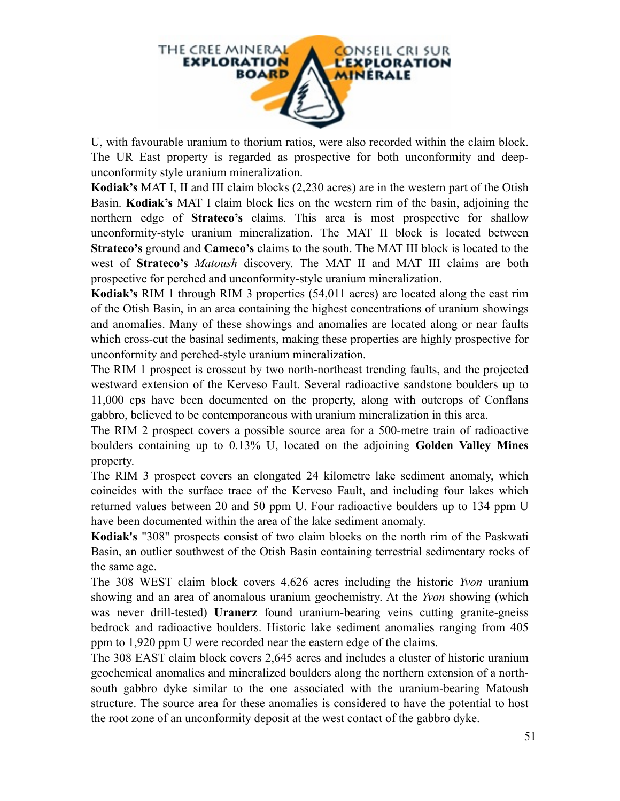

U, with favourable uranium to thorium ratios, were also recorded within the claim block. The UR East property is regarded as prospective for both unconformity and deepunconformity style uranium mineralization.

**Kodiak's** MAT I, II and III claim blocks (2,230 acres) are in the western part of the Otish Basin. **Kodiak's** MAT I claim block lies on the western rim of the basin, adjoining the northern edge of **Strateco's** claims. This area is most prospective for shallow unconformity-style uranium mineralization. The MAT II block is located between **Strateco's** ground and **Cameco's** claims to the south. The MAT III block is located to the west of **Strateco's** *Matoush* discovery. The MAT II and MAT III claims are both prospective for perched and unconformity-style uranium mineralization.

**Kodiak's** RIM 1 through RIM 3 properties (54,011 acres) are located along the east rim of the Otish Basin, in an area containing the highest concentrations of uranium showings and anomalies. Many of these showings and anomalies are located along or near faults which cross-cut the basinal sediments, making these properties are highly prospective for unconformity and perched-style uranium mineralization.

The RIM 1 prospect is crosscut by two north-northeast trending faults, and the projected westward extension of the Kerveso Fault. Several radioactive sandstone boulders up to 11,000 cps have been documented on the property, along with outcrops of Conflans gabbro, believed to be contemporaneous with uranium mineralization in this area.

The RIM 2 prospect covers a possible source area for a 500-metre train of radioactive boulders containing up to 0.13% U, located on the adjoining **Golden Valley Mines** property.

The RIM 3 prospect covers an elongated 24 kilometre lake sediment anomaly, which coincides with the surface trace of the Kerveso Fault, and including four lakes which returned values between 20 and 50 ppm U. Four radioactive boulders up to 134 ppm U have been documented within the area of the lake sediment anomaly.

**Kodiak's** "308" prospects consist of two claim blocks on the north rim of the Paskwati Basin, an outlier southwest of the Otish Basin containing terrestrial sedimentary rocks of the same age.

The 308 WEST claim block covers 4,626 acres including the historic *Yvon* uranium showing and an area of anomalous uranium geochemistry. At the *Yvon* showing (which was never drill-tested) **Uranerz** found uranium-bearing veins cutting granite-gneiss bedrock and radioactive boulders. Historic lake sediment anomalies ranging from 405 ppm to 1,920 ppm U were recorded near the eastern edge of the claims.

The 308 EAST claim block covers 2,645 acres and includes a cluster of historic uranium geochemical anomalies and mineralized boulders along the northern extension of a northsouth gabbro dyke similar to the one associated with the uranium-bearing Matoush structure. The source area for these anomalies is considered to have the potential to host the root zone of an unconformity deposit at the west contact of the gabbro dyke.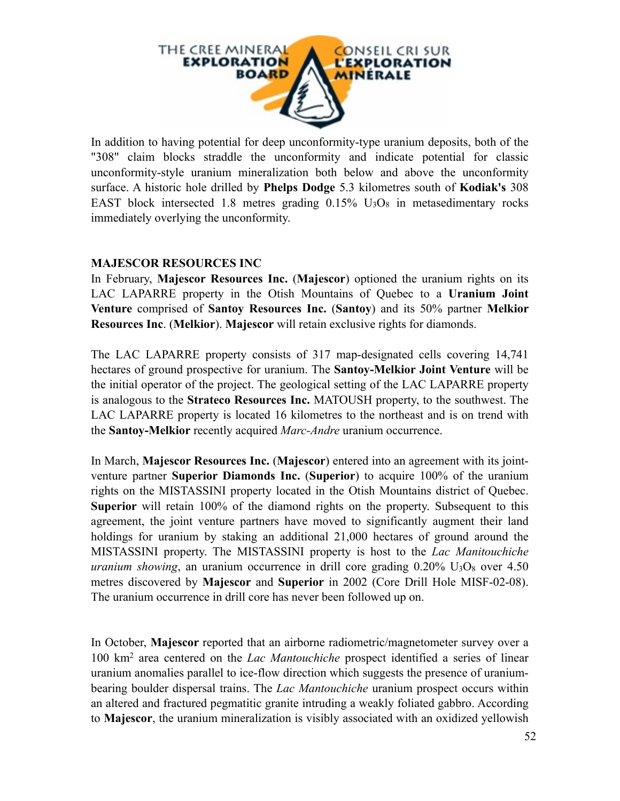

In addition to having potential for deep unconformity-type uranium deposits, both of the "308" claim blocks straddle the unconformity and indicate potential for classic unconformity-style uranium mineralization both below and above the unconformity surface. A historic hole drilled by **Phelps Dodge** 5.3 kilometres south of **Kodiak's** 308 EAST block intersected 1.8 metres grading  $0.15\%$  U<sub>3</sub>O<sub>8</sub> in metasedimentary rocks immediately overlying the unconformity.

#### **MAJESCOR RESOURCES INC**

In February, **Majescor Resources Inc.** (**Majescor**) optioned the uranium rights on its LAC LAPARRE property in the Otish Mountains of Quebec to a **Uranium Joint Venture** comprised of **Santoy Resources Inc.** (**Santoy**) and its 50% partner **Melkior Resources Inc**. (**Melkior**). **Majescor** will retain exclusive rights for diamonds.

The LAC LAPARRE property consists of 317 map-designated cells covering 14,741 hectares of ground prospective for uranium. The **Santoy-Melkior Joint Venture** will be the initial operator of the project. The geological setting of the LAC LAPARRE property is analogous to the **Strateco Resources Inc.** MATOUSH property, to the southwest. The LAC LAPARRE property is located 16 kilometres to the northeast and is on trend with the **Santoy-Melkior** recently acquired *Marc-Andre* uranium occurrence.

In March, **Majescor Resources Inc.** (**Majescor**) entered into an agreement with its jointventure partner **Superior Diamonds Inc.** (**Superior**) to acquire 100% of the uranium rights on the MISTASSINI property located in the Otish Mountains district of Quebec. **Superior** will retain 100% of the diamond rights on the property. Subsequent to this agreement, the joint venture partners have moved to significantly augment their land holdings for uranium by staking an additional 21,000 hectares of ground around the MISTASSINI property. The MISTASSINI property is host to the *Lac Manitouchiche uranium showing*, an uranium occurrence in drill core grading  $0.20\%$  U<sub>3</sub>O<sub>8</sub> over  $4.50$ metres discovered by **Majescor** and **Superior** in 2002 (Core Drill Hole MISF-02-08). The uranium occurrence in drill core has never been followed up on.

In October, **Majescor** reported that an airborne radiometric/magnetometer survey over a 100 km2 area centered on the *Lac Mantouchiche* prospect identified a series of linear uranium anomalies parallel to ice-flow direction which suggests the presence of uraniumbearing boulder dispersal trains. The *Lac Mantouchiche* uranium prospect occurs within an altered and fractured pegmatitic granite intruding a weakly foliated gabbro. According to **Majescor**, the uranium mineralization is visibly associated with an oxidized yellowish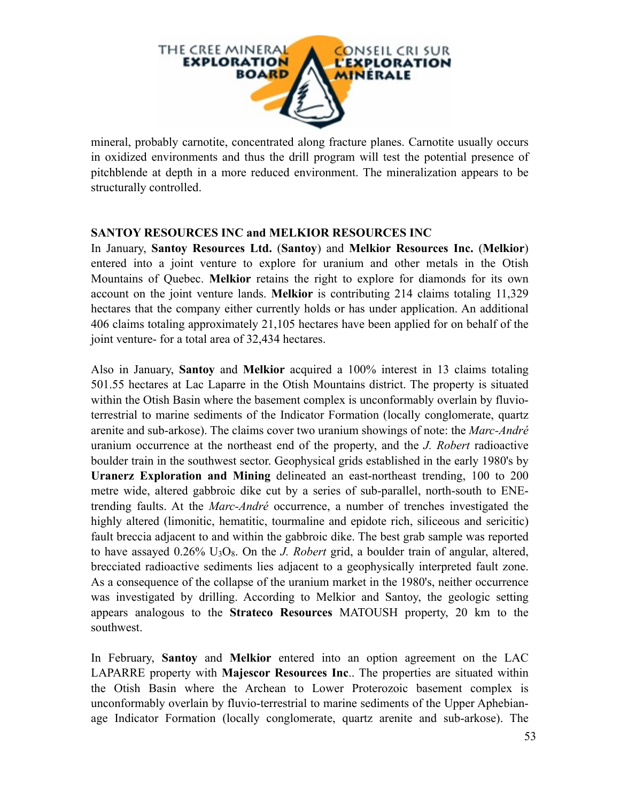

mineral, probably carnotite, concentrated along fracture planes. Carnotite usually occurs in oxidized environments and thus the drill program will test the potential presence of pitchblende at depth in a more reduced environment. The mineralization appears to be structurally controlled.

#### **SANTOY RESOURCES INC and MELKIOR RESOURCES INC**

In January, **Santoy Resources Ltd.** (**Santoy**) and **Melkior Resources Inc.** (**Melkior**) entered into a joint venture to explore for uranium and other metals in the Otish Mountains of Quebec. **Melkior** retains the right to explore for diamonds for its own account on the joint venture lands. **Melkior** is contributing 214 claims totaling 11,329 hectares that the company either currently holds or has under application. An additional 406 claims totaling approximately 21,105 hectares have been applied for on behalf of the joint venture- for a total area of 32,434 hectares.

Also in January, **Santoy** and **Melkior** acquired a 100% interest in 13 claims totaling 501.55 hectares at Lac Laparre in the Otish Mountains district. The property is situated within the Otish Basin where the basement complex is unconformably overlain by fluvioterrestrial to marine sediments of the Indicator Formation (locally conglomerate, quartz arenite and sub-arkose). The claims cover two uranium showings of note: the *Marc-André*  uranium occurrence at the northeast end of the property, and the *J. Robert* radioactive boulder train in the southwest sector. Geophysical grids established in the early 1980's by **Uranerz Exploration and Mining** delineated an east-northeast trending, 100 to 200 metre wide, altered gabbroic dike cut by a series of sub-parallel, north-south to ENEtrending faults. At the *Marc-André* occurrence, a number of trenches investigated the highly altered (limonitic, hematitic, tourmaline and epidote rich, siliceous and sericitic) fault breccia adjacent to and within the gabbroic dike. The best grab sample was reported to have assayed 0.26% U3O8. On the *J. Robert* grid, a boulder train of angular, altered, brecciated radioactive sediments lies adjacent to a geophysically interpreted fault zone. As a consequence of the collapse of the uranium market in the 1980's, neither occurrence was investigated by drilling. According to Melkior and Santoy, the geologic setting appears analogous to the **Strateco Resources** MATOUSH property, 20 km to the southwest.

In February, **Santoy** and **Melkior** entered into an option agreement on the LAC LAPARRE property with **Majescor Resources Inc**.. The properties are situated within the Otish Basin where the Archean to Lower Proterozoic basement complex is unconformably overlain by fluvio-terrestrial to marine sediments of the Upper Aphebianage Indicator Formation (locally conglomerate, quartz arenite and sub-arkose). The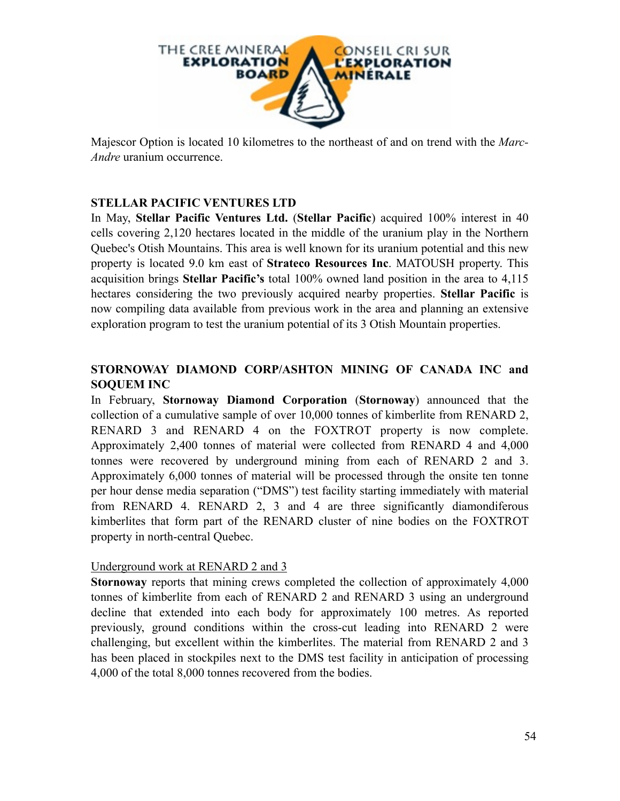

Majescor Option is located 10 kilometres to the northeast of and on trend with the *Marc-Andre* uranium occurrence.

#### **STELLAR PACIFIC VENTURES LTD**

In May, **Stellar Pacific Ventures Ltd.** (**Stellar Pacific**) acquired 100% interest in 40 cells covering 2,120 hectares located in the middle of the uranium play in the Northern Quebec's Otish Mountains. This area is well known for its uranium potential and this new property is located 9.0 km east of **Strateco Resources Inc**. MATOUSH property. This acquisition brings **Stellar Pacific's** total 100% owned land position in the area to 4,115 hectares considering the two previously acquired nearby properties. **Stellar Pacific** is now compiling data available from previous work in the area and planning an extensive exploration program to test the uranium potential of its 3 Otish Mountain properties.

## **STORNOWAY DIAMOND CORP/ASHTON MINING OF CANADA INC and SOQUEM INC**

In February, **Stornoway Diamond Corporation** (**Stornoway**) announced that the collection of a cumulative sample of over 10,000 tonnes of kimberlite from RENARD 2, RENARD 3 and RENARD 4 on the FOXTROT property is now complete. Approximately 2,400 tonnes of material were collected from RENARD 4 and 4,000 tonnes were recovered by underground mining from each of RENARD 2 and 3. Approximately 6,000 tonnes of material will be processed through the onsite ten tonne per hour dense media separation ("DMS") test facility starting immediately with material from RENARD 4. RENARD 2, 3 and 4 are three significantly diamondiferous kimberlites that form part of the RENARD cluster of nine bodies on the FOXTROT property in north-central Quebec.

#### Underground work at RENARD 2 and 3

**Stornoway** reports that mining crews completed the collection of approximately 4,000 tonnes of kimberlite from each of RENARD 2 and RENARD 3 using an underground decline that extended into each body for approximately 100 metres. As reported previously, ground conditions within the cross-cut leading into RENARD 2 were challenging, but excellent within the kimberlites. The material from RENARD 2 and 3 has been placed in stockpiles next to the DMS test facility in anticipation of processing 4,000 of the total 8,000 tonnes recovered from the bodies.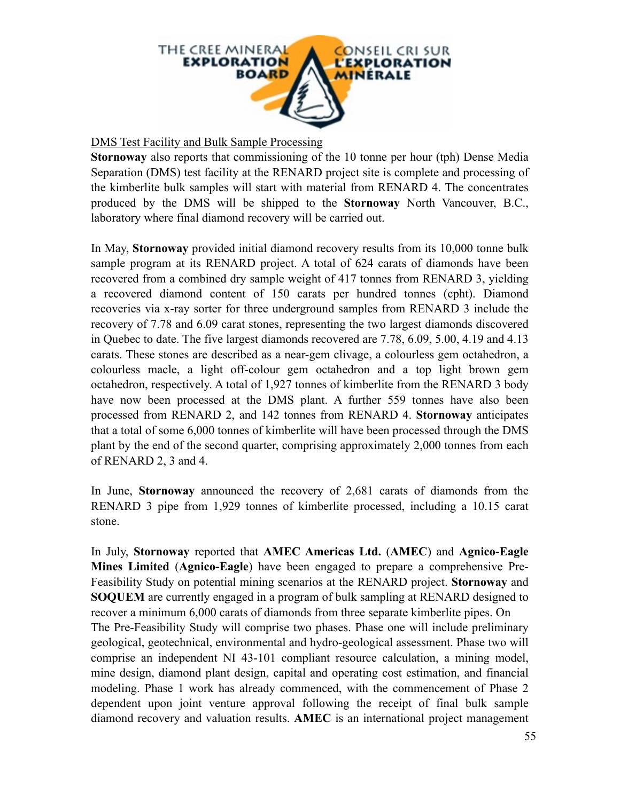

#### DMS Test Facility and Bulk Sample Processing

**Stornoway** also reports that commissioning of the 10 tonne per hour (tph) Dense Media Separation (DMS) test facility at the RENARD project site is complete and processing of the kimberlite bulk samples will start with material from RENARD 4. The concentrates produced by the DMS will be shipped to the **Stornoway** North Vancouver, B.C., laboratory where final diamond recovery will be carried out.

In May, **Stornoway** provided initial diamond recovery results from its 10,000 tonne bulk sample program at its RENARD project. A total of 624 carats of diamonds have been recovered from a combined dry sample weight of 417 tonnes from RENARD 3, yielding a recovered diamond content of 150 carats per hundred tonnes (cpht). Diamond recoveries via x-ray sorter for three underground samples from RENARD 3 include the recovery of 7.78 and 6.09 carat stones, representing the two largest diamonds discovered in Quebec to date. The five largest diamonds recovered are 7.78, 6.09, 5.00, 4.19 and 4.13 carats. These stones are described as a near-gem clivage, a colourless gem octahedron, a colourless macle, a light off-colour gem octahedron and a top light brown gem octahedron, respectively. A total of 1,927 tonnes of kimberlite from the RENARD 3 body have now been processed at the DMS plant. A further 559 tonnes have also been processed from RENARD 2, and 142 tonnes from RENARD 4. **Stornoway** anticipates that a total of some 6,000 tonnes of kimberlite will have been processed through the DMS plant by the end of the second quarter, comprising approximately 2,000 tonnes from each of RENARD 2, 3 and 4.

In June, **Stornoway** announced the recovery of 2,681 carats of diamonds from the RENARD 3 pipe from 1,929 tonnes of kimberlite processed, including a 10.15 carat stone.

In July, **Stornoway** reported that **AMEC Americas Ltd.** (**AMEC**) and **Agnico-Eagle Mines Limited** (**Agnico-Eagle**) have been engaged to prepare a comprehensive Pre-Feasibility Study on potential mining scenarios at the RENARD project. **Stornoway** and **SOQUEM** are currently engaged in a program of bulk sampling at RENARD designed to recover a minimum 6,000 carats of diamonds from three separate kimberlite pipes. On The Pre-Feasibility Study will comprise two phases. Phase one will include preliminary geological, geotechnical, environmental and hydro-geological assessment. Phase two will comprise an independent NI 43-101 compliant resource calculation, a mining model, mine design, diamond plant design, capital and operating cost estimation, and financial modeling. Phase 1 work has already commenced, with the commencement of Phase 2 dependent upon joint venture approval following the receipt of final bulk sample diamond recovery and valuation results. **AMEC** is an international project management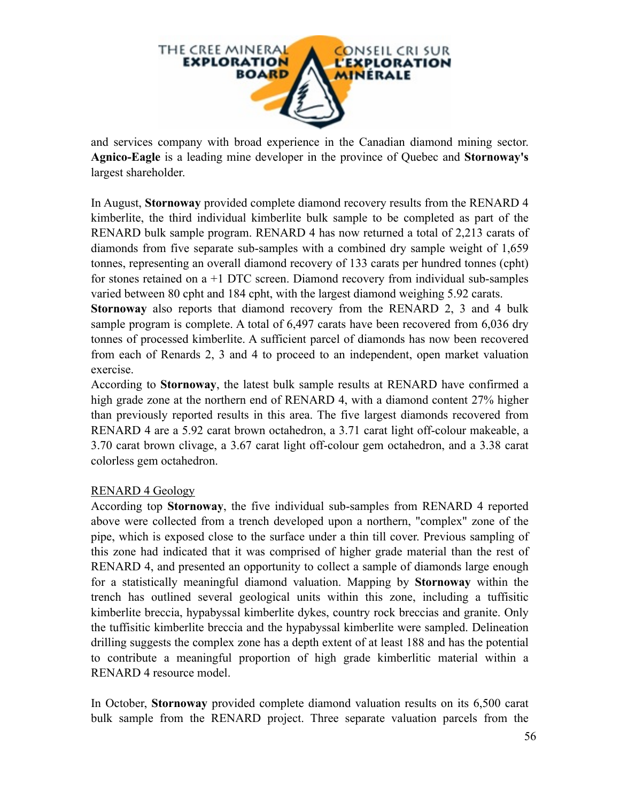

and services company with broad experience in the Canadian diamond mining sector. **Agnico-Eagle** is a leading mine developer in the province of Quebec and **Stornoway's** largest shareholder.

In August, **Stornoway** provided complete diamond recovery results from the RENARD 4 kimberlite, the third individual kimberlite bulk sample to be completed as part of the RENARD bulk sample program. RENARD 4 has now returned a total of 2,213 carats of diamonds from five separate sub-samples with a combined dry sample weight of 1,659 tonnes, representing an overall diamond recovery of 133 carats per hundred tonnes (cpht) for stones retained on a +1 DTC screen. Diamond recovery from individual sub-samples varied between 80 cpht and 184 cpht, with the largest diamond weighing 5.92 carats.

**Stornoway** also reports that diamond recovery from the RENARD 2, 3 and 4 bulk sample program is complete. A total of 6,497 carats have been recovered from 6,036 dry tonnes of processed kimberlite. A sufficient parcel of diamonds has now been recovered from each of Renards 2, 3 and 4 to proceed to an independent, open market valuation exercise.

According to **Stornoway**, the latest bulk sample results at RENARD have confirmed a high grade zone at the northern end of RENARD 4, with a diamond content 27% higher than previously reported results in this area. The five largest diamonds recovered from RENARD 4 are a 5.92 carat brown octahedron, a 3.71 carat light off-colour makeable, a 3.70 carat brown clivage, a 3.67 carat light off-colour gem octahedron, and a 3.38 carat colorless gem octahedron.

#### RENARD 4 Geology

According top **Stornoway**, the five individual sub-samples from RENARD 4 reported above were collected from a trench developed upon a northern, "complex" zone of the pipe, which is exposed close to the surface under a thin till cover. Previous sampling of this zone had indicated that it was comprised of higher grade material than the rest of RENARD 4, and presented an opportunity to collect a sample of diamonds large enough for a statistically meaningful diamond valuation. Mapping by **Stornoway** within the trench has outlined several geological units within this zone, including a tuffisitic kimberlite breccia, hypabyssal kimberlite dykes, country rock breccias and granite. Only the tuffisitic kimberlite breccia and the hypabyssal kimberlite were sampled. Delineation drilling suggests the complex zone has a depth extent of at least 188 and has the potential to contribute a meaningful proportion of high grade kimberlitic material within a RENARD 4 resource model.

In October, **Stornoway** provided complete diamond valuation results on its 6,500 carat bulk sample from the RENARD project. Three separate valuation parcels from the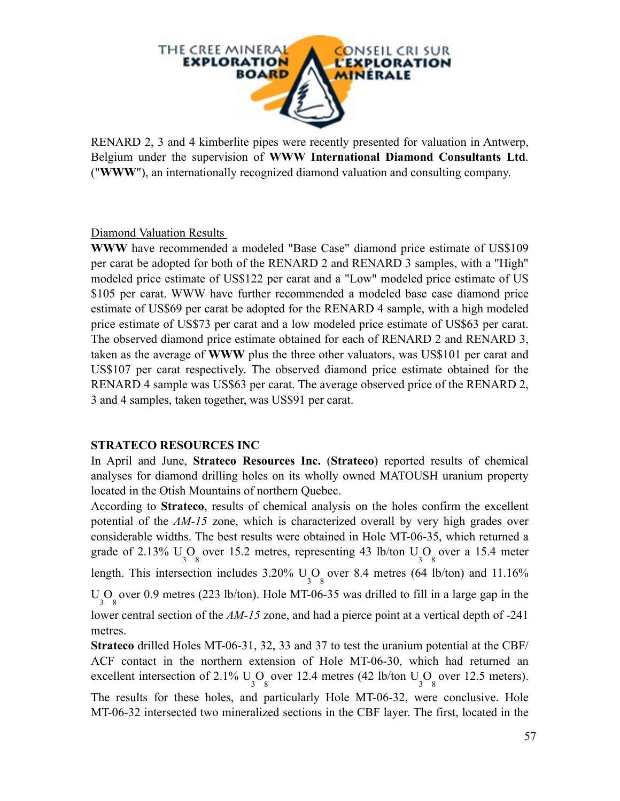

RENARD 2, 3 and 4 kimberlite pipes were recently presented for valuation in Antwerp, Belgium under the supervision of **WWW International Diamond Consultants Ltd**. ("**WWW**"), an internationally recognized diamond valuation and consulting company.

Diamond Valuation Results

**WWW** have recommended a modeled "Base Case" diamond price estimate of US\$109 per carat be adopted for both of the RENARD 2 and RENARD 3 samples, with a "High" modeled price estimate of US\$122 per carat and a "Low" modeled price estimate of US \$105 per carat. WWW have further recommended a modeled base case diamond price estimate of US\$69 per carat be adopted for the RENARD 4 sample, with a high modeled price estimate of US\$73 per carat and a low modeled price estimate of US\$63 per carat. The observed diamond price estimate obtained for each of RENARD 2 and RENARD 3, taken as the average of **WWW** plus the three other valuators, was US\$101 per carat and US\$107 per carat respectively. The observed diamond price estimate obtained for the RENARD 4 sample was US\$63 per carat. The average observed price of the RENARD 2, 3 and 4 samples, taken together, was US\$91 per carat.

#### **STRATECO RESOURCES INC**

In April and June, **Strateco Resources Inc.** (**Strateco**) reported results of chemical analyses for diamond drilling holes on its wholly owned MATOUSH uranium property located in the Otish Mountains of northern Quebec.

According to **Strateco**, results of chemical analysis on the holes confirm the excellent potential of the *AM-15* zone, which is characterized overall by very high grades over considerable widths. The best results were obtained in Hole MT-06-35, which returned a grade of 2.13%  $U_3O_8$  over 15.2 metres, representing 43 lb/ton  $U_3O_8$  over a 15.4 meter length. This intersection includes  $3.20\%$  U<sub>3</sub>O<sub>8</sub> over 8.4 metres (64 lb/ton) and 11.16%  $U_3O_8$  over 0.9 metres (223 lb/ton). Hole MT-06-35 was drilled to fill in a large gap in the lower central section of the *AM-15* zone, and had a pierce point at a vertical depth of -241 metres.

**Strateco** drilled Holes MT-06-31, 32, 33 and 37 to test the uranium potential at the CBF/ ACF contact in the northern extension of Hole MT-06-30, which had returned an excellent intersection of 2.1%  $U_3O_8$  over 12.4 metres (42 lb/ton  $U_3O_8$  over 12.5 meters). The results for these holes, and particularly Hole MT-06-32, were conclusive. Hole MT-06-32 intersected two mineralized sections in the CBF layer. The first, located in the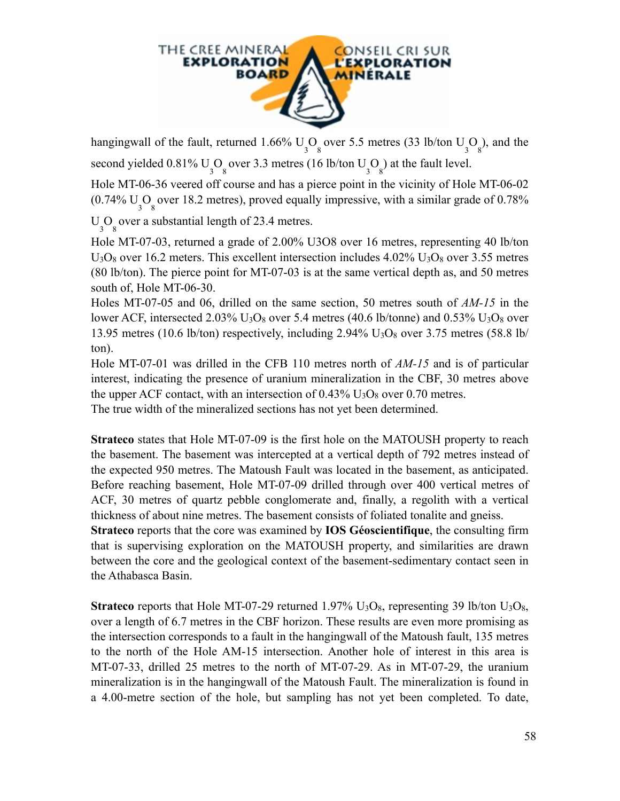

hangingwall of the fault, returned 1.66%  $U_3O_8$  over 5.5 metres (33 lb/ton  $U_3O_8$ ), and the second yielded  $0.81\%$  U<sub>3</sub>O<sub>8</sub> over 3.3 metres (16 lb/ton U<sub>3</sub>O<sub>8</sub>) at the fault level.

Hole MT-06-36 veered off course and has a pierce point in the vicinity of Hole MT-06-02  $(0.74\% \text{ U}_3\text{O}_8)$  over 18.2 metres), proved equally impressive, with a similar grade of 0.78%

 $U_3O_8$  over a substantial length of 23.4 metres.

Hole MT-07-03, returned a grade of 2.00% U3O8 over 16 metres, representing 40 lb/ton  $U_3O_8$  over 16.2 meters. This excellent intersection includes 4.02%  $U_3O_8$  over 3.55 metres (80 lb/ton). The pierce point for MT-07-03 is at the same vertical depth as, and 50 metres south of, Hole MT-06-30.

Holes MT-07-05 and 06, drilled on the same section, 50 metres south of *AM-15* in the lower ACF, intersected 2.03%  $U_3O_8$  over 5.4 metres (40.6 lb/tonne) and 0.53%  $U_3O_8$  over 13.95 metres (10.6 lb/ton) respectively, including  $2.94\%$  U<sub>3</sub>O<sub>8</sub> over 3.75 metres (58.8 lb/ ton).

Hole MT-07-01 was drilled in the CFB 110 metres north of *AM-15* and is of particular interest, indicating the presence of uranium mineralization in the CBF, 30 metres above the upper ACF contact, with an intersection of  $0.43\%$  U<sub>3</sub>O<sub>8</sub> over 0.70 metres.

The true width of the mineralized sections has not yet been determined.

**Strateco** states that Hole MT-07-09 is the first hole on the MATOUSH property to reach the basement. The basement was intercepted at a vertical depth of 792 metres instead of the expected 950 metres. The Matoush Fault was located in the basement, as anticipated. Before reaching basement, Hole MT-07-09 drilled through over 400 vertical metres of ACF, 30 metres of quartz pebble conglomerate and, finally, a regolith with a vertical thickness of about nine metres. The basement consists of foliated tonalite and gneiss.

**Strateco** reports that the core was examined by **IOS Géoscientifique**, the consulting firm that is supervising exploration on the MATOUSH property, and similarities are drawn between the core and the geological context of the basement-sedimentary contact seen in the Athabasca Basin.

**Strateco** reports that Hole MT-07-29 returned 1.97%  $U_3O_8$ , representing 39 lb/ton  $U_3O_8$ , over a length of 6.7 metres in the CBF horizon. These results are even more promising as the intersection corresponds to a fault in the hangingwall of the Matoush fault, 135 metres to the north of the Hole AM-15 intersection. Another hole of interest in this area is MT-07-33, drilled 25 metres to the north of MT-07-29. As in MT-07-29, the uranium mineralization is in the hangingwall of the Matoush Fault. The mineralization is found in a 4.00-metre section of the hole, but sampling has not yet been completed. To date,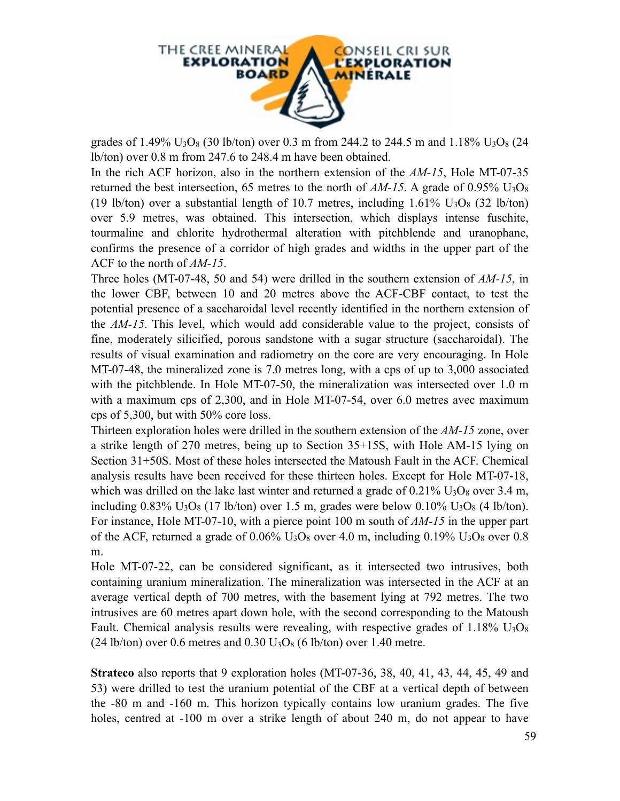

grades of 1.49%  $U_3O_8$  (30 lb/ton) over 0.3 m from 244.2 to 244.5 m and 1.18%  $U_3O_8$  (24 lb/ton) over 0.8 m from 247.6 to 248.4 m have been obtained.

In the rich ACF horizon, also in the northern extension of the *AM-15*, Hole MT-07-35 returned the best intersection, 65 metres to the north of  $AM-15$ . A grade of 0.95%  $U_3O_8$ (19 lb/ton) over a substantial length of 10.7 metres, including  $1.61\%$  U<sub>3</sub>O<sub>8</sub> (32 lb/ton) over 5.9 metres, was obtained. This intersection, which displays intense fuschite, tourmaline and chlorite hydrothermal alteration with pitchblende and uranophane, confirms the presence of a corridor of high grades and widths in the upper part of the ACF to the north of *AM-15*.

Three holes (MT-07-48, 50 and 54) were drilled in the southern extension of *AM-15*, in the lower CBF, between 10 and 20 metres above the ACF-CBF contact, to test the potential presence of a saccharoidal level recently identified in the northern extension of the *AM-15*. This level, which would add considerable value to the project, consists of fine, moderately silicified, porous sandstone with a sugar structure (saccharoidal). The results of visual examination and radiometry on the core are very encouraging. In Hole MT-07-48, the mineralized zone is 7.0 metres long, with a cps of up to 3,000 associated with the pitchblende. In Hole MT-07-50, the mineralization was intersected over 1.0 m with a maximum cps of 2,300, and in Hole MT-07-54, over 6.0 metres avec maximum cps of 5,300, but with 50% core loss.

Thirteen exploration holes were drilled in the southern extension of the *AM-15* zone, over a strike length of 270 metres, being up to Section 35+15S, with Hole AM-15 lying on Section 31+50S. Most of these holes intersected the Matoush Fault in the ACF. Chemical analysis results have been received for these thirteen holes. Except for Hole MT-07-18, which was drilled on the lake last winter and returned a grade of  $0.21\%$  U<sub>3</sub>O<sub>8</sub> over 3.4 m, including  $0.83\%$  U<sub>3</sub>O<sub>8</sub> (17 lb/ton) over 1.5 m, grades were below  $0.10\%$  U<sub>3</sub>O<sub>8</sub> (4 lb/ton). For instance, Hole MT-07-10, with a pierce point 100 m south of *AM-15* in the upper part of the ACF, returned a grade of  $0.06\%$  U<sub>3</sub>O<sub>8</sub> over 4.0 m, including  $0.19\%$  U<sub>3</sub>O<sub>8</sub> over 0.8 m.

Hole MT-07-22, can be considered significant, as it intersected two intrusives, both containing uranium mineralization. The mineralization was intersected in the ACF at an average vertical depth of 700 metres, with the basement lying at 792 metres. The two intrusives are 60 metres apart down hole, with the second corresponding to the Matoush Fault. Chemical analysis results were revealing, with respective grades of  $1.18\%$  U<sub>3</sub>O<sub>8</sub>  $(24 \text{ lb/ton})$  over 0.6 metres and 0.30 U<sub>3</sub>O<sub>8</sub> (6 lb/ton) over 1.40 metre.

**Strateco** also reports that 9 exploration holes (MT-07-36, 38, 40, 41, 43, 44, 45, 49 and 53) were drilled to test the uranium potential of the CBF at a vertical depth of between the -80 m and -160 m. This horizon typically contains low uranium grades. The five holes, centred at -100 m over a strike length of about 240 m, do not appear to have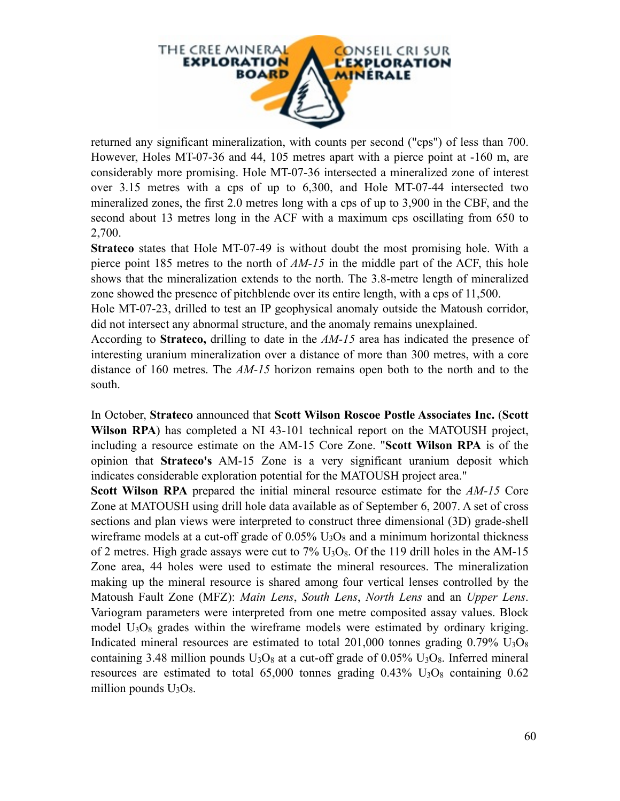

returned any significant mineralization, with counts per second ("cps") of less than 700. However, Holes MT-07-36 and 44, 105 metres apart with a pierce point at -160 m, are considerably more promising. Hole MT-07-36 intersected a mineralized zone of interest over 3.15 metres with a cps of up to 6,300, and Hole MT-07-44 intersected two mineralized zones, the first 2.0 metres long with a cps of up to 3,900 in the CBF, and the second about 13 metres long in the ACF with a maximum cps oscillating from 650 to 2,700.

**Strateco** states that Hole MT-07-49 is without doubt the most promising hole. With a pierce point 185 metres to the north of *AM-15* in the middle part of the ACF, this hole shows that the mineralization extends to the north. The 3.8-metre length of mineralized zone showed the presence of pitchblende over its entire length, with a cps of 11,500.

Hole MT-07-23, drilled to test an IP geophysical anomaly outside the Matoush corridor, did not intersect any abnormal structure, and the anomaly remains unexplained.

According to **Strateco,** drilling to date in the *AM-15* area has indicated the presence of interesting uranium mineralization over a distance of more than 300 metres, with a core distance of 160 metres. The *AM-15* horizon remains open both to the north and to the south.

In October, **Strateco** announced that **Scott Wilson Roscoe Postle Associates Inc.** (**Scott Wilson RPA**) has completed a NI 43-101 technical report on the MATOUSH project, including a resource estimate on the AM-15 Core Zone. "**Scott Wilson RPA** is of the opinion that **Strateco's** AM-15 Zone is a very significant uranium deposit which indicates considerable exploration potential for the MATOUSH project area."

**Scott Wilson RPA** prepared the initial mineral resource estimate for the *AM-15* Core Zone at MATOUSH using drill hole data available as of September 6, 2007. A set of cross sections and plan views were interpreted to construct three dimensional (3D) grade-shell wireframe models at a cut-off grade of  $0.05\%$  U<sub>3</sub>O<sub>8</sub> and a minimum horizontal thickness of 2 metres. High grade assays were cut to  $7\%$  U<sub>3</sub>O<sub>8</sub>. Of the 119 drill holes in the AM-15 Zone area, 44 holes were used to estimate the mineral resources. The mineralization making up the mineral resource is shared among four vertical lenses controlled by the Matoush Fault Zone (MFZ): *Main Lens*, *South Lens*, *North Lens* and an *Upper Lens*. Variogram parameters were interpreted from one metre composited assay values. Block model  $U_3O_8$  grades within the wireframe models were estimated by ordinary kriging. Indicated mineral resources are estimated to total  $201,000$  tonnes grading  $0.79\%$  U<sub>3</sub>O<sub>8</sub> containing 3.48 million pounds  $U_3O_8$  at a cut-off grade of 0.05%  $U_3O_8$ . Inferred mineral resources are estimated to total  $65,000$  tonnes grading  $0.43\%$  U<sub>3</sub>O<sub>8</sub> containing  $0.62$ million pounds  $U_3O_8$ .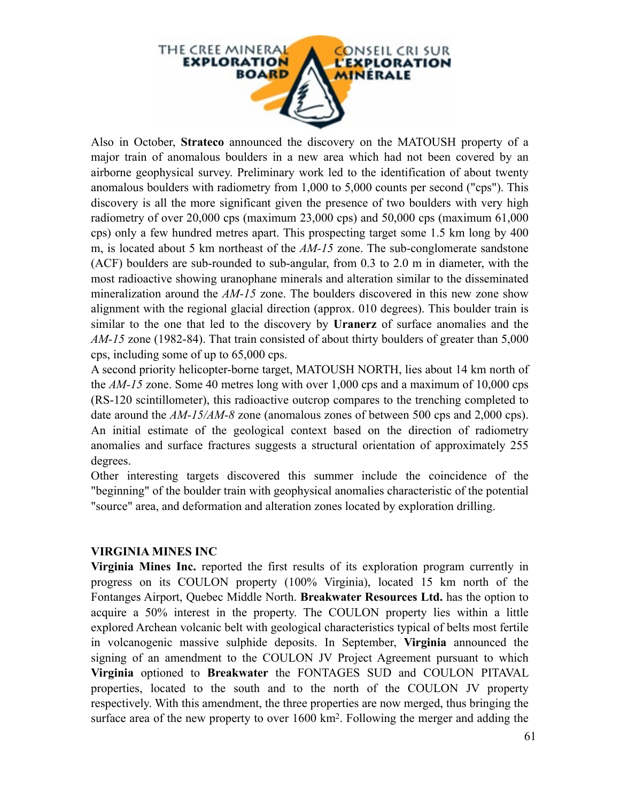

Also in October, **Strateco** announced the discovery on the MATOUSH property of a major train of anomalous boulders in a new area which had not been covered by an airborne geophysical survey. Preliminary work led to the identification of about twenty anomalous boulders with radiometry from 1,000 to 5,000 counts per second ("cps"). This discovery is all the more significant given the presence of two boulders with very high radiometry of over  $20,000$  cps (maximum  $23,000$  cps) and  $50,000$  cps (maximum  $61,000$ cps) only a few hundred metres apart. This prospecting target some 1.5 km long by 400 m, is located about 5 km northeast of the *AM-15* zone. The sub-conglomerate sandstone (ACF) boulders are sub-rounded to sub-angular, from 0.3 to 2.0 m in diameter, with the most radioactive showing uranophane minerals and alteration similar to the disseminated mineralization around the *AM-15* zone. The boulders discovered in this new zone show alignment with the regional glacial direction (approx. 010 degrees). This boulder train is similar to the one that led to the discovery by **Uranerz** of surface anomalies and the *AM-15* zone (1982-84). That train consisted of about thirty boulders of greater than 5,000 cps, including some of up to 65,000 cps.

A second priority helicopter-borne target, MATOUSH NORTH, lies about 14 km north of the *AM-15* zone. Some 40 metres long with over 1,000 cps and a maximum of 10,000 cps (RS-120 scintillometer), this radioactive outcrop compares to the trenching completed to date around the  $AM-15/AM-8$  zone (anomalous zones of between 500 cps and 2,000 cps). An initial estimate of the geological context based on the direction of radiometry anomalies and surface fractures suggests a structural orientation of approximately 255 degrees.

Other interesting targets discovered this summer include the coincidence of the "beginning" of the boulder train with geophysical anomalies characteristic of the potential "source" area, and deformation and alteration zones located by exploration drilling.

#### **VIRGINIA MINES INC**

**Virginia Mines Inc.** reported the first results of its exploration program currently in progress on its COULON property (100% Virginia), located 15 km north of the Fontanges Airport, Quebec Middle North. **Breakwater Resources Ltd.** has the option to acquire a 50% interest in the property. The COULON property lies within a little explored Archean volcanic belt with geological characteristics typical of belts most fertile in volcanogenic massive sulphide deposits. In September, **Virginia** announced the signing of an amendment to the COULON JV Project Agreement pursuant to which **Virginia** optioned to **Breakwater** the FONTAGES SUD and COULON PITAVAL properties, located to the south and to the north of the COULON JV property respectively. With this amendment, the three properties are now merged, thus bringing the surface area of the new property to over 1600 km<sup>2</sup>. Following the merger and adding the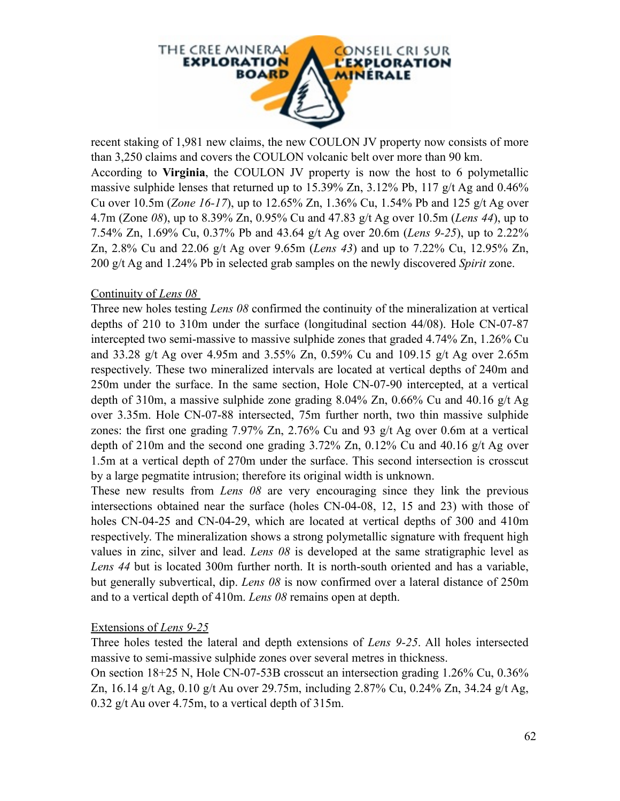

recent staking of 1,981 new claims, the new COULON JV property now consists of more than 3,250 claims and covers the COULON volcanic belt over more than 90 km. According to **Virginia**, the COULON JV property is now the host to 6 polymetallic massive sulphide lenses that returned up to 15.39% Zn, 3.12% Pb, 117 g/t Ag and 0.46% Cu over 10.5m (*Zone 16-17*), up to 12.65% Zn, 1.36% Cu, 1.54% Pb and 125 g/t Ag over 4.7m (Zone *08*), up to 8.39% Zn, 0.95% Cu and 47.83 g/t Ag over 10.5m (*Lens 44*), up to 7.54% Zn, 1.69% Cu, 0.37% Pb and 43.64 g/t Ag over 20.6m (*Lens 9-25*), up to 2.22% Zn, 2.8% Cu and 22.06 g/t Ag over 9.65m (*Lens 43*) and up to 7.22% Cu, 12.95% Zn, 200 g/t Ag and 1.24% Pb in selected grab samples on the newly discovered *Spirit* zone.

#### Continuity of *Lens 08*

Three new holes testing *Lens 08* confirmed the continuity of the mineralization at vertical depths of 210 to 310m under the surface (longitudinal section 44/08). Hole CN-07-87 intercepted two semi-massive to massive sulphide zones that graded 4.74% Zn, 1.26% Cu and 33.28 g/t Ag over 4.95m and 3.55% Zn, 0.59% Cu and 109.15 g/t Ag over 2.65m respectively. These two mineralized intervals are located at vertical depths of 240m and 250m under the surface. In the same section, Hole CN-07-90 intercepted, at a vertical depth of 310m, a massive sulphide zone grading 8.04% Zn, 0.66% Cu and 40.16 g/t Ag over 3.35m. Hole CN-07-88 intersected, 75m further north, two thin massive sulphide zones: the first one grading 7.97% Zn, 2.76% Cu and 93 g/t Ag over 0.6m at a vertical depth of 210m and the second one grading 3.72% Zn, 0.12% Cu and 40.16 g/t Ag over 1.5m at a vertical depth of 270m under the surface. This second intersection is crosscut by a large pegmatite intrusion; therefore its original width is unknown.

These new results from *Lens 08* are very encouraging since they link the previous intersections obtained near the surface (holes CN-04-08, 12, 15 and 23) with those of holes CN-04-25 and CN-04-29, which are located at vertical depths of 300 and 410m respectively. The mineralization shows a strong polymetallic signature with frequent high values in zinc, silver and lead. *Lens 08* is developed at the same stratigraphic level as *Lens 44* but is located 300m further north. It is north-south oriented and has a variable, but generally subvertical, dip. *Lens 08* is now confirmed over a lateral distance of 250m and to a vertical depth of 410m. *Lens 08* remains open at depth.

#### Extensions of *Lens 9-25*

Three holes tested the lateral and depth extensions of *Lens 9-25*. All holes intersected massive to semi-massive sulphide zones over several metres in thickness.

On section 18+25 N, Hole CN-07-53B crosscut an intersection grading 1.26% Cu, 0.36% Zn, 16.14 g/t Ag, 0.10 g/t Au over 29.75m, including 2.87% Cu, 0.24% Zn, 34.24 g/t Ag, 0.32 g/t Au over 4.75m, to a vertical depth of 315m.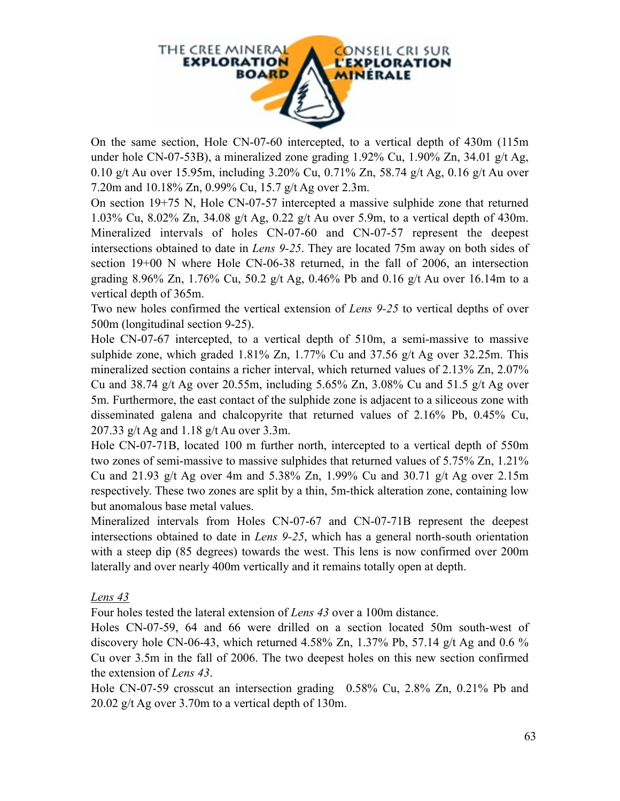

On the same section, Hole CN-07-60 intercepted, to a vertical depth of 430m (115m under hole CN-07-53B), a mineralized zone grading 1.92% Cu, 1.90% Zn, 34.01 g/t Ag, 0.10 g/t Au over 15.95m, including 3.20% Cu, 0.71% Zn, 58.74 g/t Ag, 0.16 g/t Au over 7.20m and 10.18% Zn, 0.99% Cu, 15.7 g/t Ag over 2.3m.

On section 19+75 N, Hole CN-07-57 intercepted a massive sulphide zone that returned 1.03% Cu, 8.02% Zn, 34.08 g/t Ag, 0.22 g/t Au over 5.9m, to a vertical depth of 430m. Mineralized intervals of holes CN-07-60 and CN-07-57 represent the deepest intersections obtained to date in *Lens 9-25*. They are located 75m away on both sides of section 19+00 N where Hole CN-06-38 returned, in the fall of 2006, an intersection grading 8.96% Zn, 1.76% Cu, 50.2 g/t Ag, 0.46% Pb and 0.16 g/t Au over 16.14m to a vertical depth of 365m.

Two new holes confirmed the vertical extension of *Lens 9-25* to vertical depths of over 500m (longitudinal section 9-25).

Hole CN-07-67 intercepted, to a vertical depth of 510m, a semi-massive to massive sulphide zone, which graded  $1.81\%$  Zn,  $1.77\%$  Cu and  $37.56$  g/t Ag over  $32.25$ m. This mineralized section contains a richer interval, which returned values of 2.13% Zn, 2.07% Cu and 38.74 g/t Ag over 20.55m, including 5.65% Zn, 3.08% Cu and 51.5 g/t Ag over 5m. Furthermore, the east contact of the sulphide zone is adjacent to a siliceous zone with disseminated galena and chalcopyrite that returned values of 2.16% Pb, 0.45% Cu, 207.33 g/t Ag and 1.18 g/t Au over 3.3m.

Hole CN-07-71B, located 100 m further north, intercepted to a vertical depth of 550m two zones of semi-massive to massive sulphides that returned values of 5.75% Zn, 1.21% Cu and 21.93 g/t Ag over 4m and 5.38% Zn, 1.99% Cu and 30.71 g/t Ag over 2.15m respectively. These two zones are split by a thin, 5m-thick alteration zone, containing low but anomalous base metal values.

Mineralized intervals from Holes CN-07-67 and CN-07-71B represent the deepest intersections obtained to date in *Lens 9-25*, which has a general north-south orientation with a steep dip (85 degrees) towards the west. This lens is now confirmed over 200m laterally and over nearly 400m vertically and it remains totally open at depth.

## *Lens 43*

Four holes tested the lateral extension of *Lens 43* over a 100m distance.

Holes CN-07-59, 64 and 66 were drilled on a section located 50m south-west of discovery hole CN-06-43, which returned  $4.58\%$  Zn,  $1.37\%$  Pb,  $57.14$  g/t Ag and 0.6 % Cu over 3.5m in the fall of 2006. The two deepest holes on this new section confirmed the extension of *Lens 43*.

Hole CN-07-59 crosscut an intersection grading 0.58% Cu, 2.8% Zn, 0.21% Pb and 20.02 g/t Ag over 3.70m to a vertical depth of 130m.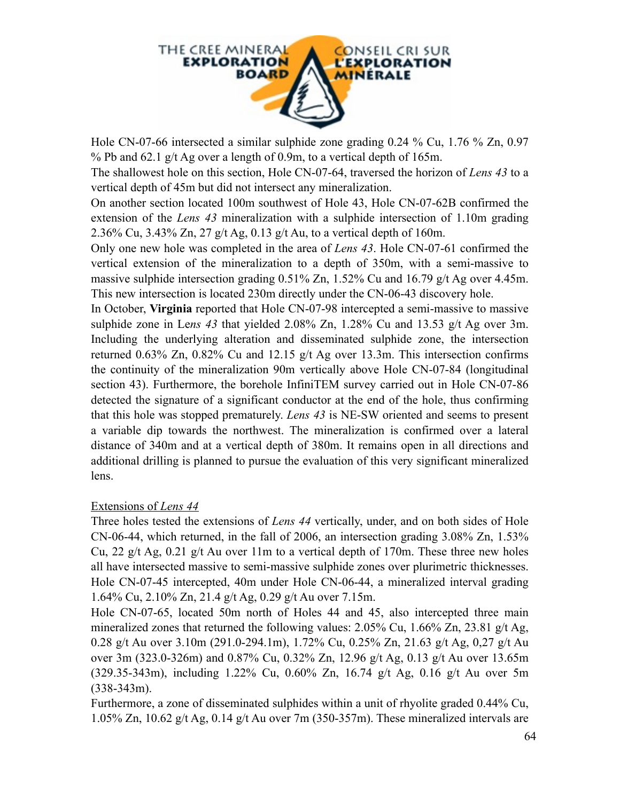

Hole CN-07-66 intersected a similar sulphide zone grading 0.24 % Cu, 1.76 % Zn, 0.97 % Pb and 62.1 g/t Ag over a length of 0.9m, to a vertical depth of 165m.

The shallowest hole on this section, Hole CN-07-64, traversed the horizon of *Lens 43* to a vertical depth of 45m but did not intersect any mineralization.

On another section located 100m southwest of Hole 43, Hole CN-07-62B confirmed the extension of the *Lens 43* mineralization with a sulphide intersection of 1.10m grading 2.36% Cu, 3.43% Zn, 27 g/t Ag, 0.13 g/t Au, to a vertical depth of 160m.

Only one new hole was completed in the area of *Lens 43*. Hole CN-07-61 confirmed the vertical extension of the mineralization to a depth of 350m, with a semi-massive to massive sulphide intersection grading 0.51% Zn, 1.52% Cu and 16.79 g/t Ag over 4.45m. This new intersection is located 230m directly under the CN-06-43 discovery hole.

In October, **Virginia** reported that Hole CN-07-98 intercepted a semi-massive to massive sulphide zone in Le*ns 43* that yielded 2.08% Zn, 1.28% Cu and 13.53 g/t Ag over 3m. Including the underlying alteration and disseminated sulphide zone, the intersection returned 0.63% Zn, 0.82% Cu and 12.15 g/t Ag over 13.3m. This intersection confirms the continuity of the mineralization 90m vertically above Hole CN-07-84 (longitudinal section 43). Furthermore, the borehole InfiniTEM survey carried out in Hole CN-07-86 detected the signature of a significant conductor at the end of the hole, thus confirming that this hole was stopped prematurely. *Lens 43* is NE-SW oriented and seems to present a variable dip towards the northwest. The mineralization is confirmed over a lateral distance of 340m and at a vertical depth of 380m. It remains open in all directions and additional drilling is planned to pursue the evaluation of this very significant mineralized lens.

#### Extensions of *Lens 44*

Three holes tested the extensions of *Lens 44* vertically, under, and on both sides of Hole CN-06-44, which returned, in the fall of 2006, an intersection grading 3.08% Zn, 1.53% Cu, 22 g/t Ag, 0.21 g/t Au over 11m to a vertical depth of 170m. These three new holes all have intersected massive to semi-massive sulphide zones over plurimetric thicknesses. Hole CN-07-45 intercepted, 40m under Hole CN-06-44, a mineralized interval grading 1.64% Cu, 2.10% Zn, 21.4 g/t Ag, 0.29 g/t Au over 7.15m.

Hole CN-07-65, located 50m north of Holes 44 and 45, also intercepted three main mineralized zones that returned the following values:  $2.05\%$  Cu,  $1.66\%$  Zn,  $23.81$  g/t Ag, 0.28 g/t Au over 3.10m (291.0-294.1m), 1.72% Cu, 0.25% Zn, 21.63 g/t Ag, 0,27 g/t Au over 3m (323.0-326m) and 0.87% Cu, 0.32% Zn, 12.96 g/t Ag, 0.13 g/t Au over 13.65m (329.35-343m), including 1.22% Cu, 0.60% Zn, 16.74 g/t Ag, 0.16 g/t Au over 5m (338-343m).

Furthermore, a zone of disseminated sulphides within a unit of rhyolite graded 0.44% Cu, 1.05% Zn, 10.62 g/t Ag, 0.14 g/t Au over 7m (350-357m). These mineralized intervals are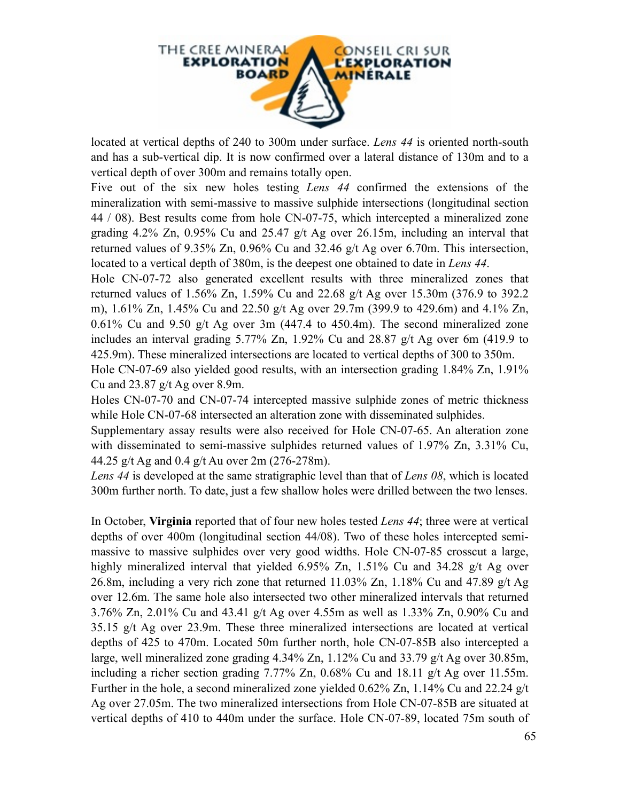

located at vertical depths of 240 to 300m under surface. *Lens 44* is oriented north-south and has a sub-vertical dip. It is now confirmed over a lateral distance of 130m and to a vertical depth of over 300m and remains totally open.

Five out of the six new holes testing *Lens 44* confirmed the extensions of the mineralization with semi-massive to massive sulphide intersections (longitudinal section 44 / 08). Best results come from hole CN-07-75, which intercepted a mineralized zone grading 4.2% Zn, 0.95% Cu and 25.47 g/t Ag over 26.15m, including an interval that returned values of 9.35% Zn, 0.96% Cu and 32.46 g/t Ag over 6.70m. This intersection, located to a vertical depth of 380m, is the deepest one obtained to date in *Lens 44*.

Hole CN-07-72 also generated excellent results with three mineralized zones that returned values of 1.56% Zn, 1.59% Cu and 22.68 g/t Ag over 15.30m (376.9 to 392.2 m), 1.61% Zn, 1.45% Cu and 22.50 g/t Ag over 29.7m (399.9 to 429.6m) and 4.1% Zn,  $0.61\%$  Cu and  $9.50$  g/t Ag over 3m (447.4 to 450.4m). The second mineralized zone includes an interval grading 5.77% Zn, 1.92% Cu and 28.87 g/t Ag over 6m (419.9 to 425.9m). These mineralized intersections are located to vertical depths of 300 to 350m.

Hole CN-07-69 also yielded good results, with an intersection grading 1.84% Zn, 1.91% Cu and 23.87 g/t Ag over 8.9m.

Holes CN-07-70 and CN-07-74 intercepted massive sulphide zones of metric thickness while Hole CN-07-68 intersected an alteration zone with disseminated sulphides.

Supplementary assay results were also received for Hole CN-07-65. An alteration zone with disseminated to semi-massive sulphides returned values of 1.97% Zn, 3.31% Cu, 44.25 g/t Ag and 0.4 g/t Au over 2m (276-278m).

*Lens 44* is developed at the same stratigraphic level than that of *Lens 08*, which is located 300m further north. To date, just a few shallow holes were drilled between the two lenses.

In October, **Virginia** reported that of four new holes tested *Lens 44*; three were at vertical depths of over 400m (longitudinal section 44/08). Two of these holes intercepted semimassive to massive sulphides over very good widths. Hole CN-07-85 crosscut a large, highly mineralized interval that yielded 6.95% Zn, 1.51% Cu and 34.28 g/t Ag over 26.8m, including a very rich zone that returned 11.03% Zn, 1.18% Cu and 47.89  $g/t$  Ag over 12.6m. The same hole also intersected two other mineralized intervals that returned 3.76% Zn, 2.01% Cu and 43.41 g/t Ag over 4.55m as well as 1.33% Zn, 0.90% Cu and 35.15 g/t Ag over 23.9m. These three mineralized intersections are located at vertical depths of 425 to 470m. Located 50m further north, hole CN-07-85B also intercepted a large, well mineralized zone grading 4.34% Zn, 1.12% Cu and 33.79 g/t Ag over 30.85m, including a richer section grading 7.77% Zn, 0.68% Cu and 18.11 g/t Ag over 11.55m. Further in the hole, a second mineralized zone yielded 0.62% Zn, 1.14% Cu and 22.24 g/t Ag over 27.05m. The two mineralized intersections from Hole CN-07-85B are situated at vertical depths of 410 to 440m under the surface. Hole CN-07-89, located 75m south of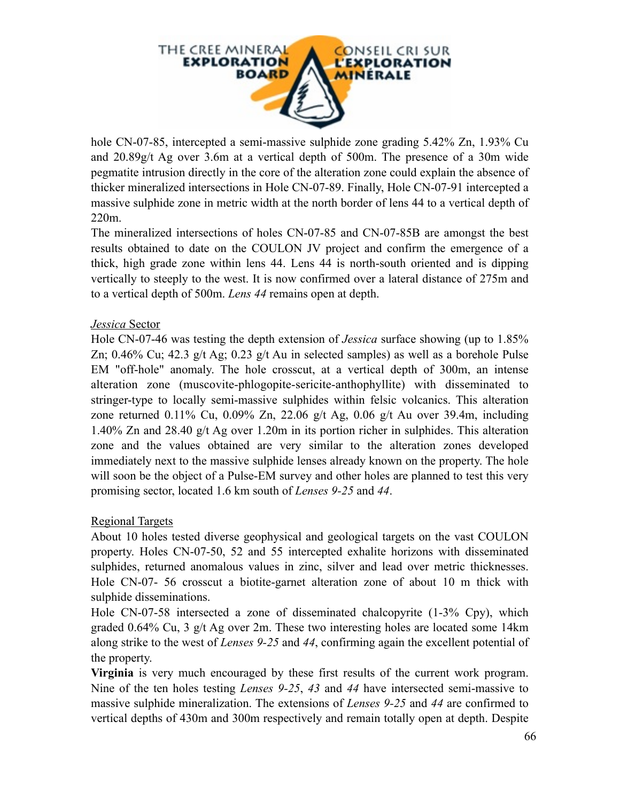

hole CN-07-85, intercepted a semi-massive sulphide zone grading 5.42% Zn, 1.93% Cu and 20.89g/t Ag over 3.6m at a vertical depth of 500m. The presence of a 30m wide pegmatite intrusion directly in the core of the alteration zone could explain the absence of thicker mineralized intersections in Hole CN-07-89. Finally, Hole CN-07-91 intercepted a massive sulphide zone in metric width at the north border of lens 44 to a vertical depth of 220m.

The mineralized intersections of holes CN-07-85 and CN-07-85B are amongst the best results obtained to date on the COULON JV project and confirm the emergence of a thick, high grade zone within lens 44. Lens 44 is north-south oriented and is dipping vertically to steeply to the west. It is now confirmed over a lateral distance of 275m and to a vertical depth of 500m. *Lens 44* remains open at depth.

#### *Jessica* Sector

Hole CN-07-46 was testing the depth extension of *Jessica* surface showing (up to 1.85% Zn; 0.46% Cu; 42.3 g/t Ag; 0.23 g/t Au in selected samples) as well as a borehole Pulse EM "off-hole" anomaly. The hole crosscut, at a vertical depth of 300m, an intense alteration zone (muscovite-phlogopite-sericite-anthophyllite) with disseminated to stringer-type to locally semi-massive sulphides within felsic volcanics. This alteration zone returned 0.11% Cu, 0.09% Zn, 22.06 g/t Ag, 0.06 g/t Au over 39.4m, including 1.40% Zn and 28.40 g/t Ag over 1.20m in its portion richer in sulphides. This alteration zone and the values obtained are very similar to the alteration zones developed immediately next to the massive sulphide lenses already known on the property. The hole will soon be the object of a Pulse-EM survey and other holes are planned to test this very promising sector, located 1.6 km south of *Lenses 9-25* and *44*.

#### Regional Targets

About 10 holes tested diverse geophysical and geological targets on the vast COULON property. Holes CN-07-50, 52 and 55 intercepted exhalite horizons with disseminated sulphides, returned anomalous values in zinc, silver and lead over metric thicknesses. Hole CN-07- 56 crosscut a biotite-garnet alteration zone of about 10 m thick with sulphide disseminations.

Hole CN-07-58 intersected a zone of disseminated chalcopyrite (1-3% Cpy), which graded 0.64% Cu, 3 g/t Ag over 2m. These two interesting holes are located some 14km along strike to the west of *Lenses 9-25* and *44*, confirming again the excellent potential of the property.

**Virginia** is very much encouraged by these first results of the current work program. Nine of the ten holes testing *Lenses 9-25*, *43* and *44* have intersected semi-massive to massive sulphide mineralization. The extensions of *Lenses 9-25* and *44* are confirmed to vertical depths of 430m and 300m respectively and remain totally open at depth. Despite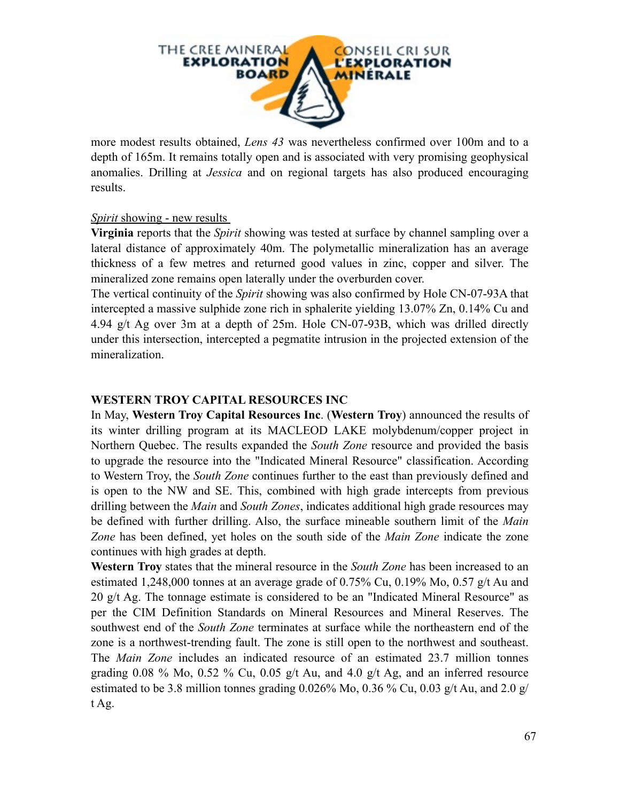

more modest results obtained, *Lens 43* was nevertheless confirmed over 100m and to a depth of 165m. It remains totally open and is associated with very promising geophysical anomalies. Drilling at *Jessica* and on regional targets has also produced encouraging results.

#### *Spirit* showing - new results

**Virginia** reports that the *Spirit* showing was tested at surface by channel sampling over a lateral distance of approximately 40m. The polymetallic mineralization has an average thickness of a few metres and returned good values in zinc, copper and silver. The mineralized zone remains open laterally under the overburden cover.

The vertical continuity of the *Spirit* showing was also confirmed by Hole CN-07-93A that intercepted a massive sulphide zone rich in sphalerite yielding 13.07% Zn, 0.14% Cu and 4.94 g/t Ag over 3m at a depth of 25m. Hole CN-07-93B, which was drilled directly under this intersection, intercepted a pegmatite intrusion in the projected extension of the mineralization.

#### **WESTERN TROY CAPITAL RESOURCES INC**

In May, **Western Troy Capital Resources Inc**. (**Western Troy**) announced the results of its winter drilling program at its MACLEOD LAKE molybdenum/copper project in Northern Quebec. The results expanded the *South Zone* resource and provided the basis to upgrade the resource into the "Indicated Mineral Resource" classification. According to Western Troy, the *South Zone* continues further to the east than previously defined and is open to the NW and SE. This, combined with high grade intercepts from previous drilling between the *Main* and *South Zones*, indicates additional high grade resources may be defined with further drilling. Also, the surface mineable southern limit of the *Main Zone* has been defined, yet holes on the south side of the *Main Zone* indicate the zone continues with high grades at depth.

**Western Troy** states that the mineral resource in the *South Zone* has been increased to an estimated 1,248,000 tonnes at an average grade of 0.75% Cu, 0.19% Mo, 0.57 g/t Au and 20 g/t Ag. The tonnage estimate is considered to be an "Indicated Mineral Resource" as per the CIM Definition Standards on Mineral Resources and Mineral Reserves. The southwest end of the *South Zone* terminates at surface while the northeastern end of the zone is a northwest-trending fault. The zone is still open to the northwest and southeast. The *Main Zone* includes an indicated resource of an estimated 23.7 million tonnes grading  $0.08\%$  Mo,  $0.52\%$  Cu,  $0.05$  g/t Au, and  $4.0$  g/t Ag, and an inferred resource estimated to be 3.8 million tonnes grading  $0.026\%$  Mo,  $0.36\%$  Cu,  $0.03$  g/t Au, and  $2.0$  g/ t Ag.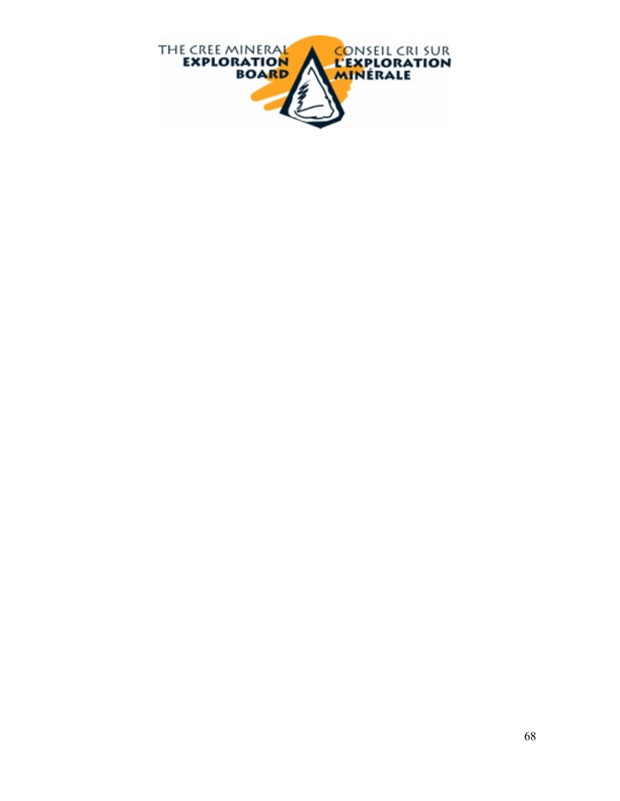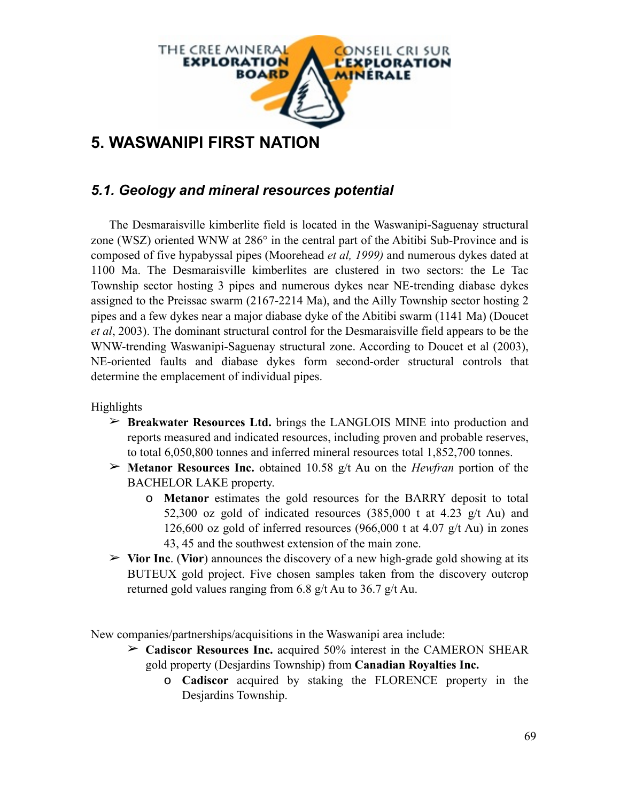

# **5. WASWANIPI FIRST NATION**

# *5.1. Geology and mineral resources potential*

The Desmaraisville kimberlite field is located in the Waswanipi-Saguenay structural zone (WSZ) oriented WNW at 286° in the central part of the Abitibi Sub-Province and is composed of five hypabyssal pipes (Moorehead *et al, 1999)* and numerous dykes dated at 1100 Ma. The Desmaraisville kimberlites are clustered in two sectors: the Le Tac Township sector hosting 3 pipes and numerous dykes near NE-trending diabase dykes assigned to the Preissac swarm (2167-2214 Ma), and the Ailly Township sector hosting 2 pipes and a few dykes near a major diabase dyke of the Abitibi swarm (1141 Ma) (Doucet *et al*, 2003). The dominant structural control for the Desmaraisville field appears to be the WNW-trending Waswanipi-Saguenay structural zone. According to Doucet et al (2003), NE-oriented faults and diabase dykes form second-order structural controls that determine the emplacement of individual pipes.

Highlights

- ➢ **Breakwater Resources Ltd.** brings the LANGLOIS MINE into production and reports measured and indicated resources, including proven and probable reserves, to total 6,050,800 tonnes and inferred mineral resources total 1,852,700 tonnes.
- ➢ **Metanor Resources Inc.** obtained 10.58 g/t Au on the *Hewfran* portion of the BACHELOR LAKE property.
	- o **Metanor** estimates the gold resources for the BARRY deposit to total 52,300 oz gold of indicated resources  $(385,000 \text{ t at } 4.23 \text{ g/t Au})$  and 126,600 oz gold of inferred resources (966,000 t at 4.07 g/t Au) in zones 43, 45 and the southwest extension of the main zone.
- ➢ **Vior Inc**. (**Vior**) announces the discovery of a new high-grade gold showing at its BUTEUX gold project. Five chosen samples taken from the discovery outcrop returned gold values ranging from 6.8 g/t Au to 36.7 g/t Au.

New companies/partnerships/acquisitions in the Waswanipi area include:

- ➢ **Cadiscor Resources Inc.** acquired 50% interest in the CAMERON SHEAR gold property (Desjardins Township) from **Canadian Royalties Inc.**
	- o **Cadiscor** acquired by staking the FLORENCE property in the Desjardins Township.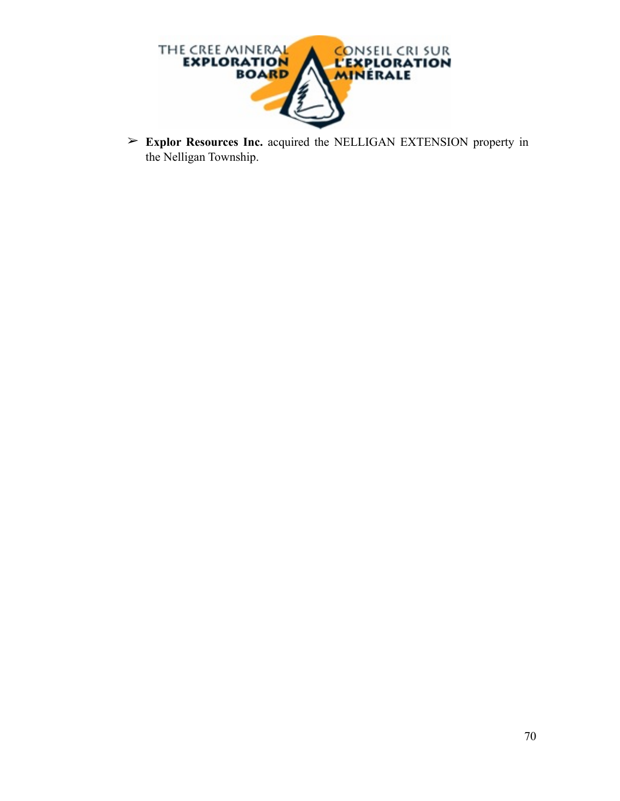

➢ **Explor Resources Inc.** acquired the NELLIGAN EXTENSION property in the Nelligan Township.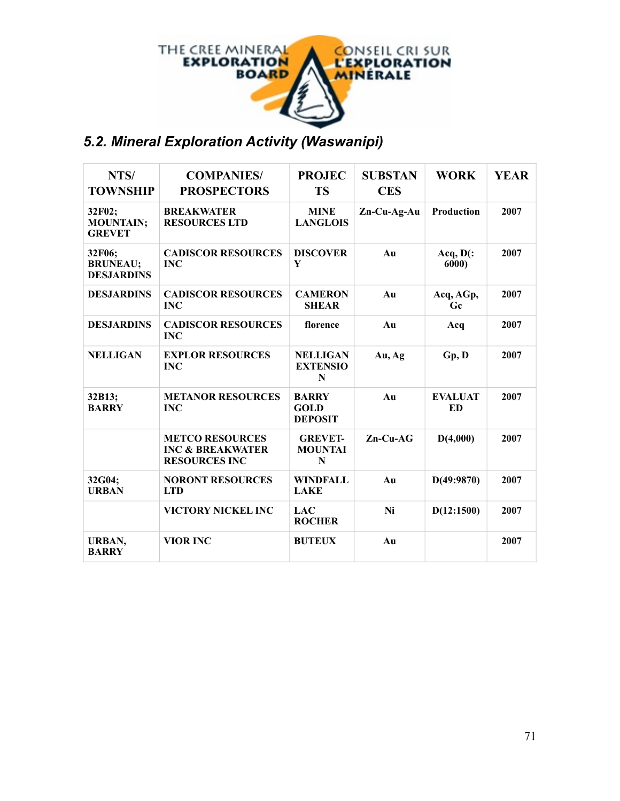

# *5.2. Mineral Exploration Activity (Waswanipi)*

| NTS/<br><b>TOWNSHIP</b>                        | <b>COMPANIES/</b><br><b>PROSPECTORS</b>                                       | <b>PROJEC</b><br><b>TS</b>                    | <b>SUBSTAN</b><br><b>CES</b> | <b>WORK</b>          | <b>YEAR</b> |
|------------------------------------------------|-------------------------------------------------------------------------------|-----------------------------------------------|------------------------------|----------------------|-------------|
| 32F02;<br><b>MOUNTAIN;</b><br><b>GREVET</b>    | <b>BREAKWATER</b><br><b>RESOURCES LTD</b>                                     | <b>MINE</b><br><b>LANGLOIS</b>                | $Zn-Cu-Ag-Au$                | Production           | 2007        |
| 32F06;<br><b>BRUNEAU;</b><br><b>DESJARDINS</b> | <b>CADISCOR RESOURCES</b><br><b>INC</b>                                       | <b>DISCOVER</b><br>Y                          | Au                           | $Acq, D$ (:<br>6000) | 2007        |
| <b>DESJARDINS</b>                              | <b>CADISCOR RESOURCES</b><br><b>INC</b>                                       | <b>CAMERON</b><br><b>SHEAR</b>                | Au                           | Acq, AGp,<br>Gc      | 2007        |
| <b>DESJARDINS</b>                              | <b>CADISCOR RESOURCES</b><br><b>INC</b>                                       | florence                                      | Au                           | Acq                  | 2007        |
| <b>NELLIGAN</b>                                | <b>EXPLOR RESOURCES</b><br><b>INC</b>                                         | <b>NELLIGAN</b><br><b>EXTENSIO</b><br>N       | Au, Ag                       | Gp, D                | 2007        |
| 32B13;<br><b>BARRY</b>                         | <b>METANOR RESOURCES</b><br><b>INC</b>                                        | <b>BARRY</b><br><b>GOLD</b><br><b>DEPOSIT</b> | Au                           | <b>EVALUAT</b><br>ED | 2007        |
|                                                | <b>METCO RESOURCES</b><br><b>INC &amp; BREAKWATER</b><br><b>RESOURCES INC</b> | <b>GREVET-</b><br><b>MOUNTAI</b><br>N         | $Zn$ -Cu-AG                  | D(4,000)             | 2007        |
| 32G04;<br><b>URBAN</b>                         | <b>NORONT RESOURCES</b><br><b>LTD</b>                                         | <b>WINDFALL</b><br><b>LAKE</b>                | Au                           | D(49:9870)           | 2007        |
|                                                | VICTORY NICKEL INC                                                            | <b>LAC</b><br><b>ROCHER</b>                   | Ni                           | D(12:1500)           | 2007        |
| URBAN,<br><b>BARRY</b>                         | <b>VIOR INC</b>                                                               | <b>BUTEUX</b>                                 | Au                           |                      | 2007        |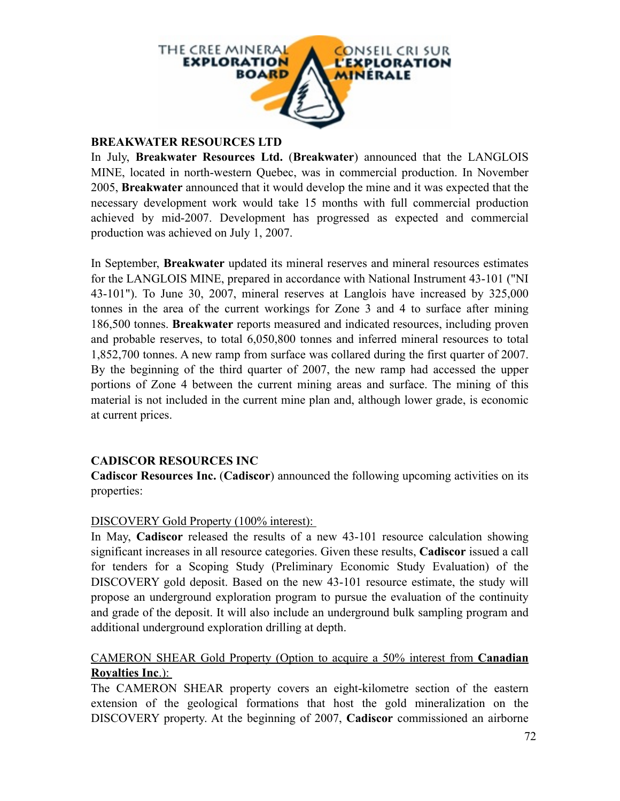

#### **BREAKWATER RESOURCES LTD**

In July, **Breakwater Resources Ltd.** (**Breakwater**) announced that the LANGLOIS MINE, located in north-western Quebec, was in commercial production. In November 2005, **Breakwater** announced that it would develop the mine and it was expected that the necessary development work would take 15 months with full commercial production achieved by mid-2007. Development has progressed as expected and commercial production was achieved on July 1, 2007.

In September, **Breakwater** updated its mineral reserves and mineral resources estimates for the LANGLOIS MINE, prepared in accordance with National Instrument 43-101 ("NI 43-101"). To June 30, 2007, mineral reserves at Langlois have increased by 325,000 tonnes in the area of the current workings for Zone 3 and 4 to surface after mining 186,500 tonnes. **Breakwater** reports measured and indicated resources, including proven and probable reserves, to total 6,050,800 tonnes and inferred mineral resources to total 1,852,700 tonnes. A new ramp from surface was collared during the first quarter of 2007. By the beginning of the third quarter of 2007, the new ramp had accessed the upper portions of Zone 4 between the current mining areas and surface. The mining of this material is not included in the current mine plan and, although lower grade, is economic at current prices.

#### **CADISCOR RESOURCES INC**

**Cadiscor Resources Inc.** (**Cadiscor**) announced the following upcoming activities on its properties:

#### DISCOVERY Gold Property (100% interest):

In May, **Cadiscor** released the results of a new 43-101 resource calculation showing significant increases in all resource categories. Given these results, **Cadiscor** issued a call for tenders for a Scoping Study (Preliminary [Economic](http://www.stockhouse.ca/news/news.asp?tick=hlo&newsid=5609862#%23) Study Evaluation) of the DISCOVERY gold deposit. Based on the new 43-101 resource estimate, the study will propose an underground exploration program to pursue the evaluation of the continuity and grade of the deposit. It will also include an underground bulk sampling program and additional underground exploration drilling at depth.

#### CAMERON SHEAR Gold Property (Option to acquire a 50% interest from **Canadian Royalties Inc**.):

The CAMERON SHEAR property covers an eight-kilometre section of the eastern extension of the geological formations that host the gold mineralization on the DISCOVERY property. At the beginning of 2007, **Cadiscor** commissioned an airborne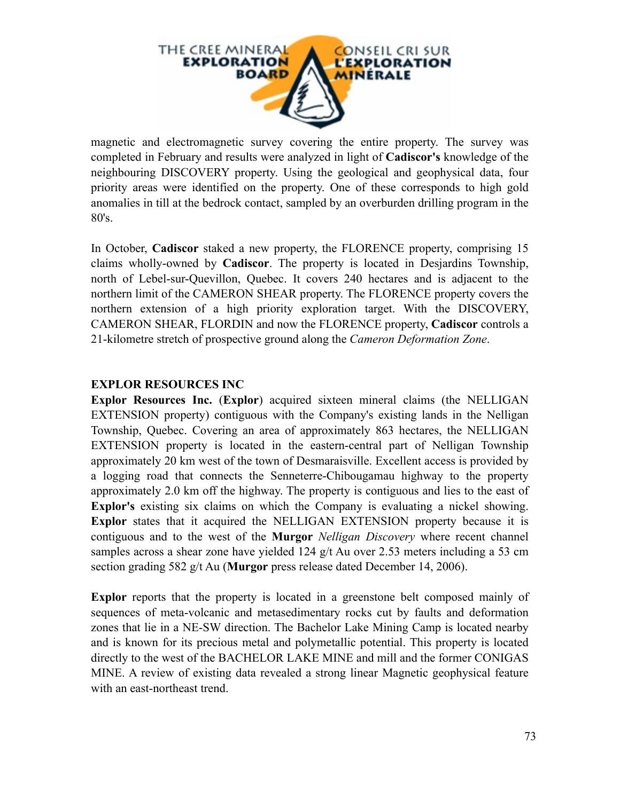

magnetic and electromagnetic survey covering the entire property. The survey was completed in February and results were analyzed in light of **Cadiscor's** knowledge of the neighbouring DISCOVERY property. Using the geological and geophysical data, four priority areas were identified on the property. One of these corresponds to high gold anomalies in till at the bedrock contact, sampled by an overburden drilling program in the 80's.

In October, **Cadiscor** staked a new property, the FLORENCE property, comprising 15 claims wholly-owned by **Cadiscor**. The property is located in Desjardins Township, north of Lebel-sur-Quevillon, Quebec. It covers 240 hectares and is adjacent to the northern limit of the CAMERON SHEAR property. The FLORENCE property covers the northern extension of a high priority exploration target. With the DISCOVERY, CAMERON SHEAR, FLORDIN and now the FLORENCE property, **Cadiscor** controls a 21-kilometre stretch of prospective ground along the *Cameron Deformation Zone*.

## **EXPLOR RESOURCES INC**

**Explor Resources Inc.** (**Explor**) acquired sixteen mineral claims (the NELLIGAN EXTENSION property) contiguous with the Company's existing lands in the Nelligan Township, Quebec. Covering an area of approximately 863 hectares, the NELLIGAN EXTENSION property is located in the eastern-central part of Nelligan Township approximately 20 km west of the town of Desmaraisville. Excellent access is provided by a logging road that connects the Senneterre-Chibougamau highway to the property approximately 2.0 km off the highway. The property is contiguous and lies to the east of **Explor's** existing six claims on which the Company is evaluating a nickel showing. **Explor** states that it acquired the NELLIGAN EXTENSION property because it is contiguous and to the west of the **Murgor** *Nelligan Discovery* where recent channel samples across a shear zone have yielded 124 g/t Au over 2.53 meters including a 53 cm section grading 582 g/t Au (**Murgor** press release dated December 14, 2006).

**Explor** reports that the property is located in a greenstone belt composed mainly of sequences of meta-volcanic and metasedimentary rocks cut by faults and deformation zones that lie in a NE-SW direction. The Bachelor Lake Mining Camp is located nearby and is known for its precious metal and polymetallic potential. This property is located directly to the west of the BACHELOR LAKE MINE and mill and the former CONIGAS MINE. A review of existing data revealed a strong linear Magnetic geophysical feature with an east-northeast trend.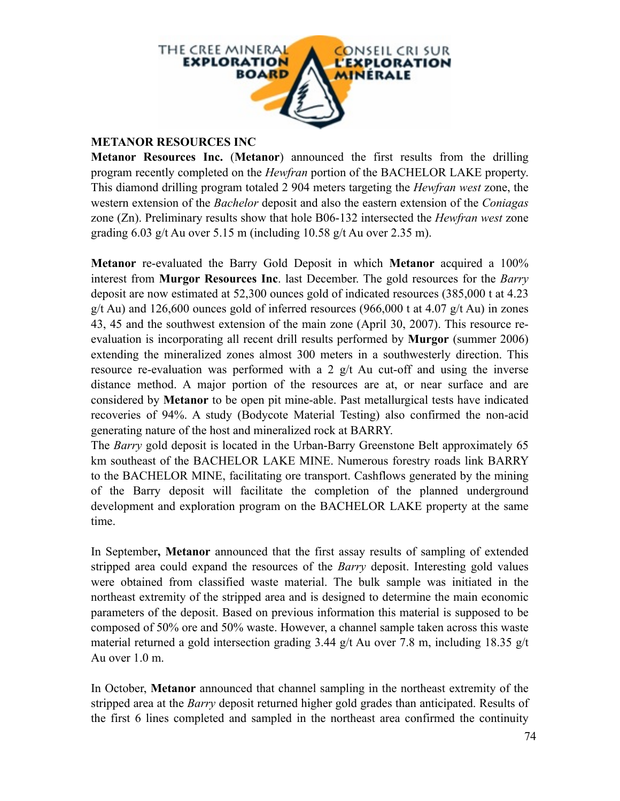

## **METANOR RESOURCES INC**

**Metanor Resources Inc.** (**Metanor**) announced the first results from the drilling program recently completed on the *Hewfran* portion of the BACHELOR LAKE property. This diamond drilling program totaled 2 904 meters targeting the *Hewfran west* zone, the western extension of the *Bachelor* deposit and also the eastern extension of the *Coniagas* zone (Zn). Preliminary results show that hole B06-132 intersected the *Hewfran west* zone grading  $6.03$  g/t Au over  $5.15$  m (including  $10.58$  g/t Au over  $2.35$  m).

**Metanor** re-evaluated the Barry Gold Deposit in which **Metanor** acquired a 100% interest from **Murgor Resources Inc**. last December. The gold resources for the *Barry* deposit are now estimated at 52,300 ounces gold of indicated resources (385,000 t at 4.23 g/t Au) and 126,600 ounces gold of inferred resources (966,000 t at 4.07 g/t Au) in zones 43, 45 and the southwest extension of the main zone (April 30, 2007). This resource reevaluation is incorporating all recent drill results performed by **Murgor** (summer 2006) extending the mineralized zones almost 300 meters in a southwesterly direction. This resource re-evaluation was performed with a 2 g/t Au cut-off and using the inverse distance method. A major portion of the resources are at, or near surface and are considered by **Metanor** to be open pit mine-able. Past metallurgical tests have indicated recoveries of 94%. A study (Bodycote Material Testing) also confirmed the non-acid generating nature of the host and mineralized rock at BARRY.

The *Barry* gold deposit is located in the Urban-Barry Greenstone Belt approximately 65 km southeast of the BACHELOR LAKE MINE. Numerous forestry roads link BARRY to the BACHELOR MINE, facilitating ore transport. Cashflows generated by the mining of the Barry deposit will facilitate the completion of the planned underground development and exploration program on the BACHELOR LAKE property at the same time.

In September**, Metanor** announced that the first assay results of sampling of extended stripped area could expand the resources of the *Barry* deposit. Interesting gold values were obtained from classified waste material. The bulk sample was initiated in the northeast extremity of the stripped area and is designed to determine the main economic parameters of the deposit. Based on previous information this material is supposed to be composed of 50% ore and 50% waste. However, a channel sample taken across this waste material returned a gold intersection grading 3.44 g/t Au over 7.8 m, including 18.35 g/t Au over 1.0 m.

In October, **Metanor** announced that channel sampling in the northeast extremity of the stripped area at the *Barry* deposit returned higher gold grades than anticipated. Results of the first 6 lines completed and sampled in the northeast area confirmed the continuity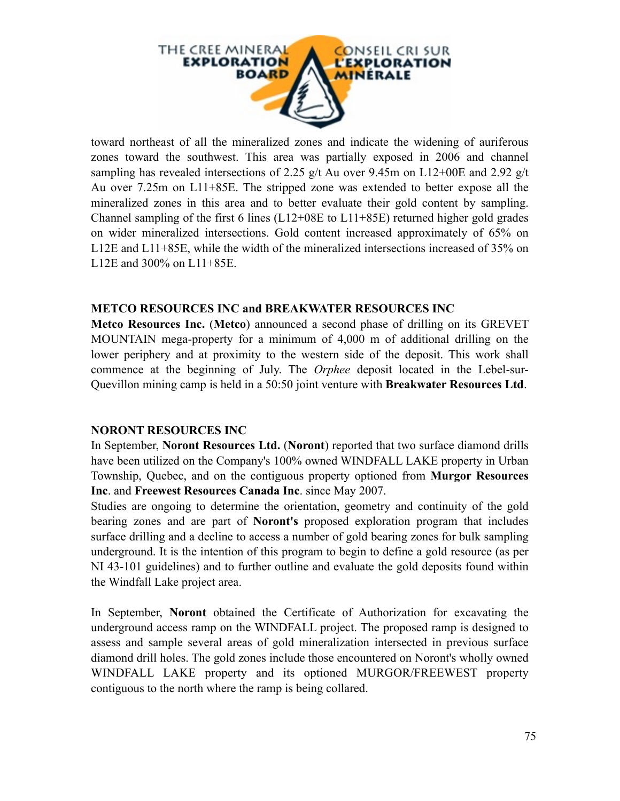

toward northeast of all the mineralized zones and indicate the widening of auriferous zones toward the southwest. This area was partially exposed in 2006 and channel sampling has revealed intersections of 2.25 g/t Au over 9.45m on L12+00E and 2.92 g/t Au over 7.25m on L11+85E. The stripped zone was extended to better expose all the mineralized zones in this area and to better evaluate their gold content by sampling. Channel sampling of the first 6 lines (L12+08E to L11+85E) returned higher gold grades on wider mineralized intersections. Gold content increased approximately of 65% on L12E and L11+85E, while the width of the mineralized intersections increased of 35% on L12E and 300% on L11+85E.

#### **METCO RESOURCES INC and BREAKWATER RESOURCES INC**

**Metco Resources Inc.** (**Metco**) announced a second phase of drilling on its GREVET MOUNTAIN mega-property for a minimum of 4,000 m of additional drilling on the lower periphery and at proximity to the western side of the deposit. This work shall commence at the beginning of July. The *Orphee* deposit located in the Lebel-sur-Quevillon mining camp is held in a 50:50 joint venture with **Breakwater Resources Ltd**.

## **NORONT RESOURCES INC**

In September, **Noront Resources Ltd.** (**Noront**) reported that two surface diamond drills have been utilized on the Company's 100% owned WINDFALL LAKE property in Urban Township, Quebec, and on the contiguous property optioned from **Murgor Resources Inc**. and **Freewest Resources Canada Inc**. since May 2007.

Studies are ongoing to determine the orientation, geometry and continuity of the gold bearing zones and are part of **Noront's** proposed exploration program that includes surface drilling and a decline to access a number of gold bearing zones for bulk sampling underground. It is the intention of this program to begin to define a gold resource (as per NI 43-101 guidelines) and to further outline and evaluate the gold deposits found within the Windfall Lake project area.

In September, **Noront** obtained the Certificate of Authorization for excavating the underground access ramp on the WINDFALL project. The proposed ramp is designed to assess and sample several areas of gold mineralization intersected in previous surface diamond drill holes. The gold zones include those encountered on Noront's wholly owned WINDFALL LAKE property and its optioned MURGOR/FREEWEST property contiguous to the north where the ramp is being collared.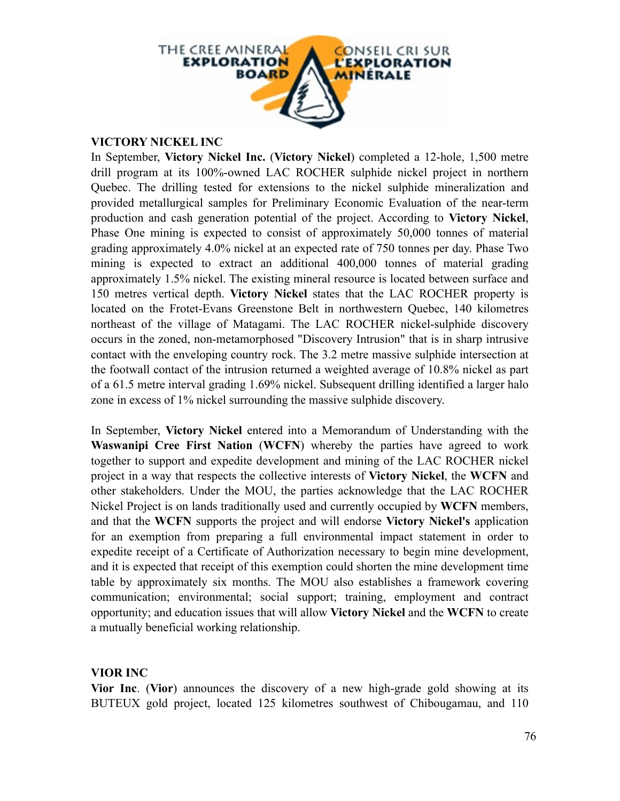

#### **VICTORY NICKEL INC**

In September, **Victory Nickel Inc.** (**Victory Nickel**) completed a 12-hole, 1,500 metre drill program at its 100%-owned LAC ROCHER sulphide nickel project in northern Quebec. The drilling tested for extensions to the nickel sulphide mineralization and provided metallurgical samples for Preliminary Economic Evaluation of the near-term production and cash generation potential of the project. According to **Victory Nickel**, Phase One mining is expected to consist of approximately 50,000 tonnes of material grading approximately 4.0% nickel at an expected rate of 750 tonnes per day. Phase Two mining is expected to extract an additional 400,000 tonnes of material grading approximately 1.5% nickel. The existing mineral resource is located between surface and 150 metres vertical depth. **Victory Nickel** states that the LAC ROCHER property is located on the Frotet-Evans Greenstone Belt in northwestern Quebec, 140 kilometres northeast of the village of Matagami. The LAC ROCHER nickel-sulphide discovery occurs in the zoned, non-metamorphosed "Discovery Intrusion" that is in sharp intrusive contact with the enveloping country rock. The 3.2 metre massive sulphide intersection at the footwall contact of the intrusion returned a weighted average of 10.8% nickel as part of a 61.5 metre interval grading 1.69% nickel. Subsequent drilling identified a larger halo zone in excess of 1% nickel surrounding the massive sulphide discovery.

In September, **Victory Nickel** entered into a Memorandum of Understanding with the **Waswanipi Cree First Nation** (**WCFN**) whereby the parties have agreed to work together to support and expedite development and mining of the LAC ROCHER nickel project in a way that respects the collective interests of **Victory Nickel**, the **WCFN** and other stakeholders. Under the MOU, the parties acknowledge that the LAC ROCHER Nickel Project is on lands traditionally used and currently occupied by **WCFN** members, and that the **WCFN** supports the project and will endorse **Victory Nickel's** application for an exemption from preparing a full environmental impact statement in order to expedite receipt of a Certificate of Authorization necessary to begin mine development, and it is expected that receipt of this exemption could shorten the mine development time table by approximately six months. The MOU also establishes a framework covering communication; environmental; social support; training, employment and contract opportunity; and education issues that will allow **Victory Nickel** and the **WCFN** to create a mutually beneficial working relationship.

## **VIOR INC**

**Vior Inc**. (**Vior**) announces the discovery of a new high-grade gold showing at its BUTEUX gold project, located 125 kilometres southwest of Chibougamau, and 110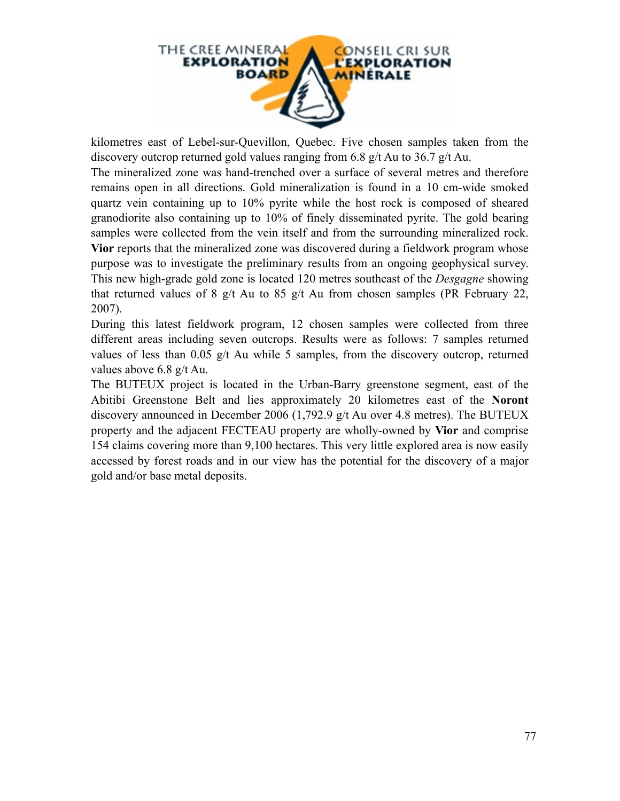

kilometres east of Lebel-sur-Quevillon, Quebec. Five chosen samples taken from the discovery outcrop returned gold values ranging from 6.8 g/t Au to 36.7 g/t Au.

The mineralized zone was hand-trenched over a surface of several metres and therefore remains open in all directions. Gold mineralization is found in a 10 cm-wide smoked quartz vein containing up to 10% pyrite while the host rock is composed of sheared granodiorite also containing up to 10% of finely disseminated pyrite. The gold bearing samples were collected from the vein itself and from the surrounding mineralized rock. **Vior** reports that the mineralized zone was discovered during a fieldwork program whose purpose was to investigate the preliminary results from an ongoing geophysical survey. This new high-grade gold zone is located 120 metres southeast of the *Desgagne* showing that returned values of 8 g/t Au to 85 g/t Au from chosen samples (PR February 22, 2007).

During this latest fieldwork program, 12 chosen samples were collected from three different areas including seven outcrops. Results were as follows: 7 samples returned values of less than 0.05 g/t Au while 5 samples, from the discovery outcrop, returned values above 6.8 g/t Au.

The BUTEUX project is located in the Urban-Barry greenstone segment, east of the Abitibi Greenstone Belt and lies approximately 20 kilometres east of the **Noront** discovery announced in December 2006 (1,792.9 g/t Au over 4.8 metres). The BUTEUX property and the adjacent FECTEAU property are wholly-owned by **Vior** and comprise 154 claims covering more than 9,100 hectares. This very little explored area is now easily accessed by forest roads and in our view has the potential for the discovery of a major gold and/or base metal deposits.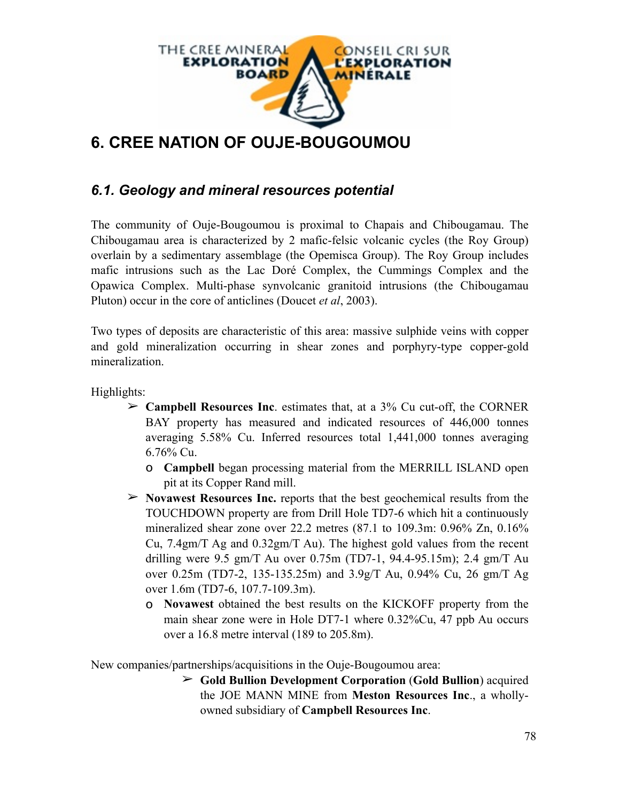

# **6. CREE NATION OF OUJE-BOUGOUMOU**

# *6.1. Geology and mineral resources potential*

The community of Ouje-Bougoumou is proximal to Chapais and Chibougamau. The Chibougamau area is characterized by 2 mafic-felsic volcanic cycles (the Roy Group) overlain by a sedimentary assemblage (the Opemisca Group). The Roy Group includes mafic intrusions such as the Lac Doré Complex, the Cummings Complex and the Opawica Complex. Multi-phase synvolcanic granitoid intrusions (the Chibougamau Pluton) occur in the core of anticlines (Doucet *et al*, 2003).

Two types of deposits are characteristic of this area: massive sulphide veins with copper and gold mineralization occurring in shear zones and porphyry-type copper-gold mineralization.

Highlights:

- ➢ **Campbell Resources Inc**. estimates that, at a 3% Cu cut-off, the CORNER BAY property has measured and indicated resources of 446,000 tonnes averaging 5.58% Cu. Inferred resources total 1,441,000 tonnes averaging 6.76% Cu.
	- o **Campbell** began processing material from the MERRILL ISLAND open pit at its Copper Rand mill.
- ➢ **Novawest Resources Inc.** reports that the best geochemical results from the TOUCHDOWN property are from Drill Hole TD7-6 which hit a continuously mineralized shear zone over 22.2 metres (87.1 to 109.3m: 0.96% Zn, 0.16% Cu, 7.4gm/T Ag and 0.32gm/T Au). The highest gold values from the recent drilling were 9.5 gm/T Au over 0.75m (TD7-1, 94.4-95.15m); 2.4 gm/T Au over 0.25m (TD7-2, 135-135.25m) and 3.9g/T Au, 0.94% Cu, 26 gm/T Ag over 1.6m (TD7-6, 107.7-109.3m).
	- o **Novawest** obtained the best results on the KICKOFF property from the main shear zone were in Hole DT7-1 where 0.32%Cu, 47 ppb Au occurs over a 16.8 metre interval (189 to 205.8m).

New companies/partnerships/acquisitions in the Ouje-Bougoumou area:

➢ **Gold Bullion Development Corporation** (**Gold Bullion**) acquired the JOE MANN MINE from **Meston Resources Inc**., a whollyowned subsidiary of **Campbell Resources Inc**.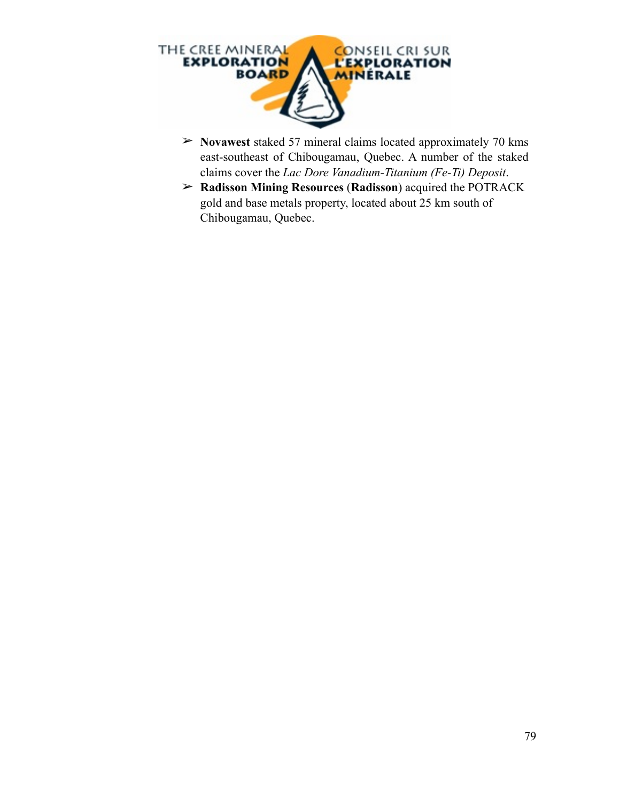

- ➢ **Novawest** staked 57 mineral claims located approximately 70 kms east-southeast of Chibougamau, Quebec. A number of the staked claims cover the *Lac Dore Vanadium-Titanium (Fe-Ti) Deposit*.
- ➢ **Radisson Mining Resources** (**Radisson**) acquired the POTRACK gold and base metals property, located about 25 km south of Chibougamau, Quebec.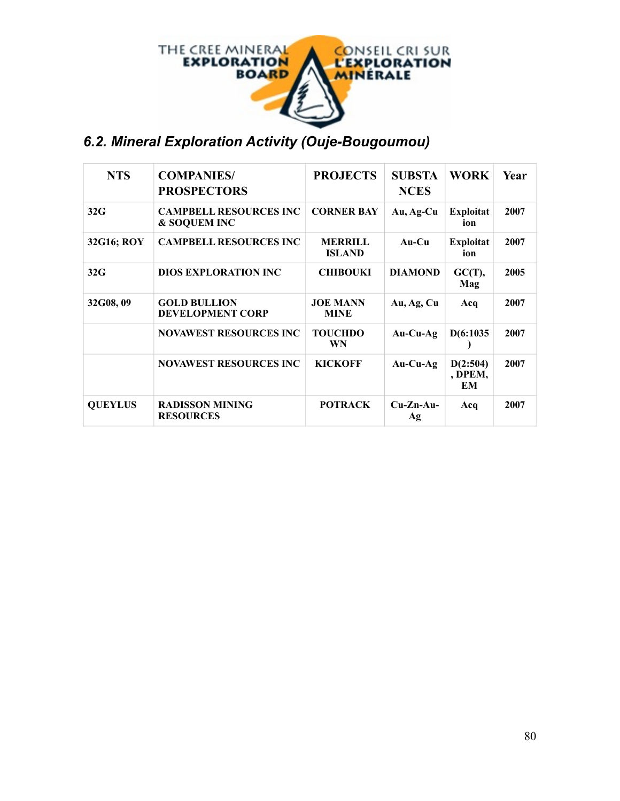

# *6.2. Mineral Exploration Activity (Ouje-Bougoumou)*

| <b>NTS</b>     | <b>COMPANIES/</b><br><b>PROSPECTORS</b>                  | <b>PROJECTS</b>                 | <b>SUBSTA</b><br><b>NCES</b> | WORK                      | Year |
|----------------|----------------------------------------------------------|---------------------------------|------------------------------|---------------------------|------|
| 32G            | <b>CAMPBELL RESOURCES INC</b><br><b>&amp; SOQUEM INC</b> | <b>CORNER BAY</b>               | Au, Ag-Cu                    | <b>Exploitat</b><br>ion   | 2007 |
| 32G16; ROY     | <b>CAMPBELL RESOURCES INC</b>                            | <b>MERRILL</b><br><b>ISLAND</b> | $Au-Cu$                      | <b>Exploitat</b><br>ion   | 2007 |
| 32G            | <b>DIOS EXPLORATION INC</b>                              | <b>CHIBOUKI</b>                 | <b>DIAMOND</b>               | GC(T),<br>Mag             | 2005 |
| 32G08, 09      | <b>GOLD BULLION</b><br><b>DEVELOPMENT CORP</b>           | <b>JOE MANN</b><br><b>MINE</b>  | Au, Ag, Cu                   | Acq                       | 2007 |
|                | <b>NOVAWEST RESOURCES INC</b>                            | <b>TOUCHDO</b><br>WN            | $Au-Cu-Ag$                   | D(6:1035)                 | 2007 |
|                | <b>NOVAWEST RESOURCES INC</b>                            | <b>KICKOFF</b>                  | $Au-Cu-Ag$                   | D(2:504)<br>, DPEM,<br>EМ | 2007 |
| <b>QUEYLUS</b> | <b>RADISSON MINING</b><br><b>RESOURCES</b>               | <b>POTRACK</b>                  | $Cu-Zn-Au-$<br>Ag            | Acq                       | 2007 |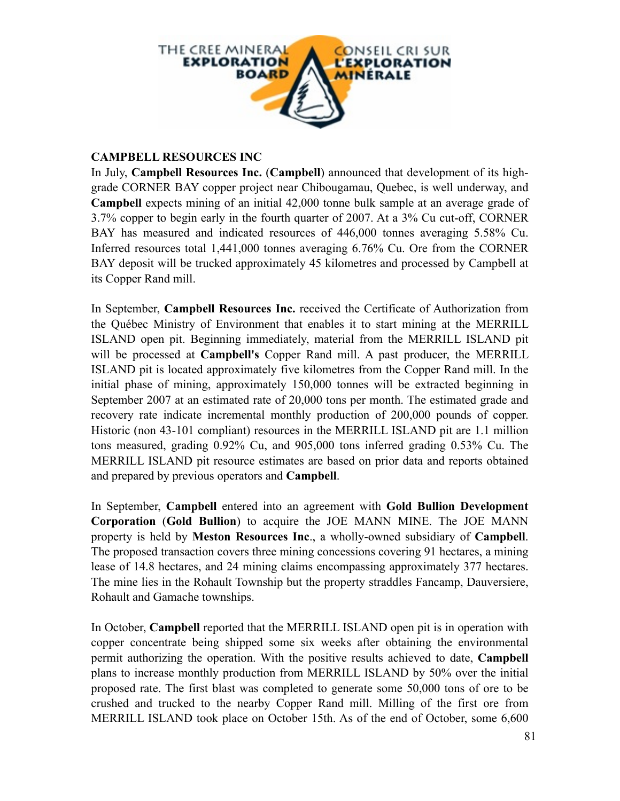

## **CAMPBELL RESOURCES INC**

In July, **Campbell Resources Inc.** (**Campbell**) announced that development of its highgrade CORNER BAY copper project near Chibougamau, Quebec, is well underway, and **Campbell** expects mining of an initial 42,000 tonne bulk sample at an average grade of 3.7% copper to begin early in the fourth quarter of 2007. At a 3% Cu cut-off, CORNER BAY has measured and indicated resources of 446,000 tonnes averaging 5.58% Cu. Inferred resources total 1,441,000 tonnes averaging 6.76% Cu. Ore from the CORNER BAY deposit will be trucked approximately 45 kilometres and processed by Campbell at its Copper Rand mill.

In September, **Campbell Resources Inc.** received the Certificate of Authorization from the Québec Ministry of Environment that enables it to start mining at the MERRILL ISLAND open pit. Beginning immediately, material from the MERRILL ISLAND pit will be processed at **Campbell's** Copper Rand mill. A past producer, the MERRILL ISLAND pit is located approximately five kilometres from the Copper Rand mill. In the initial phase of mining, approximately 150,000 tonnes will be extracted beginning in September 2007 at an estimated rate of 20,000 tons per month. The estimated grade and recovery rate indicate incremental monthly production of 200,000 pounds of copper. Historic (non 43-101 compliant) resources in the MERRILL ISLAND pit are 1.1 million tons measured, grading 0.92% Cu, and 905,000 tons inferred grading 0.53% Cu. The MERRILL ISLAND pit resource estimates are based on prior data and reports obtained and prepared by previous operators and **Campbell**.

In September, **Campbell** entered into an agreement with **Gold Bullion Development Corporation** (**Gold Bullion**) to acquire the JOE MANN MINE. The JOE MANN property is held by **Meston Resources Inc**., a wholly-owned subsidiary of **Campbell**. The proposed transaction covers three mining concessions covering 91 hectares, a mining lease of 14.8 hectares, and 24 mining claims encompassing approximately 377 hectares. The mine lies in the Rohault Township but the property straddles Fancamp, Dauversiere, Rohault and Gamache townships.

In October, **Campbell** reported that the MERRILL ISLAND open pit is in operation with copper concentrate being shipped some six weeks after obtaining the environmental permit authorizing the operation. With the positive results achieved to date, **Campbell** plans to increase monthly production from MERRILL ISLAND by 50% over the initial proposed rate. The first blast was completed to generate some 50,000 tons of ore to be crushed and trucked to the nearby Copper Rand mill. Milling of the first ore from MERRILL ISLAND took place on October 15th. As of the end of October, some 6,600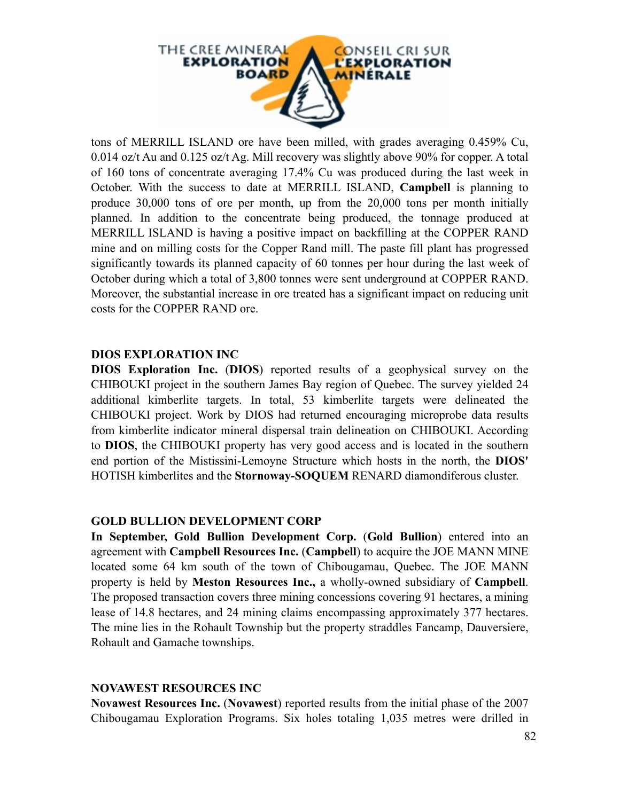

tons of MERRILL ISLAND ore have been milled, with grades averaging 0.459% Cu, 0.014 oz/t Au and 0.125 oz/t Ag. Mill recovery was slightly above 90% for copper. A total of 160 tons of concentrate averaging 17.4% Cu was produced during the last week in October. With the success to date at MERRILL ISLAND, **Campbell** is planning to produce 30,000 tons of ore per month, up from the 20,000 tons per month initially planned. In addition to the concentrate being produced, the tonnage produced at MERRILL ISLAND is having a positive impact on backfilling at the COPPER RAND mine and on milling costs for the Copper Rand mill. The paste fill plant has progressed significantly towards its planned capacity of 60 tonnes per hour during the last week of October during which a total of 3,800 tonnes were sent underground at COPPER RAND. Moreover, the substantial increase in ore treated has a significant impact on reducing unit costs for the COPPER RAND ore.

#### **DIOS EXPLORATION INC**

**DIOS Exploration Inc.** (**DIOS**) reported results of a geophysical survey on the CHIBOUKI project in the southern James Bay region of Quebec. The survey yielded 24 additional kimberlite targets. In total, 53 kimberlite targets were delineated the CHIBOUKI project. Work by DIOS had returned encouraging microprobe data results from kimberlite indicator mineral dispersal train delineation on CHIBOUKI. According to **DIOS**, the CHIBOUKI property has very good access and is located in the southern end portion of the Mistissini-Lemoyne Structure which hosts in the north, the **DIOS'** HOTISH kimberlites and the **Stornoway-SOQUEM** RENARD diamondiferous cluster.

## **GOLD BULLION DEVELOPMENT CORP**

**In September, Gold Bullion Development Corp.** (**Gold Bullion**) entered into an agreement with **Campbell Resources Inc.** (**Campbell**) to acquire the JOE MANN MINE located some 64 km south of the town of Chibougamau, Quebec. The JOE MANN property is held by **Meston Resources Inc.,** a wholly-owned subsidiary of **Campbell**. The proposed transaction covers three mining concessions covering 91 hectares, a mining lease of 14.8 hectares, and 24 mining claims encompassing approximately 377 hectares. The mine lies in the Rohault Township but the property straddles Fancamp, Dauversiere, Rohault and Gamache townships.

## **NOVAWEST RESOURCES INC**

**Novawest Resources Inc.** (**Novawest**) reported results from the initial phase of the 2007 Chibougamau Exploration Programs. Six holes totaling 1,035 metres were drilled in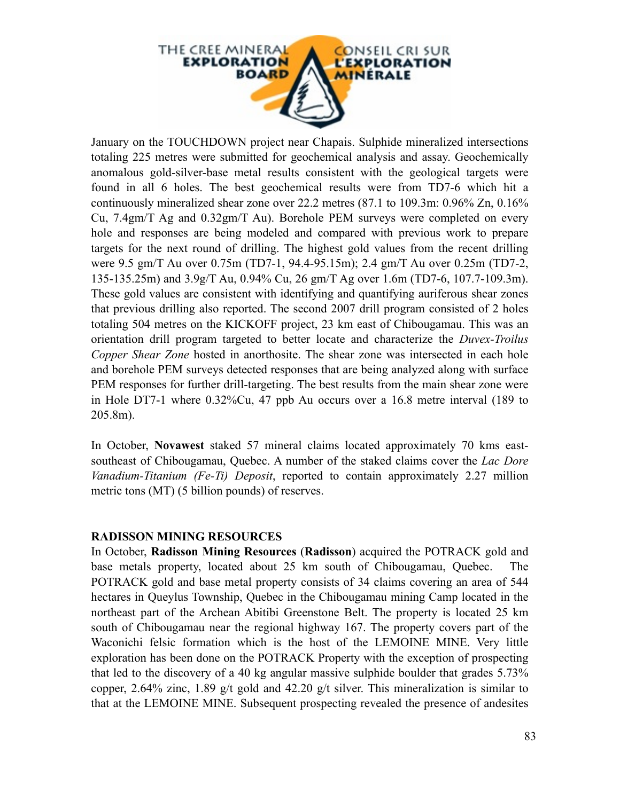

January on the TOUCHDOWN project near Chapais. Sulphide mineralized intersections totaling 225 metres were submitted for geochemical analysis and assay. Geochemically anomalous gold-silver-base metal results consistent with the geological targets were found in all 6 holes. The best geochemical results were from TD7-6 which hit a continuously mineralized shear zone over 22.2 metres (87.1 to 109.3m: 0.96% Zn, 0.16% Cu, 7.4gm/T Ag and 0.32gm/T Au). Borehole PEM surveys were completed on every hole and responses are being modeled and compared with previous work to prepare targets for the next round of drilling. The highest gold values from the recent drilling were 9.5 gm/T Au over 0.75m (TD7-1, 94.4-95.15m); 2.4 gm/T Au over 0.25m (TD7-2, 135-135.25m) and 3.9g/T Au, 0.94% Cu, 26 gm/T Ag over 1.6m (TD7-6, 107.7-109.3m). These gold values are consistent with identifying and quantifying auriferous shear zones that previous drilling also reported. The second 2007 drill program consisted of 2 holes totaling 504 metres on the KICKOFF project, 23 km east of Chibougamau. This was an orientation drill program targeted to better locate and characterize the *Duvex-Troilus Copper Shear Zone* hosted in anorthosite. The shear zone was intersected in each hole and borehole PEM surveys detected responses that are being analyzed along with surface PEM responses for further drill-targeting. The best results from the main shear zone were in Hole DT7-1 where 0.32%Cu, 47 ppb Au occurs over a 16.8 metre interval (189 to 205.8m).

In October, **Novawest** staked 57 mineral claims located approximately 70 kms eastsoutheast of Chibougamau, Quebec. A number of the staked claims cover the *Lac Dore Vanadium-Titanium (Fe-Ti) Deposit*, reported to contain approximately 2.27 million metric tons (MT) (5 billion pounds) of reserves.

#### **RADISSON MINING RESOURCES**

In October, **Radisson Mining Resources** (**Radisson**) acquired the POTRACK gold and base metals property, located about 25 km south of Chibougamau, Quebec. The POTRACK gold and base metal property consists of 34 claims covering an area of 544 hectares in Queylus Township, Quebec in the Chibougamau mining Camp located in the northeast part of the Archean Abitibi Greenstone Belt. The property is located 25 km south of Chibougamau near the regional highway 167. The property covers part of the Waconichi felsic formation which is the host of the LEMOINE MINE. Very little exploration has been done on the POTRACK Property with the exception of prospecting that led to the discovery of a 40 kg angular massive sulphide boulder that grades 5.73% copper, 2.64% zinc, 1.89 g/t gold and 42.20 g/t silver. This mineralization is similar to that at the LEMOINE MINE. Subsequent prospecting revealed the presence of andesites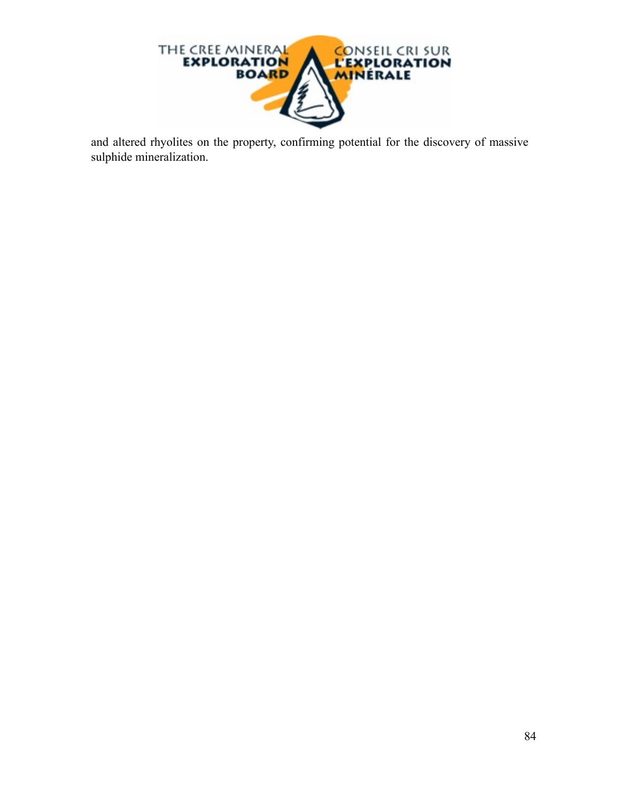

and altered rhyolites on the property, confirming potential for the discovery of massive sulphide mineralization.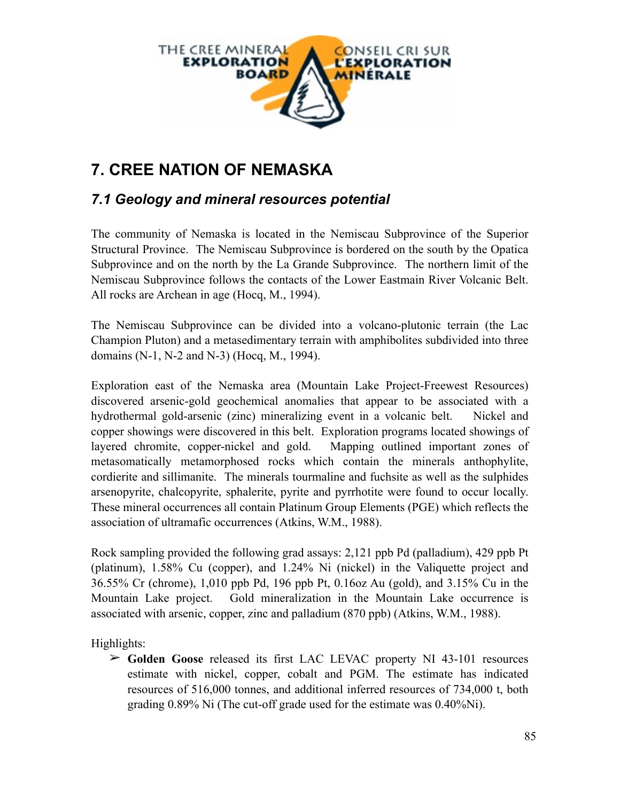

# **7. CREE NATION OF NEMASKA**

# *7.1 Geology and mineral resources potential*

The community of Nemaska is located in the Nemiscau Subprovince of the Superior Structural Province. The Nemiscau Subprovince is bordered on the south by the Opatica Subprovince and on the north by the La Grande Subprovince. The northern limit of the Nemiscau Subprovince follows the contacts of the Lower Eastmain River Volcanic Belt. All rocks are Archean in age (Hocq, M., 1994).

The Nemiscau Subprovince can be divided into a volcano-plutonic terrain (the Lac Champion Pluton) and a metasedimentary terrain with amphibolites subdivided into three domains (N-1, N-2 and N-3) (Hocq, M., 1994).

Exploration east of the Nemaska area (Mountain Lake Project-Freewest Resources) discovered arsenic-gold geochemical anomalies that appear to be associated with a hydrothermal gold-arsenic (zinc) mineralizing event in a volcanic belt. Nickel and copper showings were discovered in this belt. Exploration programs located showings of layered chromite, copper-nickel and gold. Mapping outlined important zones of metasomatically metamorphosed rocks which contain the minerals anthophylite, cordierite and sillimanite. The minerals tourmaline and fuchsite as well as the sulphides arsenopyrite, chalcopyrite, sphalerite, pyrite and pyrrhotite were found to occur locally. These mineral occurrences all contain Platinum Group Elements (PGE) which reflects the association of ultramafic occurrences (Atkins, W.M., 1988).

Rock sampling provided the following grad assays: 2,121 ppb Pd (palladium), 429 ppb Pt (platinum), 1.58% Cu (copper), and 1.24% Ni (nickel) in the Valiquette project and 36.55% Cr (chrome), 1,010 ppb Pd, 196 ppb Pt, 0.16oz Au (gold), and 3.15% Cu in the Mountain Lake project. Gold mineralization in the Mountain Lake occurrence is associated with arsenic, copper, zinc and palladium (870 ppb) (Atkins, W.M., 1988).

Highlights:

➢ **Golden Goose** released its first LAC LEVAC property NI 43-101 resources estimate with nickel, copper, cobalt and PGM. The estimate has indicated resources of 516,000 tonnes, and additional inferred resources of 734,000 t, both grading 0.89% Ni (The cut-off grade used for the estimate was 0.40%Ni).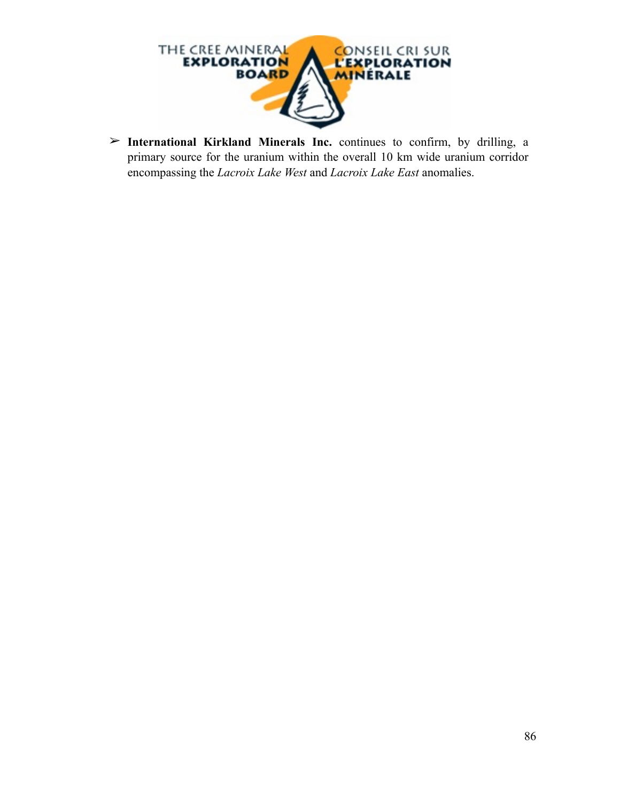

➢ **International Kirkland Minerals Inc.** continues to confirm, by drilling, a primary source for the uranium within the overall 10 km wide uranium corridor encompassing the *Lacroix Lake West* and *Lacroix Lake East* anomalies.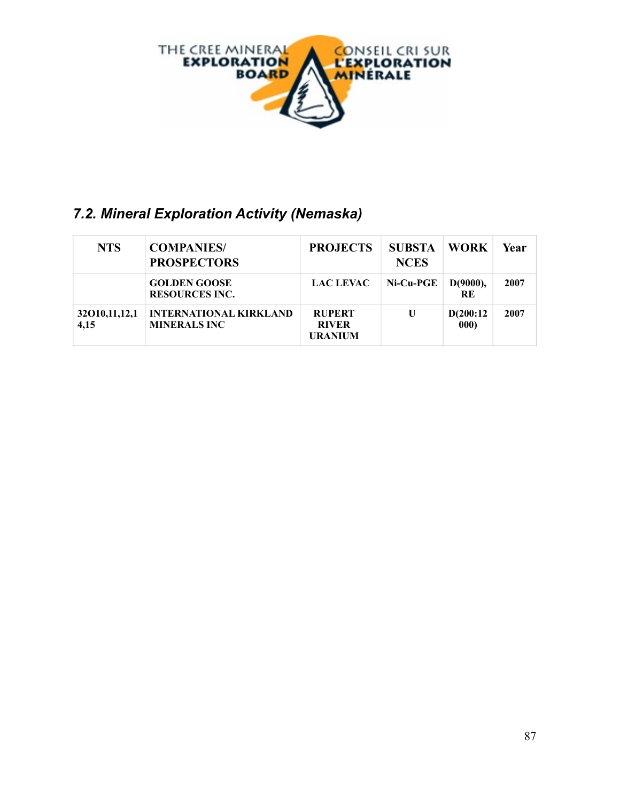

# *7.2. Mineral Exploration Activity (Nemaska)*

| <b>NTS</b>               | <b>COMPANIES/</b><br><b>PROSPECTORS</b>              | <b>PROJECTS</b>                                 | <b>SUBSTA</b><br><b>NCES</b> | <b>WORK</b>       | Year |
|--------------------------|------------------------------------------------------|-------------------------------------------------|------------------------------|-------------------|------|
|                          | <b>GOLDEN GOOSE</b><br><b>RESOURCES INC.</b>         | <b>LAC LEVAC</b>                                | Ni-Cu-PGE                    | D(9000),<br>RE    | 2007 |
| 32010, 11, 12, 1<br>4,15 | <b>INTERNATIONAL KIRKLAND</b><br><b>MINERALS INC</b> | <b>RUPERT</b><br><b>RIVER</b><br><b>URANIUM</b> | U                            | D(200:12)<br>000) | 2007 |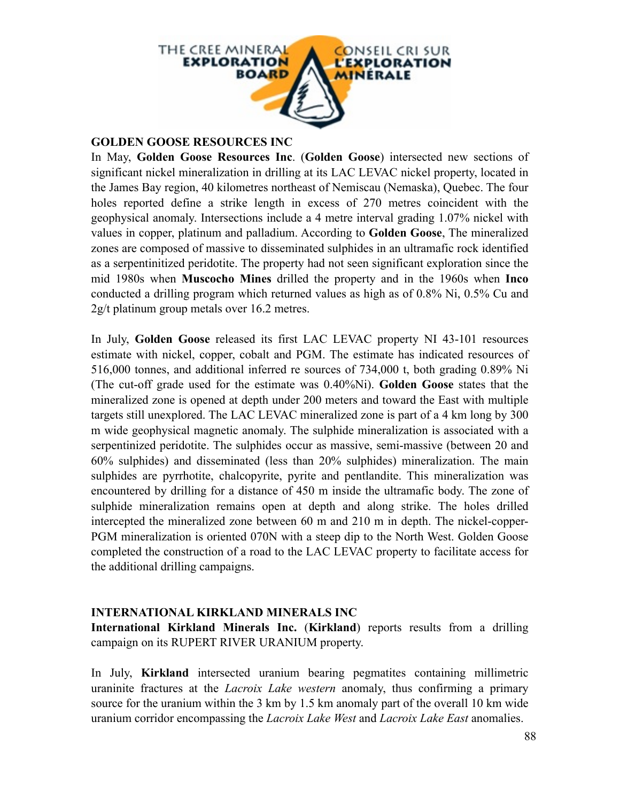

## **GOLDEN GOOSE RESOURCES INC**

In May, **Golden Goose Resources Inc**. (**Golden Goose**) intersected new sections of significant nickel mineralization in drilling at its LAC LEVAC nickel property, located in the James Bay region, 40 kilometres northeast of Nemiscau (Nemaska), Quebec. The four holes reported define a strike length in excess of 270 metres coincident with the geophysical anomaly. Intersections include a 4 metre interval grading 1.07% nickel with values in copper, platinum and palladium. According to **Golden Goose**, The mineralized zones are composed of massive to disseminated sulphides in an ultramafic rock identified as a serpentinitized peridotite. The property had not seen significant exploration since the mid 1980s when **Muscocho Mines** drilled the property and in the 1960s when **Inco** conducted a drilling program which returned values as high as of 0.8% Ni, 0.5% Cu and 2g/t platinum group metals over 16.2 metres.

In July, **Golden Goose** released its first LAC LEVAC property NI 43-101 resources estimate with nickel, copper, cobalt and PGM. The estimate has indicated resources of 516,000 tonnes, and additional inferred re sources of 734,000 t, both grading 0.89% Ni (The cut-off grade used for the estimate was 0.40%Ni). **Golden Goose** states that the mineralized zone is opened at depth under 200 meters and toward the East with multiple targets still unexplored. The LAC LEVAC mineralized zone is part of a 4 km long by 300 m wide geophysical magnetic anomaly. The sulphide mineralization is associated with a serpentinized peridotite. The sulphides occur as massive, semi-massive (between 20 and 60% sulphides) and disseminated (less than 20% sulphides) mineralization. The main sulphides are pyrrhotite, chalcopyrite, pyrite and pentlandite. This mineralization was encountered by drilling for a distance of 450 m inside the ultramafic body. The zone of sulphide mineralization remains open at depth and along strike. The holes drilled intercepted the mineralized zone between 60 m and 210 m in depth. The nickel-copper-PGM mineralization is oriented 070N with a steep dip to the North West. Golden Goose completed the construction of a road to the LAC LEVAC property to facilitate access for the additional drilling campaigns.

## **INTERNATIONAL KIRKLAND MINERALS INC**

**International Kirkland Minerals Inc.** (**Kirkland**) reports results from a drilling campaign on its RUPERT RIVER URANIUM property.

In July, **Kirkland** intersected uranium bearing pegmatites containing millimetric uraninite fractures at the *Lacroix Lake western* anomaly, thus confirming a primary source for the uranium within the 3 km by 1.5 km anomaly part of the overall 10 km wide uranium corridor encompassing the *Lacroix Lake West* and *Lacroix Lake East* anomalies.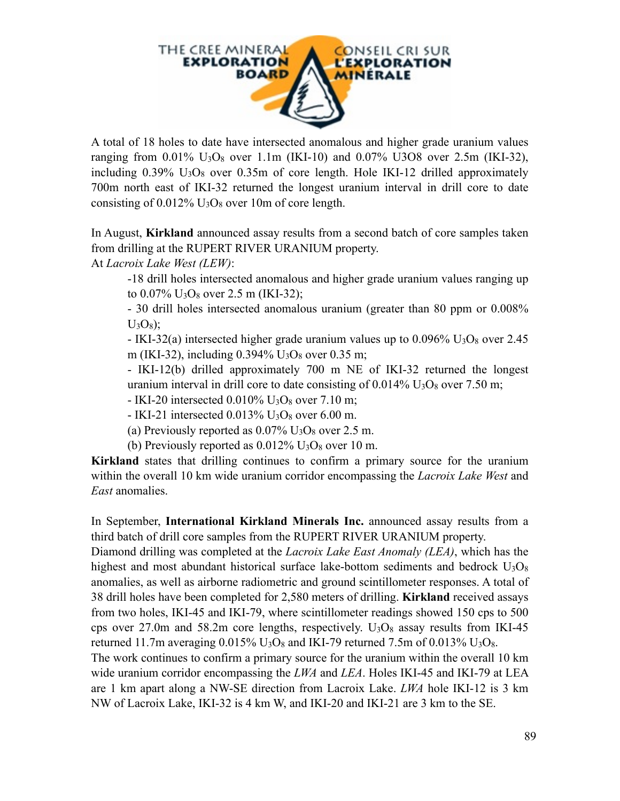

A total of 18 holes to date have intersected anomalous and higher grade uranium values ranging from  $0.01\%$  U<sub>3</sub>O<sub>8</sub> over 1.1m (IKI-10) and  $0.07\%$  U3O8 over 2.5m (IKI-32), including  $0.39\%$  U<sub>3</sub>O<sub>8</sub> over  $0.35m$  of core length. Hole IKI-12 drilled approximately 700m north east of IKI-32 returned the longest uranium interval in drill core to date consisting of  $0.012\%$  U<sub>3</sub>O<sub>8</sub> over 10m of core length.

In August, **Kirkland** announced assay results from a second batch of core samples taken from drilling at the RUPERT RIVER URANIUM property.

At *Lacroix Lake West (LEW)*:

-18 drill holes intersected anomalous and higher grade uranium values ranging up to  $0.07\%$  U<sub>3</sub>O<sub>8</sub> over 2.5 m (IKI-32);

- 30 drill holes intersected anomalous uranium (greater than 80 ppm or 0.008%  $U_3O_8$ ;

 $-$  IKI-32(a) intersected higher grade uranium values up to 0.096% U<sub>3</sub>O<sub>8</sub> over 2.45 m (IKI-32), including 0.394% U3O8 over 0.35 m;

- IKI-12(b) drilled approximately 700 m NE of IKI-32 returned the longest uranium interval in drill core to date consisting of  $0.014\%$  U<sub>3</sub>O<sub>8</sub> over 7.50 m;

- IKI-20 intersected 0.010% U3O8 over 7.10 m;

 $-$  IKI-21 intersected 0.013% U<sub>3</sub>O<sub>8</sub> over 6.00 m.

(a) Previously reported as  $0.07\%$  U<sub>3</sub>O<sub>8</sub> over 2.5 m.

(b) Previously reported as  $0.012\%$  U<sub>3</sub>O<sub>8</sub> over 10 m.

**Kirkland** states that drilling continues to confirm a primary source for the uranium within the overall 10 km wide uranium corridor encompassing the *Lacroix Lake West* and *East* anomalies.

In September, **International Kirkland Minerals Inc.** announced assay results from a third batch of drill core samples from the RUPERT RIVER URANIUM property.

Diamond drilling was completed at the *Lacroix Lake East Anomaly (LEA)*, which has the highest and most abundant historical surface lake-bottom sediments and bedrock  $U_3O_8$ anomalies, as well as airborne radiometric and ground scintillometer responses. A total of 38 drill holes have been completed for 2,580 meters of drilling. **Kirkland** received assays from two holes, IKI-45 and IKI-79, where scintillometer readings showed 150 cps to 500 cps over 27.0m and 58.2m core lengths, respectively.  $U_3O_8$  assay results from IKI-45 returned 11.7m averaging  $0.015\%$  U<sub>3</sub>O<sub>8</sub> and IKI-79 returned 7.5m of 0.013% U<sub>3</sub>O<sub>8</sub>.

The work continues to confirm a primary source for the uranium within the overall 10 km wide uranium corridor encompassing the *LWA* and *LEA*. Holes IKI-45 and IKI-79 at LEA are 1 km apart along a NW-SE direction from Lacroix Lake. *LWA* hole IKI-12 is 3 km NW of Lacroix Lake, IKI-32 is 4 km W, and IKI-20 and IKI-21 are 3 km to the SE.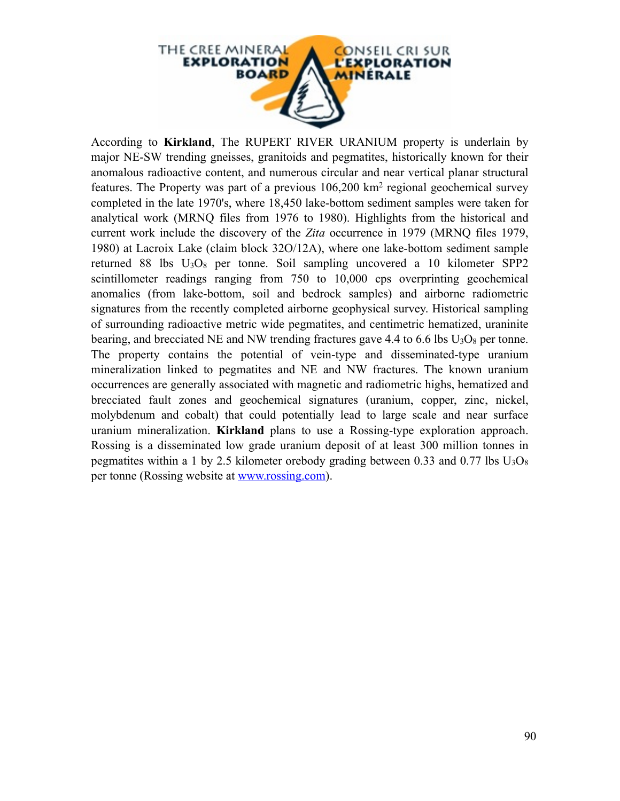

According to **Kirkland**, The RUPERT RIVER URANIUM property is underlain by major NE-SW trending gneisses, granitoids and pegmatites, historically known for their anomalous radioactive content, and numerous circular and near vertical planar structural features. The Property was part of a previous 106,200 km2 regional geochemical survey completed in the late 1970's, where 18,450 lake-bottom sediment samples were taken for analytical work (MRNQ files from 1976 to 1980). Highlights from the historical and current work include the discovery of the *Zita* occurrence in 1979 (MRNQ files 1979, 1980) at Lacroix Lake (claim block 32O/12A), where one lake-bottom sediment sample returned 88 lbs  $U_3O_8$  per tonne. Soil sampling uncovered a 10 kilometer SPP2 scintillometer readings ranging from 750 to 10,000 cps overprinting geochemical anomalies (from lake-bottom, soil and bedrock samples) and airborne radiometric signatures from the recently completed airborne geophysical survey. Historical sampling of surrounding radioactive metric wide pegmatites, and centimetric hematized, uraninite bearing, and brecciated NE and NW trending fractures gave 4.4 to 6.6 lbs  $U_3O_8$  per tonne. The property contains the potential of vein-type and disseminated-type uranium mineralization linked to pegmatites and NE and NW fractures. The known uranium occurrences are generally associated with magnetic and radiometric highs, hematized and brecciated fault zones and geochemical signatures (uranium, copper, zinc, nickel, molybdenum and cobalt) that could potentially lead to large scale and near surface uranium mineralization. **Kirkland** plans to use a Rossing-type exploration approach. Rossing is a disseminated low grade uranium deposit of at least 300 million tonnes in pegmatites within a 1 by 2.5 kilometer orebody grading between 0.33 and 0.77 lbs  $U_3O_8$ per tonne (Rossing website at [www.rossing.com\)](http://www.rossing.com).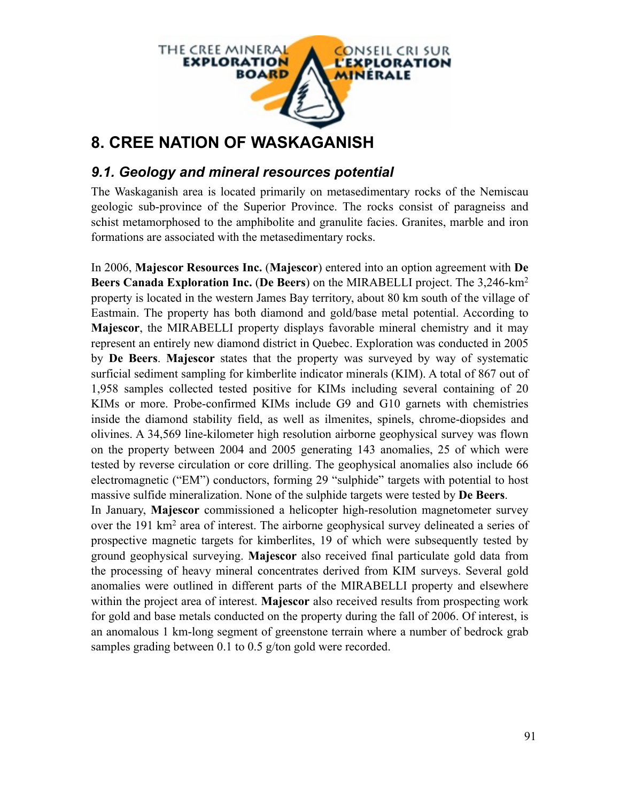

# **8. CREE NATION OF WASKAGANISH**

# *9.1. Geology and mineral resources potential*

The Waskaganish area is located primarily on metasedimentary rocks of the Nemiscau geologic sub-province of the Superior Province. The rocks consist of paragneiss and schist metamorphosed to the amphibolite and granulite facies. Granites, marble and iron formations are associated with the metasedimentary rocks.

In 2006, **Majescor Resources Inc.** (**Majescor**) entered into an option agreement with **De Beers Canada Exploration Inc.** (**De Beers**) on the MIRABELLI project. The 3,246-km2 property is located in the western James Bay territory, about 80 km south of the village of Eastmain. The property has both diamond and gold/base metal potential. According to **Majescor**, the MIRABELLI property displays favorable mineral chemistry and it may represent an entirely new diamond district in Quebec. Exploration was conducted in 2005 by **De Beers**. **Majescor** states that the property was surveyed by way of systematic surficial sediment sampling for kimberlite indicator minerals (KIM). A total of 867 out of 1,958 samples collected tested positive for KIMs including several containing of 20 KIMs or more. Probe-confirmed KIMs include G9 and G10 garnets with chemistries inside the diamond stability field, as well as ilmenites, spinels, chrome-diopsides and olivines. A 34,569 line-kilometer high resolution airborne geophysical survey was flown on the property between 2004 and 2005 generating 143 anomalies, 25 of which were tested by reverse circulation or core drilling. The geophysical anomalies also include 66 electromagnetic ("EM") conductors, forming 29 "sulphide" targets with potential to host massive sulfide mineralization. None of the sulphide targets were tested by **De Beers**.

In January, **Majescor** commissioned a helicopter high-resolution magnetometer survey over the 191 km2 area of interest. The airborne geophysical survey delineated a series of prospective magnetic targets for kimberlites, 19 of which were subsequently tested by ground geophysical surveying. **Majescor** also received final particulate gold data from the processing of heavy mineral concentrates derived from KIM surveys. Several gold anomalies were outlined in different parts of the MIRABELLI property and elsewhere within the project area of interest. **Majescor** also received results from prospecting work for gold and base metals conducted on the property during the fall of 2006. Of interest, is an anomalous 1 km-long segment of greenstone terrain where a number of bedrock grab samples grading between 0.1 to 0.5 g/ton gold were recorded.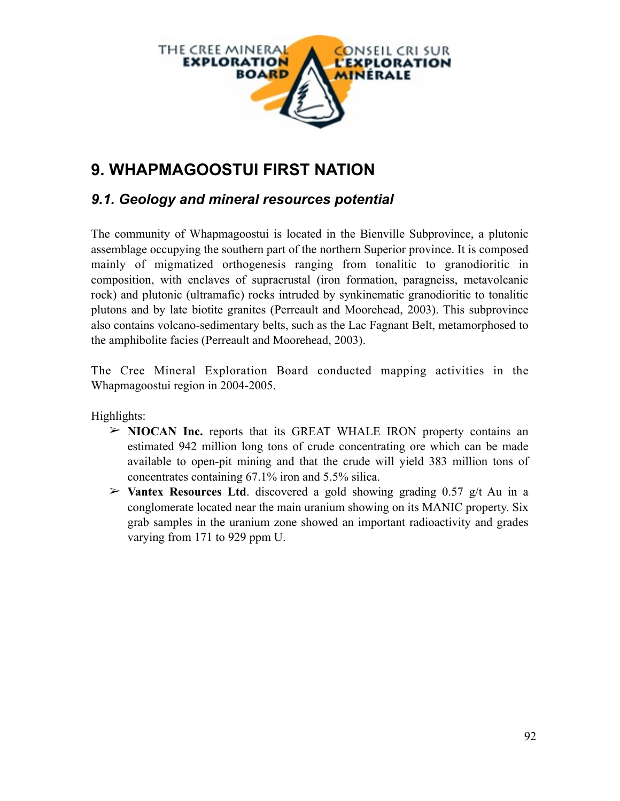

# **9. WHAPMAGOOSTUI FIRST NATION**

# *9.1. Geology and mineral resources potential*

The community of Whapmagoostui is located in the Bienville Subprovince, a plutonic assemblage occupying the southern part of the northern Superior province. It is composed mainly of migmatized orthogenesis ranging from tonalitic to granodioritic in composition, with enclaves of supracrustal (iron formation, paragneiss, metavolcanic rock) and plutonic (ultramafic) rocks intruded by synkinematic granodioritic to tonalitic plutons and by late biotite granites (Perreault and Moorehead, 2003). This subprovince also contains volcano-sedimentary belts, such as the Lac Fagnant Belt, metamorphosed to the amphibolite facies (Perreault and Moorehead, 2003).

The Cree Mineral Exploration Board conducted mapping activities in the Whapmagoostui region in 2004-2005.

Highlights:

- ➢ **NIOCAN Inc.** reports that its GREAT WHALE IRON property contains an estimated 942 million long tons of crude concentrating ore which can be made available to open-pit mining and that the crude will yield 383 million tons of concentrates containing 67.1% iron and 5.5% silica.
- ➢ **Vantex Resources Ltd**. discovered a gold showing grading 0.57 g/t Au in a conglomerate located near the main uranium showing on its MANIC property. Six grab samples in the uranium zone showed an important radioactivity and grades varying from 171 to 929 ppm U.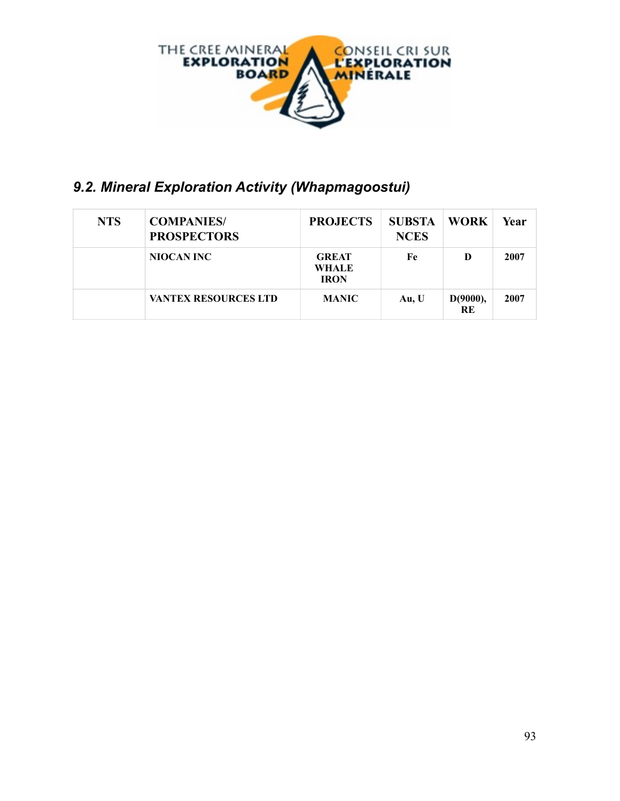

# *9.2. Mineral Exploration Activity (Whapmagoostui)*

| <b>NTS</b> | <b>COMPANIES/</b><br><b>PROSPECTORS</b> | <b>PROJECTS</b>                             | <b>SUBSTA</b><br><b>NCES</b> | <b>WORK</b>           | Year |
|------------|-----------------------------------------|---------------------------------------------|------------------------------|-----------------------|------|
|            | NIOCAN INC                              | <b>GREAT</b><br><b>WHALE</b><br><b>IRON</b> | Fe                           | D                     | 2007 |
|            | <b>VANTEX RESOURCES LTD</b>             | <b>MANIC</b>                                | Au, U                        | D(9000),<br><b>RE</b> | 2007 |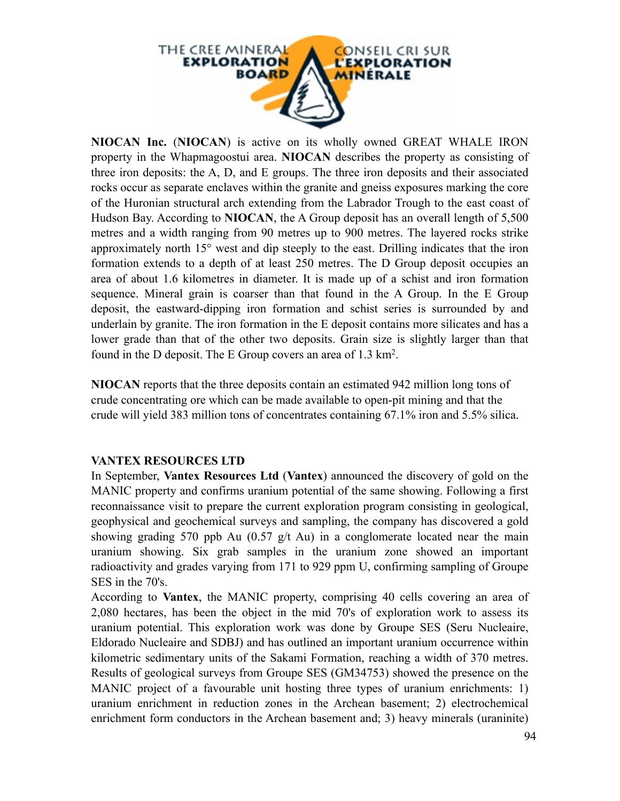

**NIOCAN Inc.** (**NIOCAN**) is active on its wholly owned GREAT WHALE IRON property in the Whapmagoostui area. **NIOCAN** describes the property as consisting of three iron deposits: the A, D, and E groups. The three iron deposits and their associated rocks occur as separate enclaves within the granite and gneiss exposures marking the core of the Huronian structural arch extending from the Labrador Trough to the east coast of Hudson Bay. According to **NIOCAN**, the A Group deposit has an overall length of 5,500 metres and a width ranging from 90 metres up to 900 metres. The layered rocks strike approximately north 15° west and dip steeply to the east. Drilling indicates that the iron formation extends to a depth of at least 250 metres. The D Group deposit occupies an area of about 1.6 kilometres in diameter. It is made up of a schist and iron formation sequence. Mineral grain is coarser than that found in the A Group. In the E Group deposit, the eastward-dipping iron formation and schist series is surrounded by and underlain by granite. The iron formation in the E deposit contains more silicates and has a lower grade than that of the other two deposits. Grain size is slightly larger than that found in the D deposit. The E Group covers an area of 1.3 km2.

**NIOCAN** reports that the three deposits contain an estimated 942 million long tons of crude concentrating ore which can be made available to open-pit mining and that the crude will yield 383 million tons of concentrates containing 67.1% iron and 5.5% silica.

## **VANTEX RESOURCES LTD**

In September, **Vantex Resources Ltd** (**Vantex**) announced the discovery of gold on the MANIC property and confirms uranium potential of the same showing. Following a first reconnaissance visit to prepare the current exploration program consisting in geological, geophysical and geochemical surveys and sampling, the company has discovered a gold showing grading 570 ppb Au  $(0.57 \text{ g/t} \text{Au})$  in a conglomerate located near the main uranium showing. Six grab samples in the uranium zone showed an important radioactivity and grades varying from 171 to 929 ppm U, confirming sampling of Groupe SES in the 70's.

According to **Vantex**, the MANIC property, comprising 40 cells covering an area of 2,080 hectares, has been the object in the mid 70's of exploration work to assess its uranium potential. This exploration work was done by Groupe SES (Seru Nucleaire, Eldorado Nucleaire and SDBJ) and has outlined an important uranium occurrence within kilometric sedimentary units of the Sakami Formation, reaching a width of 370 metres. Results of geological surveys from Groupe SES (GM34753) showed the presence on the MANIC project of a favourable unit hosting three types of uranium enrichments: 1) uranium enrichment in reduction zones in the Archean basement; 2) electrochemical enrichment form conductors in the Archean basement and; 3) heavy minerals (uraninite)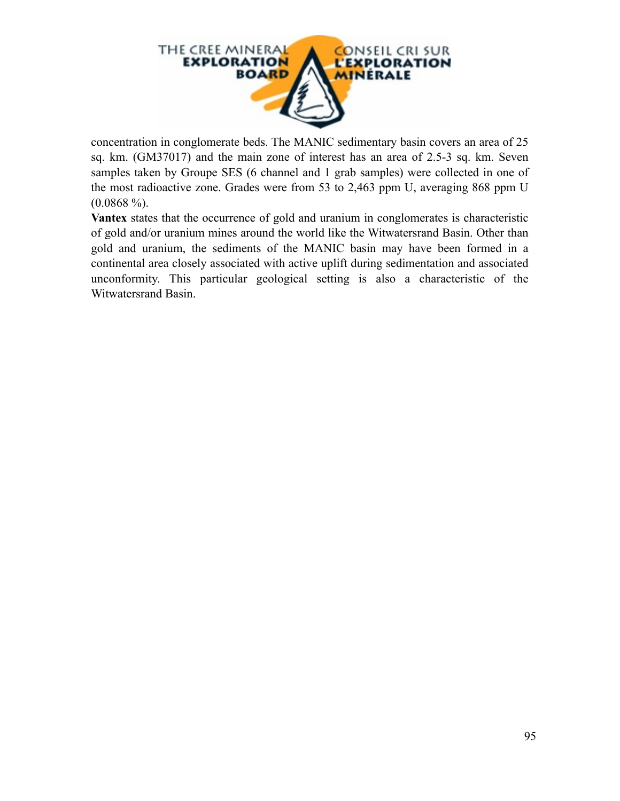

concentration in conglomerate beds. The MANIC sedimentary basin covers an area of 25 sq. km. (GM37017) and the main zone of interest has an area of 2.5-3 sq. km. Seven samples taken by Groupe SES (6 channel and 1 grab samples) were collected in one of the most radioactive zone. Grades were from 53 to 2,463 ppm U, averaging 868 ppm U  $(0.0868\%).$ 

**Vantex** states that the occurrence of gold and uranium in conglomerates is characteristic of gold and/or uranium mines around the world like the Witwatersrand Basin. Other than gold and uranium, the sediments of the MANIC basin may have been formed in a continental area closely associated with active uplift during sedimentation and associated unconformity. This particular geological setting is also a characteristic of the Witwatersrand Basin.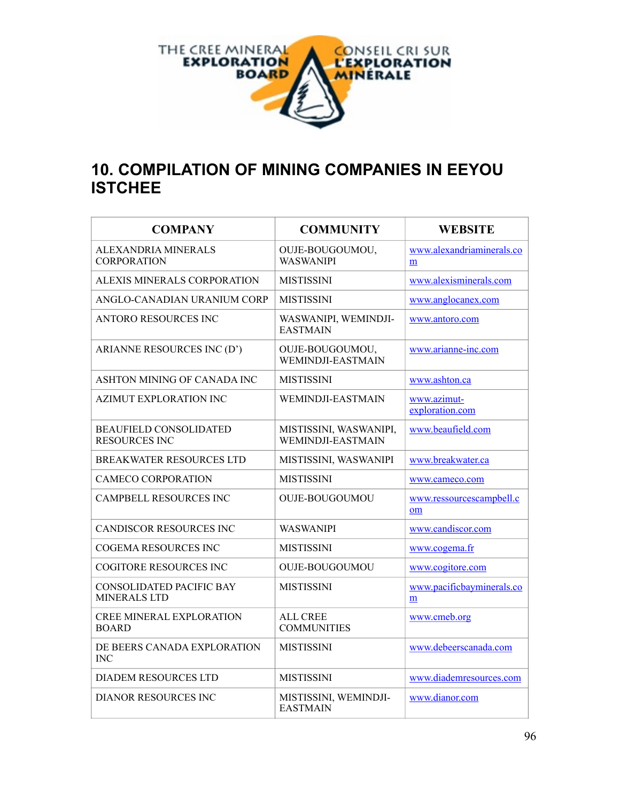

# **10. COMPILATION OF MINING COMPANIES IN EEYOU ISTCHEE**

| <b>COMPANY</b>                                        | <b>COMMUNITY</b>                            | <b>WEBSITE</b>                 |
|-------------------------------------------------------|---------------------------------------------|--------------------------------|
| ALEXANDRIA MINERALS<br><b>CORPORATION</b>             | OUJE-BOUGOUMOU,<br><b>WASWANIPI</b>         | www.alexandriaminerals.co<br>m |
| ALEXIS MINERALS CORPORATION                           | <b>MISTISSINI</b>                           | www.alexisminerals.com         |
| ANGLO-CANADIAN URANIUM CORP                           | <b>MISTISSINI</b>                           | www.anglocanex.com             |
| ANTORO RESOURCES INC                                  | WASWANIPI, WEMINDJI-<br><b>EASTMAIN</b>     | www.antoro.com                 |
| ARIANNE RESOURCES INC (D')                            | OUJE-BOUGOUMOU,<br>WEMINDJI-EASTMAIN        | www.arianne-inc.com            |
| ASHTON MINING OF CANADA INC                           | <b>MISTISSINI</b>                           | www.ashton.ca                  |
| AZIMUT EXPLORATION INC                                | WEMINDJI-EASTMAIN                           | www.azimut-<br>exploration.com |
| <b>BEAUFIELD CONSOLIDATED</b><br><b>RESOURCES INC</b> | MISTISSINI, WASWANIPI,<br>WEMINDJI-EASTMAIN | www.beaufield.com              |
| <b>BREAKWATER RESOURCES LTD</b>                       | MISTISSINI, WASWANIPI                       | www.breakwater.ca              |
| CAMECO CORPORATION                                    | <b>MISTISSINI</b>                           | www.cameco.com                 |
| <b>CAMPBELL RESOURCES INC</b>                         | <b>OUJE-BOUGOUMOU</b>                       | www.ressourcescampbell.c<br>om |
| CANDISCOR RESOURCES INC                               | <b>WASWANIPI</b>                            | www.candiscor.com              |
| COGEMA RESOURCES INC                                  | <b>MISTISSINI</b>                           | www.cogema.fr                  |
| <b>COGITORE RESOURCES INC</b>                         | <b>OUJE-BOUGOUMOU</b>                       | www.cogitore.com               |
| CONSOLIDATED PACIFIC BAY<br>MINERALS LTD              | <b>MISTISSINI</b>                           | www.pacificbayminerals.co<br>m |
| <b>CREE MINERAL EXPLORATION</b><br><b>BOARD</b>       | <b>ALL CREE</b><br><b>COMMUNITIES</b>       | www.cmeb.org                   |
| DE BEERS CANADA EXPLORATION<br>INC                    | <b>MISTISSINI</b>                           | www.debeerscanada.com          |
| DIADEM RESOURCES LTD                                  | <b>MISTISSINI</b>                           | www.diademresources.com        |
| <b>DIANOR RESOURCES INC</b>                           | MISTISSINI, WEMINDJI-<br><b>EASTMAIN</b>    | www.dianor.com                 |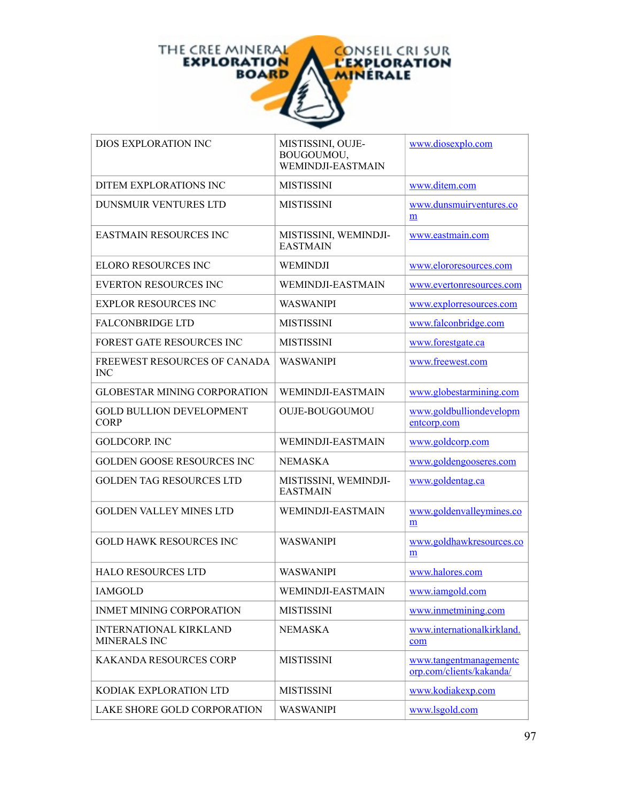

| DIOS EXPLORATION INC                           | MISTISSINI, OUJE-<br>BOUGOUMOU,<br>WEMINDJI-EASTMAIN | www.diosexplo.com                                  |
|------------------------------------------------|------------------------------------------------------|----------------------------------------------------|
| DITEM EXPLORATIONS INC                         | <b>MISTISSINI</b>                                    | www.ditem.com                                      |
| DUNSMUIR VENTURES LTD                          | <b>MISTISSINI</b>                                    | www.dunsmuirventures.co<br>m                       |
| <b>EASTMAIN RESOURCES INC</b>                  | MISTISSINI, WEMINDJI-<br><b>EASTMAIN</b>             | www.eastmain.com                                   |
| <b>ELORO RESOURCES INC</b>                     | WEMINDJI                                             | www.elororesources.com                             |
| <b>EVERTON RESOURCES INC</b>                   | WEMINDJI-EASTMAIN                                    | www.evertonresources.com                           |
| <b>EXPLOR RESOURCES INC</b>                    | <b>WASWANIPI</b>                                     | www.explorresources.com                            |
| <b>FALCONBRIDGE LTD</b>                        | <b>MISTISSINI</b>                                    | www.falconbridge.com                               |
| <b>FOREST GATE RESOURCES INC</b>               | <b>MISTISSINI</b>                                    | www.forestgate.ca                                  |
| FREEWEST RESOURCES OF CANADA<br><b>INC</b>     | <b>WASWANIPI</b>                                     | www.freewest.com                                   |
| <b>GLOBESTAR MINING CORPORATION</b>            | WEMINDJI-EASTMAIN                                    | www.globestarmining.com                            |
| <b>GOLD BULLION DEVELOPMENT</b><br><b>CORP</b> | <b>OUJE-BOUGOUMOU</b>                                | www.goldbulliondevelopm<br>entcorp.com             |
| <b>GOLDCORP. INC</b>                           | WEMINDJI-EASTMAIN                                    | www.goldcorp.com                                   |
| <b>GOLDEN GOOSE RESOURCES INC</b>              | <b>NEMASKA</b>                                       | www.goldengooseres.com                             |
| <b>GOLDEN TAG RESOURCES LTD</b>                | MISTISSINI, WEMINDJI-<br><b>EASTMAIN</b>             | www.goldentag.ca                                   |
| <b>GOLDEN VALLEY MINES LTD</b>                 | WEMINDJI-EASTMAIN                                    | www.goldenvalleymines.co<br>m                      |
| <b>GOLD HAWK RESOURCES INC</b>                 | WASWANIPI                                            | www.goldhawkresources.co<br>m                      |
| <b>HALO RESOURCES LTD</b>                      | <b>WASWANIPI</b>                                     | www.halores.com                                    |
| <b>IAMGOLD</b>                                 | WEMINDJI-EASTMAIN                                    | www.iamgold.com                                    |
| INMET MINING CORPORATION                       | <b>MISTISSINI</b>                                    | www.inmetmining.com                                |
| <b>INTERNATIONAL KIRKLAND</b><br>MINERALS INC  | <b>NEMASKA</b>                                       | www.internationalkirkland.<br>com                  |
| <b>KAKANDA RESOURCES CORP</b>                  | <b>MISTISSINI</b>                                    | www.tangentmanagementc<br>orp.com/clients/kakanda/ |
| KODIAK EXPLORATION LTD                         | <b>MISTISSINI</b>                                    | www.kodiakexp.com                                  |
| LAKE SHORE GOLD CORPORATION                    | <b>WASWANIPI</b>                                     | www.lsgold.com                                     |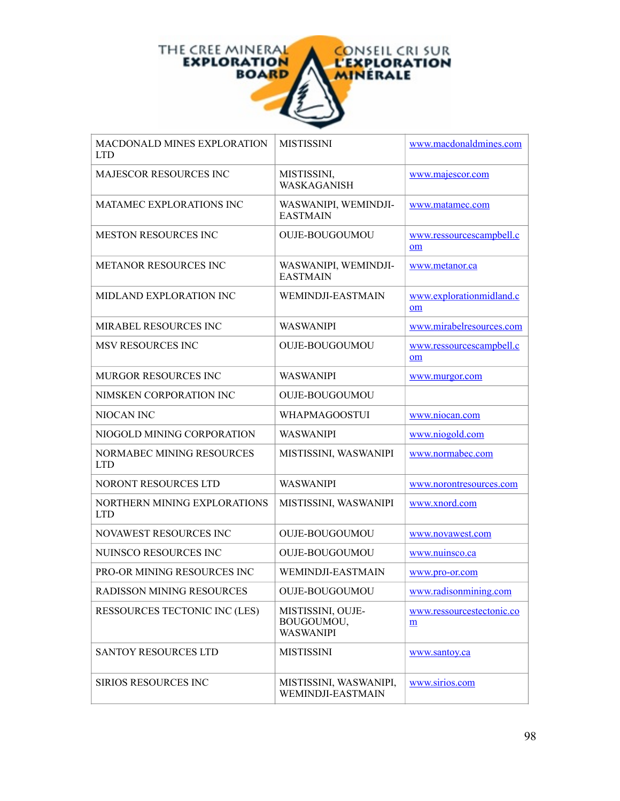

| MACDONALD MINES EXPLORATION<br>LTD.        | <b>MISTISSINI</b>                                   | www.macdonaldmines.com         |
|--------------------------------------------|-----------------------------------------------------|--------------------------------|
| <b>MAJESCOR RESOURCES INC</b>              | MISTISSINI,<br>WASKAGANISH                          | www.majescor.com               |
| <b>MATAMEC EXPLORATIONS INC</b>            | WASWANIPI, WEMINDJI-<br><b>EASTMAIN</b>             | www.matamec.com                |
| <b>MESTON RESOURCES INC</b>                | <b>OUJE-BOUGOUMOU</b>                               | www.ressourcescampbell.c<br>om |
| <b>METANOR RESOURCES INC</b>               | WASWANIPI, WEMINDJI-<br><b>EASTMAIN</b>             | www.metanor.ca                 |
| MIDLAND EXPLORATION INC                    | WEMINDJI-EASTMAIN                                   | www.explorationmidland.c<br>om |
| MIRABEL RESOURCES INC                      | <b>WASWANIPI</b>                                    | www.mirabelresources.com       |
| <b>MSV RESOURCES INC</b>                   | <b>OUJE-BOUGOUMOU</b>                               | www.ressourcescampbell.c<br>om |
| MURGOR RESOURCES INC                       | <b>WASWANIPI</b>                                    | www.murgor.com                 |
| NIMSKEN CORPORATION INC                    | <b>OUJE-BOUGOUMOU</b>                               |                                |
| NIOCAN INC                                 | WHAPMAGOOSTUI                                       | www.niocan.com                 |
| NIOGOLD MINING CORPORATION                 | <b>WASWANIPI</b>                                    | www.niogold.com                |
| NORMABEC MINING RESOURCES<br><b>LTD</b>    | MISTISSINI, WASWANIPI                               | www.normabec.com               |
| NORONT RESOURCES LTD                       | <b>WASWANIPI</b>                                    | www.norontresources.com        |
| NORTHERN MINING EXPLORATIONS<br><b>LTD</b> | MISTISSINI, WASWANIPI                               | www.xnord.com                  |
| NOVAWEST RESOURCES INC                     | OUJE-BOUGOUMOU                                      | www.novawest.com               |
| NUINSCO RESOURCES INC                      | <b>OUJE-BOUGOUMOU</b>                               | www.nuinsco.ca                 |
| PRO-OR MINING RESOURCES INC                | <b>WEMINDJI-EASTMAIN</b>                            | www.pro-or.com                 |
| <b>RADISSON MINING RESOURCES</b>           | <b>OUJE-BOUGOUMOU</b>                               | www.radisonmining.com          |
| RESSOURCES TECTONIC INC (LES)              | MISTISSINI, OUJE-<br>BOUGOUMOU,<br><b>WASWANIPI</b> | www.ressourcestectonic.co<br>m |
| <b>SANTOY RESOURCES LTD</b>                | <b>MISTISSINI</b>                                   | www.santov.ca                  |
| <b>SIRIOS RESOURCES INC</b>                | MISTISSINI, WASWANIPI,<br>WEMINDJI-EASTMAIN         | www.sirios.com                 |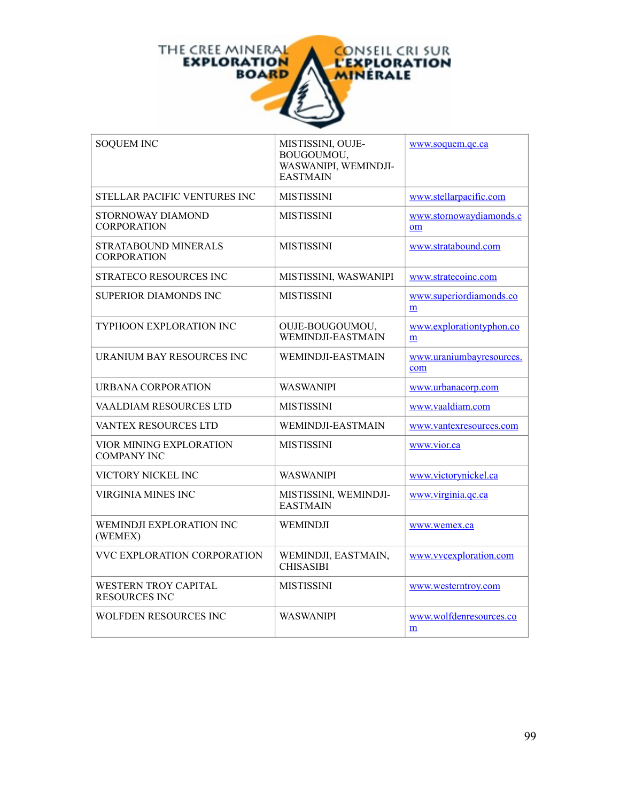

| <b>SOQUEM INC</b>                                   | MISTISSINI, OUJE-<br>BOUGOUMOU,<br>WASWANIPI, WEMINDJI-<br><b>EASTMAIN</b> | www.soquem.qc.ca                |
|-----------------------------------------------------|----------------------------------------------------------------------------|---------------------------------|
| STELLAR PACIFIC VENTURES INC                        | <b>MISTISSINI</b>                                                          | www.stellarpacific.com          |
| STORNOWAY DIAMOND<br><b>CORPORATION</b>             | <b>MISTISSINI</b>                                                          | www.stornowaydiamonds.c<br>om   |
| STRATABOUND MINERALS<br><b>CORPORATION</b>          | <b>MISTISSINI</b>                                                          | www.stratabound.com             |
| STRATECO RESOURCES INC                              | MISTISSINI, WASWANIPI                                                      | www.stratecoinc.com             |
| SUPERIOR DIAMONDS INC                               | <b>MISTISSINI</b>                                                          | www.superiordiamonds.co<br>m    |
| <b>TYPHOON EXPLORATION INC</b>                      | OUJE-BOUGOUMOU,<br>WEMINDJI-EASTMAIN                                       | www.explorationtyphon.co<br>m   |
| URANIUM BAY RESOURCES INC                           | WEMINDJI-EASTMAIN                                                          | www.uraniumbayresources.<br>com |
| URBANA CORPORATION                                  | <b>WASWANIPI</b>                                                           | www.urbanacorp.com              |
| VAALDIAM RESOURCES LTD                              | <b>MISTISSINI</b>                                                          | www.vaaldiam.com                |
| VANTEX RESOURCES LTD                                | WEMINDJI-EASTMAIN                                                          | www.vantexresources.com         |
| VIOR MINING EXPLORATION<br><b>COMPANY INC</b>       | <b>MISTISSINI</b>                                                          | www.vior.ca                     |
| VICTORY NICKEL INC                                  | WASWANIPI                                                                  | www.victorynickel.ca            |
| <b>VIRGINIA MINES INC</b>                           | MISTISSINI, WEMINDJI-<br><b>EASTMAIN</b>                                   | www.virginia.qc.ca              |
| WEMINDJI EXPLORATION INC<br>(WEMEX)                 | WEMINDJI                                                                   | www.wemex.ca                    |
| VVC EXPLORATION CORPORATION                         | WEMINDJI, EASTMAIN,<br><b>CHISASIBI</b>                                    | www.vvcexploration.com          |
| <b>WESTERN TROY CAPITAL</b><br><b>RESOURCES INC</b> | <b>MISTISSINI</b>                                                          | www.westerntroy.com             |
| WOLFDEN RESOURCES INC                               | WASWANIPI                                                                  | www.wolfdenresources.co<br>m    |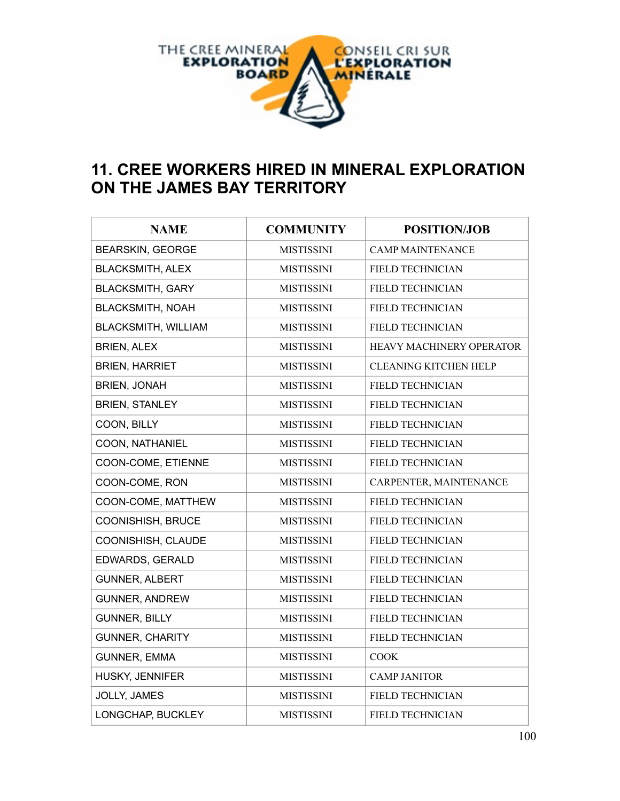

# **11. CREE WORKERS HIRED IN MINERAL EXPLORATION ON THE JAMES BAY TERRITORY**

| <b>NAME</b>                | <b>COMMUNITY</b>  | <b>POSITION/JOB</b>          |
|----------------------------|-------------------|------------------------------|
| <b>BEARSKIN, GEORGE</b>    | <b>MISTISSINI</b> | <b>CAMP MAINTENANCE</b>      |
| <b>BLACKSMITH, ALEX</b>    | <b>MISTISSINI</b> | FIELD TECHNICIAN             |
| <b>BLACKSMITH, GARY</b>    | <b>MISTISSINI</b> | FIELD TECHNICIAN             |
| <b>BLACKSMITH, NOAH</b>    | <b>MISTISSINI</b> | FIELD TECHNICIAN             |
| <b>BLACKSMITH, WILLIAM</b> | <b>MISTISSINI</b> | FIELD TECHNICIAN             |
| <b>BRIEN, ALEX</b>         | <b>MISTISSINI</b> | HEAVY MACHINERY OPERATOR     |
| <b>BRIEN, HARRIET</b>      | <b>MISTISSINI</b> | <b>CLEANING KITCHEN HELP</b> |
| <b>BRIEN, JONAH</b>        | <b>MISTISSINI</b> | FIELD TECHNICIAN             |
| <b>BRIEN, STANLEY</b>      | <b>MISTISSINI</b> | FIELD TECHNICIAN             |
| COON, BILLY                | <b>MISTISSINI</b> | FIELD TECHNICIAN             |
| COON, NATHANIEL            | <b>MISTISSINI</b> | FIELD TECHNICIAN             |
| COON-COME, ETIENNE         | <b>MISTISSINI</b> | FIELD TECHNICIAN             |
| COON-COME, RON             | <b>MISTISSINI</b> | CARPENTER, MAINTENANCE       |
| COON-COME, MATTHEW         | <b>MISTISSINI</b> | <b>FIELD TECHNICIAN</b>      |
| COONISHISH, BRUCE          | <b>MISTISSINI</b> | FIELD TECHNICIAN             |
| COONISHISH, CLAUDE         | <b>MISTISSINI</b> | FIELD TECHNICIAN             |
| EDWARDS, GERALD            | <b>MISTISSINI</b> | FIELD TECHNICIAN             |
| <b>GUNNER, ALBERT</b>      | <b>MISTISSINI</b> | FIELD TECHNICIAN             |
| <b>GUNNER, ANDREW</b>      | <b>MISTISSINI</b> | FIELD TECHNICIAN             |
| <b>GUNNER, BILLY</b>       | <b>MISTISSINI</b> | FIELD TECHNICIAN             |
| <b>GUNNER, CHARITY</b>     | <b>MISTISSINI</b> | FIELD TECHNICIAN             |
| <b>GUNNER, EMMA</b>        | <b>MISTISSINI</b> | <b>COOK</b>                  |
| HUSKY, JENNIFER            | <b>MISTISSINI</b> | <b>CAMP JANITOR</b>          |
| <b>JOLLY, JAMES</b>        | <b>MISTISSINI</b> | FIELD TECHNICIAN             |
| LONGCHAP, BUCKLEY          | <b>MISTISSINI</b> | <b>FIELD TECHNICIAN</b>      |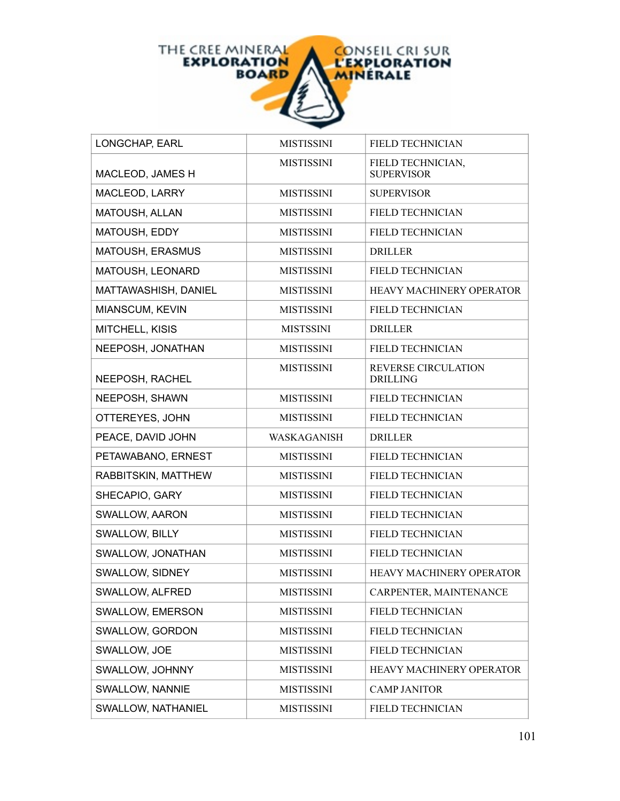

| LONGCHAP, EARL       | <b>MISTISSINI</b> | FIELD TECHNICIAN                              |
|----------------------|-------------------|-----------------------------------------------|
| MACLEOD, JAMES H     | <b>MISTISSINI</b> | FIELD TECHNICIAN,<br><b>SUPERVISOR</b>        |
| MACLEOD, LARRY       | <b>MISTISSINI</b> | <b>SUPERVISOR</b>                             |
| MATOUSH, ALLAN       | <b>MISTISSINI</b> | FIELD TECHNICIAN                              |
| MATOUSH, EDDY        | <b>MISTISSINI</b> | FIELD TECHNICIAN                              |
| MATOUSH, ERASMUS     | <b>MISTISSINI</b> | <b>DRILLER</b>                                |
| MATOUSH, LEONARD     | <b>MISTISSINI</b> | FIELD TECHNICIAN                              |
| MATTAWASHISH, DANIEL | <b>MISTISSINI</b> | HEAVY MACHINERY OPERATOR                      |
| MIANSCUM, KEVIN      | <b>MISTISSINI</b> | FIELD TECHNICIAN                              |
| MITCHELL, KISIS      | <b>MISTSSINI</b>  | <b>DRILLER</b>                                |
| NEEPOSH, JONATHAN    | <b>MISTISSINI</b> | FIELD TECHNICIAN                              |
| NEEPOSH, RACHEL      | <b>MISTISSINI</b> | <b>REVERSE CIRCULATION</b><br><b>DRILLING</b> |
| NEEPOSH, SHAWN       | <b>MISTISSINI</b> | FIELD TECHNICIAN                              |
| OTTEREYES, JOHN      | <b>MISTISSINI</b> | <b>FIELD TECHNICIAN</b>                       |
|                      |                   |                                               |
| PEACE, DAVID JOHN    | WASKAGANISH       | <b>DRILLER</b>                                |
| PETAWABANO, ERNEST   | <b>MISTISSINI</b> | <b>FIELD TECHNICIAN</b>                       |
| RABBITSKIN, MATTHEW  | <b>MISTISSINI</b> | FIELD TECHNICIAN                              |
| SHECAPIO, GARY       | <b>MISTISSINI</b> | FIELD TECHNICIAN                              |
| SWALLOW, AARON       | <b>MISTISSINI</b> | FIELD TECHNICIAN                              |
| SWALLOW, BILLY       | <b>MISTISSINI</b> | <b>FIELD TECHNICIAN</b>                       |
| SWALLOW, JONATHAN    | <b>MISTISSINI</b> | FIELD TECHNICIAN                              |
| SWALLOW, SIDNEY      | <b>MISTISSINI</b> | HEAVY MACHINERY OPERATOR                      |
| SWALLOW, ALFRED      | <b>MISTISSINI</b> | CARPENTER, MAINTENANCE                        |
| SWALLOW, EMERSON     | <b>MISTISSINI</b> | FIELD TECHNICIAN                              |
| SWALLOW, GORDON      | <b>MISTISSINI</b> | FIELD TECHNICIAN                              |
| SWALLOW, JOE         | <b>MISTISSINI</b> | FIELD TECHNICIAN                              |
| SWALLOW, JOHNNY      | <b>MISTISSINI</b> | <b>HEAVY MACHINERY OPERATOR</b>               |
| SWALLOW, NANNIE      | <b>MISTISSINI</b> | <b>CAMP JANITOR</b>                           |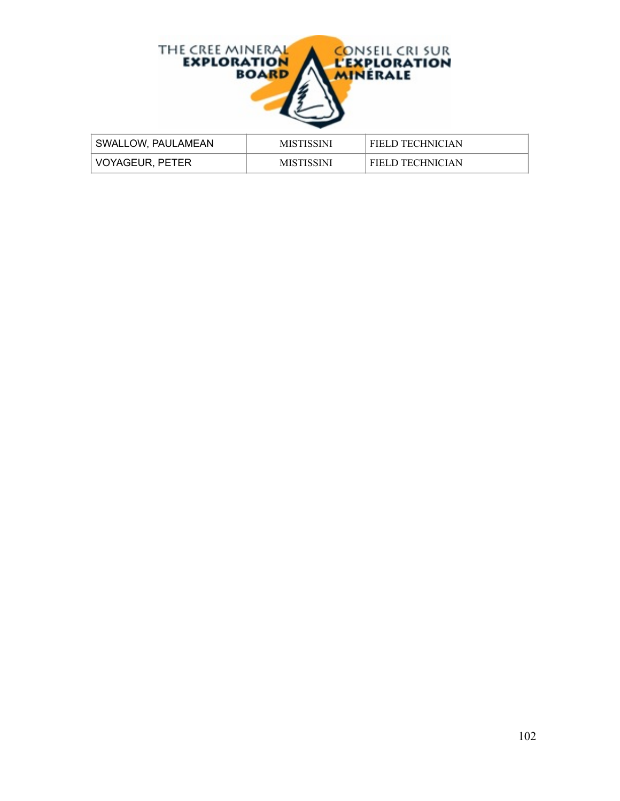

| SWALLOW, PAULAMEAN | <b>MISTISSINI</b> | <b>FIELD TECHNICIAN</b> |
|--------------------|-------------------|-------------------------|
| VOYAGEUR, PETER    | <b>MISTISSINI</b> | <b>FIELD TECHNICIAN</b> |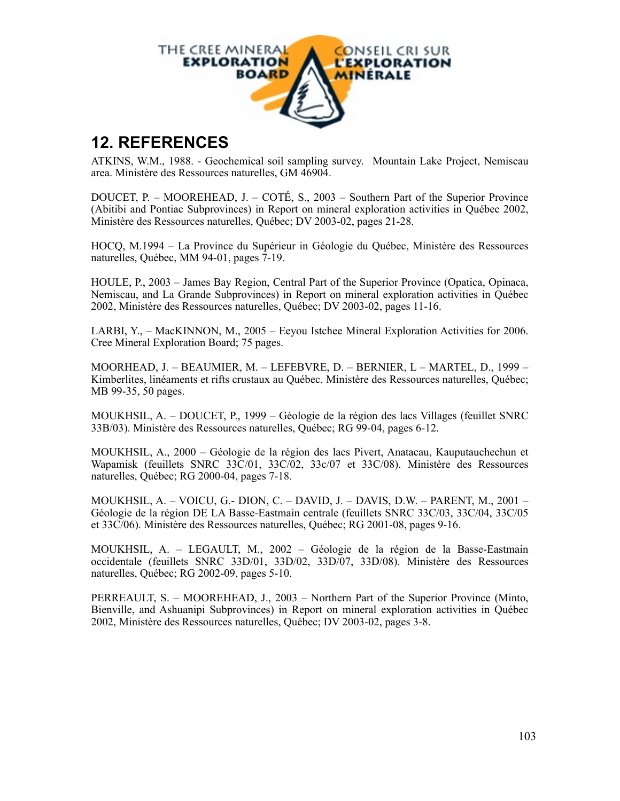

# **12. REFERENCES**

ATKINS, W.M., 1988. - Geochemical soil sampling survey. Mountain Lake Project, Nemiscau area. Ministère des Ressources naturelles, GM 46904.

DOUCET, P. – MOOREHEAD, J. – COTÉ, S., 2003 – Southern Part of the Superior Province (Abitibi and Pontiac Subprovinces) in Report on mineral exploration activities in Québec 2002, Ministère des Ressources naturelles, Québec; DV 2003-02, pages 21-28.

HOCQ, M.1994 – La Province du Supérieur in Géologie du Québec, Ministère des Ressources naturelles, Québec, MM 94-01, pages 7-19.

HOULE, P., 2003 – James Bay Region, Central Part of the Superior Province (Opatica, Opinaca, Nemiscau, and La Grande Subprovinces) in Report on mineral exploration activities in Québec 2002, Ministère des Ressources naturelles, Québec; DV 2003-02, pages 11-16.

LARBI, Y., – MacKINNON, M., 2005 – Eeyou Istchee Mineral Exploration Activities for 2006. Cree Mineral Exploration Board; 75 pages.

MOORHEAD, J. – BEAUMIER, M. – LEFEBVRE, D. – BERNIER, L – MARTEL, D., 1999 – Kimberlites, linéaments et rifts crustaux au Québec. Ministère des Ressources naturelles, Québec; MB 99-35, 50 pages.

MOUKHSIL, A. – DOUCET, P., 1999 – Géologie de la région des lacs Villages (feuillet SNRC 33B/03). Ministère des Ressources naturelles, Québec; RG 99-04, pages 6-12.

MOUKHSIL, A., 2000 – Géologie de la région des lacs Pivert, Anatacau, Kauputauchechun et Wapamisk (feuillets SNRC 33C/01, 33C/02, 33c/07 et 33C/08). Ministère des Ressources naturelles, Québec; RG 2000-04, pages 7-18.

MOUKHSIL, A. – VOICU, G.- DION, C. – DAVID, J. – DAVIS, D.W. – PARENT, M., 2001 – Géologie de la région DE LA Basse-Eastmain centrale (feuillets SNRC 33C/03, 33C/04, 33C/05 et 33C/06). Ministère des Ressources naturelles, Québec; RG 2001-08, pages 9-16.

MOUKHSIL, A. – LEGAULT, M., 2002 – Géologie de la région de la Basse-Eastmain occidentale (feuillets SNRC 33D/01, 33D/02, 33D/07, 33D/08). Ministère des Ressources naturelles, Québec; RG 2002-09, pages 5-10.

PERREAULT, S. – MOOREHEAD, J., 2003 – Northern Part of the Superior Province (Minto, Bienville, and Ashuanipi Subprovinces) in Report on mineral exploration activities in Québec 2002, Ministère des Ressources naturelles, Québec; DV 2003-02, pages 3-8.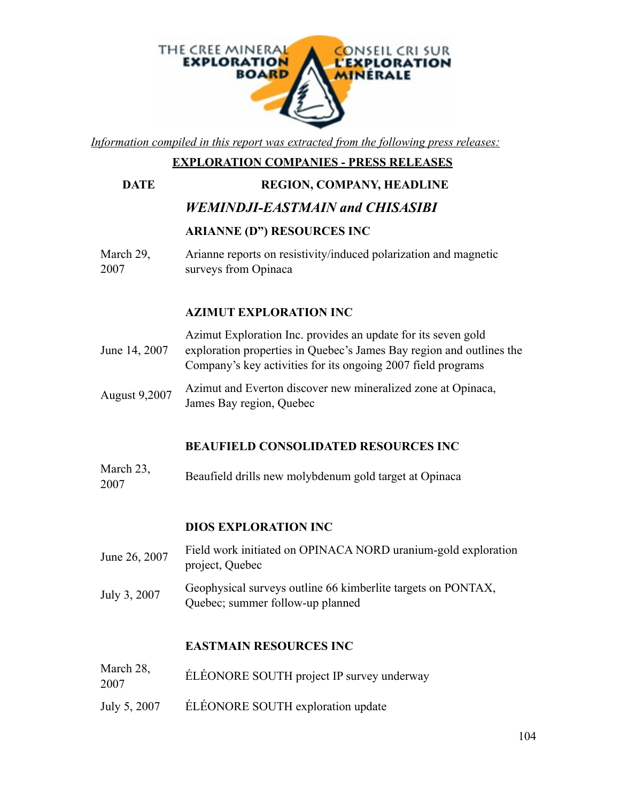

*Information compiled in this report was extracted from the following press releases:*

# **EXPLORATION COMPANIES - PRESS RELEASES**

#### **DATE REGION, COMPANY, HEADLINE**

# *WEMINDJI-EASTMAIN and CHISASIBI*

#### **ARIANNE (D") RESOURCES INC**

March 29, 2007 Arianne reports on resistivity/induced polarization and magnetic surveys from Opinaca

# **AZIMUT EXPLORATION INC**

- June 14, 2007 Azimut Exploration Inc. provides an update for its seven gold exploration properties in Quebec's James Bay region and outlines the Company's key activities for its ongoing 2007 field programs
- August 9,2007 Azimut and Everton discover new mineralized zone at Opinaca, James Bay region, Quebec

## **BEAUFIELD CONSOLIDATED RESOURCES INC**

March 23,  $2007$  Beaufield drills new molybdenum gold target at Opinaca

## **DIOS EXPLORATION INC**

- June 26, 2007 Field work initiated on OPINACA NORD uranium-gold exploration project, Quebec
- July 3, 2007 Geophysical surveys outline 66 kimberlite targets on PONTAX, Quebec; summer follow-up planned

#### **EASTMAIN RESOURCES INC**

- March 28,  $2007$  ELÉONORE SOUTH project IP survey underway
- July 5, 2007 ÉLÉONORE SOUTH exploration update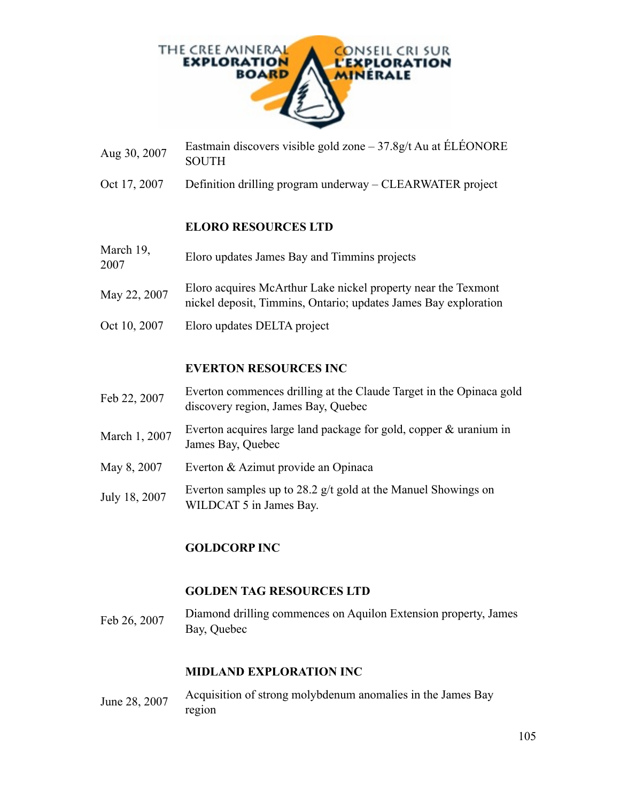

- Aug 30, 2007 Eastmain discovers visible gold zone 37.8g/t Au at ÉLÉONORE SOUTH
- Oct 17, 2007 Definition drilling program underway CLEARWATER project

#### **ELORO RESOURCES LTD**

- March 19, Eloro updates James Bay and Timmins projects 2007
- May 22, 2007 Eloro acquires McArthur Lake nickel property near the Texmont nickel deposit, Timmins, Ontario; updates James Bay exploration
- Oct 10, 2007 Eloro updates DELTA project

#### **EVERTON RESOURCES INC**

- Feb 22, 2007 Everton commences drilling at the Claude Target in the Opinaca gold discovery region, James Bay, Quebec
- March 1, 2007 Everton acquires large land package for gold, copper  $\&$  uranium in James Bay, Quebec
- May 8, 2007 Everton & Azimut provide an Opinaca
- July 18, 2007 Everton samples up to 28.2 g/t gold at the Manuel Showings on WILDCAT 5 in James Bay.

#### **GOLDCORP INC**

#### **GOLDEN TAG RESOURCES LTD**

Feb 26, 2007 Diamond drilling commences on Aquilon Extension property, James Bay, Quebec

#### **MIDLAND EXPLORATION INC**

June 28, 2007 Acquisition of strong molybdenum anomalies in the James Bay region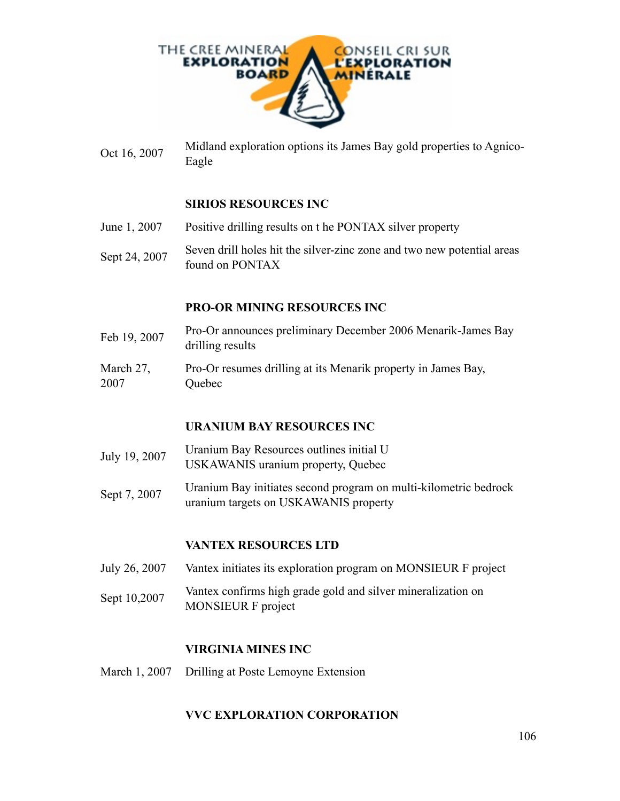

Oct 16, 2007 Midland exploration options its James Bay gold properties to Agnico-Eagle

#### **SIRIOS RESOURCES INC**

- June 1, 2007 Positive drilling results on t he PONTAX silver property
- Sept 24, 2007 Seven drill holes hit the silver-zinc zone and two new potential areas found on PONTAX

#### **PRO-OR MINING RESOURCES INC**

- Feb 19, 2007 Pro-Or announces preliminary December 2006 Menarik-James Bay drilling results
- March 27, 2007 Pro-Or resumes drilling at its Menarik property in James Bay, Quebec

#### **URANIUM BAY RESOURCES INC**

- July 19, 2007 Uranium Bay Resources outlines initial U USKAWANIS uranium property, Quebec
- Sept 7, 2007 Uranium Bay initiates second program on multi-kilometric bedrock uranium targets on USKAWANIS property

#### **VANTEX RESOURCES LTD**

- July 26, 2007 Vantex initiates its exploration program on MONSIEUR F project
- Sept 10,2007 Vantex confirms high grade gold and silver mineralization on MONSIEUR F project

#### **VIRGINIA MINES INC**

March 1, 2007 Drilling at Poste Lemoyne Extension

#### **VVC EXPLORATION CORPORATION**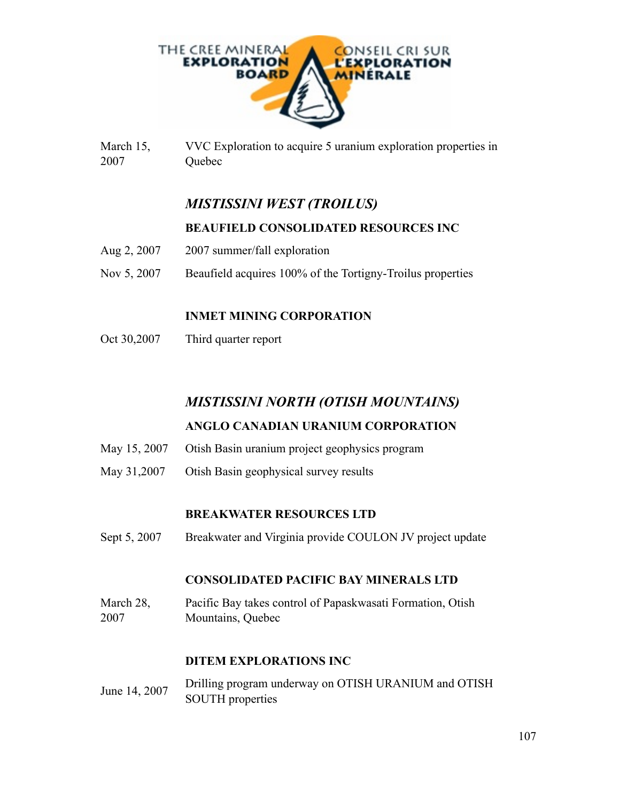

March 15, 2007 VVC Exploration to acquire 5 uranium exploration properties in Quebec

# *MISTISSINI WEST (TROILUS)*

## **BEAUFIELD CONSOLIDATED RESOURCES INC**

- Aug 2, 2007 2007 summer/fall exploration
- Nov 5, 2007 Beaufield acquires 100% of the Tortigny-Troilus properties

## **INMET MINING CORPORATION**

Oct 30,2007 Third quarter report

# *MISTISSINI NORTH (OTISH MOUNTAINS)*

## **ANGLO CANADIAN URANIUM CORPORATION**

- May 15, 2007 Otish Basin uranium project geophysics program
- May 31,2007 Otish Basin geophysical survey results

## **BREAKWATER RESOURCES LTD**

Sept 5, 2007 Breakwater and Virginia provide COULON JV project update

#### **CONSOLIDATED PACIFIC BAY MINERALS LTD**

March 28, 2007 Pacific Bay takes control of Papaskwasati Formation, Otish Mountains, Quebec

## **DITEM EXPLORATIONS INC**

June 14, 2007 Drilling program underway on OTISH URANIUM and OTISH SOUTH properties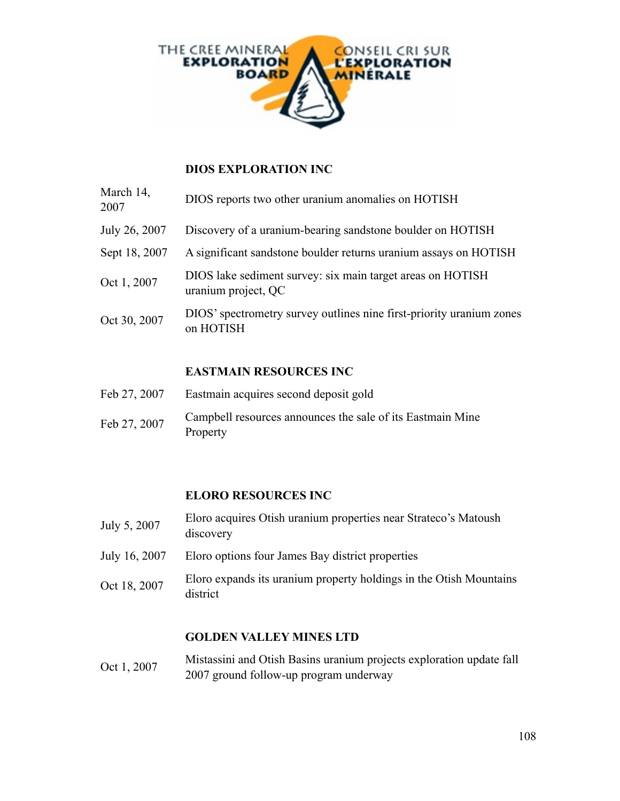

## **DIOS EXPLORATION INC**

| March 14,<br>2007 | DIOS reports two other uranium anomalies on HOTISH                                |
|-------------------|-----------------------------------------------------------------------------------|
| July 26, 2007     | Discovery of a uranium-bearing sandstone boulder on HOTISH                        |
| Sept 18, 2007     | A significant sandstone boulder returns uranium assays on HOTISH                  |
| Oct 1, 2007       | DIOS lake sediment survey: six main target areas on HOTISH<br>uranium project, QC |
| Oct 30, 2007      | DIOS' spectrometry survey outlines nine first-priority uranium zones<br>on HOTISH |

## **EASTMAIN RESOURCES INC**

- Feb 27, 2007 Eastmain acquires second deposit gold
- Feb 27, 2007 Campbell resources announces the sale of its Eastmain Mine Property

## **ELORO RESOURCES INC**

- July 5, 2007 Eloro acquires Otish uranium properties near Strateco's Matoush discovery
- July 16, 2007 Eloro options four James Bay district properties
- Oct 18, 2007 Eloro expands its uranium property holdings in the Otish Mountains district

#### **GOLDEN VALLEY MINES LTD**

Oct 1, 2007 Mistassini and Otish Basins uranium projects exploration update fall 2007 ground follow-up program underway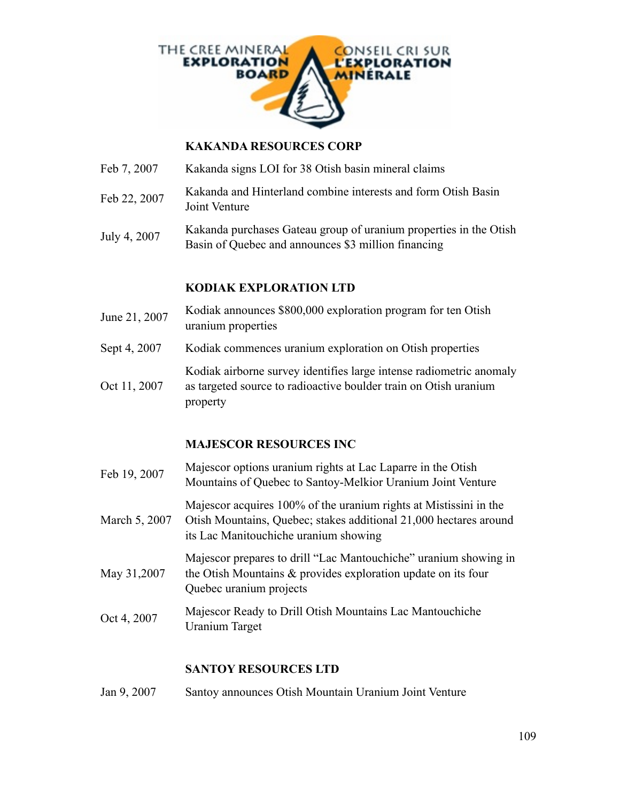

#### **KAKANDA RESOURCES CORP**

- Feb 7, 2007 Kakanda signs LOI for 38 Otish basin mineral claims
- Feb 22, 2007 Kakanda and Hinterland combine interests and form Otish Basin Joint Venture
- July 4, 2007 Kakanda purchases Gateau group of uranium properties in the Otish Basin of Quebec and announces \$3 million financing

#### **KODIAK EXPLORATION LTD**

- June 21, 2007 Kodiak announces \$800,000 exploration program for ten Otish uranium properties
- Sept 4, 2007 Kodiak commences uranium exploration on Otish properties

Oct 11, 2007 Kodiak airborne survey identifies large intense radiometric anomaly as targeted source to radioactive boulder train on Otish uranium property

## **MAJESCOR RESOURCES INC**

Feb 19, 2007 Majescor options uranium rights at Lac Laparre in the Otish Mountains of Quebec to Santoy-Melkior Uranium Joint Venture March 5, 2007 Majescor acquires 100% of the uranium rights at Mistissini in the Otish Mountains, Quebec; stakes additional 21,000 hectares around its Lac Manitouchiche uranium showing May 31,2007 Majescor prepares to drill "Lac Mantouchiche" uranium showing in the Otish Mountains & provides exploration update on its four Quebec uranium projects Oct 4, 2007 Majescor Ready to Drill Otish Mountains Lac Mantouchiche Uranium Target

## **SANTOY RESOURCES LTD**

Jan 9, 2007 Santoy announces Otish Mountain Uranium Joint Venture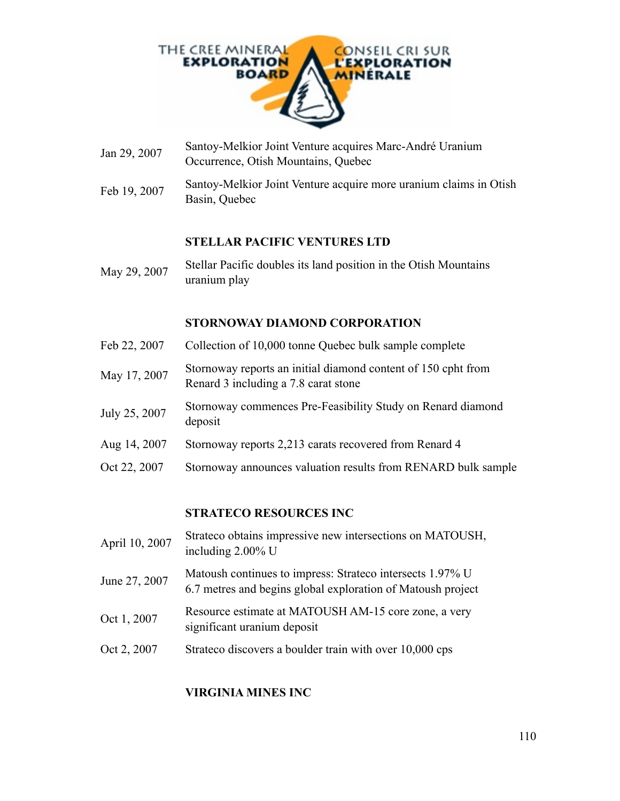

- Jan 29, 2007 Santoy-Melkior Joint Venture acquires Marc-André Uranium Occurrence, Otish Mountains, Quebec
- Feb 19, 2007 Santoy-Melkior Joint Venture acquire more uranium claims in Otish Basin, Quebec

## **STELLAR PACIFIC VENTURES LTD**

May 29, 2007 Stellar Pacific doubles its land position in the Otish Mountains uranium play

#### **STORNOWAY DIAMOND CORPORATION**

- Feb 22, 2007 Collection of 10,000 tonne Quebec bulk sample complete
- May 17, 2007 Stornoway reports an initial diamond content of 150 cpht from Renard 3 including a 7.8 carat stone
- July 25, 2007 Stornoway commences Pre-Feasibility Study on Renard diamond deposit
- Aug 14, 2007 Stornoway reports 2,213 carats recovered from Renard 4
- Oct 22, 2007 Stornoway announces valuation results from RENARD bulk sample

## **STRATECO RESOURCES INC**

- April 10, 2007 Strateco obtains impressive new intersections on MATOUSH, including 2.00% U
- June 27, 2007 Matoush continues to impress: Strateco intersects 1.97% U 6.7 metres and begins global exploration of Matoush project
- Oct 1, 2007 Resource estimate at MATOUSH AM-15 core zone, a very significant uranium deposit
- Oct 2, 2007 Strateco discovers a boulder train with over 10,000 cps

## **VIRGINIA MINES INC**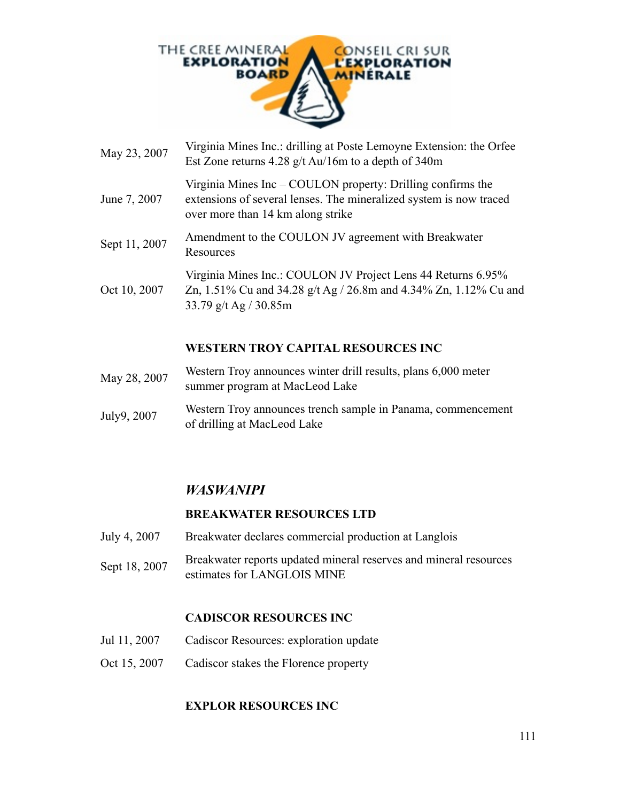

- May 23, 2007 Virginia Mines Inc.: drilling at Poste Lemoyne Extension: the Orfee Est Zone returns 4.28 g/t Au/16m to a depth of 340m
- June 7, 2007 Virginia Mines Inc – COULON property: Drilling confirms the extensions of several lenses. The mineralized system is now traced over more than 14 km along strike
- Sept 11, 2007 Amendment to the COULON JV agreement with Breakwater Resources
- Oct 10, 2007 Virginia Mines Inc.: COULON JV Project Lens 44 Returns 6.95% Zn, 1.51% Cu and 34.28 g/t Ag / 26.8m and 4.34% Zn, 1.12% Cu and 33.79 g/t Ag / 30.85m

## **WESTERN TROY CAPITAL RESOURCES INC**

- May 28, 2007 Western Troy announces winter drill results, plans 6,000 meter summer program at MacLeod Lake
- July9, 2007 Western Troy announces trench sample in Panama, commencement of drilling at MacLeod Lake

## *WASWANIPI*

#### **BREAKWATER RESOURCES LTD**

- July 4, 2007 Breakwater declares commercial production at Langlois
- Sept 18, 2007 Breakwater reports updated mineral reserves and mineral resources estimates for LANGLOIS MINE

#### **CADISCOR RESOURCES INC**

- Jul 11, 2007 Cadiscor Resources: exploration update
- Oct 15, 2007 Cadiscor stakes the Florence property

#### **EXPLOR RESOURCES INC**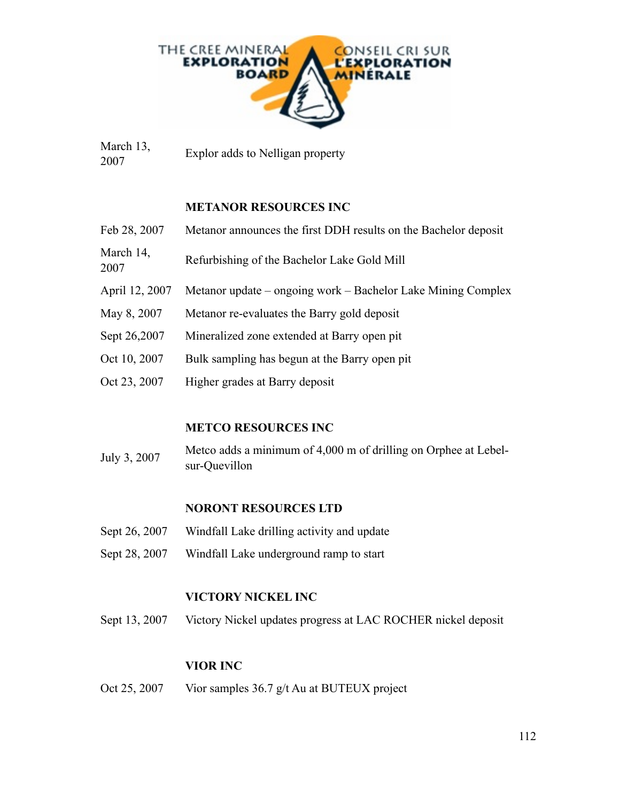

March 13, Explor adds to Nelligan property<br>2007

#### **METANOR RESOURCES INC**

| Feb 28, 2007      | Metanor announces the first DDH results on the Bachelor deposit |
|-------------------|-----------------------------------------------------------------|
| March 14,<br>2007 | Refurbishing of the Bachelor Lake Gold Mill                     |
| April 12, 2007    | Metanor update – ongoing work – Bachelor Lake Mining Complex    |
| May 8, 2007       | Metanor re-evaluates the Barry gold deposit                     |
| Sept 26,2007      | Mineralized zone extended at Barry open pit                     |
| Oct 10, 2007      | Bulk sampling has begun at the Barry open pit                   |
| Oct 23, 2007      | Higher grades at Barry deposit                                  |

## **METCO RESOURCES INC**

July 3, 2007 Metco adds a minimum of 4,000 m of drilling on Orphee at Lebelsur-Quevillon

## **NORONT RESOURCES LTD**

- Sept 26, 2007 Windfall Lake drilling activity and update
- Sept 28, 2007 Windfall Lake underground ramp to start

## **VICTORY NICKEL INC**

Sept 13, 2007 Victory Nickel updates progress at LAC ROCHER nickel deposit

## **VIOR INC**

Oct 25, 2007 Vior samples 36.7 g/t Au at BUTEUX project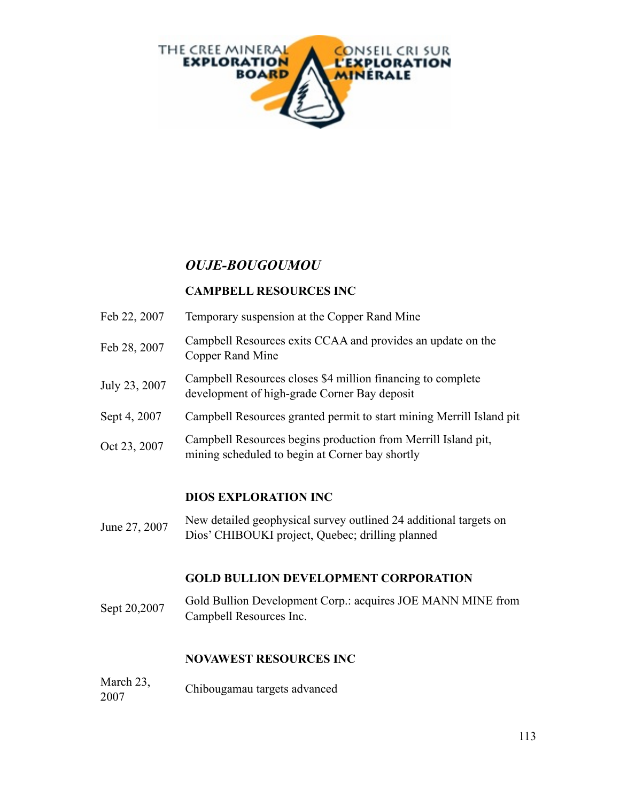

# *OUJE-BOUGOUMOU*

## **CAMPBELL RESOURCES INC**

- Feb 22, 2007 Temporary suspension at the Copper Rand Mine
- Feb 28, 2007 Campbell Resources exits CCAA and provides an update on the Copper Rand Mine
- July 23, 2007 Campbell Resources closes \$4 million financing to complete development of high-grade Corner Bay deposit
- Sept 4, 2007 Campbell Resources granted permit to start mining Merrill Island pit
- Oct 23, 2007 Campbell Resources begins production from Merrill Island pit, mining scheduled to begin at Corner bay shortly

## **DIOS EXPLORATION INC**

June 27, 2007 New detailed geophysical survey outlined 24 additional targets on Dios' CHIBOUKI project, Quebec; drilling planned

## **GOLD BULLION DEVELOPMENT CORPORATION**

Sept 20,2007 Gold Bullion Development Corp.: acquires JOE MANN MINE from Campbell Resources Inc.

## **NOVAWEST RESOURCES INC**

March 23, 2007 Chibougamau targets advanced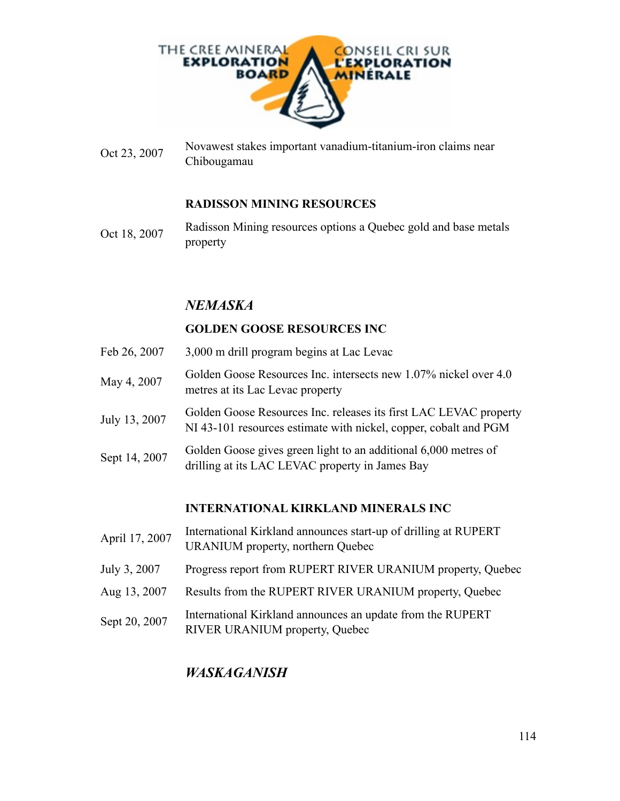

Oct 23, 2007 Novawest stakes important vanadium-titanium-iron claims near Chibougamau

## **RADISSON MINING RESOURCES**

Oct 18, 2007 Radisson Mining resources options a Quebec gold and base metals property

## *NEMASKA*

## **GOLDEN GOOSE RESOURCES INC**

- Feb 26, 2007 3,000 m drill program begins at Lac Levac
- May 4, 2007 Golden Goose Resources Inc. intersects new 1.07% nickel over 4.0 metres at its Lac Levac property
- July 13, 2007 Golden Goose Resources Inc. releases its first LAC LEVAC property NI 43-101 resources estimate with nickel, copper, cobalt and PGM
- Sept 14, 2007 Golden Goose gives green light to an additional 6,000 metres of drilling at its LAC LEVAC property in James Bay

## **INTERNATIONAL KIRKLAND MINERALS INC**

- April 17, 2007 International Kirkland announces start-up of drilling at RUPERT URANIUM property, northern Quebec
- July 3, 2007 Progress report from RUPERT RIVER URANIUM property, Quebec
- Aug 13, 2007 Results from the RUPERT RIVER URANIUM property, Quebec
- Sept 20, 2007 International Kirkland announces an update from the RUPERT RIVER URANIUM property, Quebec

## *WASKAGANISH*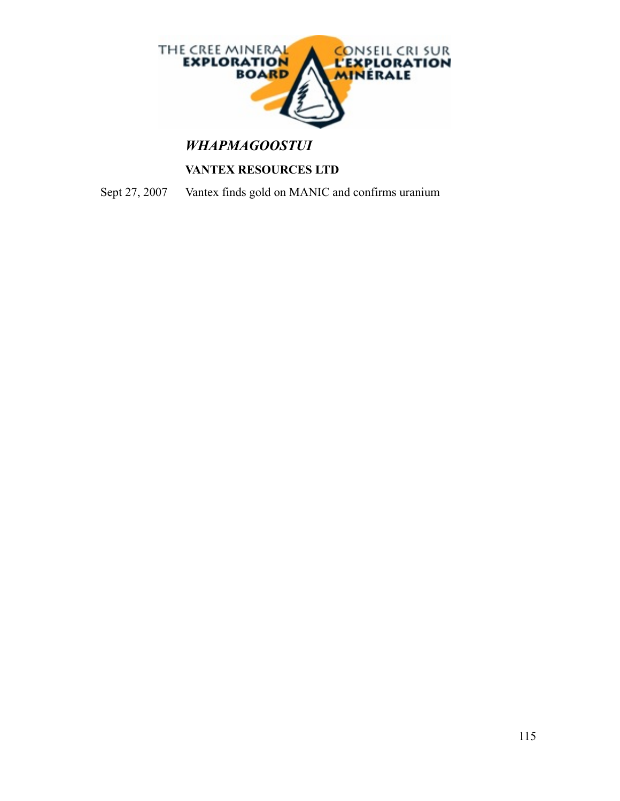

# *WHAPMAGOOSTUI*

## **VANTEX RESOURCES LTD**

Sept 27, 2007 Vantex finds gold on MANIC and confirms uranium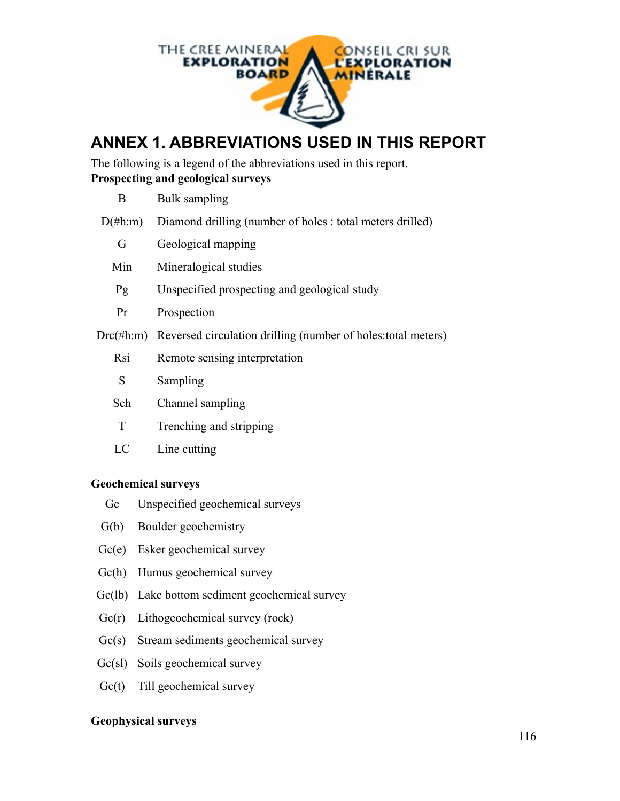

# **ANNEX 1. ABBREVIATIONS USED IN THIS REPORT**

The following is a legend of the abbreviations used in this report. **Prospecting and geological surveys**

| B.         | Bulk sampling                                                              |
|------------|----------------------------------------------------------------------------|
| $D(\#h:m)$ | Diamond drilling (number of holes : total meters drilled)                  |
| G          | Geological mapping                                                         |
| Min        | Mineralogical studies                                                      |
| Pg         | Unspecified prospecting and geological study                               |
| Pr         | Prospection                                                                |
|            | $Drc(\#h:m)$ Reversed circulation drilling (number of holes: total meters) |
| Rsi        | Remote sensing interpretation                                              |
| S          | Sampling                                                                   |
| Sch        | Channel sampling                                                           |
| T          | Trenching and stripping                                                    |
| LC         | Line cutting                                                               |

## **Geochemical surveys**

- Gc Unspecified geochemical surveys
- G(b) Boulder geochemistry
- Gc(e) Esker geochemical survey
- Gc(h) Humus geochemical survey
- Gc(lb) Lake bottom sediment geochemical survey
- Gc(r) Lithogeochemical survey (rock)
- Gc(s) Stream sediments geochemical survey
- Gc(sl) Soils geochemical survey
- Gc(t) Till geochemical survey

## **Geophysical surveys**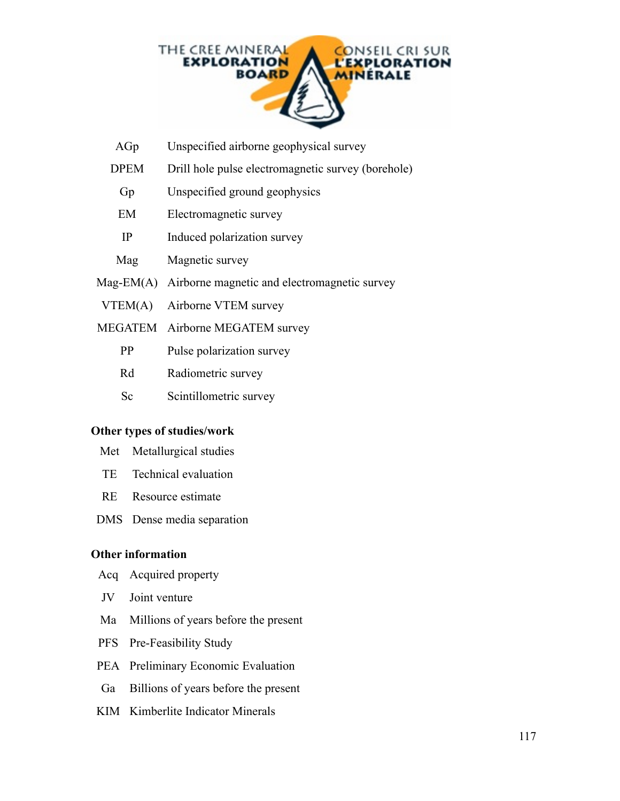

- AGp Unspecified airborne geophysical survey
- DPEM Drill hole pulse electromagnetic survey (borehole)
	- Gp Unspecified ground geophysics
	- EM Electromagnetic survey
	- IP Induced polarization survey
- Magnetic survey
- Mag-EM(A) Airborne magnetic and electromagnetic survey
- VTEM(A) Airborne VTEM survey
- MEGATEM Airborne MEGATEM survey
	- PP Pulse polarization survey
	- Rd Radiometric survey
	- Sc Scintillometric survey

#### **Other types of studies/work**

- Met Metallurgical studies
- TE Technical evaluation
- RE Resource estimate
- DMS Dense media separation

#### **Other information**

- Acq Acquired property
- JV Joint venture
- Ma Millions of years before the present
- PFS Pre-Feasibility Study
- PEA Preliminary Economic Evaluation
- Ga Billions of years before the present
- KIM Kimberlite Indicator Minerals